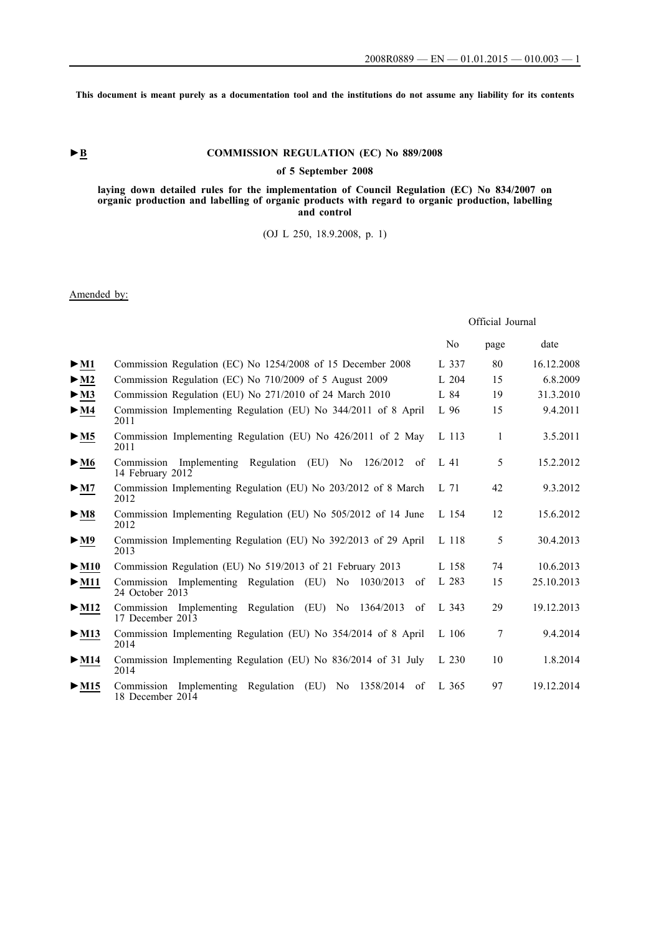**This document is meant purely as a documentation tool and the institutions do not assume any liability for its contents**

## **►B COMMISSION REGULATION (EC) No 889/2008**

## **of 5 September 2008**

#### **laying down detailed rules for the implementation of Council Regulation (EC) No 834/2007 on organic production and labelling of organic products with regard to organic production, labelling and control**

## (OJ L 250, 18.9.2008, p. 1)

## Amended by:

|                           |                                                                                      | Official Journal |      |            |
|---------------------------|--------------------------------------------------------------------------------------|------------------|------|------------|
|                           |                                                                                      | N <sub>0</sub>   | page | date       |
| $>$ M1                    | Commission Regulation (EC) No 1254/2008 of 15 December 2008                          | L 337            | 80   | 16.12.2008 |
| $\blacktriangleright$ M2  | Commission Regulation (EC) No 710/2009 of 5 August 2009                              | L 204            | 15   | 6.8.2009   |
| $>_{\rm M3}$              | Commission Regulation (EU) No 271/2010 of 24 March 2010                              | L 84             | 19   | 31.3.2010  |
| $>$ M4                    | Commission Implementing Regulation (EU) No 344/2011 of 8 April<br>2011               | L 96             | 15   | 9.4.2011   |
| $>$ M5                    | Commission Implementing Regulation (EU) No 426/2011 of 2 May<br>2011                 | L 113            | 1    | 3.5.2011   |
| $\blacktriangleright$ M6  | Implementing Regulation (EU) No<br>126/2012<br>Commission<br>of<br>14 February 2012  | L 41             | 5    | 15.2.2012  |
| > M7                      | Commission Implementing Regulation (EU) No 203/2012 of 8 March<br>2012               | $L$ 71           | 42   | 9.3.2012   |
| $>$ M8                    | Commission Implementing Regulation (EU) No 505/2012 of 14 June<br>2012               | L 154            | 12   | 15.6.2012  |
| $>$ M9                    | Commission Implementing Regulation (EU) No 392/2013 of 29 April<br>2013              | L 118            | 5    | 30.4.2013  |
| $>$ M10                   | Commission Regulation (EU) No 519/2013 of 21 February 2013                           | L 158            | 74   | 10.6.2013  |
| $>$ M11                   | Implementing Regulation (EU) No<br>1030/2013<br>Commission<br>of<br>24 October 2013  | L 283            | 15   | 25.10.2013 |
| $>$ M12                   | Commission Implementing Regulation (EU) No 1364/2013<br>of<br>17 December 2013       | L 343            | 29   | 19.12.2013 |
| $\blacktriangleright$ M13 | Commission Implementing Regulation (EU) No 354/2014 of 8 April<br>2014               | $L$ 106          | 7    | 9.4.2014   |
| $>$ M14                   | Commission Implementing Regulation (EU) No 836/2014 of 31 July<br>2014               | L 230            | 10   | 1.8.2014   |
| $\blacktriangleright$ M15 | Implementing Regulation (EU) No<br>1358/2014<br>Commission<br>of<br>18 December 2014 | L 365            | 97   | 19.12.2014 |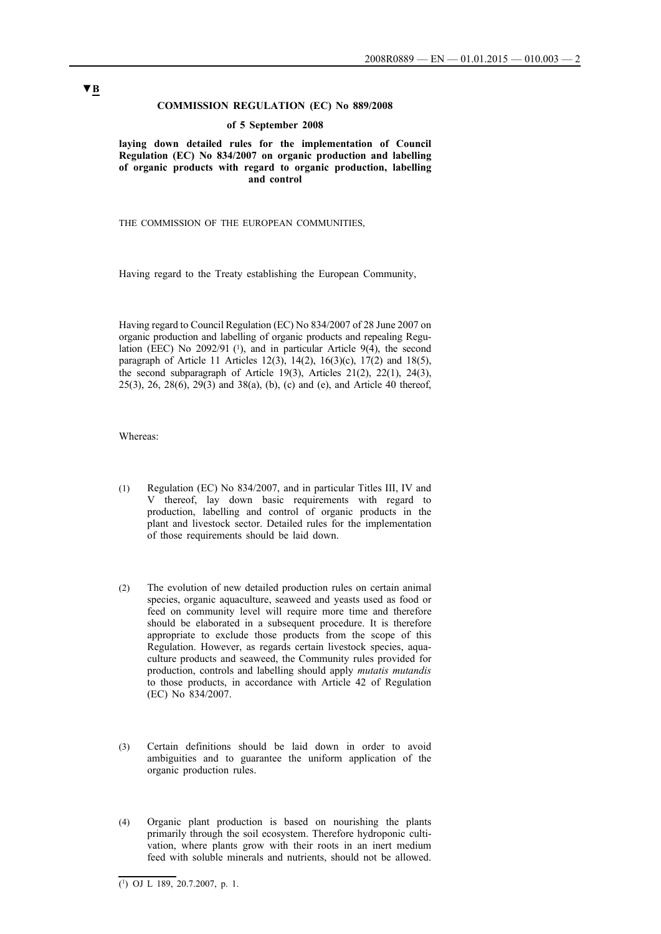### **COMMISSION REGULATION (EC) No 889/2008**

#### **of 5 September 2008**

**laying down detailed rules for the implementation of Council Regulation (EC) No 834/2007 on organic production and labelling of organic products with regard to organic production, labelling and control**

THE COMMISSION OF THE EUROPEAN COMMUNITIES,

Having regard to the Treaty establishing the European Community,

Having regard to Council Regulation (EC) No 834/2007 of 28 June 2007 on organic production and labelling of organic products and repealing Regulation (EEC) No  $2092/91$  (1), and in particular Article  $9(4)$ , the second paragraph of Article 11 Articles 12(3), 14(2), 16(3)(c), 17(2) and 18(5), the second subparagraph of Article 19(3), Articles  $21(2)$ ,  $22(1)$ ,  $24(3)$ , 25(3), 26, 28(6), 29(3) and 38(a), (b), (c) and (e), and Article 40 thereof,

Whereas:

- (1) Regulation (EC) No 834/2007, and in particular Titles III, IV and V thereof, lay down basic requirements with regard to production, labelling and control of organic products in the plant and livestock sector. Detailed rules for the implementation of those requirements should be laid down.
- (2) The evolution of new detailed production rules on certain animal species, organic aquaculture, seaweed and yeasts used as food or feed on community level will require more time and therefore should be elaborated in a subsequent procedure. It is therefore appropriate to exclude those products from the scope of this Regulation. However, as regards certain livestock species, aquaculture products and seaweed, the Community rules provided for production, controls and labelling should apply *mutatis mutandis* to those products, in accordance with Article 42 of Regulation (EC) No 834/2007.
- (3) Certain definitions should be laid down in order to avoid ambiguities and to guarantee the uniform application of the organic production rules.
- (4) Organic plant production is based on nourishing the plants primarily through the soil ecosystem. Therefore hydroponic cultivation, where plants grow with their roots in an inert medium feed with soluble minerals and nutrients, should not be allowed.

 $\overline{(^1)}$  OJ L 189, 20.7.2007, p. 1.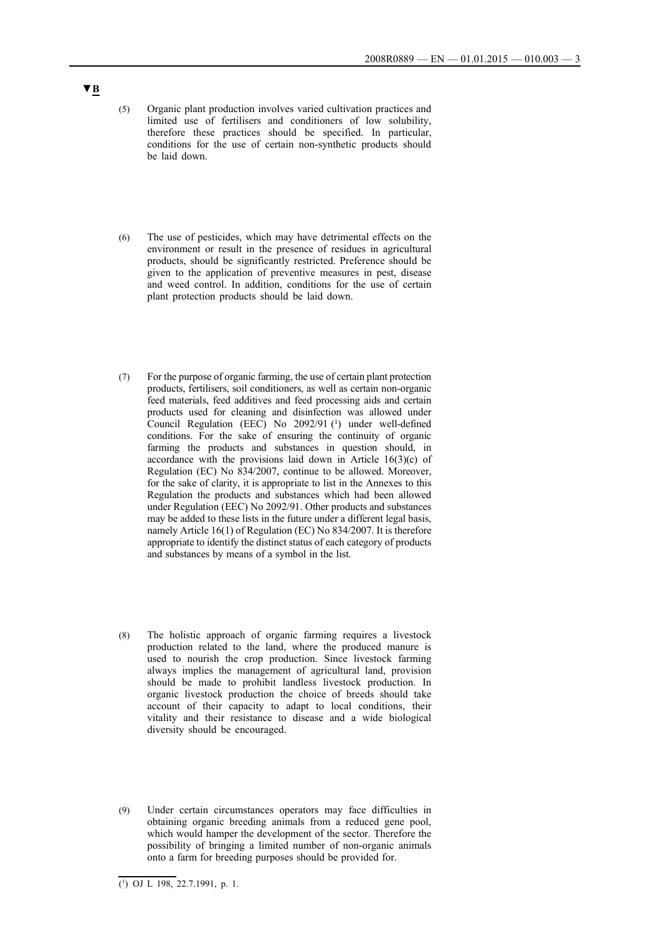- (5) Organic plant production involves varied cultivation practices and limited use of fertilisers and conditioners of low solubility, therefore these practices should be specified. In particular, conditions for the use of certain non-synthetic products should be laid down.
- (6) The use of pesticides, which may have detrimental effects on the environment or result in the presence of residues in agricultural products, should be significantly restricted. Preference should be given to the application of preventive measures in pest, disease and weed control. In addition, conditions for the use of certain plant protection products should be laid down.
- (7) For the purpose of organic farming, the use of certain plant protection products, fertilisers, soil conditioners, as well as certain non-organic feed materials, feed additives and feed processing aids and certain products used for cleaning and disinfection was allowed under Council Regulation (EEC) No 2092/91 (1) under well-defined conditions. For the sake of ensuring the continuity of organic farming the products and substances in question should, in accordance with the provisions laid down in Article 16(3)(c) of Regulation (EC) No 834/2007, continue to be allowed. Moreover, for the sake of clarity, it is appropriate to list in the Annexes to this Regulation the products and substances which had been allowed under Regulation (EEC) No 2092/91. Other products and substances may be added to these lists in the future under a different legal basis, namely Article 16(1) of Regulation (EC) No 834/2007. It is therefore appropriate to identify the distinct status of each category of products and substances by means of a symbol in the list.
- (8) The holistic approach of organic farming requires a livestock production related to the land, where the produced manure is used to nourish the crop production. Since livestock farming always implies the management of agricultural land, provision should be made to prohibit landless livestock production. In organic livestock production the choice of breeds should take account of their capacity to adapt to local conditions, their vitality and their resistance to disease and a wide biological diversity should be encouraged.
- (9) Under certain circumstances operators may face difficulties in obtaining organic breeding animals from a reduced gene pool, which would hamper the development of the sector. Therefore the possibility of bringing a limited number of non-organic animals onto a farm for breeding purposes should be provided for.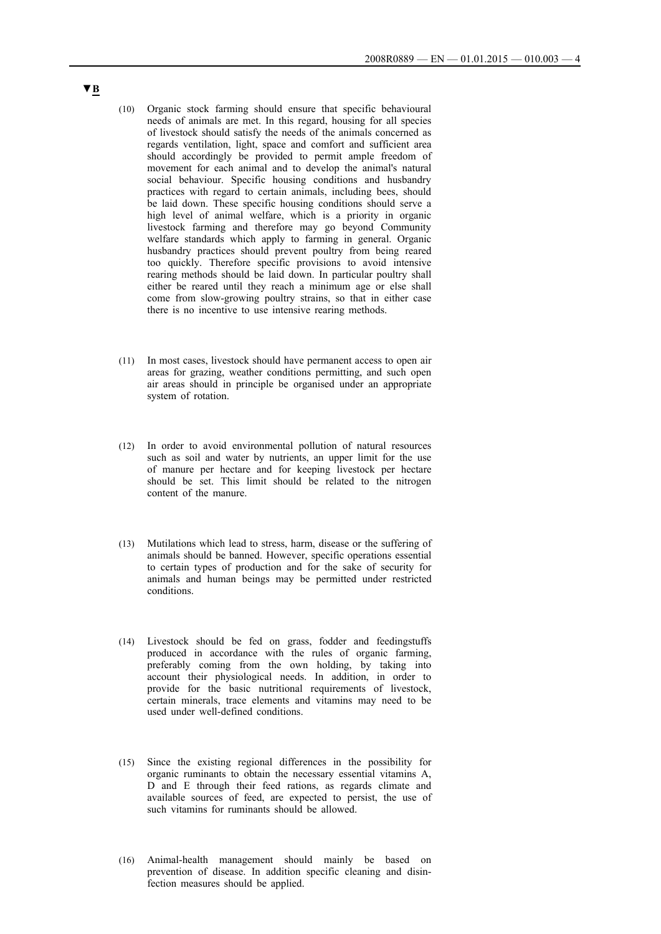- (10) Organic stock farming should ensure that specific behavioural needs of animals are met. In this regard, housing for all species of livestock should satisfy the needs of the animals concerned as regards ventilation, light, space and comfort and sufficient area should accordingly be provided to permit ample freedom of movement for each animal and to develop the animal's natural social behaviour. Specific housing conditions and husbandry practices with regard to certain animals, including bees, should be laid down. These specific housing conditions should serve a high level of animal welfare, which is a priority in organic livestock farming and therefore may go beyond Community welfare standards which apply to farming in general. Organic husbandry practices should prevent poultry from being reared too quickly. Therefore specific provisions to avoid intensive rearing methods should be laid down. In particular poultry shall either be reared until they reach a minimum age or else shall come from slow-growing poultry strains, so that in either case there is no incentive to use intensive rearing methods.
- (11) In most cases, livestock should have permanent access to open air areas for grazing, weather conditions permitting, and such open air areas should in principle be organised under an appropriate system of rotation.
- (12) In order to avoid environmental pollution of natural resources such as soil and water by nutrients, an upper limit for the use of manure per hectare and for keeping livestock per hectare should be set. This limit should be related to the nitrogen content of the manure.
- (13) Mutilations which lead to stress, harm, disease or the suffering of animals should be banned. However, specific operations essential to certain types of production and for the sake of security for animals and human beings may be permitted under restricted conditions.
- (14) Livestock should be fed on grass, fodder and feedingstuffs produced in accordance with the rules of organic farming, preferably coming from the own holding, by taking into account their physiological needs. In addition, in order to provide for the basic nutritional requirements of livestock, certain minerals, trace elements and vitamins may need to be used under well-defined conditions.
- (15) Since the existing regional differences in the possibility for organic ruminants to obtain the necessary essential vitamins A, D and E through their feed rations, as regards climate and available sources of feed, are expected to persist, the use of such vitamins for ruminants should be allowed.
- (16) Animal-health management should mainly be based on prevention of disease. In addition specific cleaning and disinfection measures should be applied.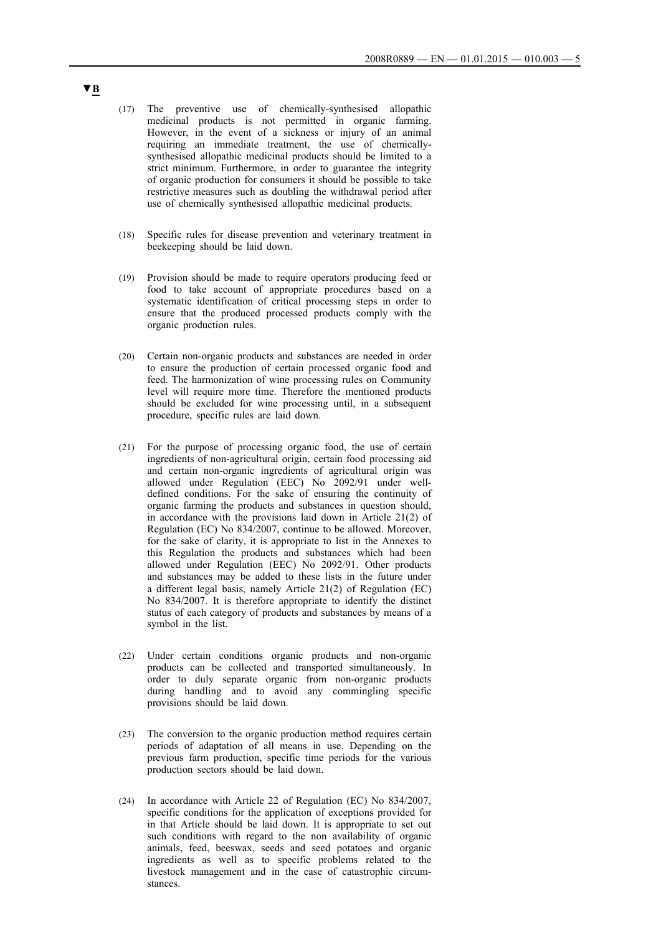- (17) The preventive use of chemically-synthesised allopathic medicinal products is not permitted in organic farming. However, in the event of a sickness or injury of an animal requiring an immediate treatment, the use of chemicallysynthesised allopathic medicinal products should be limited to a strict minimum. Furthermore, in order to guarantee the integrity of organic production for consumers it should be possible to take restrictive measures such as doubling the withdrawal period after use of chemically synthesised allopathic medicinal products.
- (18) Specific rules for disease prevention and veterinary treatment in beekeeping should be laid down.
- (19) Provision should be made to require operators producing feed or food to take account of appropriate procedures based on a systematic identification of critical processing steps in order to ensure that the produced processed products comply with the organic production rules.
- (20) Certain non-organic products and substances are needed in order to ensure the production of certain processed organic food and feed. The harmonization of wine processing rules on Community level will require more time. Therefore the mentioned products should be excluded for wine processing until, in a subsequent procedure, specific rules are laid down.
- (21) For the purpose of processing organic food, the use of certain ingredients of non-agricultural origin, certain food processing aid and certain non-organic ingredients of agricultural origin was allowed under Regulation (EEC) No 2092/91 under welldefined conditions. For the sake of ensuring the continuity of organic farming the products and substances in question should, in accordance with the provisions laid down in Article 21(2) of Regulation (EC) No 834/2007, continue to be allowed. Moreover, for the sake of clarity, it is appropriate to list in the Annexes to this Regulation the products and substances which had been allowed under Regulation (EEC) No 2092/91. Other products and substances may be added to these lists in the future under a different legal basis, namely Article 21(2) of Regulation (EC) No 834/2007. It is therefore appropriate to identify the distinct status of each category of products and substances by means of a symbol in the list.
- (22) Under certain conditions organic products and non-organic products can be collected and transported simultaneously. In order to duly separate organic from non-organic products during handling and to avoid any commingling specific provisions should be laid down.
- (23) The conversion to the organic production method requires certain periods of adaptation of all means in use. Depending on the previous farm production, specific time periods for the various production sectors should be laid down.
- (24) In accordance with Article 22 of Regulation (EC) No 834/2007, specific conditions for the application of exceptions provided for in that Article should be laid down. It is appropriate to set out such conditions with regard to the non availability of organic animals, feed, beeswax, seeds and seed potatoes and organic ingredients as well as to specific problems related to the livestock management and in the case of catastrophic circumstances.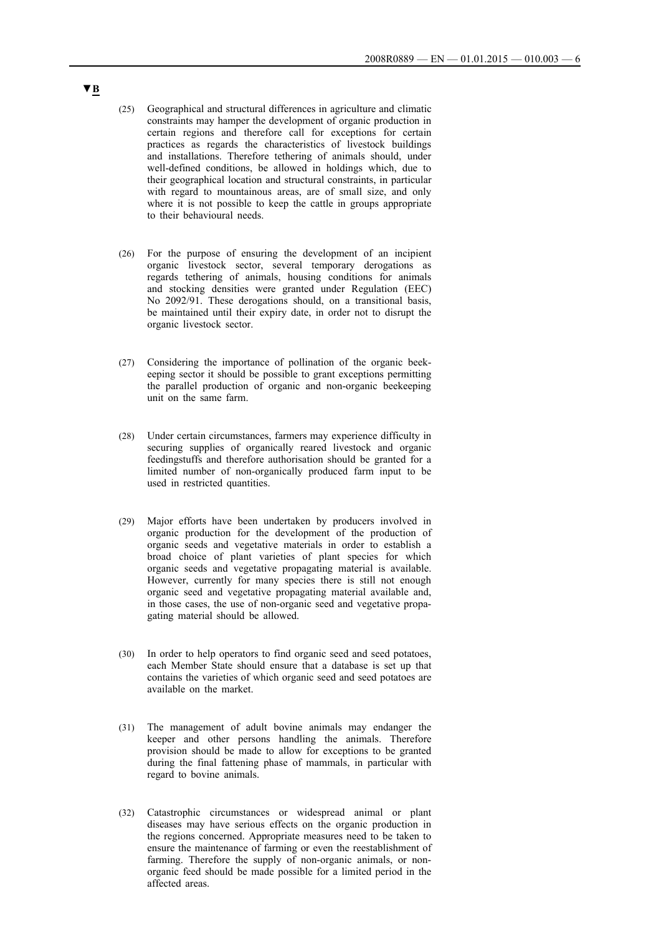- (25) Geographical and structural differences in agriculture and climatic constraints may hamper the development of organic production in certain regions and therefore call for exceptions for certain practices as regards the characteristics of livestock buildings and installations. Therefore tethering of animals should, under well-defined conditions, be allowed in holdings which, due to their geographical location and structural constraints, in particular with regard to mountainous areas, are of small size, and only where it is not possible to keep the cattle in groups appropriate to their behavioural needs.
- (26) For the purpose of ensuring the development of an incipient organic livestock sector, several temporary derogations as regards tethering of animals, housing conditions for animals and stocking densities were granted under Regulation (EEC) No 2092/91. These derogations should, on a transitional basis, be maintained until their expiry date, in order not to disrupt the organic livestock sector.
- (27) Considering the importance of pollination of the organic beekeeping sector it should be possible to grant exceptions permitting the parallel production of organic and non-organic beekeeping unit on the same farm.
- (28) Under certain circumstances, farmers may experience difficulty in securing supplies of organically reared livestock and organic feedingstuffs and therefore authorisation should be granted for a limited number of non-organically produced farm input to be used in restricted quantities.
- (29) Major efforts have been undertaken by producers involved in organic production for the development of the production of organic seeds and vegetative materials in order to establish a broad choice of plant varieties of plant species for which organic seeds and vegetative propagating material is available. However, currently for many species there is still not enough organic seed and vegetative propagating material available and, in those cases, the use of non-organic seed and vegetative propagating material should be allowed.
- (30) In order to help operators to find organic seed and seed potatoes, each Member State should ensure that a database is set up that contains the varieties of which organic seed and seed potatoes are available on the market.
- (31) The management of adult bovine animals may endanger the keeper and other persons handling the animals. Therefore provision should be made to allow for exceptions to be granted during the final fattening phase of mammals, in particular with regard to bovine animals.
- (32) Catastrophic circumstances or widespread animal or plant diseases may have serious effects on the organic production in the regions concerned. Appropriate measures need to be taken to ensure the maintenance of farming or even the reestablishment of farming. Therefore the supply of non-organic animals, or nonorganic feed should be made possible for a limited period in the affected areas.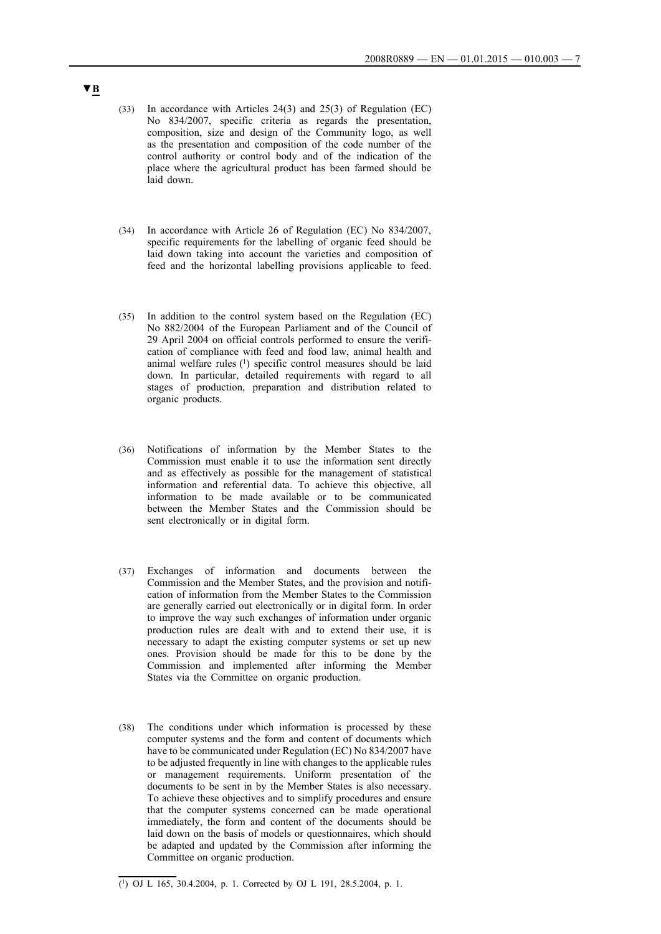- (33) In accordance with Articles 24(3) and 25(3) of Regulation (EC) No 834/2007, specific criteria as regards the presentation, composition, size and design of the Community logo, as well as the presentation and composition of the code number of the control authority or control body and of the indication of the place where the agricultural product has been farmed should be laid down.
- (34) In accordance with Article 26 of Regulation (EC) No 834/2007, specific requirements for the labelling of organic feed should be laid down taking into account the varieties and composition of feed and the horizontal labelling provisions applicable to feed.
- (35) In addition to the control system based on the Regulation (EC) No 882/2004 of the European Parliament and of the Council of 29 April 2004 on official controls performed to ensure the verification of compliance with feed and food law, animal health and animal welfare rules (1) specific control measures should be laid down. In particular, detailed requirements with regard to all stages of production, preparation and distribution related to organic products.
- (36) Notifications of information by the Member States to the Commission must enable it to use the information sent directly and as effectively as possible for the management of statistical information and referential data. To achieve this objective, all information to be made available or to be communicated between the Member States and the Commission should be sent electronically or in digital form.
- (37) Exchanges of information and documents between the Commission and the Member States, and the provision and notification of information from the Member States to the Commission are generally carried out electronically or in digital form. In order to improve the way such exchanges of information under organic production rules are dealt with and to extend their use, it is necessary to adapt the existing computer systems or set up new ones. Provision should be made for this to be done by the Commission and implemented after informing the Member States via the Committee on organic production.
- (38) The conditions under which information is processed by these computer systems and the form and content of documents which have to be communicated under Regulation (EC) No 834/2007 have to be adjusted frequently in line with changes to the applicable rules or management requirements. Uniform presentation of the documents to be sent in by the Member States is also necessary. To achieve these objectives and to simplify procedures and ensure that the computer systems concerned can be made operational immediately, the form and content of the documents should be laid down on the basis of models or questionnaires, which should be adapted and updated by the Commission after informing the Committee on organic production.

 $\overline{(^1)}$  OJ L 165, 30.4.2004, p. 1. Corrected by OJ L 191, 28.5.2004, p. 1.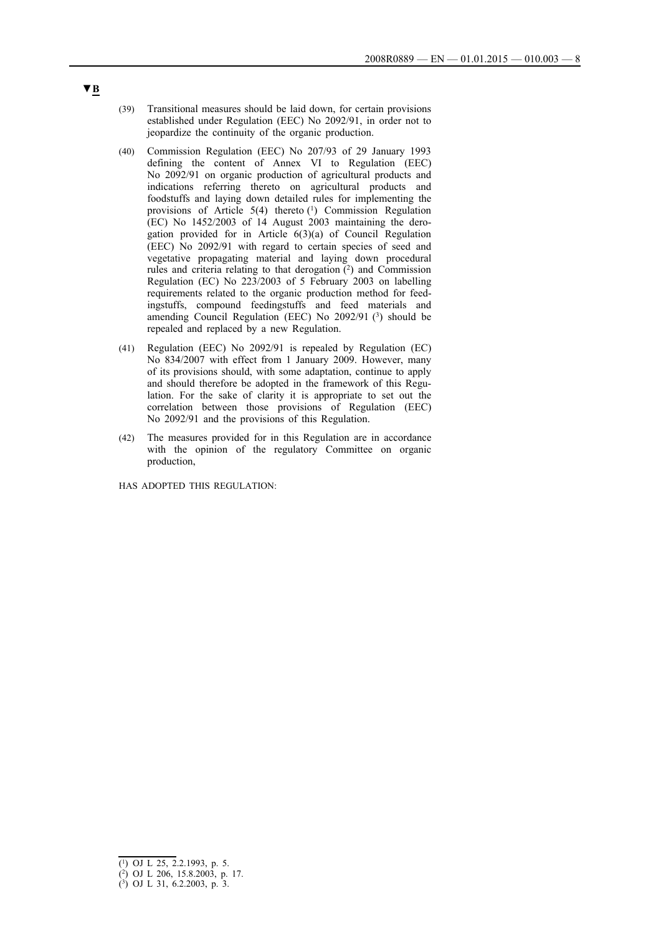- (39) Transitional measures should be laid down, for certain provisions established under Regulation (EEC) No 2092/91, in order not to jeopardize the continuity of the organic production.
- (40) Commission Regulation (EEC) No 207/93 of 29 January 1993 defining the content of Annex VI to Regulation (EEC) No 2092/91 on organic production of agricultural products and indications referring thereto on agricultural products and foodstuffs and laying down detailed rules for implementing the provisions of Article 5(4) thereto (1) Commission Regulation (EC) No 1452/2003 of 14 August 2003 maintaining the derogation provided for in Article 6(3)(a) of Council Regulation (EEC) No 2092/91 with regard to certain species of seed and vegetative propagating material and laying down procedural rules and criteria relating to that derogation (2) and Commission Regulation (EC) No 223/2003 of 5 February 2003 on labelling requirements related to the organic production method for feedingstuffs, compound feedingstuffs and feed materials and amending Council Regulation (EEC) No  $2092/91$  (3) should be repealed and replaced by a new Regulation.
- (41) Regulation (EEC) No 2092/91 is repealed by Regulation (EC) No 834/2007 with effect from 1 January 2009. However, many of its provisions should, with some adaptation, continue to apply and should therefore be adopted in the framework of this Regulation. For the sake of clarity it is appropriate to set out the correlation between those provisions of Regulation (EEC) No 2092/91 and the provisions of this Regulation.
- (42) The measures provided for in this Regulation are in accordance with the opinion of the regulatory Committee on organic production,

HAS ADOPTED THIS REGULATION:

<sup>(1)</sup> OJ L 25, 2.2.1993, p. 5.

<sup>(2)</sup> OJ L 206, 15.8.2003, p. 17.

<sup>(3)</sup> OJ L 31, 6.2.2003, p. 3.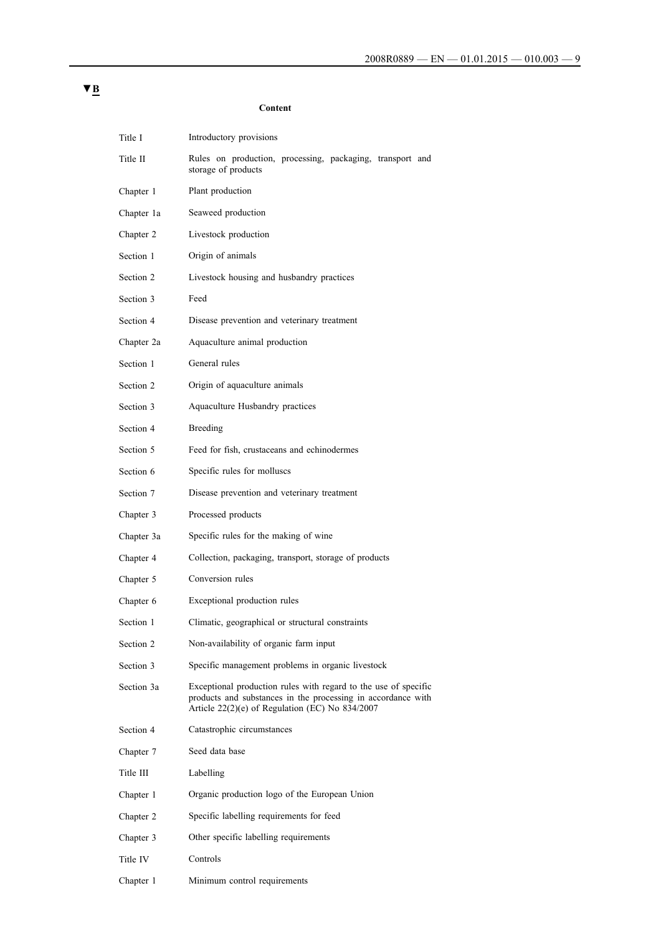# Title I Introductory provisions Title II Rules on production, processing, packaging, transport and storage of products Chapter 1 Plant production Chapter 1a Seaweed production Chapter 2 Livestock production Section 1 Origin of animals Section 2 Livestock housing and husbandry practices Section 3 Feed Section 4 Disease prevention and veterinary treatment Chapter 2a Aquaculture animal production Section 1 General rules Section 2 Origin of aquaculture animals Section 3 Aquaculture Husbandry practices Section 4 Breeding Section 5 Feed for fish, crustaceans and echinodermes Section 6 Specific rules for molluscs Section 7 Disease prevention and veterinary treatment Chapter 3 Processed products Chapter 3a Specific rules for the making of wine Chapter 4 Collection, packaging, transport, storage of products Chapter 5 Conversion rules Chapter 6 Exceptional production rules Section 1 Climatic, geographical or structural constraints Section 2 Non-availability of organic farm input Section 3 Specific management problems in organic livestock Section 3a Exceptional production rules with regard to the use of specific products and substances in the processing in accordance with Article 22(2)(e) of Regulation (EC) No 834/2007 Section 4 Catastrophic circumstances Chapter 7 Seed data base Title III Labelling Chapter 1 Organic production logo of the European Union Chapter 2 Specific labelling requirements for feed Chapter 3 Other specific labelling requirements Title IV Controls

Chapter 1 Minimum control requirements

#### **Content**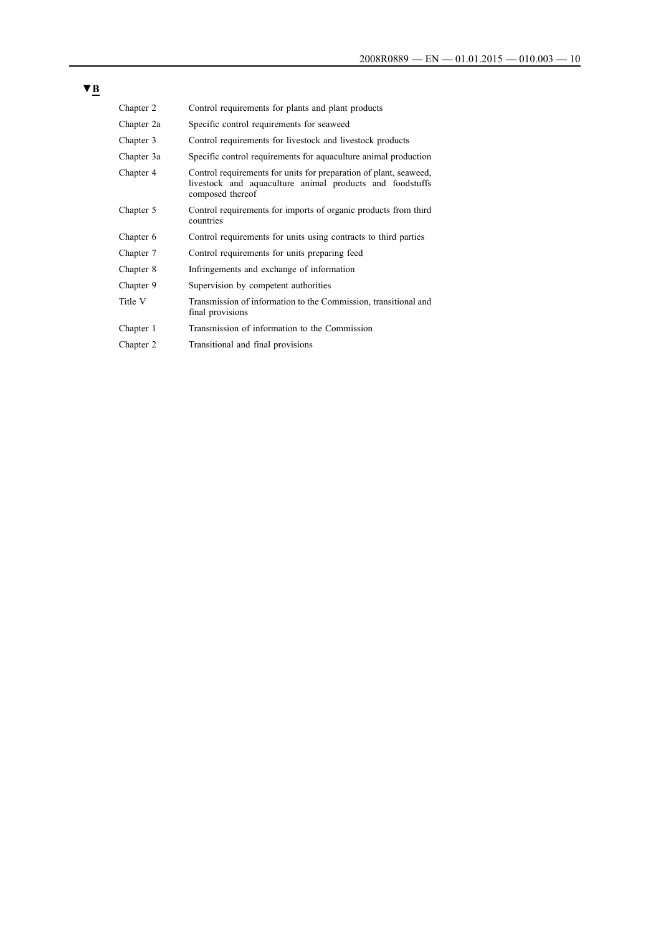| × | ۰, |
|---|----|
|   |    |

| Chapter 2  | Control requirements for plants and plant products                                                                                                |
|------------|---------------------------------------------------------------------------------------------------------------------------------------------------|
| Chapter 2a | Specific control requirements for seaweed                                                                                                         |
| Chapter 3  | Control requirements for livestock and livestock products                                                                                         |
| Chapter 3a | Specific control requirements for aquaculture animal production                                                                                   |
| Chapter 4  | Control requirements for units for preparation of plant, seaweed,<br>livestock and aquaculture animal products and foodstuffs<br>composed thereof |
| Chapter 5  | Control requirements for imports of organic products from third<br>countries                                                                      |
| Chapter 6  | Control requirements for units using contracts to third parties                                                                                   |
| Chapter 7  | Control requirements for units preparing feed                                                                                                     |
| Chapter 8  | Infringements and exchange of information                                                                                                         |
| Chapter 9  | Supervision by competent authorities                                                                                                              |
| Title V    | Transmission of information to the Commission, transitional and<br>final provisions                                                               |
| Chapter 1  | Transmission of information to the Commission                                                                                                     |
| Chapter 2  | Transitional and final provisions                                                                                                                 |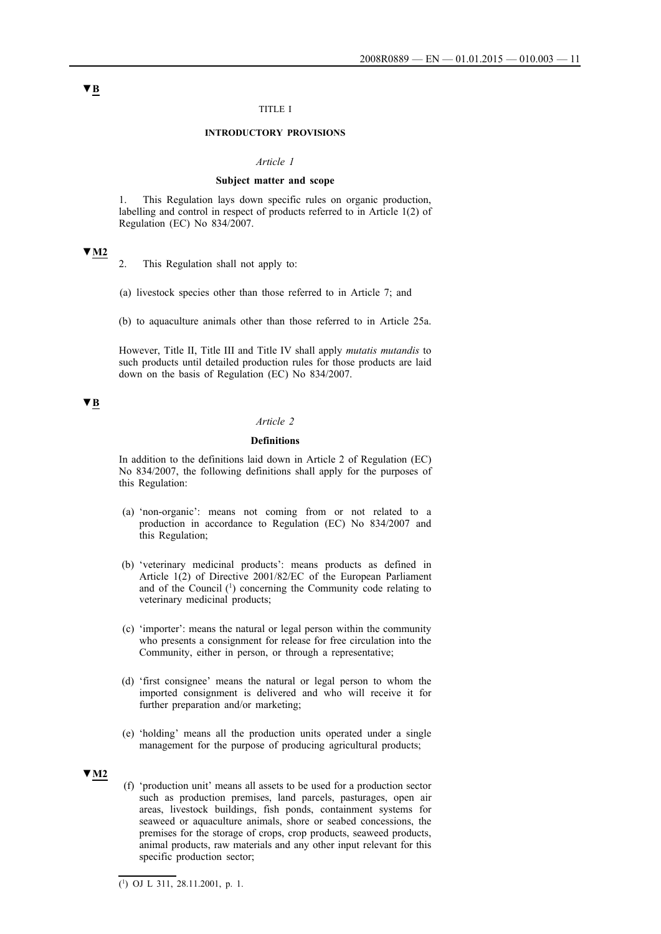### TITLE I

#### **INTRODUCTORY PROVISIONS**

#### *Article 1*

#### **Subject matter and scope**

1. This Regulation lays down specific rules on organic production, labelling and control in respect of products referred to in Article 1(2) of Regulation (EC) No 834/2007.

## **▼M2**

- 2. This Regulation shall not apply to:
- (a) livestock species other than those referred to in Article 7; and
- (b) to aquaculture animals other than those referred to in Article 25a.

However, Title II, Title III and Title IV shall apply *mutatis mutandis* to such products until detailed production rules for those products are laid down on the basis of Regulation (EC) No 834/2007.

## **▼B**

### *Article 2*

#### **Definitions**

In addition to the definitions laid down in Article 2 of Regulation (EC) No 834/2007, the following definitions shall apply for the purposes of this Regulation:

- (a) 'non-organic': means not coming from or not related to a production in accordance to Regulation (EC) No 834/2007 and this Regulation;
- (b) 'veterinary medicinal products': means products as defined in Article 1(2) of Directive 2001/82/EC of the European Parliament and of the Council (1) concerning the Community code relating to veterinary medicinal products;
- (c) 'importer': means the natural or legal person within the community who presents a consignment for release for free circulation into the Community, either in person, or through a representative;
- (d) 'first consignee' means the natural or legal person to whom the imported consignment is delivered and who will receive it for further preparation and/or marketing;
- (e) 'holding' means all the production units operated under a single management for the purpose of producing agricultural products;

### **▼M2**

(f) 'production unit' means all assets to be used for a production sector such as production premises, land parcels, pasturages, open air areas, livestock buildings, fish ponds, containment systems for seaweed or aquaculture animals, shore or seabed concessions, the premises for the storage of crops, crop products, seaweed products, animal products, raw materials and any other input relevant for this specific production sector;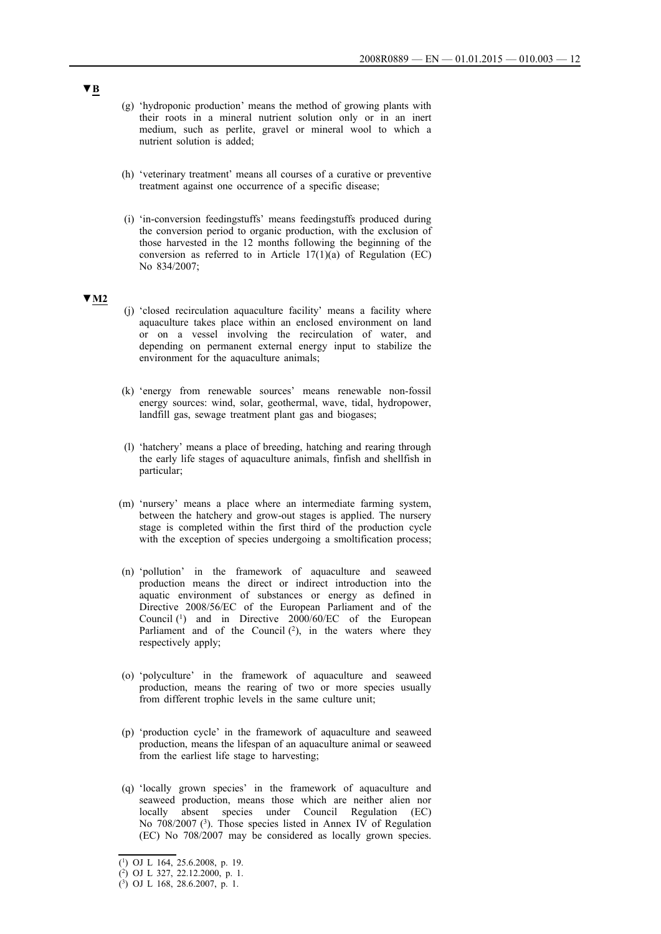- (g) 'hydroponic production' means the method of growing plants with their roots in a mineral nutrient solution only or in an inert medium, such as perlite, gravel or mineral wool to which a nutrient solution is added;
- (h) 'veterinary treatment' means all courses of a curative or preventive treatment against one occurrence of a specific disease;
- (i) 'in-conversion feedingstuffs' means feedingstuffs produced during the conversion period to organic production, with the exclusion of those harvested in the 12 months following the beginning of the conversion as referred to in Article  $17(1)(a)$  of Regulation (EC) No 834/2007;

## **▼M2**

- (j) 'closed recirculation aquaculture facility' means a facility where aquaculture takes place within an enclosed environment on land or on a vessel involving the recirculation of water, and depending on permanent external energy input to stabilize the environment for the aquaculture animals;
- (k) 'energy from renewable sources' means renewable non-fossil energy sources: wind, solar, geothermal, wave, tidal, hydropower, landfill gas, sewage treatment plant gas and biogases;
- (l) 'hatchery' means a place of breeding, hatching and rearing through the early life stages of aquaculture animals, finfish and shellfish in particular;
- (m) 'nursery' means a place where an intermediate farming system, between the hatchery and grow-out stages is applied. The nursery stage is completed within the first third of the production cycle with the exception of species undergoing a smoltification process;
- (n) 'pollution' in the framework of aquaculture and seaweed production means the direct or indirect introduction into the aquatic environment of substances or energy as defined in Directive 2008/56/EC of the European Parliament and of the Council (1) and in Directive 2000/60/EC of the European Parliament and of the Council  $(2)$ , in the waters where they respectively apply;
- (o) 'polyculture' in the framework of aquaculture and seaweed production, means the rearing of two or more species usually from different trophic levels in the same culture unit;
- (p) 'production cycle' in the framework of aquaculture and seaweed production, means the lifespan of an aquaculture animal or seaweed from the earliest life stage to harvesting;
- (q) 'locally grown species' in the framework of aquaculture and seaweed production, means those which are neither alien nor locally absent species under Council Regulation (EC) No 708/2007 (3). Those species listed in Annex IV of Regulation (EC) No 708/2007 may be considered as locally grown species.

<sup>(1)</sup> OJ L 164, 25.6.2008, p. 19.

<sup>(2)</sup> OJ L 327, 22.12.2000, p. 1.

<sup>(3)</sup> OJ L 168, 28.6.2007, p. 1.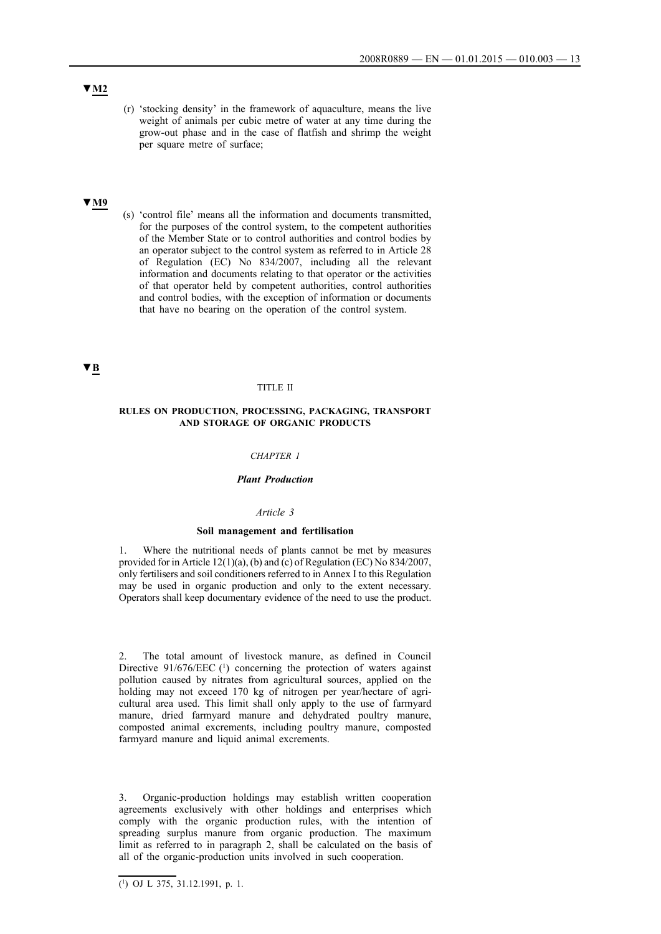- **▼M2**
- (r) 'stocking density' in the framework of aquaculture, means the live weight of animals per cubic metre of water at any time during the grow-out phase and in the case of flatfish and shrimp the weight per square metre of surface;

### **▼M9**

(s) 'control file' means all the information and documents transmitted, for the purposes of the control system, to the competent authorities of the Member State or to control authorities and control bodies by an operator subject to the control system as referred to in Article 28 of Regulation (EC) No 834/2007, including all the relevant information and documents relating to that operator or the activities of that operator held by competent authorities, control authorities and control bodies, with the exception of information or documents that have no bearing on the operation of the control system.

## **▼B**

#### TITLE II

### **RULES ON PRODUCTION, PROCESSING, PACKAGING, TRANSPORT AND STORAGE OF ORGANIC PRODUCTS**

## *CHAPTER 1*

### *Plant Production*

#### *Article 3*

#### **Soil management and fertilisation**

1. Where the nutritional needs of plants cannot be met by measures provided for in Article 12(1)(a), (b) and (c) of Regulation (EC) No 834/2007, only fertilisers and soil conditioners referred to in Annex I to this Regulation may be used in organic production and only to the extent necessary. Operators shall keep documentary evidence of the need to use the product.

2. The total amount of livestock manure, as defined in Council Directive 91/676/EEC (1) concerning the protection of waters against pollution caused by nitrates from agricultural sources, applied on the holding may not exceed 170 kg of nitrogen per year/hectare of agricultural area used. This limit shall only apply to the use of farmyard manure, dried farmyard manure and dehydrated poultry manure, composted animal excrements, including poultry manure, composted farmyard manure and liquid animal excrements.

3. Organic-production holdings may establish written cooperation agreements exclusively with other holdings and enterprises which comply with the organic production rules, with the intention of spreading surplus manure from organic production. The maximum limit as referred to in paragraph 2, shall be calculated on the basis of all of the organic-production units involved in such cooperation.

 $\overline{(^1)}$  OJ L 375, 31.12.1991, p. 1.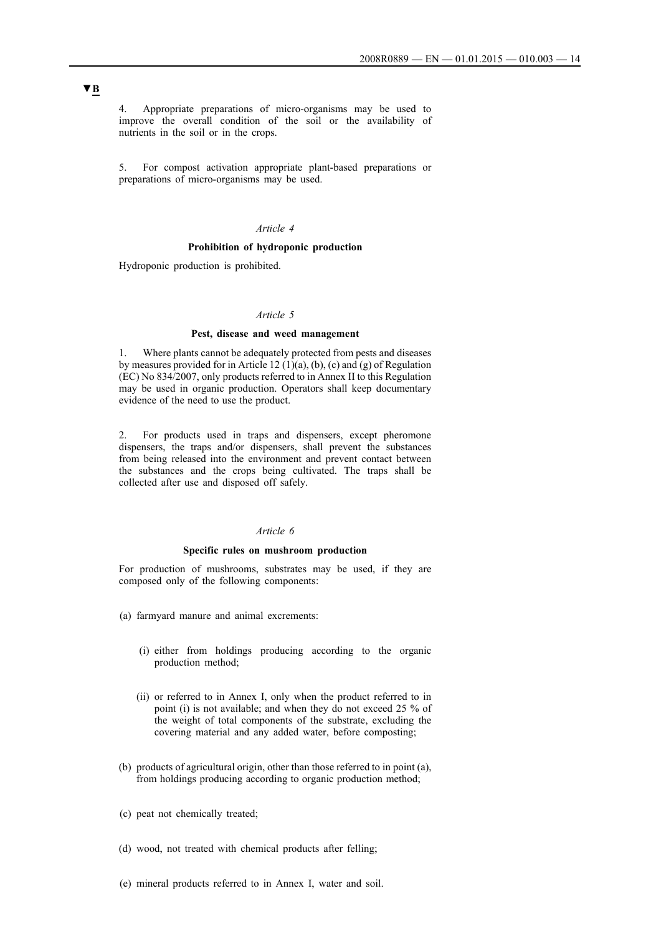4. Appropriate preparations of micro-organisms may be used to improve the overall condition of the soil or the availability of nutrients in the soil or in the crops.

5. For compost activation appropriate plant-based preparations or preparations of micro-organisms may be used.

## *Article 4*

### **Prohibition of hydroponic production**

Hydroponic production is prohibited.

### *Article 5*

## **Pest, disease and weed management**

1. Where plants cannot be adequately protected from pests and diseases by measures provided for in Article 12 (1)(a), (b), (c) and (g) of Regulation (EC) No 834/2007, only products referred to in Annex II to this Regulation may be used in organic production. Operators shall keep documentary evidence of the need to use the product.

2. For products used in traps and dispensers, except pheromone dispensers, the traps and/or dispensers, shall prevent the substances from being released into the environment and prevent contact between the substances and the crops being cultivated. The traps shall be collected after use and disposed off safely.

## *Article 6*

#### **Specific rules on mushroom production**

For production of mushrooms, substrates may be used, if they are composed only of the following components:

- (a) farmyard manure and animal excrements:
	- (i) either from holdings producing according to the organic production method;
	- (ii) or referred to in Annex I, only when the product referred to in point (i) is not available; and when they do not exceed 25 % of the weight of total components of the substrate, excluding the covering material and any added water, before composting;
- (b) products of agricultural origin, other than those referred to in point (a), from holdings producing according to organic production method;
- (c) peat not chemically treated;
- (d) wood, not treated with chemical products after felling;
- (e) mineral products referred to in Annex I, water and soil.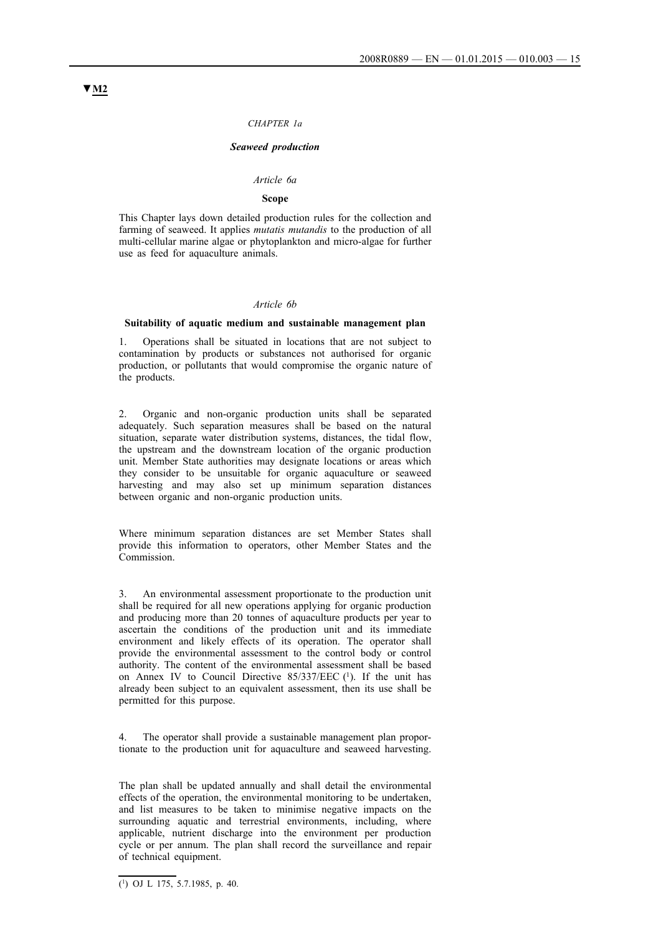#### *CHAPTER 1a*

#### *Seaweed production*

#### *Article 6a*

### **Scope**

This Chapter lays down detailed production rules for the collection and farming of seaweed. It applies *mutatis mutandis* to the production of all multi-cellular marine algae or phytoplankton and micro-algae for further use as feed for aquaculture animals.

#### *Article 6b*

#### **Suitability of aquatic medium and sustainable management plan**

1. Operations shall be situated in locations that are not subject to contamination by products or substances not authorised for organic production, or pollutants that would compromise the organic nature of the products.

2. Organic and non-organic production units shall be separated adequately. Such separation measures shall be based on the natural situation, separate water distribution systems, distances, the tidal flow, the upstream and the downstream location of the organic production unit. Member State authorities may designate locations or areas which they consider to be unsuitable for organic aquaculture or seaweed harvesting and may also set up minimum separation distances between organic and non-organic production units.

Where minimum separation distances are set Member States shall provide this information to operators, other Member States and the Commission.

3. An environmental assessment proportionate to the production unit shall be required for all new operations applying for organic production and producing more than 20 tonnes of aquaculture products per year to ascertain the conditions of the production unit and its immediate environment and likely effects of its operation. The operator shall provide the environmental assessment to the control body or control authority. The content of the environmental assessment shall be based on Annex IV to Council Directive 85/337/EEC (1). If the unit has already been subject to an equivalent assessment, then its use shall be permitted for this purpose.

4. The operator shall provide a sustainable management plan proportionate to the production unit for aquaculture and seaweed harvesting.

The plan shall be updated annually and shall detail the environmental effects of the operation, the environmental monitoring to be undertaken, and list measures to be taken to minimise negative impacts on the surrounding aquatic and terrestrial environments, including, where applicable, nutrient discharge into the environment per production cycle or per annum. The plan shall record the surveillance and repair of technical equipment.

 $\overline{(^1)}$  OJ L 175, 5.7.1985, p. 40.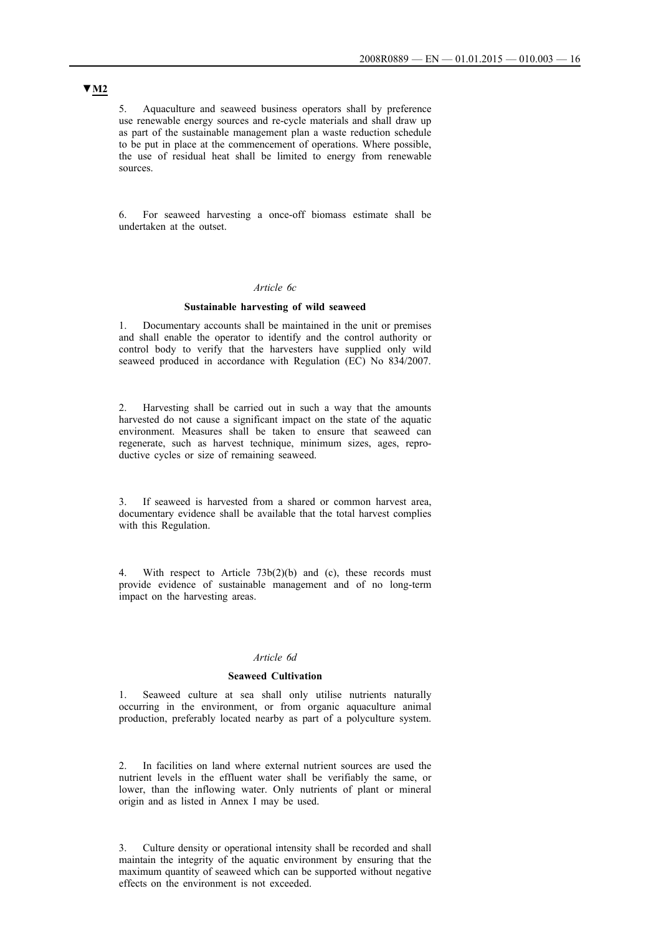5. Aquaculture and seaweed business operators shall by preference use renewable energy sources and re-cycle materials and shall draw up as part of the sustainable management plan a waste reduction schedule to be put in place at the commencement of operations. Where possible, the use of residual heat shall be limited to energy from renewable sources.

6. For seaweed harvesting a once-off biomass estimate shall be undertaken at the outset.

### *Article 6c*

#### **Sustainable harvesting of wild seaweed**

1. Documentary accounts shall be maintained in the unit or premises and shall enable the operator to identify and the control authority or control body to verify that the harvesters have supplied only wild seaweed produced in accordance with Regulation (EC) No 834/2007.

2. Harvesting shall be carried out in such a way that the amounts harvested do not cause a significant impact on the state of the aquatic environment. Measures shall be taken to ensure that seaweed can regenerate, such as harvest technique, minimum sizes, ages, reproductive cycles or size of remaining seaweed.

3. If seaweed is harvested from a shared or common harvest area, documentary evidence shall be available that the total harvest complies with this Regulation.

With respect to Article  $73b(2)(b)$  and (c), these records must provide evidence of sustainable management and of no long-term impact on the harvesting areas.

#### *Article 6d*

#### **Seaweed Cultivation**

1. Seaweed culture at sea shall only utilise nutrients naturally occurring in the environment, or from organic aquaculture animal production, preferably located nearby as part of a polyculture system.

2. In facilities on land where external nutrient sources are used the nutrient levels in the effluent water shall be verifiably the same, or lower, than the inflowing water. Only nutrients of plant or mineral origin and as listed in Annex I may be used.

3. Culture density or operational intensity shall be recorded and shall maintain the integrity of the aquatic environment by ensuring that the maximum quantity of seaweed which can be supported without negative effects on the environment is not exceeded.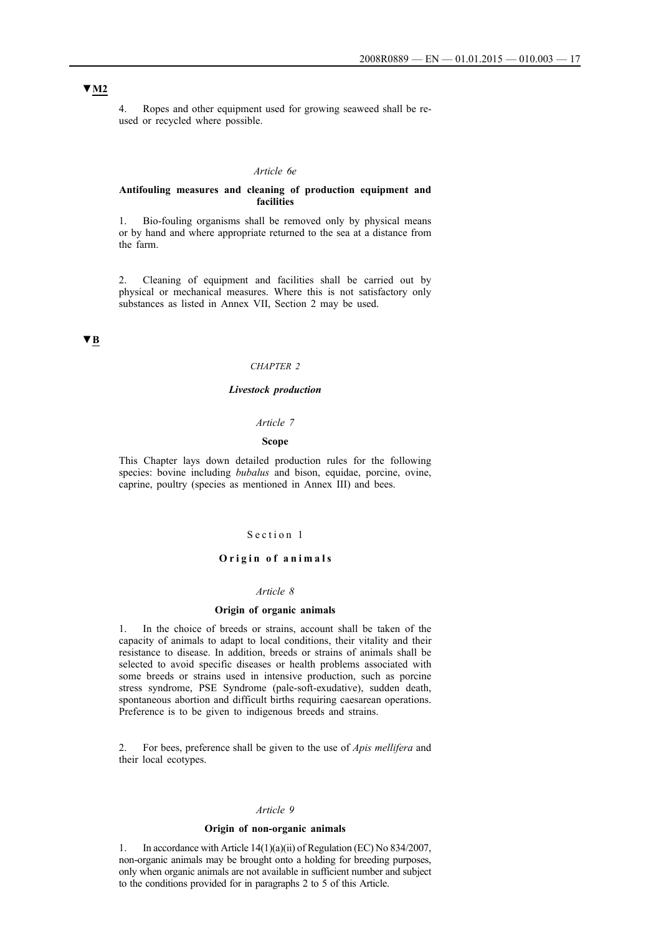## **▼M2**

4. Ropes and other equipment used for growing seaweed shall be reused or recycled where possible.

#### *Article 6e*

#### **Antifouling measures and cleaning of production equipment and facilities**

1. Bio-fouling organisms shall be removed only by physical means or by hand and where appropriate returned to the sea at a distance from the farm.

2. Cleaning of equipment and facilities shall be carried out by physical or mechanical measures. Where this is not satisfactory only substances as listed in Annex VII, Section 2 may be used.

## **▼B**

#### *CHAPTER 2*

#### *Livestock production*

#### *Article 7*

### **Scope**

This Chapter lays down detailed production rules for the following species: bovine including *bubalus* and bison, equidae, porcine, ovine, caprine, poultry (species as mentioned in Annex III) and bees.

### Section 1

#### **Origin of animals**

#### *Article 8*

#### **Origin of organic animals**

1. In the choice of breeds or strains, account shall be taken of the capacity of animals to adapt to local conditions, their vitality and their resistance to disease. In addition, breeds or strains of animals shall be selected to avoid specific diseases or health problems associated with some breeds or strains used in intensive production, such as porcine stress syndrome, PSE Syndrome (pale-soft-exudative), sudden death, spontaneous abortion and difficult births requiring caesarean operations. Preference is to be given to indigenous breeds and strains.

2. For bees, preference shall be given to the use of *Apis mellifera* and their local ecotypes.

### *Article 9*

#### **Origin of non-organic animals**

1. In accordance with Article 14(1)(a)(ii) of Regulation (EC) No 834/2007, non-organic animals may be brought onto a holding for breeding purposes, only when organic animals are not available in sufficient number and subject to the conditions provided for in paragraphs 2 to 5 of this Article.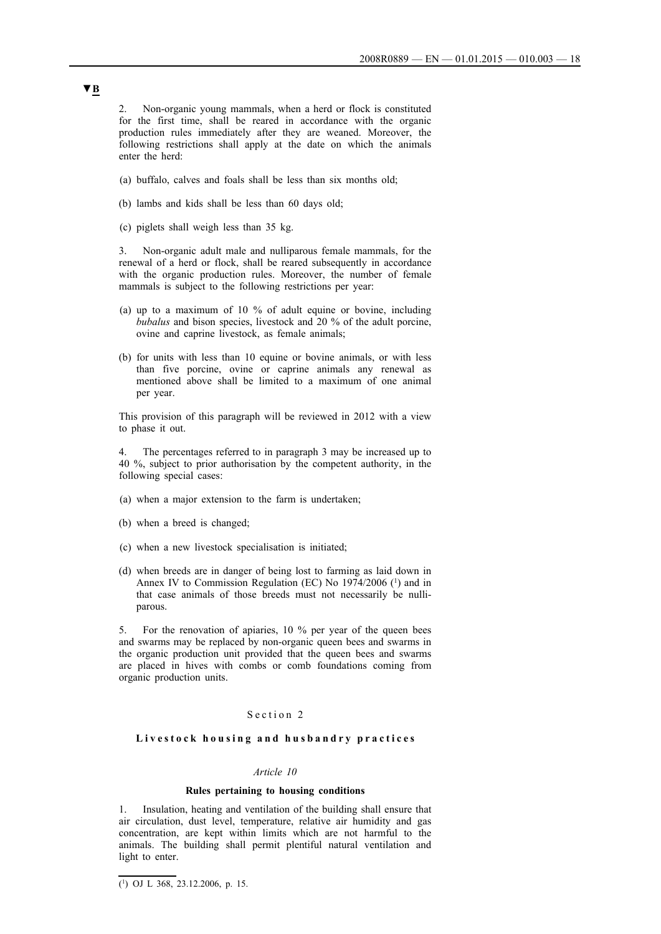2. Non-organic young mammals, when a herd or flock is constituted for the first time, shall be reared in accordance with the organic production rules immediately after they are weaned. Moreover, the following restrictions shall apply at the date on which the animals enter the herd:

- (a) buffalo, calves and foals shall be less than six months old;
- (b) lambs and kids shall be less than 60 days old;
- (c) piglets shall weigh less than 35 kg.

3. Non-organic adult male and nulliparous female mammals, for the renewal of a herd or flock, shall be reared subsequently in accordance with the organic production rules. Moreover, the number of female mammals is subject to the following restrictions per year:

- (a) up to a maximum of 10 % of adult equine or bovine, including *bubalus* and bison species, livestock and 20 % of the adult porcine, ovine and caprine livestock, as female animals;
- (b) for units with less than 10 equine or bovine animals, or with less than five porcine, ovine or caprine animals any renewal as mentioned above shall be limited to a maximum of one animal per year.

This provision of this paragraph will be reviewed in 2012 with a view to phase it out.

The percentages referred to in paragraph 3 may be increased up to 40 %, subject to prior authorisation by the competent authority, in the following special cases:

- (a) when a major extension to the farm is undertaken;
- (b) when a breed is changed;
- (c) when a new livestock specialisation is initiated;
- (d) when breeds are in danger of being lost to farming as laid down in Annex IV to Commission Regulation (EC) No 1974/2006 (1) and in that case animals of those breeds must not necessarily be nulliparous.

5. For the renovation of apiaries, 10 % per year of the queen bees and swarms may be replaced by non-organic queen bees and swarms in the organic production unit provided that the queen bees and swarms are placed in hives with combs or comb foundations coming from organic production units.

#### Section 2

### Livestock housing and husbandry practices

#### *Article 10*

#### **Rules pertaining to housing conditions**

1. Insulation, heating and ventilation of the building shall ensure that air circulation, dust level, temperature, relative air humidity and gas concentration, are kept within limits which are not harmful to the animals. The building shall permit plentiful natural ventilation and light to enter.

<sup>(1)</sup> OJ L 368, 23.12.2006, p. 15.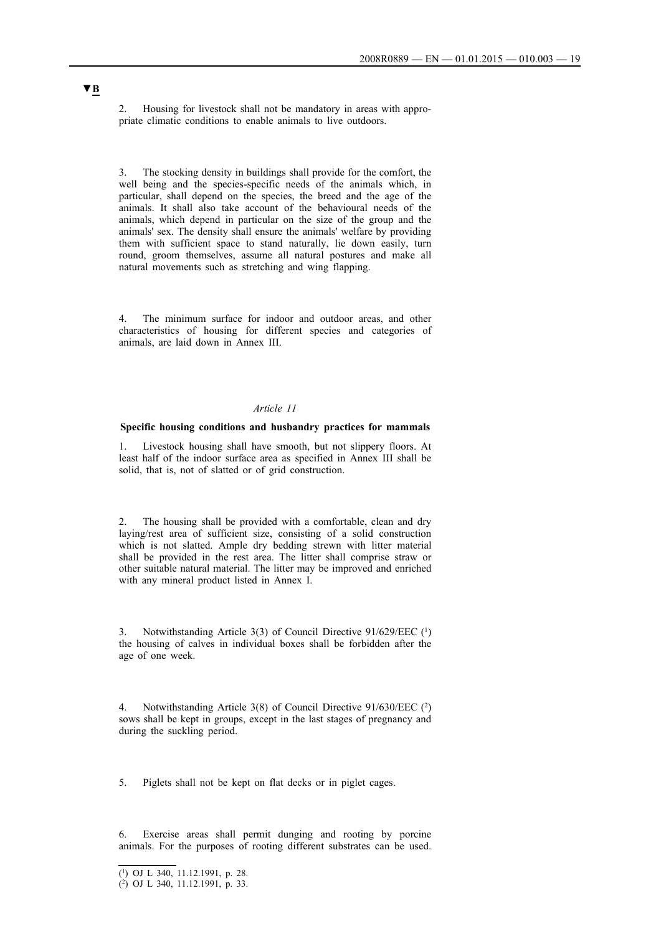2. Housing for livestock shall not be mandatory in areas with appropriate climatic conditions to enable animals to live outdoors.

3. The stocking density in buildings shall provide for the comfort, the well being and the species-specific needs of the animals which, in particular, shall depend on the species, the breed and the age of the animals. It shall also take account of the behavioural needs of the animals, which depend in particular on the size of the group and the animals' sex. The density shall ensure the animals' welfare by providing them with sufficient space to stand naturally, lie down easily, turn round, groom themselves, assume all natural postures and make all natural movements such as stretching and wing flapping.

4. The minimum surface for indoor and outdoor areas, and other characteristics of housing for different species and categories of animals, are laid down in Annex III.

## *Article 11*

#### **Specific housing conditions and husbandry practices for mammals**

1. Livestock housing shall have smooth, but not slippery floors. At least half of the indoor surface area as specified in Annex III shall be solid, that is, not of slatted or of grid construction.

The housing shall be provided with a comfortable, clean and dry laying/rest area of sufficient size, consisting of a solid construction which is not slatted. Ample dry bedding strewn with litter material shall be provided in the rest area. The litter shall comprise straw or other suitable natural material. The litter may be improved and enriched with any mineral product listed in Annex I.

3. Notwithstanding Article 3(3) of Council Directive 91/629/EEC (1) the housing of calves in individual boxes shall be forbidden after the age of one week.

4. Notwithstanding Article 3(8) of Council Directive 91/630/EEC (2) sows shall be kept in groups, except in the last stages of pregnancy and during the suckling period.

5. Piglets shall not be kept on flat decks or in piglet cages.

6. Exercise areas shall permit dunging and rooting by porcine animals. For the purposes of rooting different substrates can be used.

<sup>(1)</sup> OJ L 340, 11.12.1991, p. 28.

<sup>(2)</sup> OJ L 340, 11.12.1991, p. 33.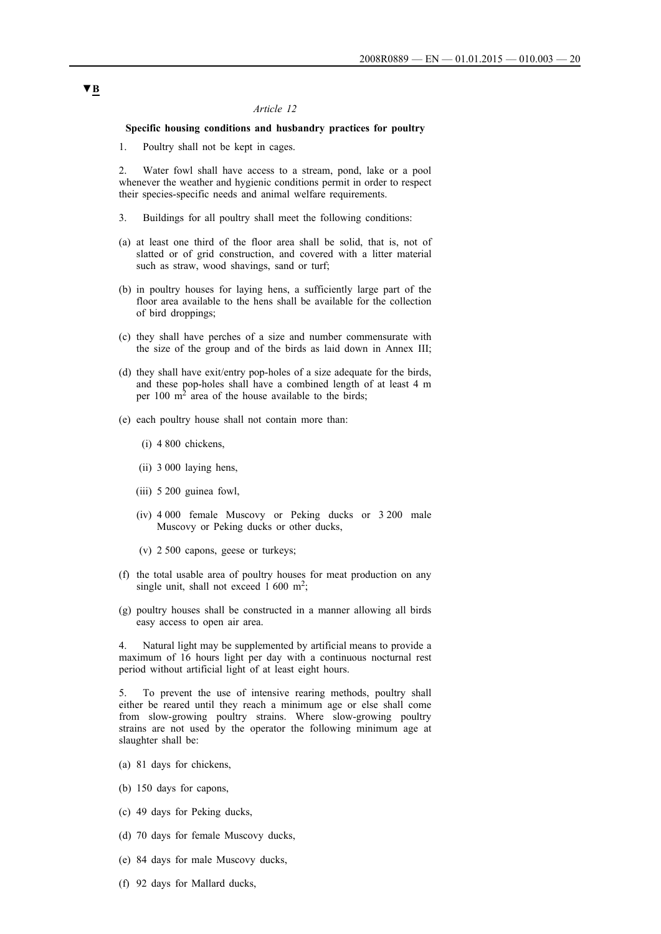#### *Article 12*

## **Specific housing conditions and husbandry practices for poultry**

1. Poultry shall not be kept in cages.

2. Water fowl shall have access to a stream, pond, lake or a pool whenever the weather and hygienic conditions permit in order to respect their species-specific needs and animal welfare requirements.

- 3. Buildings for all poultry shall meet the following conditions:
- (a) at least one third of the floor area shall be solid, that is, not of slatted or of grid construction, and covered with a litter material such as straw, wood shavings, sand or turf;
- (b) in poultry houses for laying hens, a sufficiently large part of the floor area available to the hens shall be available for the collection of bird droppings;
- (c) they shall have perches of a size and number commensurate with the size of the group and of the birds as laid down in Annex III;
- (d) they shall have exit/entry pop-holes of a size adequate for the birds, and these pop-holes shall have a combined length of at least 4 m per  $100 \text{ m}^2$  area of the house available to the birds;
- (e) each poultry house shall not contain more than:
	- (i) 4 800 chickens,
	- (ii) 3 000 laying hens,
	- (iii) 5 200 guinea fowl,
	- (iv) 4 000 female Muscovy or Peking ducks or 3 200 male Muscovy or Peking ducks or other ducks,
	- (v) 2 500 capons, geese or turkeys;
- (f) the total usable area of poultry houses for meat production on any single unit, shall not exceed 1 600 m<sup>2</sup>;
- (g) poultry houses shall be constructed in a manner allowing all birds easy access to open air area.

Natural light may be supplemented by artificial means to provide a maximum of 16 hours light per day with a continuous nocturnal rest period without artificial light of at least eight hours.

5. To prevent the use of intensive rearing methods, poultry shall either be reared until they reach a minimum age or else shall come from slow-growing poultry strains. Where slow-growing poultry strains are not used by the operator the following minimum age at slaughter shall be:

- (a) 81 days for chickens,
- (b) 150 days for capons,
- (c) 49 days for Peking ducks,
- (d) 70 days for female Muscovy ducks,
- (e) 84 days for male Muscovy ducks,
- (f) 92 days for Mallard ducks,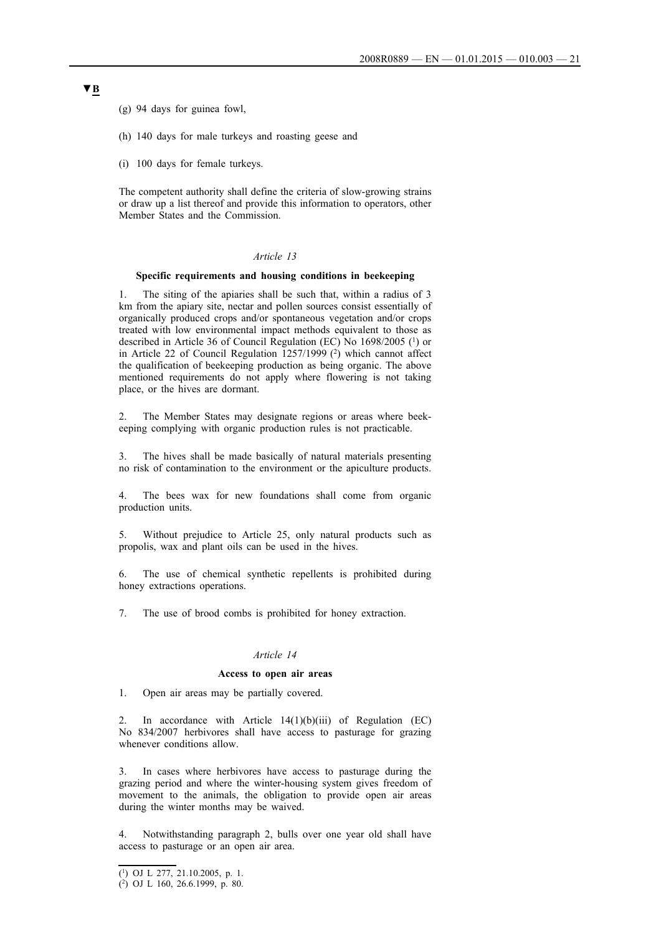(g) 94 days for guinea fowl,

- (h) 140 days for male turkeys and roasting geese and
- (i) 100 days for female turkeys.

The competent authority shall define the criteria of slow-growing strains or draw up a list thereof and provide this information to operators, other Member States and the Commission.

## *Article 13*

#### **Specific requirements and housing conditions in beekeeping**

1. The siting of the apiaries shall be such that, within a radius of 3 km from the apiary site, nectar and pollen sources consist essentially of organically produced crops and/or spontaneous vegetation and/or crops treated with low environmental impact methods equivalent to those as described in Article 36 of Council Regulation (EC) No 1698/2005 (1) or in Article 22 of Council Regulation 1257/1999 (2) which cannot affect the qualification of beekeeping production as being organic. The above mentioned requirements do not apply where flowering is not taking place, or the hives are dormant.

The Member States may designate regions or areas where beekeeping complying with organic production rules is not practicable.

3. The hives shall be made basically of natural materials presenting no risk of contamination to the environment or the apiculture products.

4. The bees wax for new foundations shall come from organic production units.

5. Without prejudice to Article 25, only natural products such as propolis, wax and plant oils can be used in the hives.

6. The use of chemical synthetic repellents is prohibited during honey extractions operations.

7. The use of brood combs is prohibited for honey extraction.

### *Article 14*

#### **Access to open air areas**

1. Open air areas may be partially covered.

2. In accordance with Article 14(1)(b)(iii) of Regulation (EC) No 834/2007 herbivores shall have access to pasturage for grazing whenever conditions allow.

In cases where herbivores have access to pasturage during the grazing period and where the winter-housing system gives freedom of movement to the animals, the obligation to provide open air areas during the winter months may be waived.

4. Notwithstanding paragraph 2, bulls over one year old shall have access to pasturage or an open air area.

<sup>(1)</sup> OJ L 277, 21.10.2005, p. 1.

<sup>(2)</sup> OJ L 160, 26.6.1999, p. 80.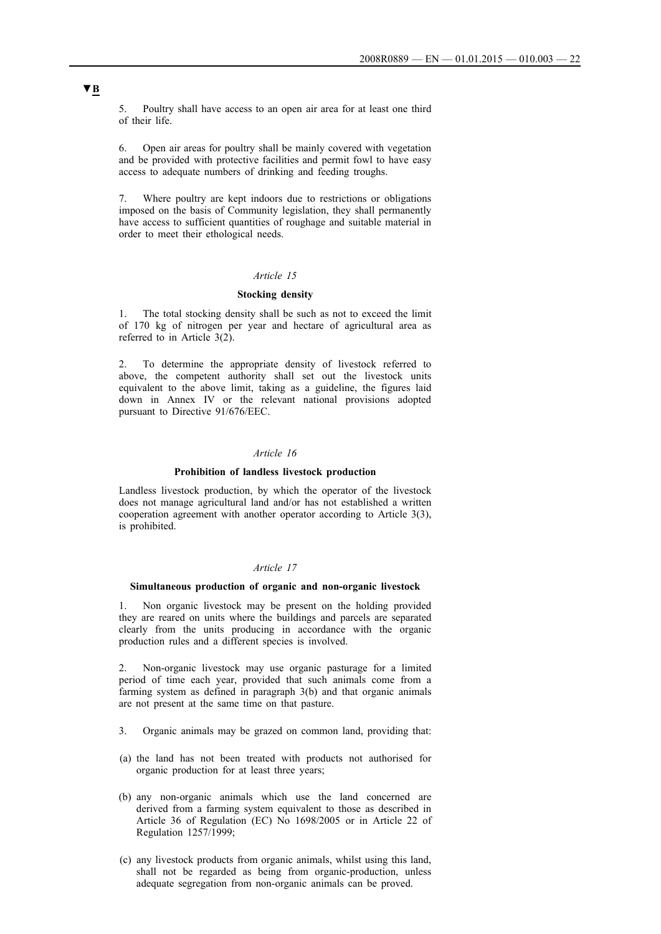5. Poultry shall have access to an open air area for at least one third of their life.

6. Open air areas for poultry shall be mainly covered with vegetation and be provided with protective facilities and permit fowl to have easy access to adequate numbers of drinking and feeding troughs.

Where poultry are kept indoors due to restrictions or obligations imposed on the basis of Community legislation, they shall permanently have access to sufficient quantities of roughage and suitable material in order to meet their ethological needs.

## *Article 15*

### **Stocking density**

1. The total stocking density shall be such as not to exceed the limit of 170 kg of nitrogen per year and hectare of agricultural area as referred to in Article 3(2).

2. To determine the appropriate density of livestock referred to above, the competent authority shall set out the livestock units equivalent to the above limit, taking as a guideline, the figures laid down in Annex IV or the relevant national provisions adopted pursuant to Directive 91/676/EEC.

### *Article 16*

#### **Prohibition of landless livestock production**

Landless livestock production, by which the operator of the livestock does not manage agricultural land and/or has not established a written cooperation agreement with another operator according to Article 3(3), is prohibited.

### *Article 17*

#### **Simultaneous production of organic and non-organic livestock**

1. Non organic livestock may be present on the holding provided they are reared on units where the buildings and parcels are separated clearly from the units producing in accordance with the organic production rules and a different species is involved.

2. Non-organic livestock may use organic pasturage for a limited period of time each year, provided that such animals come from a farming system as defined in paragraph 3(b) and that organic animals are not present at the same time on that pasture.

- 3. Organic animals may be grazed on common land, providing that:
- (a) the land has not been treated with products not authorised for organic production for at least three years;
- (b) any non-organic animals which use the land concerned are derived from a farming system equivalent to those as described in Article 36 of Regulation (EC) No 1698/2005 or in Article 22 of Regulation 1257/1999;
- (c) any livestock products from organic animals, whilst using this land, shall not be regarded as being from organic-production, unless adequate segregation from non-organic animals can be proved.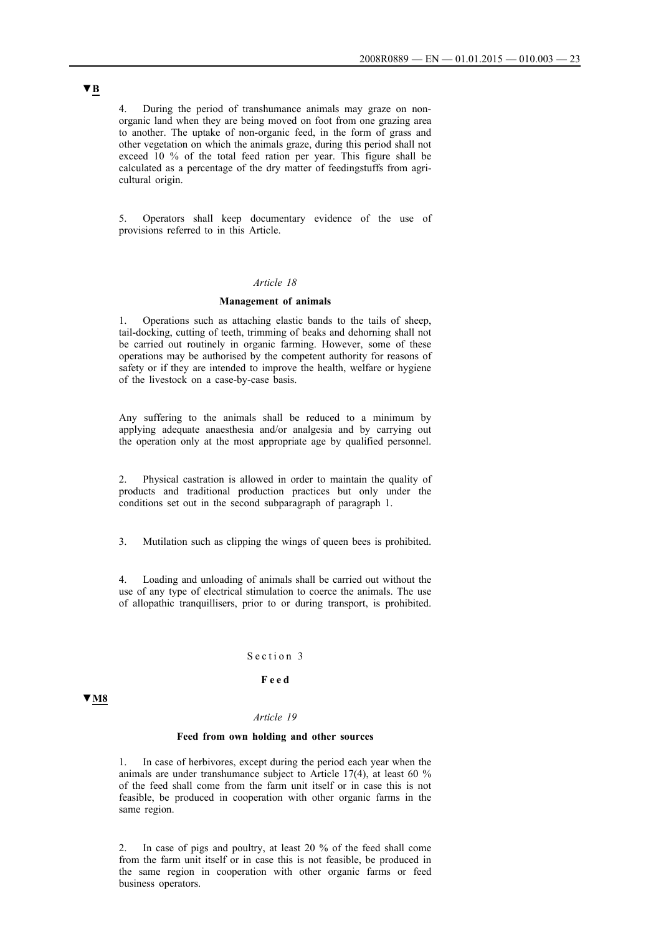4. During the period of transhumance animals may graze on nonorganic land when they are being moved on foot from one grazing area to another. The uptake of non-organic feed, in the form of grass and other vegetation on which the animals graze, during this period shall not exceed 10 % of the total feed ration per year. This figure shall be calculated as a percentage of the dry matter of feedingstuffs from agricultural origin.

5. Operators shall keep documentary evidence of the use of provisions referred to in this Article.

#### *Article 18*

#### **Management of animals**

1. Operations such as attaching elastic bands to the tails of sheep, tail-docking, cutting of teeth, trimming of beaks and dehorning shall not be carried out routinely in organic farming. However, some of these operations may be authorised by the competent authority for reasons of safety or if they are intended to improve the health, welfare or hygiene of the livestock on a case-by-case basis.

Any suffering to the animals shall be reduced to a minimum by applying adequate anaesthesia and/or analgesia and by carrying out the operation only at the most appropriate age by qualified personnel.

2. Physical castration is allowed in order to maintain the quality of products and traditional production practices but only under the conditions set out in the second subparagraph of paragraph 1.

3. Mutilation such as clipping the wings of queen bees is prohibited.

4. Loading and unloading of animals shall be carried out without the use of any type of electrical stimulation to coerce the animals. The use of allopathic tranquillisers, prior to or during transport, is prohibited.

#### Section 3

### **F e e d**

## **▼M8**

### *Article 19*

## **Feed from own holding and other sources**

1. In case of herbivores, except during the period each year when the animals are under transhumance subject to Article 17(4), at least 60 % of the feed shall come from the farm unit itself or in case this is not feasible, be produced in cooperation with other organic farms in the same region.

2. In case of pigs and poultry, at least 20 % of the feed shall come from the farm unit itself or in case this is not feasible, be produced in the same region in cooperation with other organic farms or feed business operators.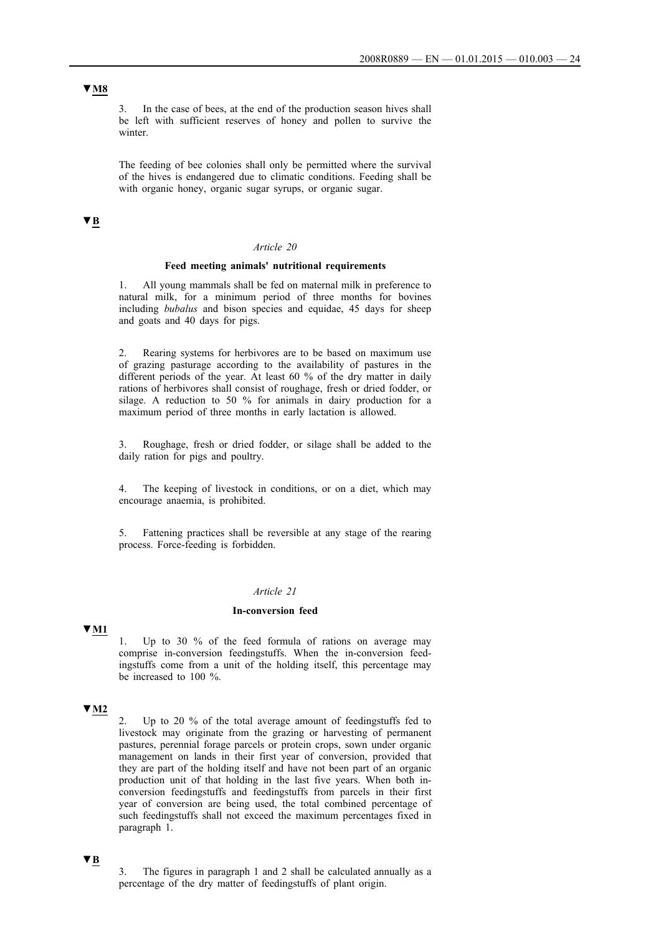3. In the case of bees, at the end of the production season hives shall be left with sufficient reserves of honey and pollen to survive the winter.

The feeding of bee colonies shall only be permitted where the survival of the hives is endangered due to climatic conditions. Feeding shall be with organic honey, organic sugar syrups, or organic sugar.

## **▼B**

### *Article 20*

### **Feed meeting animals' nutritional requirements**

1. All young mammals shall be fed on maternal milk in preference to natural milk, for a minimum period of three months for bovines including *bubalus* and bison species and equidae, 45 days for sheep and goats and 40 days for pigs.

2. Rearing systems for herbivores are to be based on maximum use of grazing pasturage according to the availability of pastures in the different periods of the year. At least 60 % of the dry matter in daily rations of herbivores shall consist of roughage, fresh or dried fodder, or silage. A reduction to 50 % for animals in dairy production for a maximum period of three months in early lactation is allowed.

Roughage, fresh or dried fodder, or silage shall be added to the daily ration for pigs and poultry.

4. The keeping of livestock in conditions, or on a diet, which may encourage anaemia, is prohibited.

5. Fattening practices shall be reversible at any stage of the rearing process. Force-feeding is forbidden.

## *Article 21*

#### **In-conversion feed**

## **▼M1**

1. Up to 30 % of the feed formula of rations on average may comprise in-conversion feedingstuffs. When the in-conversion feedingstuffs come from a unit of the holding itself, this percentage may be increased to 100 %.

## **▼M2**

2. Up to 20 % of the total average amount of feedingstuffs fed to livestock may originate from the grazing or harvesting of permanent pastures, perennial forage parcels or protein crops, sown under organic management on lands in their first year of conversion, provided that they are part of the holding itself and have not been part of an organic production unit of that holding in the last five years. When both inconversion feedingstuffs and feedingstuffs from parcels in their first year of conversion are being used, the total combined percentage of such feedingstuffs shall not exceed the maximum percentages fixed in paragraph 1.

## **▼B**

3. The figures in paragraph 1 and 2 shall be calculated annually as a percentage of the dry matter of feedingstuffs of plant origin.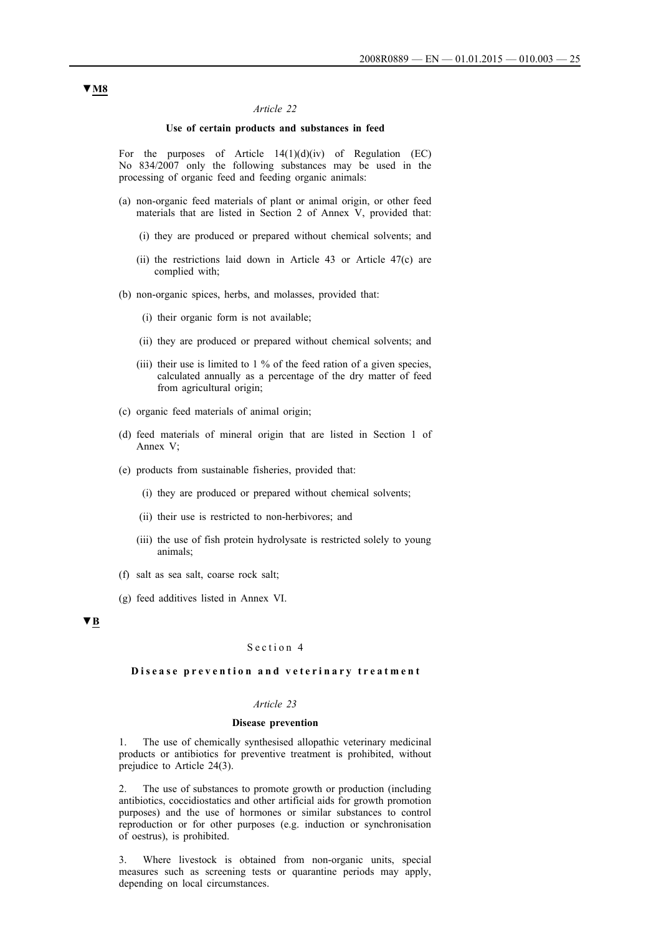### *Article 22*

### **Use of certain products and substances in feed**

For the purposes of Article  $14(1)(d)(iv)$  of Regulation (EC) No 834/2007 only the following substances may be used in the processing of organic feed and feeding organic animals:

- (a) non-organic feed materials of plant or animal origin, or other feed materials that are listed in Section 2 of Annex V, provided that:
	- (i) they are produced or prepared without chemical solvents; and
	- (ii) the restrictions laid down in Article 43 or Article 47(c) are complied with;
- (b) non-organic spices, herbs, and molasses, provided that:
	- (i) their organic form is not available;
	- (ii) they are produced or prepared without chemical solvents; and
	- (iii) their use is limited to  $1\%$  of the feed ration of a given species. calculated annually as a percentage of the dry matter of feed from agricultural origin;
- (c) organic feed materials of animal origin;
- (d) feed materials of mineral origin that are listed in Section 1 of Annex V;
- (e) products from sustainable fisheries, provided that:
	- (i) they are produced or prepared without chemical solvents;
	- (ii) their use is restricted to non-herbivores; and
	- (iii) the use of fish protein hydrolysate is restricted solely to young animals;
- (f) salt as sea salt, coarse rock salt;
- (g) feed additives listed in Annex VI.

### **▼B**

#### Section 4

#### **Disease prevention and veterinary treatment**

### *Article 23*

#### **Disease prevention**

1. The use of chemically synthesised allopathic veterinary medicinal products or antibiotics for preventive treatment is prohibited, without prejudice to Article 24(3).

2. The use of substances to promote growth or production (including antibiotics, coccidiostatics and other artificial aids for growth promotion purposes) and the use of hormones or similar substances to control reproduction or for other purposes (e.g. induction or synchronisation of oestrus), is prohibited.

3. Where livestock is obtained from non-organic units, special measures such as screening tests or quarantine periods may apply, depending on local circumstances.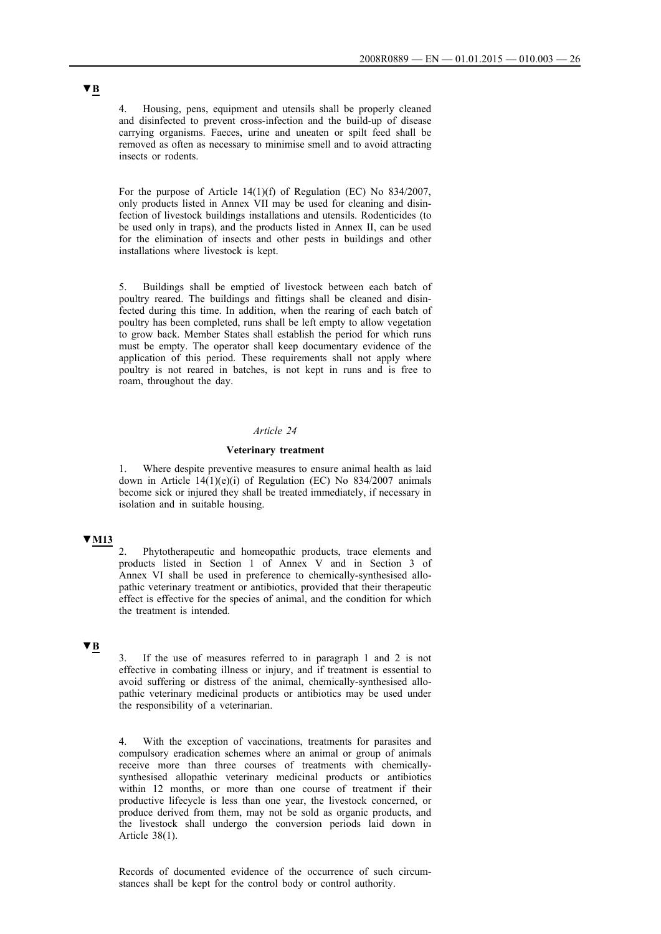4. Housing, pens, equipment and utensils shall be properly cleaned and disinfected to prevent cross-infection and the build-up of disease carrying organisms. Faeces, urine and uneaten or spilt feed shall be removed as often as necessary to minimise smell and to avoid attracting insects or rodents.

For the purpose of Article 14(1)(f) of Regulation (EC) No 834/2007, only products listed in Annex VII may be used for cleaning and disinfection of livestock buildings installations and utensils. Rodenticides (to be used only in traps), and the products listed in Annex II, can be used for the elimination of insects and other pests in buildings and other installations where livestock is kept.

5. Buildings shall be emptied of livestock between each batch of poultry reared. The buildings and fittings shall be cleaned and disinfected during this time. In addition, when the rearing of each batch of poultry has been completed, runs shall be left empty to allow vegetation to grow back. Member States shall establish the period for which runs must be empty. The operator shall keep documentary evidence of the application of this period. These requirements shall not apply where poultry is not reared in batches, is not kept in runs and is free to roam, throughout the day.

## *Article 24*

### **Veterinary treatment**

1. Where despite preventive measures to ensure animal health as laid down in Article  $14(1)(e)(i)$  of Regulation (EC) No 834/2007 animals become sick or injured they shall be treated immediately, if necessary in isolation and in suitable housing.

## **▼M13**

2. Phytotherapeutic and homeopathic products, trace elements and products listed in Section 1 of Annex V and in Section 3 of Annex VI shall be used in preference to chemically-synthesised allopathic veterinary treatment or antibiotics, provided that their therapeutic effect is effective for the species of animal, and the condition for which the treatment is intended.

## **▼B**

3. If the use of measures referred to in paragraph 1 and 2 is not effective in combating illness or injury, and if treatment is essential to avoid suffering or distress of the animal, chemically-synthesised allopathic veterinary medicinal products or antibiotics may be used under the responsibility of a veterinarian.

4. With the exception of vaccinations, treatments for parasites and compulsory eradication schemes where an animal or group of animals receive more than three courses of treatments with chemicallysynthesised allopathic veterinary medicinal products or antibiotics within 12 months, or more than one course of treatment if their productive lifecycle is less than one year, the livestock concerned, or produce derived from them, may not be sold as organic products, and the livestock shall undergo the conversion periods laid down in Article 38(1).

Records of documented evidence of the occurrence of such circumstances shall be kept for the control body or control authority.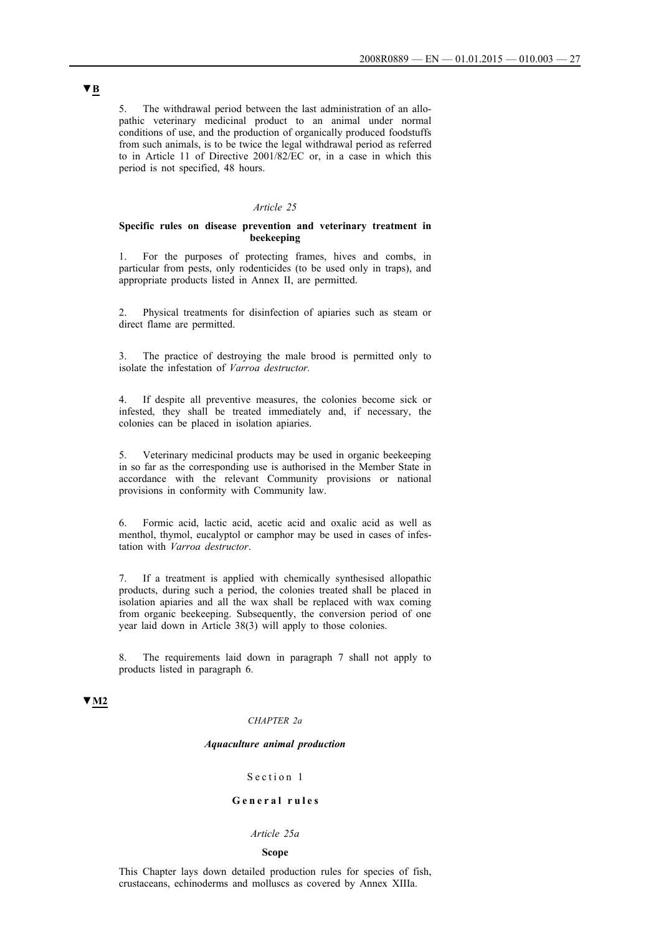5. The withdrawal period between the last administration of an allopathic veterinary medicinal product to an animal under normal conditions of use, and the production of organically produced foodstuffs from such animals, is to be twice the legal withdrawal period as referred to in Article 11 of Directive 2001/82/EC or, in a case in which this period is not specified, 48 hours.

#### *Article 25*

#### **Specific rules on disease prevention and veterinary treatment in beekeeping**

1. For the purposes of protecting frames, hives and combs, in particular from pests, only rodenticides (to be used only in traps), and appropriate products listed in Annex II, are permitted.

2. Physical treatments for disinfection of apiaries such as steam or direct flame are permitted.

3. The practice of destroying the male brood is permitted only to isolate the infestation of *Varroa destructor.*

4. If despite all preventive measures, the colonies become sick or infested, they shall be treated immediately and, if necessary, the colonies can be placed in isolation apiaries.

5. Veterinary medicinal products may be used in organic beekeeping in so far as the corresponding use is authorised in the Member State in accordance with the relevant Community provisions or national provisions in conformity with Community law.

6. Formic acid, lactic acid, acetic acid and oxalic acid as well as menthol, thymol, eucalyptol or camphor may be used in cases of infestation with *Varroa destructor*.

7. If a treatment is applied with chemically synthesised allopathic products, during such a period, the colonies treated shall be placed in isolation apiaries and all the wax shall be replaced with wax coming from organic beekeeping. Subsequently, the conversion period of one year laid down in Article 38(3) will apply to those colonies.

8. The requirements laid down in paragraph 7 shall not apply to products listed in paragraph 6.

## **▼M2**

#### *CHAPTER 2a*

#### *Aquaculture animal production*

### Section 1

## **G e n e r a l r u l e s**

#### *Article 25a*

#### **Scope**

This Chapter lays down detailed production rules for species of fish, crustaceans, echinoderms and molluscs as covered by Annex XIIIa.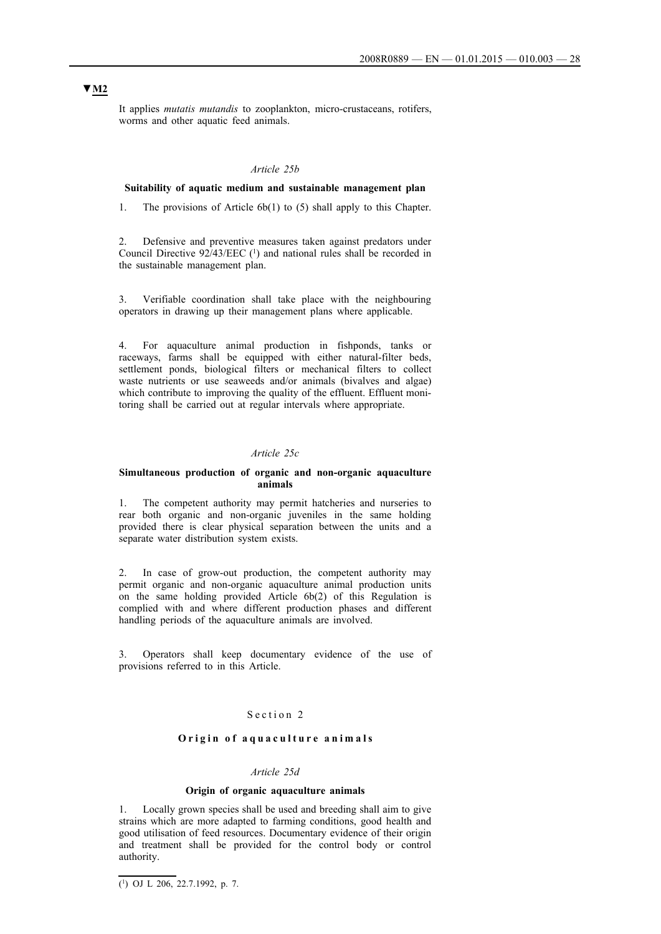It applies *mutatis mutandis* to zooplankton, micro-crustaceans, rotifers, worms and other aquatic feed animals.

#### *Article 25b*

### **Suitability of aquatic medium and sustainable management plan**

1. The provisions of Article 6b(1) to (5) shall apply to this Chapter.

2. Defensive and preventive measures taken against predators under Council Directive 92/43/EEC (1) and national rules shall be recorded in the sustainable management plan.

3. Verifiable coordination shall take place with the neighbouring operators in drawing up their management plans where applicable.

4. For aquaculture animal production in fishponds, tanks or raceways, farms shall be equipped with either natural-filter beds, settlement ponds, biological filters or mechanical filters to collect waste nutrients or use seaweeds and/or animals (bivalves and algae) which contribute to improving the quality of the effluent. Effluent monitoring shall be carried out at regular intervals where appropriate.

#### *Article 25c*

#### **Simultaneous production of organic and non-organic aquaculture animals**

1. The competent authority may permit hatcheries and nurseries to rear both organic and non-organic juveniles in the same holding provided there is clear physical separation between the units and a separate water distribution system exists.

2. In case of grow-out production, the competent authority may permit organic and non-organic aquaculture animal production units on the same holding provided Article 6b(2) of this Regulation is complied with and where different production phases and different handling periods of the aquaculture animals are involved.

3. Operators shall keep documentary evidence of the use of provisions referred to in this Article.

## Section 2

## O rigin of aquaculture animals

### *Article 25d*

#### **Origin of organic aquaculture animals**

1. Locally grown species shall be used and breeding shall aim to give strains which are more adapted to farming conditions, good health and good utilisation of feed resources. Documentary evidence of their origin and treatment shall be provided for the control body or control authority.

 $\overline{(^1)}$  OJ L 206, 22.7.1992, p. 7.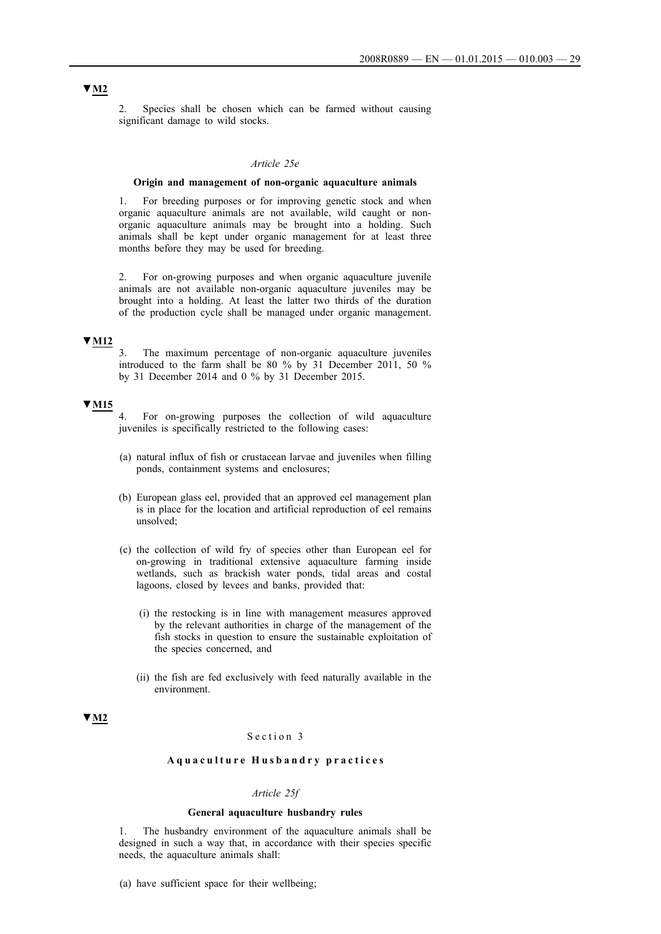2. Species shall be chosen which can be farmed without causing significant damage to wild stocks.

#### *Article 25e*

#### **Origin and management of non-organic aquaculture animals**

1. For breeding purposes or for improving genetic stock and when organic aquaculture animals are not available, wild caught or nonorganic aquaculture animals may be brought into a holding. Such animals shall be kept under organic management for at least three months before they may be used for breeding.

2. For on-growing purposes and when organic aquaculture juvenile animals are not available non-organic aquaculture juveniles may be brought into a holding. At least the latter two thirds of the duration of the production cycle shall be managed under organic management.

## **▼M12**

3. The maximum percentage of non-organic aquaculture juveniles introduced to the farm shall be 80 % by 31 December 2011, 50 % by 31 December 2014 and 0 % by 31 December 2015.

## **▼M15**

4. For on-growing purposes the collection of wild aquaculture juveniles is specifically restricted to the following cases:

- (a) natural influx of fish or crustacean larvae and juveniles when filling ponds, containment systems and enclosures;
- (b) European glass eel, provided that an approved eel management plan is in place for the location and artificial reproduction of eel remains unsolved;
- (c) the collection of wild fry of species other than European eel for on-growing in traditional extensive aquaculture farming inside wetlands, such as brackish water ponds, tidal areas and costal lagoons, closed by levees and banks, provided that:
	- (i) the restocking is in line with management measures approved by the relevant authorities in charge of the management of the fish stocks in question to ensure the sustainable exploitation of the species concerned, and
	- (ii) the fish are fed exclusively with feed naturally available in the environment.

## **▼M2**

### Section 3

### **A q u a c u l t u r e H u s b a n d r y p r a c t i c e s**

#### *Article 25f*

### **General aquaculture husbandry rules**

1. The husbandry environment of the aquaculture animals shall be designed in such a way that, in accordance with their species specific needs, the aquaculture animals shall:

(a) have sufficient space for their wellbeing;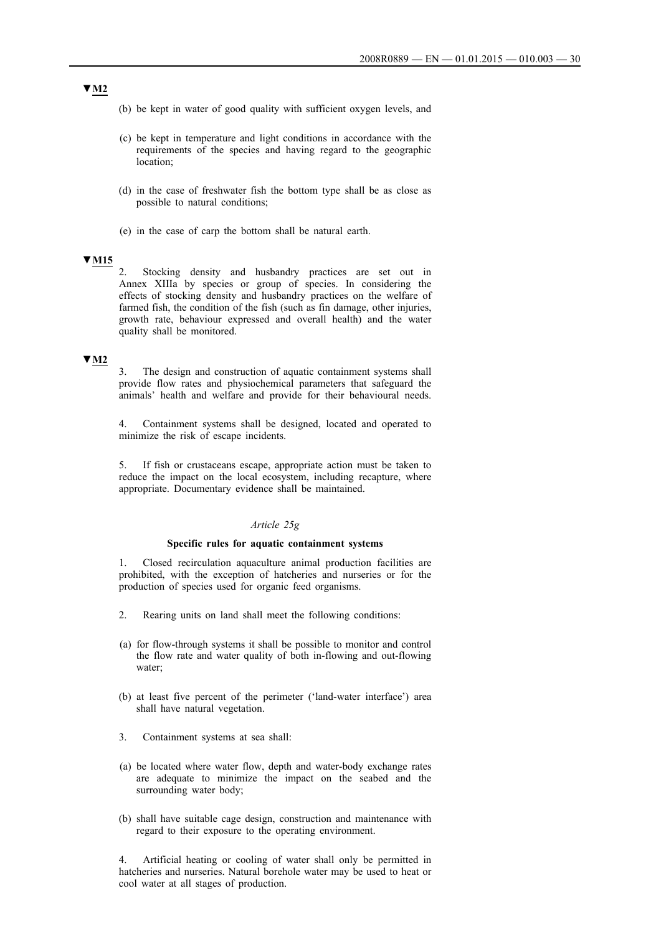- (b) be kept in water of good quality with sufficient oxygen levels, and
- (c) be kept in temperature and light conditions in accordance with the requirements of the species and having regard to the geographic location;
- (d) in the case of freshwater fish the bottom type shall be as close as possible to natural conditions;
- (e) in the case of carp the bottom shall be natural earth.

## **▼M15**

2. Stocking density and husbandry practices are set out in Annex XIIIa by species or group of species. In considering the effects of stocking density and husbandry practices on the welfare of farmed fish, the condition of the fish (such as fin damage, other injuries, growth rate, behaviour expressed and overall health) and the water quality shall be monitored.

### **▼M2**

3. The design and construction of aquatic containment systems shall provide flow rates and physiochemical parameters that safeguard the animals' health and welfare and provide for their behavioural needs.

4. Containment systems shall be designed, located and operated to minimize the risk of escape incidents.

5. If fish or crustaceans escape, appropriate action must be taken to reduce the impact on the local ecosystem, including recapture, where appropriate. Documentary evidence shall be maintained.

#### *Article 25g*

#### **Specific rules for aquatic containment systems**

1. Closed recirculation aquaculture animal production facilities are prohibited, with the exception of hatcheries and nurseries or for the production of species used for organic feed organisms.

- 2. Rearing units on land shall meet the following conditions:
- (a) for flow-through systems it shall be possible to monitor and control the flow rate and water quality of both in-flowing and out-flowing water;
- (b) at least five percent of the perimeter ('land-water interface') area shall have natural vegetation.
- 3. Containment systems at sea shall:
- (a) be located where water flow, depth and water-body exchange rates are adequate to minimize the impact on the seabed and the surrounding water body;
- (b) shall have suitable cage design, construction and maintenance with regard to their exposure to the operating environment.

4. Artificial heating or cooling of water shall only be permitted in hatcheries and nurseries. Natural borehole water may be used to heat or cool water at all stages of production.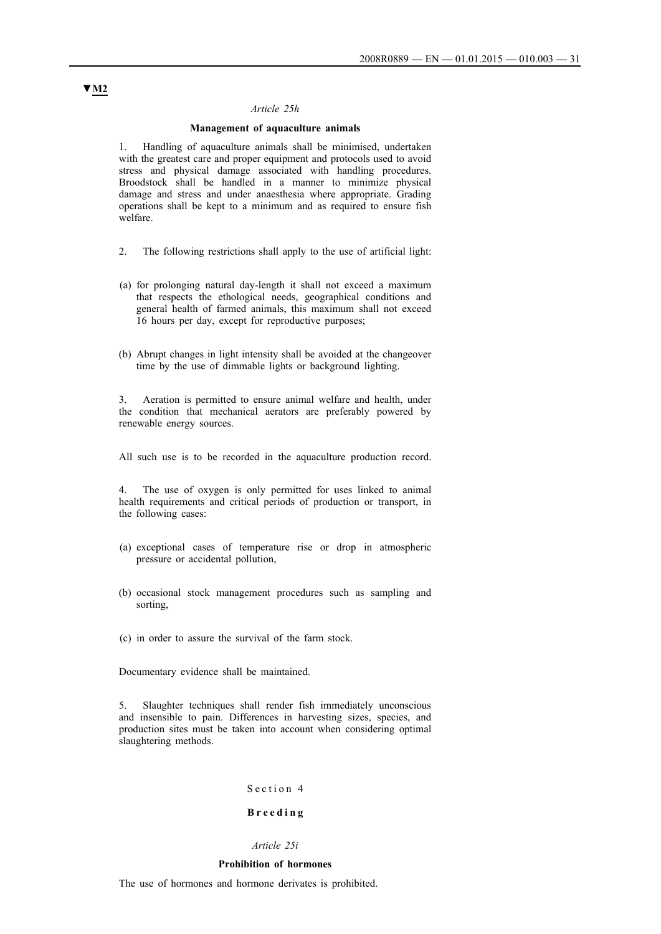#### *Article 25h*

### **Management of aquaculture animals**

1. Handling of aquaculture animals shall be minimised, undertaken with the greatest care and proper equipment and protocols used to avoid stress and physical damage associated with handling procedures. Broodstock shall be handled in a manner to minimize physical damage and stress and under anaesthesia where appropriate. Grading operations shall be kept to a minimum and as required to ensure fish welfare.

- 2. The following restrictions shall apply to the use of artificial light:
- (a) for prolonging natural day-length it shall not exceed a maximum that respects the ethological needs, geographical conditions and general health of farmed animals, this maximum shall not exceed 16 hours per day, except for reproductive purposes;
- (b) Abrupt changes in light intensity shall be avoided at the changeover time by the use of dimmable lights or background lighting.

3. Aeration is permitted to ensure animal welfare and health, under the condition that mechanical aerators are preferably powered by renewable energy sources.

All such use is to be recorded in the aquaculture production record.

4. The use of oxygen is only permitted for uses linked to animal health requirements and critical periods of production or transport, in the following cases:

- (a) exceptional cases of temperature rise or drop in atmospheric pressure or accidental pollution,
- (b) occasional stock management procedures such as sampling and sorting,
- (c) in order to assure the survival of the farm stock.

Documentary evidence shall be maintained.

5. Slaughter techniques shall render fish immediately unconscious and insensible to pain. Differences in harvesting sizes, species, and production sites must be taken into account when considering optimal slaughtering methods.

#### Section 4

## **B r e e d i n g**

## *Article 25i*

#### **Prohibition of hormones**

The use of hormones and hormone derivates is prohibited.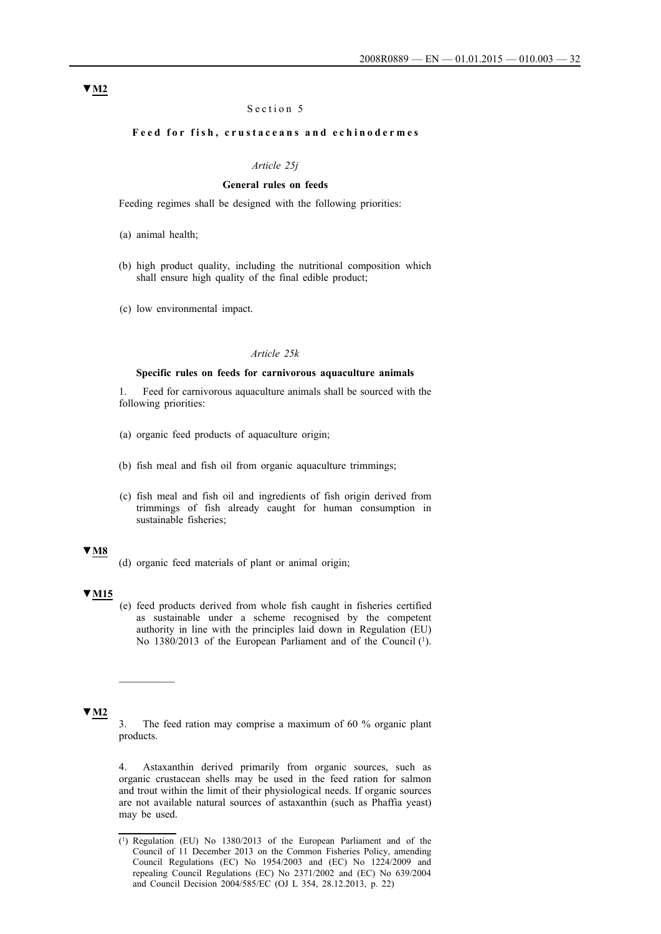## Section 5

## Feed for fish, crustaceans and echinodermes

### *Article 25j*

## **General rules on feeds**

Feeding regimes shall be designed with the following priorities:

- (b) high product quality, including the nutritional composition which shall ensure high quality of the final edible product;
- (c) low environmental impact.

### *Article 25k*

#### **Specific rules on feeds for carnivorous aquaculture animals**

1. Feed for carnivorous aquaculture animals shall be sourced with the following priorities:

- (a) organic feed products of aquaculture origin;
- (b) fish meal and fish oil from organic aquaculture trimmings;
- (c) fish meal and fish oil and ingredients of fish origin derived from trimmings of fish already caught for human consumption in sustainable fisheries;

## **▼M8**

(d) organic feed materials of plant or animal origin;

## **▼M15**

(e) feed products derived from whole fish caught in fisheries certified as sustainable under a scheme recognised by the competent authority in line with the principles laid down in Regulation (EU) No 1380/2013 of the European Parliament and of the Council (1).

### **▼M2**

3. The feed ration may comprise a maximum of 60 % organic plant products.

4. Astaxanthin derived primarily from organic sources, such as organic crustacean shells may be used in the feed ration for salmon and trout within the limit of their physiological needs. If organic sources are not available natural sources of astaxanthin (such as Phaffia yeast) may be used.

<sup>(</sup>a) animal health;

<sup>(1)</sup> Regulation (EU) No 1380/2013 of the European Parliament and of the Council of 11 December 2013 on the Common Fisheries Policy, amending Council Regulations (EC) No 1954/2003 and (EC) No 1224/2009 and repealing Council Regulations (EC) No 2371/2002 and (EC) No 639/2004 and Council Decision 2004/585/EC (OJ L 354, 28.12.2013, p. 22)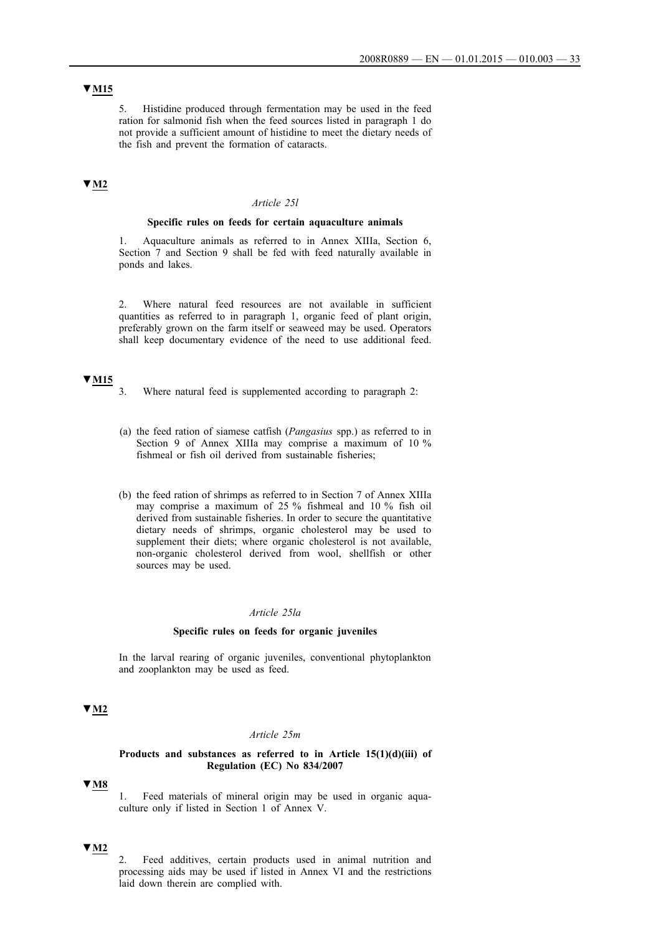## **▼M15**

5. Histidine produced through fermentation may be used in the feed ration for salmonid fish when the feed sources listed in paragraph 1 do not provide a sufficient amount of histidine to meet the dietary needs of the fish and prevent the formation of cataracts.

## **▼M2**

### *Article 25l*

#### **Specific rules on feeds for certain aquaculture animals**

1. Aquaculture animals as referred to in Annex XIIIa, Section 6, Section 7 and Section 9 shall be fed with feed naturally available in ponds and lakes.

2. Where natural feed resources are not available in sufficient quantities as referred to in paragraph 1, organic feed of plant origin, preferably grown on the farm itself or seaweed may be used. Operators shall keep documentary evidence of the need to use additional feed.

## **▼M15**

- 3. Where natural feed is supplemented according to paragraph 2:
- (a) the feed ration of siamese catfish (*Pangasius* spp.) as referred to in Section 9 of Annex XIIIa may comprise a maximum of 10 % fishmeal or fish oil derived from sustainable fisheries;
- (b) the feed ration of shrimps as referred to in Section 7 of Annex XIIIa may comprise a maximum of 25 % fishmeal and 10 % fish oil derived from sustainable fisheries. In order to secure the quantitative dietary needs of shrimps, organic cholesterol may be used to supplement their diets; where organic cholesterol is not available, non-organic cholesterol derived from wool, shellfish or other sources may be used.

### *Article 25la*

#### **Specific rules on feeds for organic juveniles**

In the larval rearing of organic juveniles, conventional phytoplankton and zooplankton may be used as feed.

## **▼M2**

#### *Article 25m*

#### **Products and substances as referred to in Article 15(1)(d)(iii) of Regulation (EC) No 834/2007**

## **▼M8**

1. Feed materials of mineral origin may be used in organic aquaculture only if listed in Section 1 of Annex V.

## **▼M2**

2. Feed additives, certain products used in animal nutrition and processing aids may be used if listed in Annex VI and the restrictions laid down therein are complied with.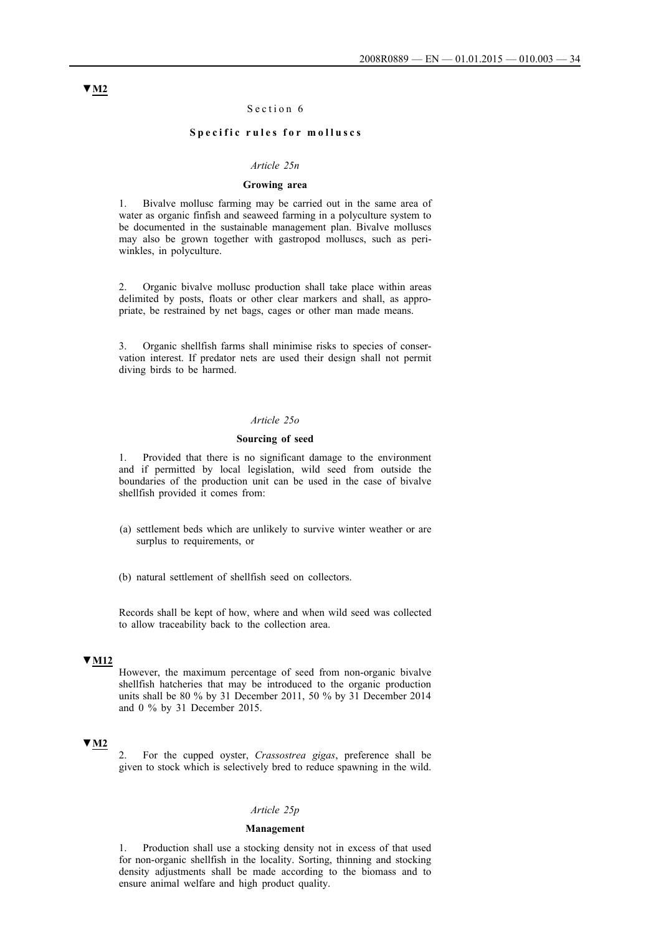### Section 6

#### Specific rules for molluscs

### *Article 25n*

## **Growing area**

1. Bivalve mollusc farming may be carried out in the same area of water as organic finfish and seaweed farming in a polyculture system to be documented in the sustainable management plan. Bivalve molluscs may also be grown together with gastropod molluscs, such as periwinkles, in polyculture.

2. Organic bivalve mollusc production shall take place within areas delimited by posts, floats or other clear markers and shall, as appropriate, be restrained by net bags, cages or other man made means.

3. Organic shellfish farms shall minimise risks to species of conservation interest. If predator nets are used their design shall not permit diving birds to be harmed.

#### *Article 25o*

#### **Sourcing of seed**

1. Provided that there is no significant damage to the environment and if permitted by local legislation, wild seed from outside the boundaries of the production unit can be used in the case of bivalve shellfish provided it comes from:

- (a) settlement beds which are unlikely to survive winter weather or are surplus to requirements, or
- (b) natural settlement of shellfish seed on collectors.

Records shall be kept of how, where and when wild seed was collected to allow traceability back to the collection area.

## **▼M12**

However, the maximum percentage of seed from non-organic bivalve shellfish hatcheries that may be introduced to the organic production units shall be 80 % by 31 December 2011, 50 % by 31 December 2014 and 0 % by 31 December 2015.

### **▼M2**

2. For the cupped oyster, *Crassostrea gigas*, preference shall be given to stock which is selectively bred to reduce spawning in the wild.

### *Article 25p*

#### **Management**

1. Production shall use a stocking density not in excess of that used for non-organic shellfish in the locality. Sorting, thinning and stocking density adjustments shall be made according to the biomass and to ensure animal welfare and high product quality.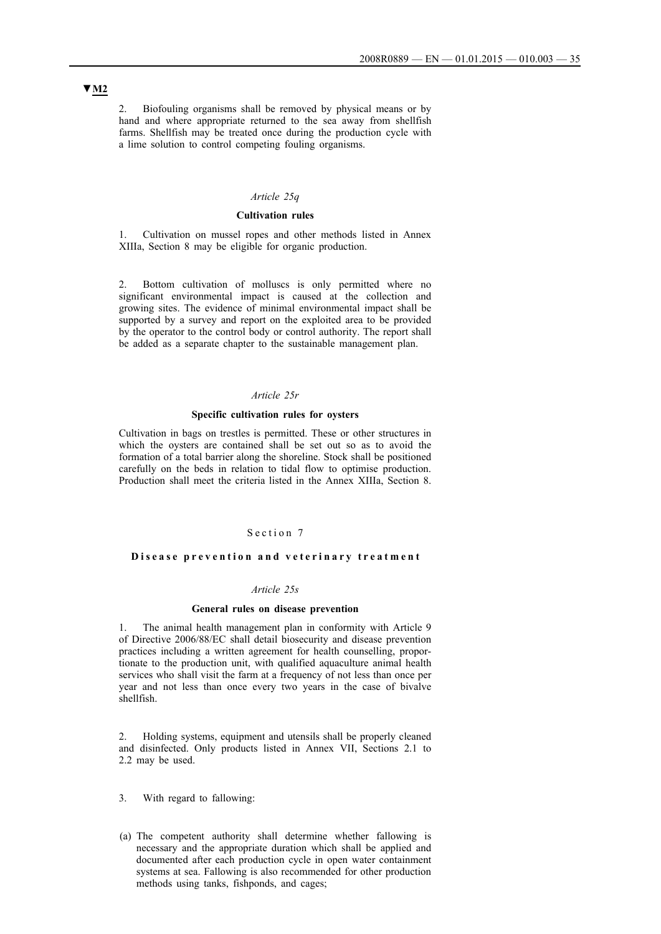2. Biofouling organisms shall be removed by physical means or by hand and where appropriate returned to the sea away from shellfish farms. Shellfish may be treated once during the production cycle with a lime solution to control competing fouling organisms.

### *Article 25q*

## **Cultivation rules**

1. Cultivation on mussel ropes and other methods listed in Annex XIIIa, Section 8 may be eligible for organic production.

2. Bottom cultivation of molluscs is only permitted where no significant environmental impact is caused at the collection and growing sites. The evidence of minimal environmental impact shall be supported by a survey and report on the exploited area to be provided by the operator to the control body or control authority. The report shall be added as a separate chapter to the sustainable management plan.

### *Article 25r*

#### **Specific cultivation rules for oysters**

Cultivation in bags on trestles is permitted. These or other structures in which the oysters are contained shall be set out so as to avoid the formation of a total barrier along the shoreline. Stock shall be positioned carefully on the beds in relation to tidal flow to optimise production. Production shall meet the criteria listed in the Annex XIIIa, Section 8.

## Section 7

#### Disease prevention and veterinary treatment

### *Article 25s*

#### **General rules on disease prevention**

1. The animal health management plan in conformity with Article 9 of Directive 2006/88/EC shall detail biosecurity and disease prevention practices including a written agreement for health counselling, proportionate to the production unit, with qualified aquaculture animal health services who shall visit the farm at a frequency of not less than once per year and not less than once every two years in the case of bivalve shellfish.

2. Holding systems, equipment and utensils shall be properly cleaned and disinfected. Only products listed in Annex VII, Sections 2.1 to 2.2 may be used.

- 3. With regard to fallowing:
- (a) The competent authority shall determine whether fallowing is necessary and the appropriate duration which shall be applied and documented after each production cycle in open water containment systems at sea. Fallowing is also recommended for other production methods using tanks, fishponds, and cages;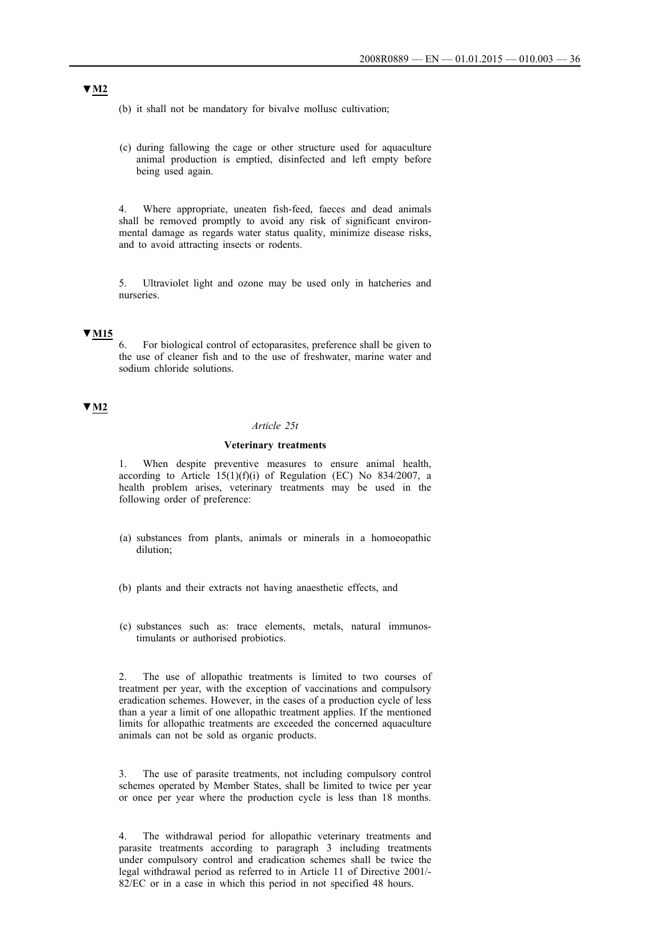(b) it shall not be mandatory for bivalve mollusc cultivation;

(c) during fallowing the cage or other structure used for aquaculture animal production is emptied, disinfected and left empty before being used again.

4. Where appropriate, uneaten fish-feed, faeces and dead animals shall be removed promptly to avoid any risk of significant environmental damage as regards water status quality, minimize disease risks, and to avoid attracting insects or rodents.

5. Ultraviolet light and ozone may be used only in hatcheries and nurseries.

## **▼M15**

6. For biological control of ectoparasites, preference shall be given to the use of cleaner fish and to the use of freshwater, marine water and sodium chloride solutions.

## **▼M2**

#### *Article 25t*

### **Veterinary treatments**

1. When despite preventive measures to ensure animal health, according to Article  $15(1)(f)(i)$  of Regulation (EC) No 834/2007, a health problem arises, veterinary treatments may be used in the following order of preference:

- (a) substances from plants, animals or minerals in a homoeopathic dilution;
- (b) plants and their extracts not having anaesthetic effects, and
- (c) substances such as: trace elements, metals, natural immunostimulants or authorised probiotics.

2. The use of allopathic treatments is limited to two courses of treatment per year, with the exception of vaccinations and compulsory eradication schemes. However, in the cases of a production cycle of less than a year a limit of one allopathic treatment applies. If the mentioned limits for allopathic treatments are exceeded the concerned aquaculture animals can not be sold as organic products.

3. The use of parasite treatments, not including compulsory control schemes operated by Member States, shall be limited to twice per year or once per year where the production cycle is less than 18 months.

4. The withdrawal period for allopathic veterinary treatments and parasite treatments according to paragraph 3 including treatments under compulsory control and eradication schemes shall be twice the legal withdrawal period as referred to in Article 11 of Directive 2001/ 82/EC or in a case in which this period in not specified 48 hours.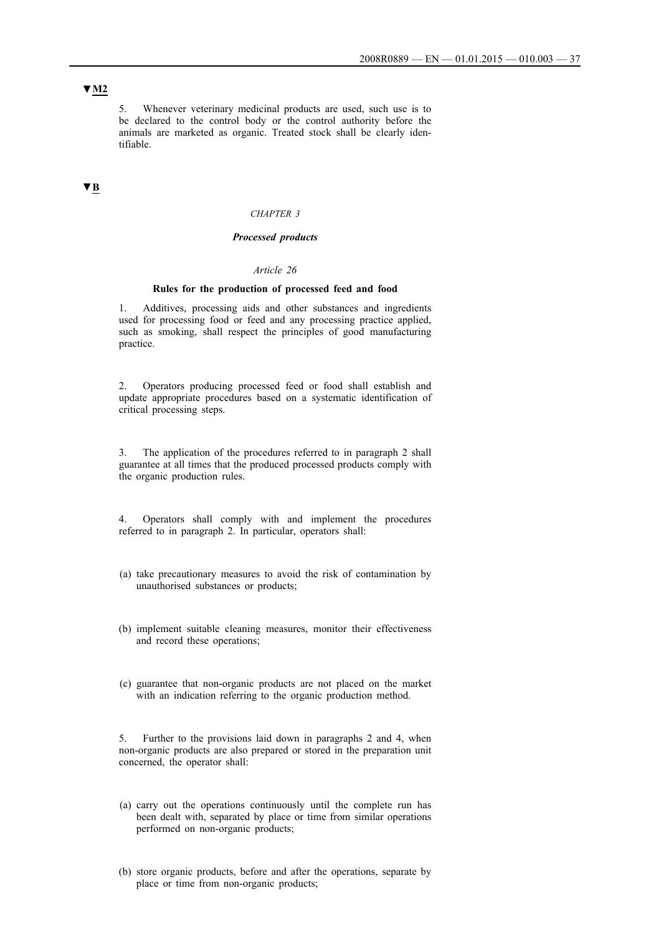## **▼M2**

5. Whenever veterinary medicinal products are used, such use is to be declared to the control body or the control authority before the animals are marketed as organic. Treated stock shall be clearly identifiable.

# **▼B**

### *CHAPTER 3*

# *Processed products*

#### *Article 26*

### **Rules for the production of processed feed and food**

1. Additives, processing aids and other substances and ingredients used for processing food or feed and any processing practice applied, such as smoking, shall respect the principles of good manufacturing practice.

2. Operators producing processed feed or food shall establish and update appropriate procedures based on a systematic identification of critical processing steps.

3. The application of the procedures referred to in paragraph 2 shall guarantee at all times that the produced processed products comply with the organic production rules.

4. Operators shall comply with and implement the procedures referred to in paragraph 2. In particular, operators shall:

- (a) take precautionary measures to avoid the risk of contamination by unauthorised substances or products;
- (b) implement suitable cleaning measures, monitor their effectiveness and record these operations;
- (c) guarantee that non-organic products are not placed on the market with an indication referring to the organic production method.

5. Further to the provisions laid down in paragraphs 2 and 4, when non-organic products are also prepared or stored in the preparation unit concerned, the operator shall:

- (a) carry out the operations continuously until the complete run has been dealt with, separated by place or time from similar operations performed on non-organic products;
- (b) store organic products, before and after the operations, separate by place or time from non-organic products;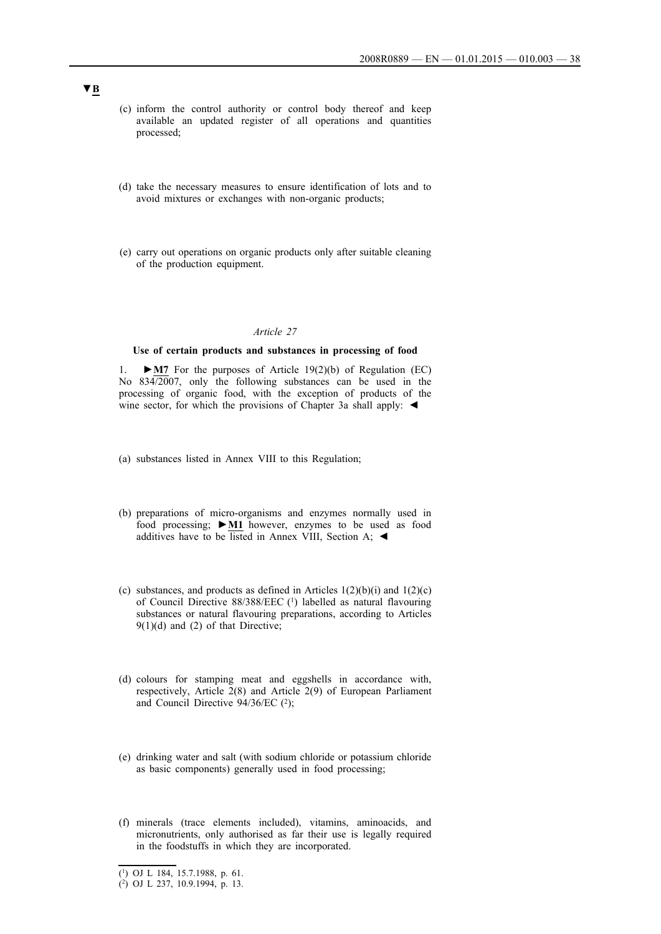- (c) inform the control authority or control body thereof and keep available an updated register of all operations and quantities processed;
- (d) take the necessary measures to ensure identification of lots and to avoid mixtures or exchanges with non-organic products;
- (e) carry out operations on organic products only after suitable cleaning of the production equipment.

## **Use of certain products and substances in processing of food**

1. **►M7** For the purposes of Article 19(2)(b) of Regulation (EC) No 834/2007, only the following substances can be used in the processing of organic food, with the exception of products of the wine sector, for which the provisions of Chapter 3a shall apply:  $\blacktriangleleft$ 

- (a) substances listed in Annex VIII to this Regulation;
- (b) preparations of micro-organisms and enzymes normally used in food processing; **►M1** however, enzymes to be used as food additives have to be listed in Annex VIII, Section A;  $\blacktriangleleft$
- (c) substances, and products as defined in Articles  $1(2)(b)(i)$  and  $1(2)(c)$ of Council Directive 88/388/EEC (1) labelled as natural flavouring substances or natural flavouring preparations, according to Articles  $9(1)(d)$  and  $(2)$  of that Directive;
- (d) colours for stamping meat and eggshells in accordance with, respectively, Article 2(8) and Article 2(9) of European Parliament and Council Directive 94/36/EC (2);
- (e) drinking water and salt (with sodium chloride or potassium chloride as basic components) generally used in food processing;
- (f) minerals (trace elements included), vitamins, aminoacids, and micronutrients, only authorised as far their use is legally required in the foodstuffs in which they are incorporated.

<sup>(1)</sup> OJ L 184, 15.7.1988, p. 61.

<sup>(2)</sup> OJ L 237, 10.9.1994, p. 13.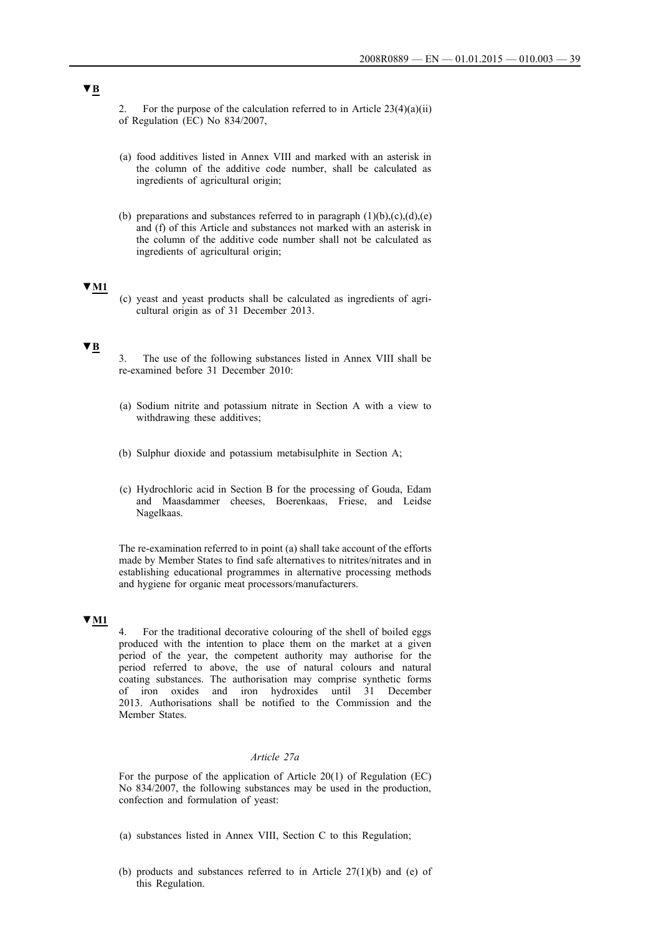2. For the purpose of the calculation referred to in Article  $23(4)(a)(ii)$ of Regulation (EC) No 834/2007,

- (a) food additives listed in Annex VIII and marked with an asterisk in the column of the additive code number, shall be calculated as ingredients of agricultural origin;
- (b) preparations and substances referred to in paragraph  $(1)(b)$ , $(c)$ , $(d)$ , $(e)$ and (f) of this Article and substances not marked with an asterisk in the column of the additive code number shall not be calculated as ingredients of agricultural origin;

## **▼M1**

(c) yeast and yeast products shall be calculated as ingredients of agricultural origin as of 31 December 2013.

# **▼B**

- 3. The use of the following substances listed in Annex VIII shall be re-examined before 31 December 2010:
- (a) Sodium nitrite and potassium nitrate in Section A with a view to withdrawing these additives;
- (b) Sulphur dioxide and potassium metabisulphite in Section A;
- (c) Hydrochloric acid in Section B for the processing of Gouda, Edam and Maasdammer cheeses, Boerenkaas, Friese, and Leidse Nagelkaas.

The re-examination referred to in point (a) shall take account of the efforts made by Member States to find safe alternatives to nitrites/nitrates and in establishing educational programmes in alternative processing methods and hygiene for organic meat processors/manufacturers.

## **▼M1**

4. For the traditional decorative colouring of the shell of boiled eggs produced with the intention to place them on the market at a given period of the year, the competent authority may authorise for the period referred to above, the use of natural colours and natural coating substances. The authorisation may comprise synthetic forms of iron oxides and iron hydroxides until 31 December 2013. Authorisations shall be notified to the Commission and the Member States.

# *Article 27a*

For the purpose of the application of Article 20(1) of Regulation (EC) No 834/2007, the following substances may be used in the production, confection and formulation of yeast:

- (a) substances listed in Annex VIII, Section C to this Regulation;
- (b) products and substances referred to in Article 27(1)(b) and (e) of this Regulation.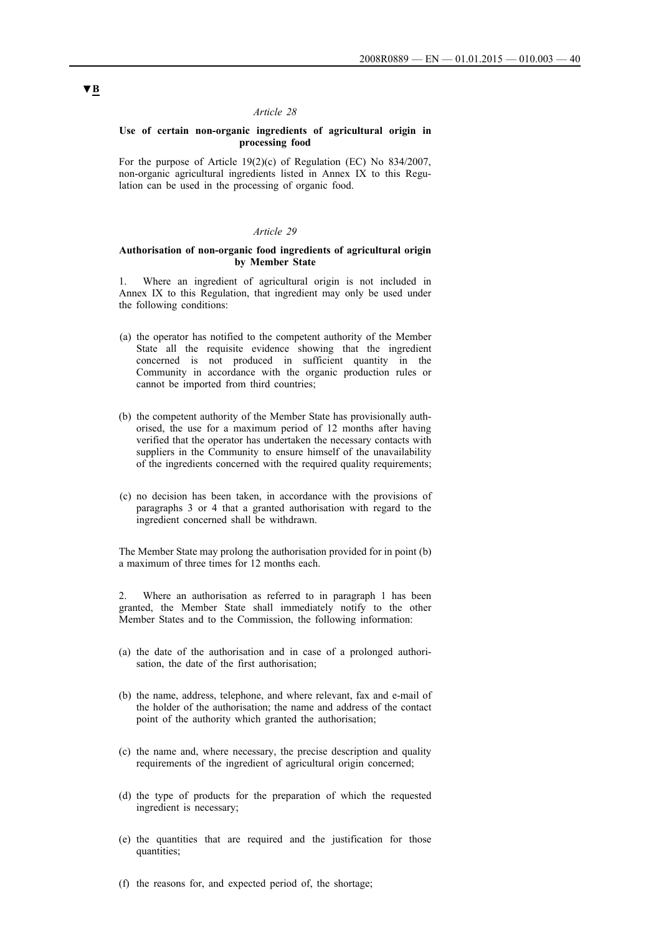## **Use of certain non-organic ingredients of agricultural origin in processing food**

For the purpose of Article 19(2)(c) of Regulation (EC) No 834/2007, non-organic agricultural ingredients listed in Annex IX to this Regulation can be used in the processing of organic food.

## *Article 29*

## **Authorisation of non-organic food ingredients of agricultural origin by Member State**

1. Where an ingredient of agricultural origin is not included in Annex IX to this Regulation, that ingredient may only be used under the following conditions:

- (a) the operator has notified to the competent authority of the Member State all the requisite evidence showing that the ingredient concerned is not produced in sufficient quantity in the Community in accordance with the organic production rules or cannot be imported from third countries;
- (b) the competent authority of the Member State has provisionally authorised, the use for a maximum period of 12 months after having verified that the operator has undertaken the necessary contacts with suppliers in the Community to ensure himself of the unavailability of the ingredients concerned with the required quality requirements;
- (c) no decision has been taken, in accordance with the provisions of paragraphs 3 or 4 that a granted authorisation with regard to the ingredient concerned shall be withdrawn.

The Member State may prolong the authorisation provided for in point (b) a maximum of three times for 12 months each.

2. Where an authorisation as referred to in paragraph 1 has been granted, the Member State shall immediately notify to the other Member States and to the Commission, the following information:

- (a) the date of the authorisation and in case of a prolonged authorisation, the date of the first authorisation;
- (b) the name, address, telephone, and where relevant, fax and e-mail of the holder of the authorisation; the name and address of the contact point of the authority which granted the authorisation;
- (c) the name and, where necessary, the precise description and quality requirements of the ingredient of agricultural origin concerned;
- (d) the type of products for the preparation of which the requested ingredient is necessary;
- (e) the quantities that are required and the justification for those quantities;
- (f) the reasons for, and expected period of, the shortage;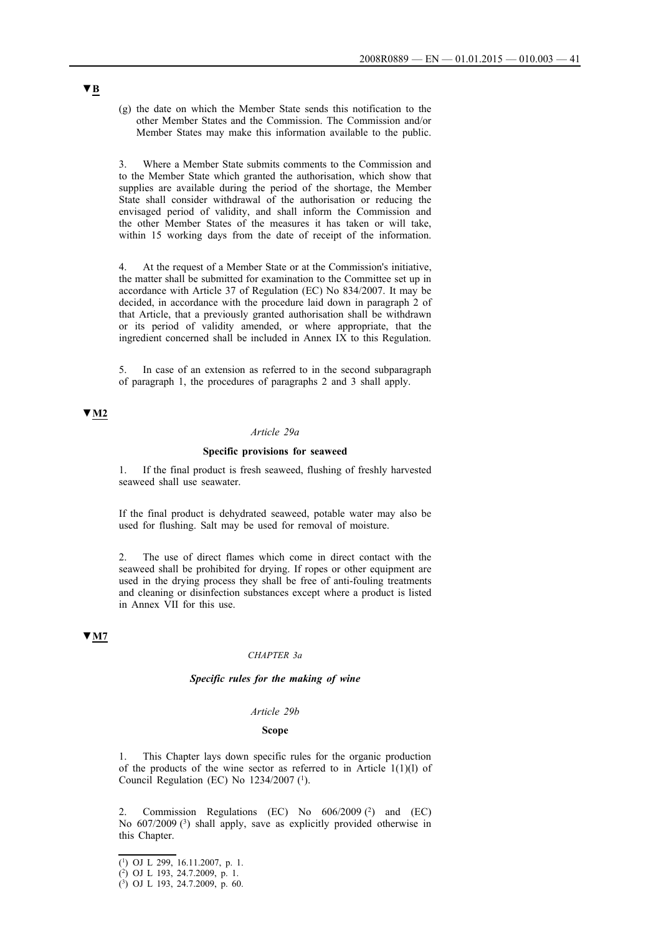(g) the date on which the Member State sends this notification to the other Member States and the Commission. The Commission and/or Member States may make this information available to the public.

3. Where a Member State submits comments to the Commission and to the Member State which granted the authorisation, which show that supplies are available during the period of the shortage, the Member State shall consider withdrawal of the authorisation or reducing the envisaged period of validity, and shall inform the Commission and the other Member States of the measures it has taken or will take, within 15 working days from the date of receipt of the information.

4. At the request of a Member State or at the Commission's initiative, the matter shall be submitted for examination to the Committee set up in accordance with Article 37 of Regulation (EC) No 834/2007. It may be decided, in accordance with the procedure laid down in paragraph 2 of that Article, that a previously granted authorisation shall be withdrawn or its period of validity amended, or where appropriate, that the ingredient concerned shall be included in Annex IX to this Regulation.

In case of an extension as referred to in the second subparagraph of paragraph 1, the procedures of paragraphs 2 and 3 shall apply.

## **▼M2**

## *Article 29a*

## **Specific provisions for seaweed**

1. If the final product is fresh seaweed, flushing of freshly harvested seaweed shall use seawater.

If the final product is dehydrated seaweed, potable water may also be used for flushing. Salt may be used for removal of moisture.

2. The use of direct flames which come in direct contact with the seaweed shall be prohibited for drying. If ropes or other equipment are used in the drying process they shall be free of anti-fouling treatments and cleaning or disinfection substances except where a product is listed in Annex VII for this use.

## **▼M7**

## *CHAPTER 3a*

## *Specific rules for the making of wine*

#### *Article 29b*

#### **Scope**

1. This Chapter lays down specific rules for the organic production of the products of the wine sector as referred to in Article  $1(1)(1)$  of Council Regulation (EC) No  $1234/2007$  (<sup>1</sup>).

2. Commission Regulations (EC) No 606/2009 (2) and (EC) No 607/2009 (3) shall apply, save as explicitly provided otherwise in this Chapter.

<sup>(1)</sup> OJ L 299, 16.11.2007, p. 1.

<sup>(2)</sup> OJ L 193, 24.7.2009, p. 1.

<sup>(3)</sup> OJ L 193, 24.7.2009, p. 60.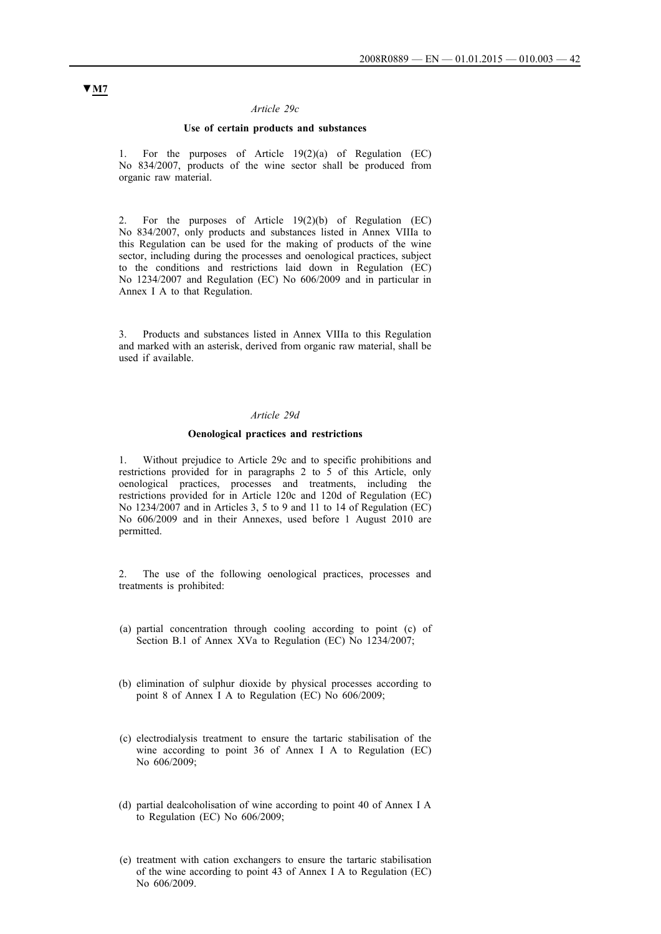### *Article 29c*

## **Use of certain products and substances**

1. For the purposes of Article 19(2)(a) of Regulation (EC) No 834/2007, products of the wine sector shall be produced from organic raw material.

2. For the purposes of Article 19(2)(b) of Regulation (EC) No 834/2007, only products and substances listed in Annex VIIIa to this Regulation can be used for the making of products of the wine sector, including during the processes and oenological practices, subject to the conditions and restrictions laid down in Regulation (EC) No 1234/2007 and Regulation (EC) No 606/2009 and in particular in Annex I A to that Regulation.

3. Products and substances listed in Annex VIIIa to this Regulation and marked with an asterisk, derived from organic raw material, shall be used if available.

### *Article 29d*

### **Oenological practices and restrictions**

1. Without prejudice to Article 29c and to specific prohibitions and restrictions provided for in paragraphs 2 to 5 of this Article, only oenological practices, processes and treatments, including the restrictions provided for in Article 120c and 120d of Regulation (EC) No 1234/2007 and in Articles 3, 5 to 9 and 11 to 14 of Regulation (EC) No 606/2009 and in their Annexes, used before 1 August 2010 are permitted.

2. The use of the following oenological practices, processes and treatments is prohibited:

- (a) partial concentration through cooling according to point (c) of Section B.1 of Annex XVa to Regulation (EC) No 1234/2007;
- (b) elimination of sulphur dioxide by physical processes according to point 8 of Annex I A to Regulation (EC) No 606/2009;
- (c) electrodialysis treatment to ensure the tartaric stabilisation of the wine according to point 36 of Annex I A to Regulation (EC) No 606/2009;
- (d) partial dealcoholisation of wine according to point 40 of Annex I A to Regulation (EC) No 606/2009;
- (e) treatment with cation exchangers to ensure the tartaric stabilisation of the wine according to point 43 of Annex I A to Regulation (EC) No 606/2009.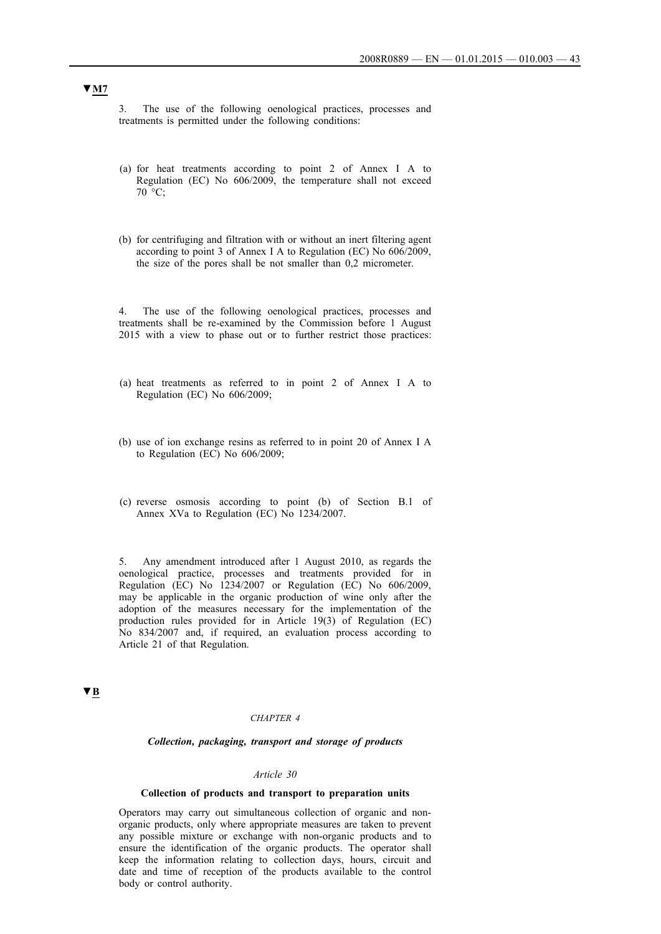3. The use of the following oenological practices, processes and treatments is permitted under the following conditions:

- (a) for heat treatments according to point 2 of Annex I A to Regulation (EC) No 606/2009, the temperature shall not exceed 70 °C;
- (b) for centrifuging and filtration with or without an inert filtering agent according to point 3 of Annex I A to Regulation (EC) No 606/2009, the size of the pores shall be not smaller than 0,2 micrometer.

The use of the following oenological practices, processes and treatments shall be re-examined by the Commission before 1 August 2015 with a view to phase out or to further restrict those practices:

- (a) heat treatments as referred to in point 2 of Annex I A to Regulation (EC) No 606/2009;
- (b) use of ion exchange resins as referred to in point 20 of Annex I A to Regulation (EC) No 606/2009;
- (c) reverse osmosis according to point (b) of Section B.1 of Annex XVa to Regulation (EC) No 1234/2007.

5. Any amendment introduced after 1 August 2010, as regards the oenological practice, processes and treatments provided for in Regulation (EC) No 1234/2007 or Regulation (EC) No 606/2009, may be applicable in the organic production of wine only after the adoption of the measures necessary for the implementation of the production rules provided for in Article 19(3) of Regulation (EC) No 834/2007 and, if required, an evaluation process according to Article 21 of that Regulation.

**▼B**

#### *CHAPTER 4*

#### *Collection, packaging, transport and storage of products*

#### *Article 30*

## **Collection of products and transport to preparation units**

Operators may carry out simultaneous collection of organic and nonorganic products, only where appropriate measures are taken to prevent any possible mixture or exchange with non-organic products and to ensure the identification of the organic products. The operator shall keep the information relating to collection days, hours, circuit and date and time of reception of the products available to the control body or control authority.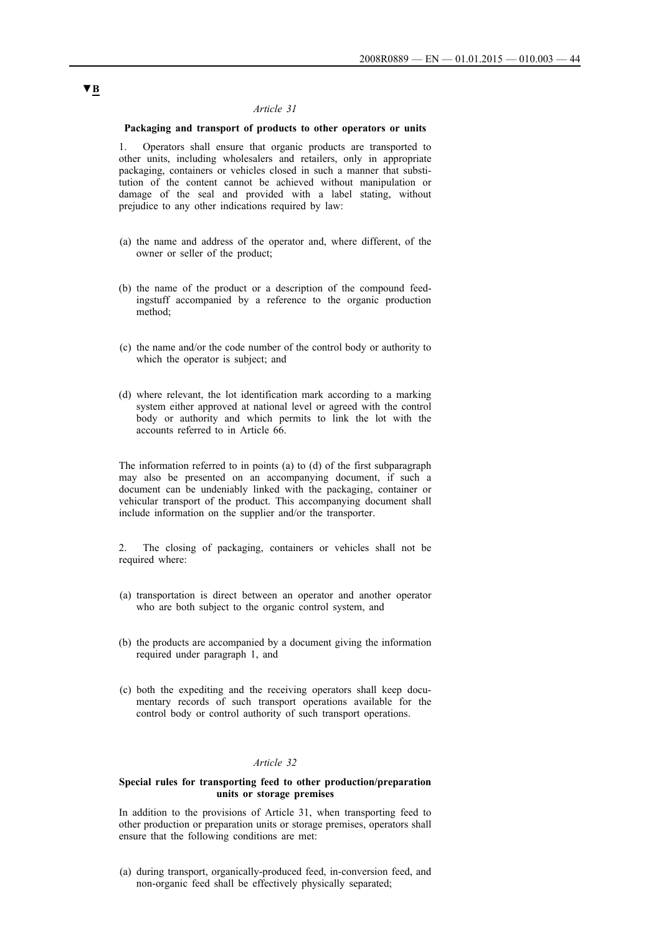## **Packaging and transport of products to other operators or units**

1. Operators shall ensure that organic products are transported to other units, including wholesalers and retailers, only in appropriate packaging, containers or vehicles closed in such a manner that substitution of the content cannot be achieved without manipulation or damage of the seal and provided with a label stating, without prejudice to any other indications required by law:

- (a) the name and address of the operator and, where different, of the owner or seller of the product;
- (b) the name of the product or a description of the compound feedingstuff accompanied by a reference to the organic production method;
- (c) the name and/or the code number of the control body or authority to which the operator is subject; and
- (d) where relevant, the lot identification mark according to a marking system either approved at national level or agreed with the control body or authority and which permits to link the lot with the accounts referred to in Article 66.

The information referred to in points (a) to (d) of the first subparagraph may also be presented on an accompanying document, if such a document can be undeniably linked with the packaging, container or vehicular transport of the product. This accompanying document shall include information on the supplier and/or the transporter.

2. The closing of packaging, containers or vehicles shall not be required where:

- (a) transportation is direct between an operator and another operator who are both subject to the organic control system, and
- (b) the products are accompanied by a document giving the information required under paragraph 1, and
- (c) both the expediting and the receiving operators shall keep documentary records of such transport operations available for the control body or control authority of such transport operations.

## *Article 32*

### **Special rules for transporting feed to other production/preparation units or storage premises**

In addition to the provisions of Article 31, when transporting feed to other production or preparation units or storage premises, operators shall ensure that the following conditions are met:

(a) during transport, organically-produced feed, in-conversion feed, and non-organic feed shall be effectively physically separated;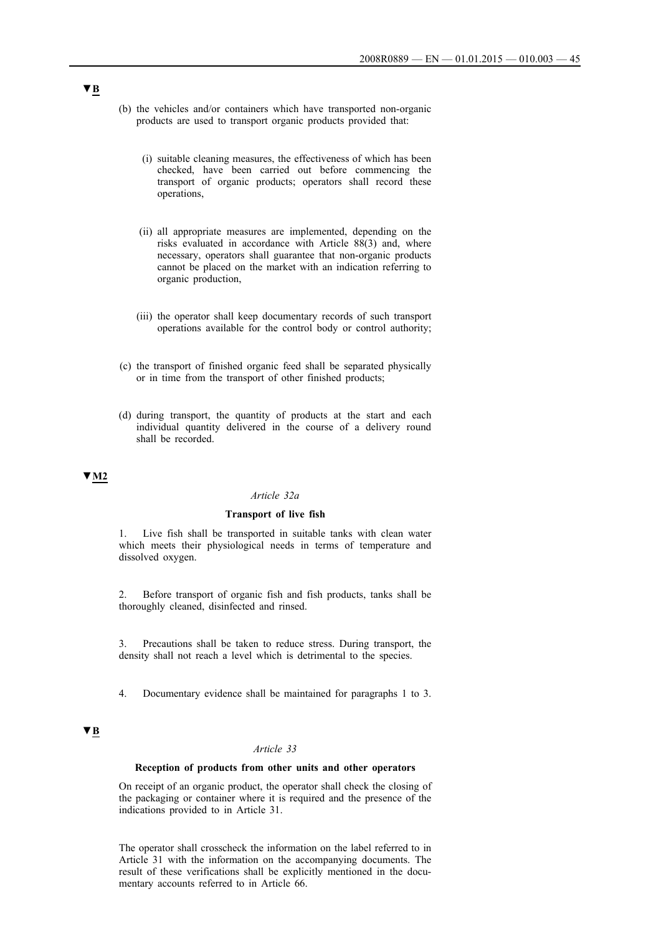- (b) the vehicles and/or containers which have transported non-organic products are used to transport organic products provided that:
	- (i) suitable cleaning measures, the effectiveness of which has been checked, have been carried out before commencing the transport of organic products; operators shall record these operations,
	- (ii) all appropriate measures are implemented, depending on the risks evaluated in accordance with Article 88(3) and, where necessary, operators shall guarantee that non-organic products cannot be placed on the market with an indication referring to organic production,
	- (iii) the operator shall keep documentary records of such transport operations available for the control body or control authority;
- (c) the transport of finished organic feed shall be separated physically or in time from the transport of other finished products;
- (d) during transport, the quantity of products at the start and each individual quantity delivered in the course of a delivery round shall be recorded.

### **▼M2**

## *Article 32a*

## **Transport of live fish**

1. Live fish shall be transported in suitable tanks with clean water which meets their physiological needs in terms of temperature and dissolved oxygen.

2. Before transport of organic fish and fish products, tanks shall be thoroughly cleaned, disinfected and rinsed.

3. Precautions shall be taken to reduce stress. During transport, the density shall not reach a level which is detrimental to the species.

4. Documentary evidence shall be maintained for paragraphs 1 to 3.

## **▼B**

## *Article 33*

#### **Reception of products from other units and other operators**

On receipt of an organic product, the operator shall check the closing of the packaging or container where it is required and the presence of the indications provided to in Article 31.

The operator shall crosscheck the information on the label referred to in Article 31 with the information on the accompanying documents. The result of these verifications shall be explicitly mentioned in the documentary accounts referred to in Article 66.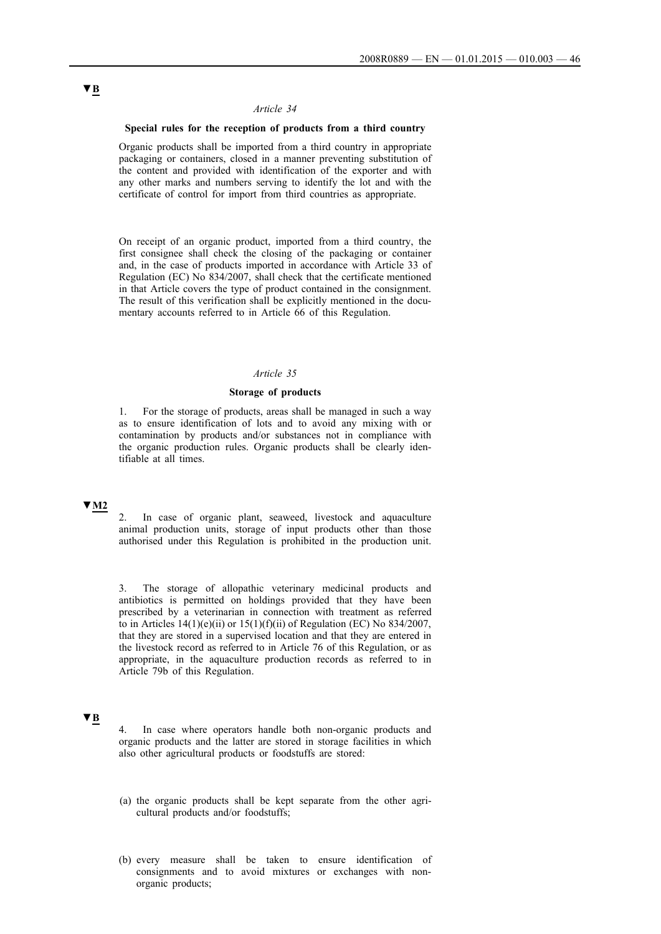## **Special rules for the reception of products from a third country**

Organic products shall be imported from a third country in appropriate packaging or containers, closed in a manner preventing substitution of the content and provided with identification of the exporter and with any other marks and numbers serving to identify the lot and with the certificate of control for import from third countries as appropriate.

On receipt of an organic product, imported from a third country, the first consignee shall check the closing of the packaging or container and, in the case of products imported in accordance with Article 33 of Regulation (EC) No 834/2007, shall check that the certificate mentioned in that Article covers the type of product contained in the consignment. The result of this verification shall be explicitly mentioned in the documentary accounts referred to in Article 66 of this Regulation.

## *Article 35*

### **Storage of products**

1. For the storage of products, areas shall be managed in such a way as to ensure identification of lots and to avoid any mixing with or contamination by products and/or substances not in compliance with the organic production rules. Organic products shall be clearly identifiable at all times.

# **▼M2**

2. In case of organic plant, seaweed, livestock and aquaculture animal production units, storage of input products other than those authorised under this Regulation is prohibited in the production unit.

The storage of allopathic veterinary medicinal products and antibiotics is permitted on holdings provided that they have been prescribed by a veterinarian in connection with treatment as referred to in Articles  $14(1)(e)(ii)$  or  $15(1)(f)(ii)$  of Regulation (EC) No 834/2007, that they are stored in a supervised location and that they are entered in the livestock record as referred to in Article 76 of this Regulation, or as appropriate, in the aquaculture production records as referred to in Article 79b of this Regulation.

## **▼B**

4. In case where operators handle both non-organic products and organic products and the latter are stored in storage facilities in which also other agricultural products or foodstuffs are stored:

- (a) the organic products shall be kept separate from the other agricultural products and/or foodstuffs;
- (b) every measure shall be taken to ensure identification of consignments and to avoid mixtures or exchanges with nonorganic products;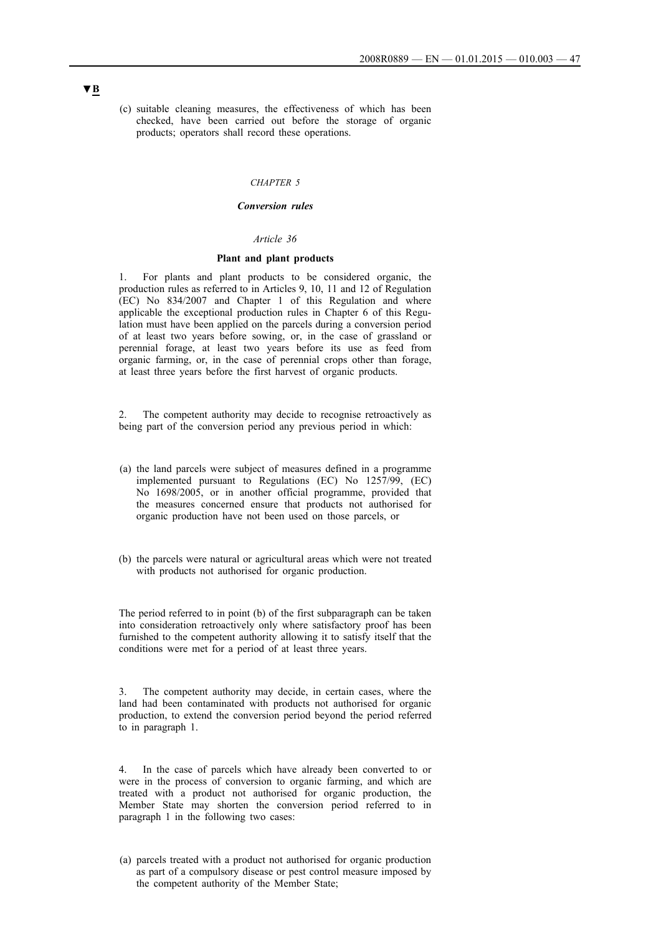(c) suitable cleaning measures, the effectiveness of which has been checked, have been carried out before the storage of organic products; operators shall record these operations.

#### *CHAPTER 5*

## *Conversion rules*

## *Article 36*

### **Plant and plant products**

1. For plants and plant products to be considered organic, the production rules as referred to in Articles 9, 10, 11 and 12 of Regulation (EC) No 834/2007 and Chapter 1 of this Regulation and where applicable the exceptional production rules in Chapter 6 of this Regulation must have been applied on the parcels during a conversion period of at least two years before sowing, or, in the case of grassland or perennial forage, at least two years before its use as feed from organic farming, or, in the case of perennial crops other than forage, at least three years before the first harvest of organic products.

2. The competent authority may decide to recognise retroactively as being part of the conversion period any previous period in which:

- (a) the land parcels were subject of measures defined in a programme implemented pursuant to Regulations (EC) No 1257/99, (EC) No 1698/2005, or in another official programme, provided that the measures concerned ensure that products not authorised for organic production have not been used on those parcels, or
- (b) the parcels were natural or agricultural areas which were not treated with products not authorised for organic production.

The period referred to in point (b) of the first subparagraph can be taken into consideration retroactively only where satisfactory proof has been furnished to the competent authority allowing it to satisfy itself that the conditions were met for a period of at least three years.

3. The competent authority may decide, in certain cases, where the land had been contaminated with products not authorised for organic production, to extend the conversion period beyond the period referred to in paragraph 1.

4. In the case of parcels which have already been converted to or were in the process of conversion to organic farming, and which are treated with a product not authorised for organic production, the Member State may shorten the conversion period referred to in paragraph 1 in the following two cases:

(a) parcels treated with a product not authorised for organic production as part of a compulsory disease or pest control measure imposed by the competent authority of the Member State;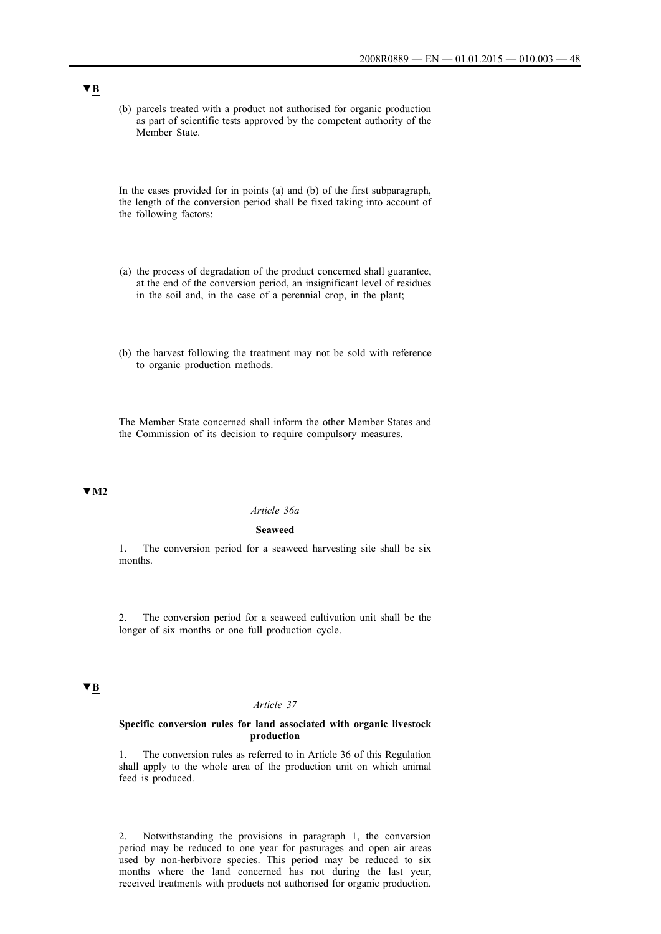(b) parcels treated with a product not authorised for organic production as part of scientific tests approved by the competent authority of the Member State.

In the cases provided for in points (a) and (b) of the first subparagraph, the length of the conversion period shall be fixed taking into account of the following factors:

- (a) the process of degradation of the product concerned shall guarantee, at the end of the conversion period, an insignificant level of residues in the soil and, in the case of a perennial crop, in the plant;
- (b) the harvest following the treatment may not be sold with reference to organic production methods.

The Member State concerned shall inform the other Member States and the Commission of its decision to require compulsory measures.

# **▼M2**

## *Article 36a*

#### **Seaweed**

1. The conversion period for a seaweed harvesting site shall be six months.

2. The conversion period for a seaweed cultivation unit shall be the longer of six months or one full production cycle.

# **▼B**

## *Article 37*

### **Specific conversion rules for land associated with organic livestock production**

1. The conversion rules as referred to in Article 36 of this Regulation shall apply to the whole area of the production unit on which animal feed is produced.

2. Notwithstanding the provisions in paragraph 1, the conversion period may be reduced to one year for pasturages and open air areas used by non-herbivore species. This period may be reduced to six months where the land concerned has not during the last year, received treatments with products not authorised for organic production.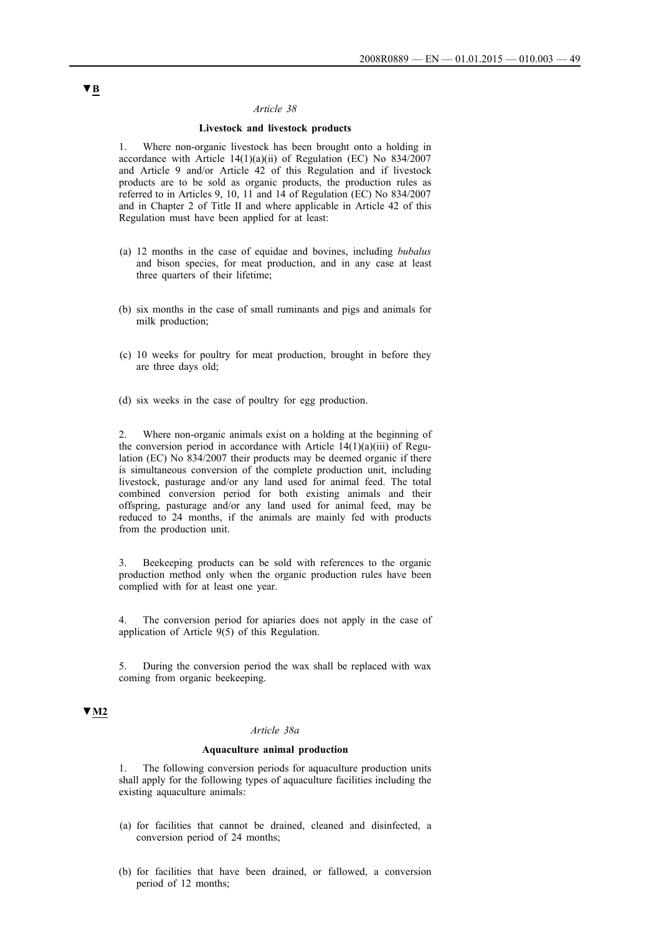## **Livestock and livestock products**

1. Where non-organic livestock has been brought onto a holding in accordance with Article 14(1)(a)(ii) of Regulation (EC) No 834/2007 and Article 9 and/or Article 42 of this Regulation and if livestock products are to be sold as organic products, the production rules as referred to in Articles 9, 10, 11 and 14 of Regulation (EC) No 834/2007 and in Chapter 2 of Title II and where applicable in Article 42 of this Regulation must have been applied for at least:

- (a) 12 months in the case of equidae and bovines, including *bubalus* and bison species, for meat production, and in any case at least three quarters of their lifetime;
- (b) six months in the case of small ruminants and pigs and animals for milk production;
- (c) 10 weeks for poultry for meat production, brought in before they are three days old;
- (d) six weeks in the case of poultry for egg production.

2. Where non-organic animals exist on a holding at the beginning of the conversion period in accordance with Article  $14(1)(a)(iii)$  of Regulation (EC) No 834/2007 their products may be deemed organic if there is simultaneous conversion of the complete production unit, including livestock, pasturage and/or any land used for animal feed. The total combined conversion period for both existing animals and their offspring, pasturage and/or any land used for animal feed, may be reduced to 24 months, if the animals are mainly fed with products from the production unit.

3. Beekeeping products can be sold with references to the organic production method only when the organic production rules have been complied with for at least one year.

4. The conversion period for apiaries does not apply in the case of application of Article 9(5) of this Regulation.

5. During the conversion period the wax shall be replaced with wax coming from organic beekeeping.

# **▼M2**

#### *Article 38a*

#### **Aquaculture animal production**

The following conversion periods for aquaculture production units shall apply for the following types of aquaculture facilities including the existing aquaculture animals:

- (a) for facilities that cannot be drained, cleaned and disinfected, a conversion period of 24 months;
- (b) for facilities that have been drained, or fallowed, a conversion period of 12 months;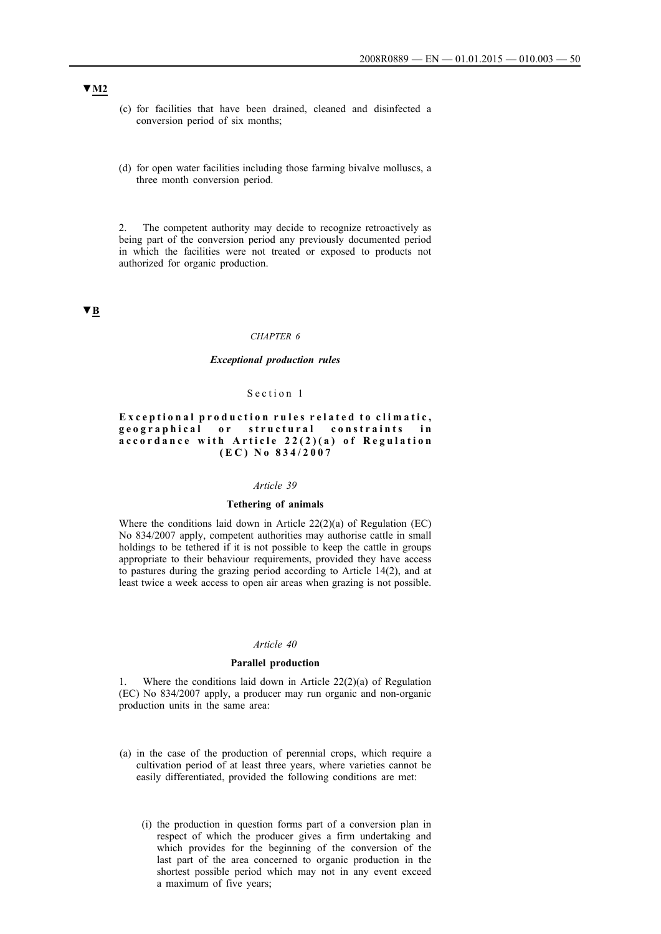- (c) for facilities that have been drained, cleaned and disinfected a conversion period of six months;
- (d) for open water facilities including those farming bivalve molluscs, a three month conversion period.

2. The competent authority may decide to recognize retroactively as being part of the conversion period any previously documented period in which the facilities were not treated or exposed to products not authorized for organic production.

**▼B**

## *CHAPTER 6*

### *Exceptional production rules*

### Section 1

## Exceptional production rules related to climatic, geographical or structural constraints in accordance with Article 22(2)(a) of Regulation  $(E C) No 834/2007$

#### *Article 39*

## **Tethering of animals**

Where the conditions laid down in Article 22(2)(a) of Regulation (EC) No 834/2007 apply, competent authorities may authorise cattle in small holdings to be tethered if it is not possible to keep the cattle in groups appropriate to their behaviour requirements, provided they have access to pastures during the grazing period according to Article 14(2), and at least twice a week access to open air areas when grazing is not possible.

#### *Article 40*

### **Parallel production**

1. Where the conditions laid down in Article 22(2)(a) of Regulation (EC) No 834/2007 apply, a producer may run organic and non-organic production units in the same area:

- (a) in the case of the production of perennial crops, which require a cultivation period of at least three years, where varieties cannot be easily differentiated, provided the following conditions are met:
	- (i) the production in question forms part of a conversion plan in respect of which the producer gives a firm undertaking and which provides for the beginning of the conversion of the last part of the area concerned to organic production in the shortest possible period which may not in any event exceed a maximum of five years;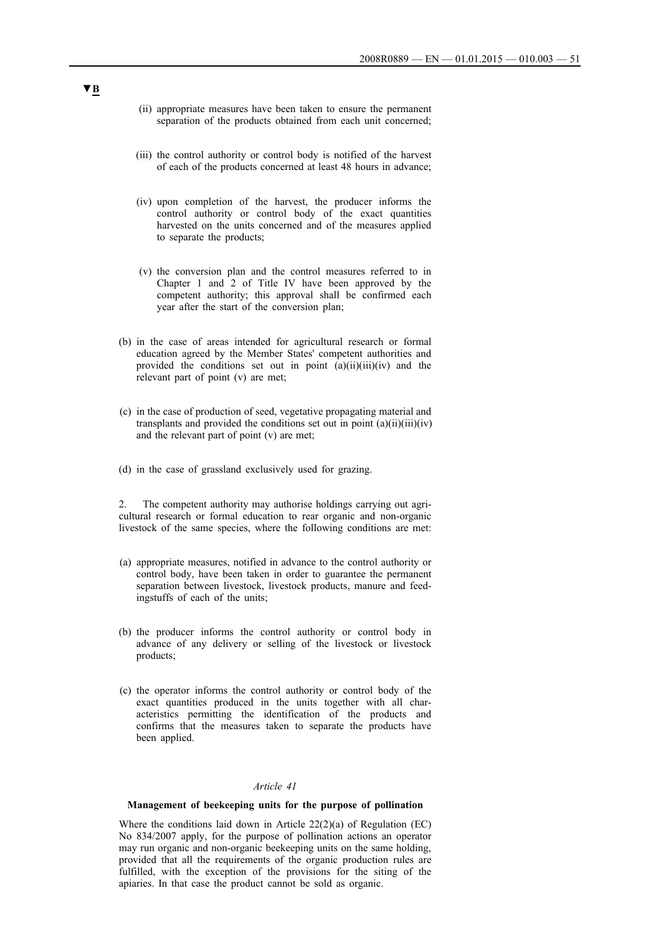- (ii) appropriate measures have been taken to ensure the permanent separation of the products obtained from each unit concerned;
- (iii) the control authority or control body is notified of the harvest of each of the products concerned at least 48 hours in advance;
- (iv) upon completion of the harvest, the producer informs the control authority or control body of the exact quantities harvested on the units concerned and of the measures applied to separate the products;
- (v) the conversion plan and the control measures referred to in Chapter 1 and 2 of Title IV have been approved by the competent authority; this approval shall be confirmed each year after the start of the conversion plan;
- (b) in the case of areas intended for agricultural research or formal education agreed by the Member States' competent authorities and provided the conditions set out in point  $(a)(ii)(iii)(iv)$  and the relevant part of point (v) are met;
- (c) in the case of production of seed, vegetative propagating material and transplants and provided the conditions set out in point  $(a)(ii)(iii)(iv)$ and the relevant part of point (v) are met;
- (d) in the case of grassland exclusively used for grazing.

2. The competent authority may authorise holdings carrying out agricultural research or formal education to rear organic and non-organic livestock of the same species, where the following conditions are met:

- (a) appropriate measures, notified in advance to the control authority or control body, have been taken in order to guarantee the permanent separation between livestock, livestock products, manure and feedingstuffs of each of the units;
- (b) the producer informs the control authority or control body in advance of any delivery or selling of the livestock or livestock products;
- (c) the operator informs the control authority or control body of the exact quantities produced in the units together with all characteristics permitting the identification of the products and confirms that the measures taken to separate the products have been applied.

## *Article 41*

### **Management of beekeeping units for the purpose of pollination**

Where the conditions laid down in Article 22(2)(a) of Regulation (EC) No 834/2007 apply, for the purpose of pollination actions an operator may run organic and non-organic beekeeping units on the same holding, provided that all the requirements of the organic production rules are fulfilled, with the exception of the provisions for the siting of the apiaries. In that case the product cannot be sold as organic.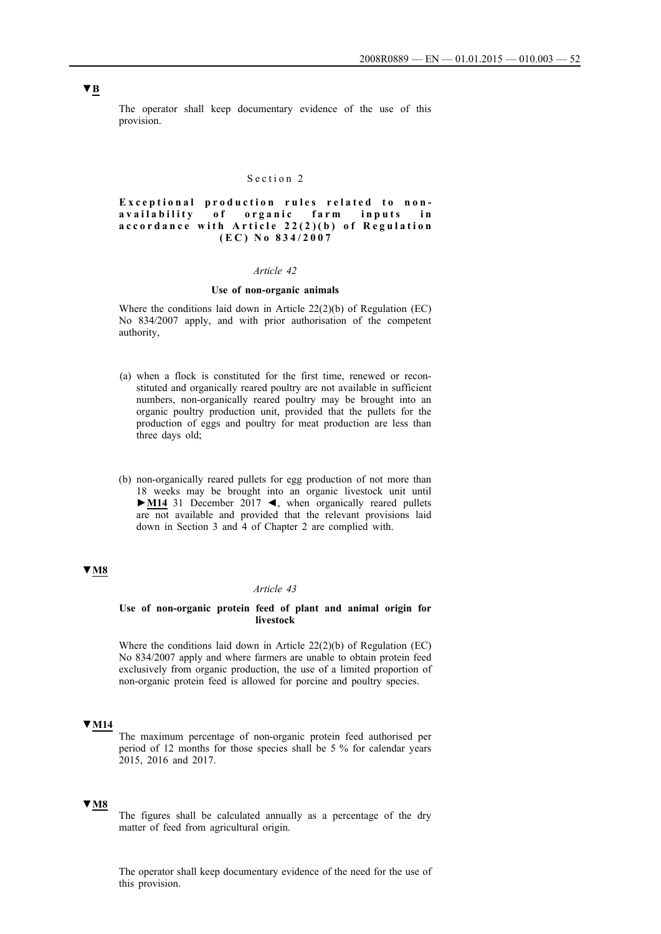The operator shall keep documentary evidence of the use of this provision.

## Section 2

Exceptional production rules related to nonavailability of organic farm inputs in accordance with Article 22(2)(b) of Regulation  $(E C) No 834/2007$ 

#### *Article 42*

## **Use of non-organic animals**

Where the conditions laid down in Article 22(2)(b) of Regulation (EC) No 834/2007 apply, and with prior authorisation of the competent authority,

- (a) when a flock is constituted for the first time, renewed or reconstituted and organically reared poultry are not available in sufficient numbers, non-organically reared poultry may be brought into an organic poultry production unit, provided that the pullets for the production of eggs and poultry for meat production are less than three days old;
- (b) non-organically reared pullets for egg production of not more than 18 weeks may be brought into an organic livestock unit until **►M14** 31 December 2017 ◄, when organically reared pullets are not available and provided that the relevant provisions laid down in Section 3 and 4 of Chapter 2 are complied with.

## **▼M8**

#### *Article 43*

## **Use of non-organic protein feed of plant and animal origin for livestock**

Where the conditions laid down in Article 22(2)(b) of Regulation (EC) No 834/2007 apply and where farmers are unable to obtain protein feed exclusively from organic production, the use of a limited proportion of non-organic protein feed is allowed for porcine and poultry species.

## **▼M14**

The maximum percentage of non-organic protein feed authorised per period of 12 months for those species shall be 5 % for calendar years 2015, 2016 and 2017.

## **▼M8**

The figures shall be calculated annually as a percentage of the dry matter of feed from agricultural origin.

The operator shall keep documentary evidence of the need for the use of this provision.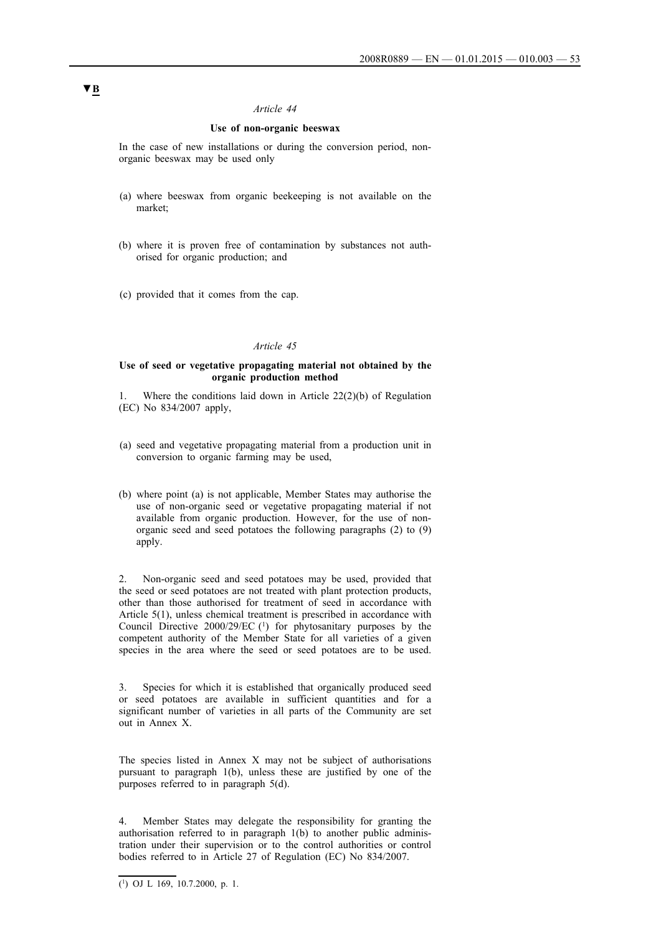## **Use of non-organic beeswax**

In the case of new installations or during the conversion period, nonorganic beeswax may be used only

- (a) where beeswax from organic beekeeping is not available on the market;
- (b) where it is proven free of contamination by substances not authorised for organic production; and
- (c) provided that it comes from the cap.

## *Article 45*

### **Use of seed or vegetative propagating material not obtained by the organic production method**

Where the conditions laid down in Article  $22(2)(b)$  of Regulation (EC) No 834/2007 apply,

- (a) seed and vegetative propagating material from a production unit in conversion to organic farming may be used,
- (b) where point (a) is not applicable, Member States may authorise the use of non-organic seed or vegetative propagating material if not available from organic production. However, for the use of nonorganic seed and seed potatoes the following paragraphs (2) to (9) apply.

2. Non-organic seed and seed potatoes may be used, provided that the seed or seed potatoes are not treated with plant protection products, other than those authorised for treatment of seed in accordance with Article 5(1), unless chemical treatment is prescribed in accordance with Council Directive 2000/29/EC (1) for phytosanitary purposes by the competent authority of the Member State for all varieties of a given species in the area where the seed or seed potatoes are to be used.

3. Species for which it is established that organically produced seed or seed potatoes are available in sufficient quantities and for a significant number of varieties in all parts of the Community are set out in Annex X.

The species listed in Annex X may not be subject of authorisations pursuant to paragraph 1(b), unless these are justified by one of the purposes referred to in paragraph 5(d).

Member States may delegate the responsibility for granting the authorisation referred to in paragraph 1(b) to another public administration under their supervision or to the control authorities or control bodies referred to in Article 27 of Regulation (EC) No 834/2007.

 $\overline{(^1)}$  OJ L 169, 10.7.2000, p. 1.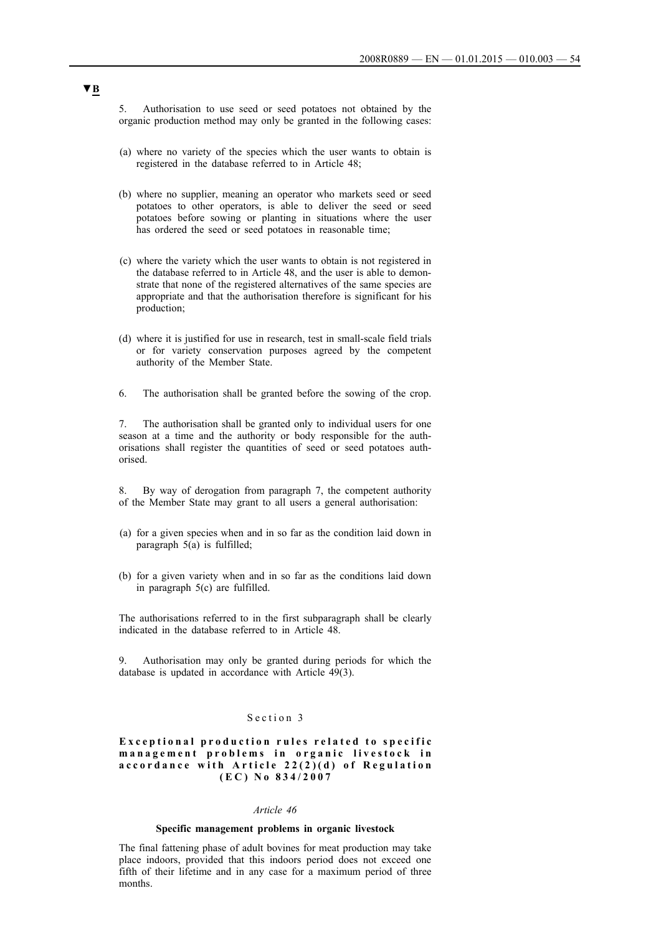5. Authorisation to use seed or seed potatoes not obtained by the organic production method may only be granted in the following cases:

- (a) where no variety of the species which the user wants to obtain is registered in the database referred to in Article 48;
- (b) where no supplier, meaning an operator who markets seed or seed potatoes to other operators, is able to deliver the seed or seed potatoes before sowing or planting in situations where the user has ordered the seed or seed potatoes in reasonable time;
- (c) where the variety which the user wants to obtain is not registered in the database referred to in Article 48, and the user is able to demonstrate that none of the registered alternatives of the same species are appropriate and that the authorisation therefore is significant for his production;
- (d) where it is justified for use in research, test in small-scale field trials or for variety conservation purposes agreed by the competent authority of the Member State.
- 6. The authorisation shall be granted before the sowing of the crop.

7. The authorisation shall be granted only to individual users for one season at a time and the authority or body responsible for the authorisations shall register the quantities of seed or seed potatoes authorised.

8. By way of derogation from paragraph 7, the competent authority of the Member State may grant to all users a general authorisation:

- (a) for a given species when and in so far as the condition laid down in paragraph  $5(a)$  is fulfilled;
- (b) for a given variety when and in so far as the conditions laid down in paragraph 5(c) are fulfilled.

The authorisations referred to in the first subparagraph shall be clearly indicated in the database referred to in Article 48.

9. Authorisation may only be granted during periods for which the database is updated in accordance with Article 49(3).

## Section 3

## **Exceptional production rules related to specific** management problems in organic livestock in accordance with Article 22(2)(d) of Regulation **( E C ) N o 8 3 4 / 2 0 0 7**

## *Article 46*

### **Specific management problems in organic livestock**

The final fattening phase of adult bovines for meat production may take place indoors, provided that this indoors period does not exceed one fifth of their lifetime and in any case for a maximum period of three months.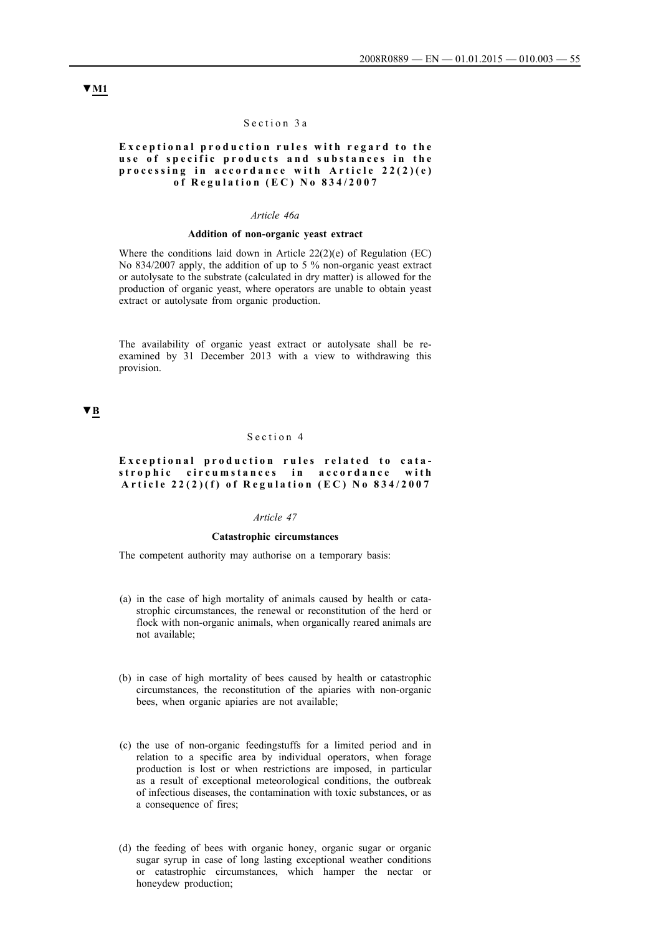#### Section 3a

## **Exceptional production rules with regard to the** use of specific products and substances in the processing in accordance with Article 22(2)(e) of Regulation (EC) No 834/2007

### *Article 46a*

### **Addition of non-organic yeast extract**

Where the conditions laid down in Article 22(2)(e) of Regulation (EC) No 834/2007 apply, the addition of up to 5 % non-organic yeast extract or autolysate to the substrate (calculated in dry matter) is allowed for the production of organic yeast, where operators are unable to obtain yeast extract or autolysate from organic production.

The availability of organic yeast extract or autolysate shall be reexamined by 31 December 2013 with a view to withdrawing this provision.

## **▼B**

## Section 4

## **Exceptional production rules related to cata**strophic circumstances in accordance with **Article 22(2)(f) of Regulation (EC) No 834/2007**

## *Article 47*

## **Catastrophic circumstances**

The competent authority may authorise on a temporary basis:

- (a) in the case of high mortality of animals caused by health or catastrophic circumstances, the renewal or reconstitution of the herd or flock with non-organic animals, when organically reared animals are not available;
- (b) in case of high mortality of bees caused by health or catastrophic circumstances, the reconstitution of the apiaries with non-organic bees, when organic apiaries are not available;
- (c) the use of non-organic feedingstuffs for a limited period and in relation to a specific area by individual operators, when forage production is lost or when restrictions are imposed, in particular as a result of exceptional meteorological conditions, the outbreak of infectious diseases, the contamination with toxic substances, or as a consequence of fires;
- (d) the feeding of bees with organic honey, organic sugar or organic sugar syrup in case of long lasting exceptional weather conditions or catastrophic circumstances, which hamper the nectar or honeydew production;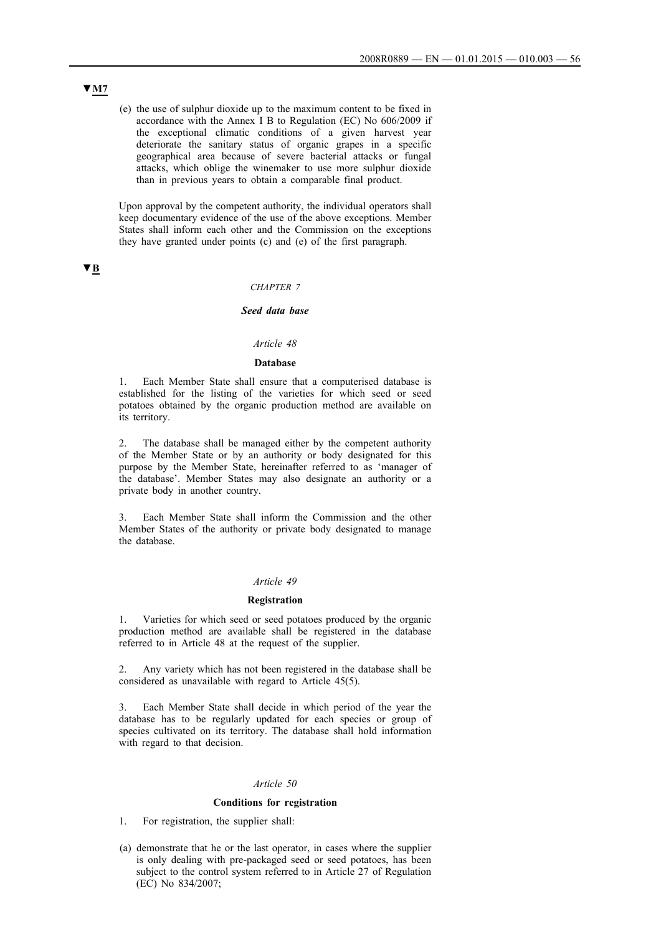(e) the use of sulphur dioxide up to the maximum content to be fixed in accordance with the Annex I B to Regulation (EC) No 606/2009 if the exceptional climatic conditions of a given harvest year deteriorate the sanitary status of organic grapes in a specific geographical area because of severe bacterial attacks or fungal attacks, which oblige the winemaker to use more sulphur dioxide than in previous years to obtain a comparable final product.

Upon approval by the competent authority, the individual operators shall keep documentary evidence of the use of the above exceptions. Member States shall inform each other and the Commission on the exceptions they have granted under points (c) and (e) of the first paragraph.

**▼B**

## *CHAPTER 7*

# *Seed data base*

## *Article 48*

## **Database**

1. Each Member State shall ensure that a computerised database is established for the listing of the varieties for which seed or seed potatoes obtained by the organic production method are available on its territory.

2. The database shall be managed either by the competent authority of the Member State or by an authority or body designated for this purpose by the Member State, hereinafter referred to as 'manager of the database'. Member States may also designate an authority or a private body in another country.

3. Each Member State shall inform the Commission and the other Member States of the authority or private body designated to manage the database.

### *Article 49*

#### **Registration**

1. Varieties for which seed or seed potatoes produced by the organic production method are available shall be registered in the database referred to in Article 48 at the request of the supplier.

2. Any variety which has not been registered in the database shall be considered as unavailable with regard to Article 45(5).

3. Each Member State shall decide in which period of the year the database has to be regularly updated for each species or group of species cultivated on its territory. The database shall hold information with regard to that decision.

### *Article 50*

#### **Conditions for registration**

1. For registration, the supplier shall:

(a) demonstrate that he or the last operator, in cases where the supplier is only dealing with pre-packaged seed or seed potatoes, has been subject to the control system referred to in Article 27 of Regulation (EC) No 834/2007;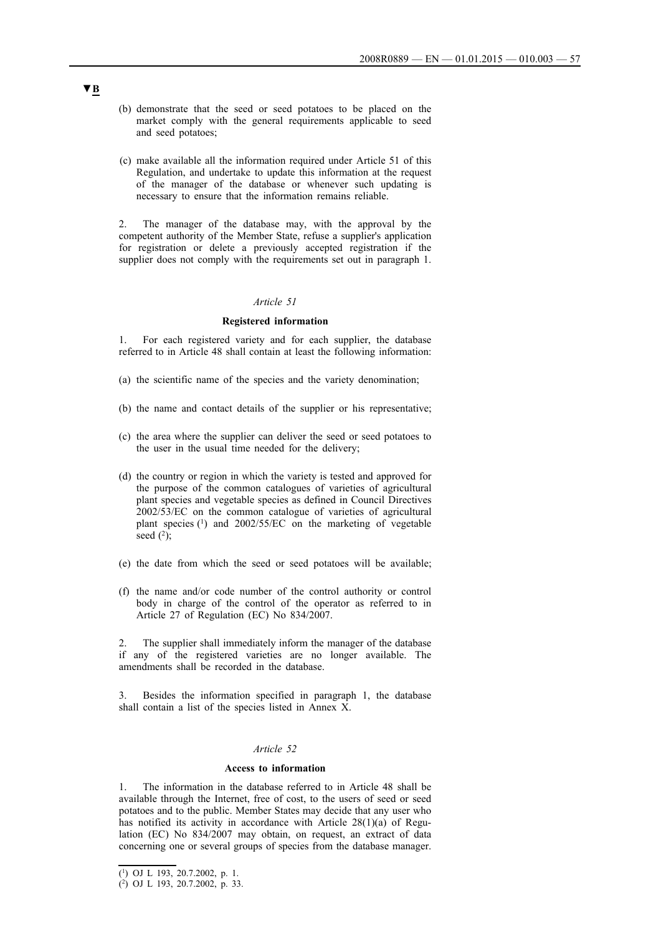- (b) demonstrate that the seed or seed potatoes to be placed on the market comply with the general requirements applicable to seed and seed potatoes;
- (c) make available all the information required under Article 51 of this Regulation, and undertake to update this information at the request of the manager of the database or whenever such updating is necessary to ensure that the information remains reliable.

2. The manager of the database may, with the approval by the competent authority of the Member State, refuse a supplier's application for registration or delete a previously accepted registration if the supplier does not comply with the requirements set out in paragraph 1.

## *Article 51*

## **Registered information**

1. For each registered variety and for each supplier, the database referred to in Article 48 shall contain at least the following information:

- (a) the scientific name of the species and the variety denomination;
- (b) the name and contact details of the supplier or his representative;
- (c) the area where the supplier can deliver the seed or seed potatoes to the user in the usual time needed for the delivery;
- (d) the country or region in which the variety is tested and approved for the purpose of the common catalogues of varieties of agricultural plant species and vegetable species as defined in Council Directives 2002/53/EC on the common catalogue of varieties of agricultural plant species (1) and 2002/55/EC on the marketing of vegetable seed  $(2)$ ;
- (e) the date from which the seed or seed potatoes will be available;
- (f) the name and/or code number of the control authority or control body in charge of the control of the operator as referred to in Article 27 of Regulation (EC) No 834/2007.

2. The supplier shall immediately inform the manager of the database if any of the registered varieties are no longer available. The amendments shall be recorded in the database.

3. Besides the information specified in paragraph 1, the database shall contain a list of the species listed in Annex X.

## *Article 52*

## **Access to information**

The information in the database referred to in Article 48 shall be available through the Internet, free of cost, to the users of seed or seed potatoes and to the public. Member States may decide that any user who has notified its activity in accordance with Article 28(1)(a) of Regulation (EC) No 834/2007 may obtain, on request, an extract of data concerning one or several groups of species from the database manager.

<sup>(1)</sup> OJ L 193, 20.7.2002, p. 1.

<sup>(2)</sup> OJ L 193, 20.7.2002, p. 33.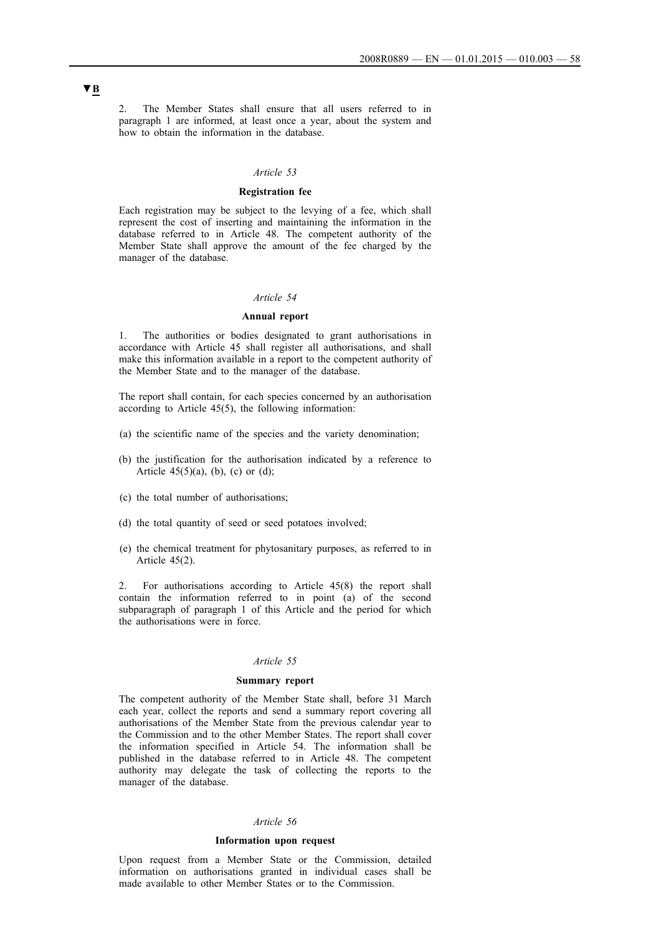2. The Member States shall ensure that all users referred to in paragraph 1 are informed, at least once a year, about the system and how to obtain the information in the database.

#### *Article 53*

## **Registration fee**

Each registration may be subject to the levying of a fee, which shall represent the cost of inserting and maintaining the information in the database referred to in Article 48. The competent authority of the Member State shall approve the amount of the fee charged by the manager of the database.

## *Article 54*

#### **Annual report**

1. The authorities or bodies designated to grant authorisations in accordance with Article 45 shall register all authorisations, and shall make this information available in a report to the competent authority of the Member State and to the manager of the database.

The report shall contain, for each species concerned by an authorisation according to Article 45(5), the following information:

- (a) the scientific name of the species and the variety denomination;
- (b) the justification for the authorisation indicated by a reference to Article  $45(5)(a)$ , (b), (c) or (d);
- (c) the total number of authorisations;
- (d) the total quantity of seed or seed potatoes involved;
- (e) the chemical treatment for phytosanitary purposes, as referred to in Article 45(2).

2. For authorisations according to Article 45(8) the report shall contain the information referred to in point (a) of the second subparagraph of paragraph 1 of this Article and the period for which the authorisations were in force.

### *Article 55*

## **Summary report**

The competent authority of the Member State shall, before 31 March each year, collect the reports and send a summary report covering all authorisations of the Member State from the previous calendar year to the Commission and to the other Member States. The report shall cover the information specified in Article 54. The information shall be published in the database referred to in Article 48. The competent authority may delegate the task of collecting the reports to the manager of the database.

#### *Article 56*

### **Information upon request**

Upon request from a Member State or the Commission, detailed information on authorisations granted in individual cases shall be made available to other Member States or to the Commission.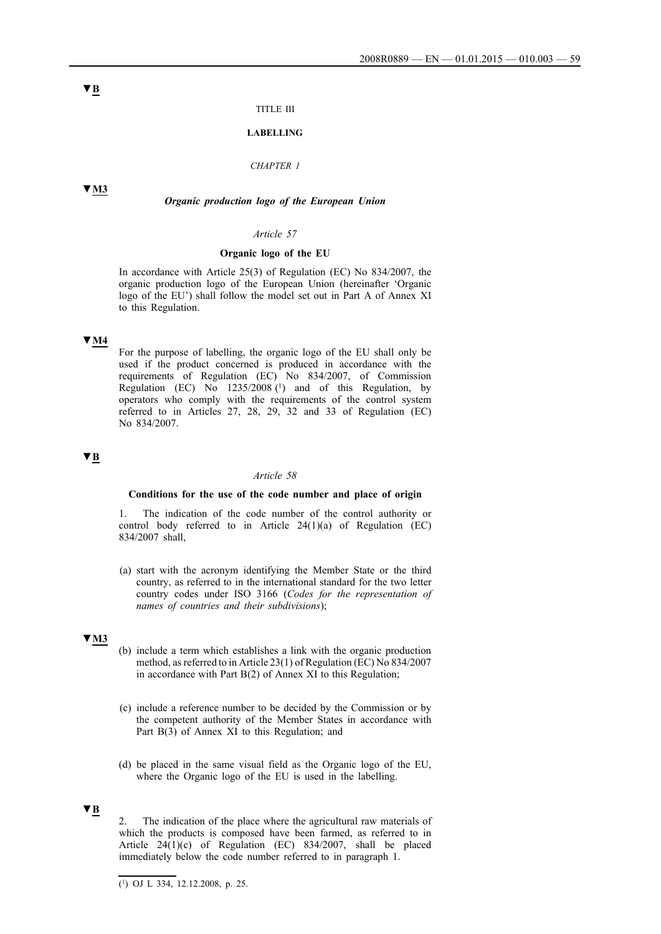#### TITLE III

### **LABELLING**

## *CHAPTER 1*

### **▼M3**

*Organic production logo of the European Union*

#### *Article 57*

### **Organic logo of the EU**

In accordance with Article 25(3) of Regulation (EC) No 834/2007, the organic production logo of the European Union (hereinafter 'Organic logo of the EU') shall follow the model set out in Part A of Annex XI to this Regulation.

## **▼M4**

For the purpose of labelling, the organic logo of the EU shall only be used if the product concerned is produced in accordance with the requirements of Regulation (EC) No 834/2007, of Commission Regulation (EC) No  $1235/2008$  (<sup>1</sup>) and of this Regulation, by operators who comply with the requirements of the control system referred to in Articles 27, 28, 29, 32 and 33 of Regulation (EC) No 834/2007.

## **▼B**

#### *Article 58*

## **Conditions for the use of the code number and place of origin**

The indication of the code number of the control authority or control body referred to in Article  $24(1)(a)$  of Regulation (EC) 834/2007 shall,

(a) start with the acronym identifying the Member State or the third country, as referred to in the international standard for the two letter country codes under ISO 3166 (*Codes for the representation of names of countries and their subdivisions*);

# **▼M3**

- (b) include a term which establishes a link with the organic production method, as referred to in Article 23(1) of Regulation (EC) No 834/2007 in accordance with Part B(2) of Annex XI to this Regulation;
- (c) include a reference number to be decided by the Commission or by the competent authority of the Member States in accordance with Part B(3) of Annex XI to this Regulation; and
- (d) be placed in the same visual field as the Organic logo of the EU, where the Organic logo of the EU is used in the labelling.

#### **▼B**

2. The indication of the place where the agricultural raw materials of which the products is composed have been farmed, as referred to in Article  $24(1)(c)$  of Regulation (EC) 834/2007, shall be placed immediately below the code number referred to in paragraph 1.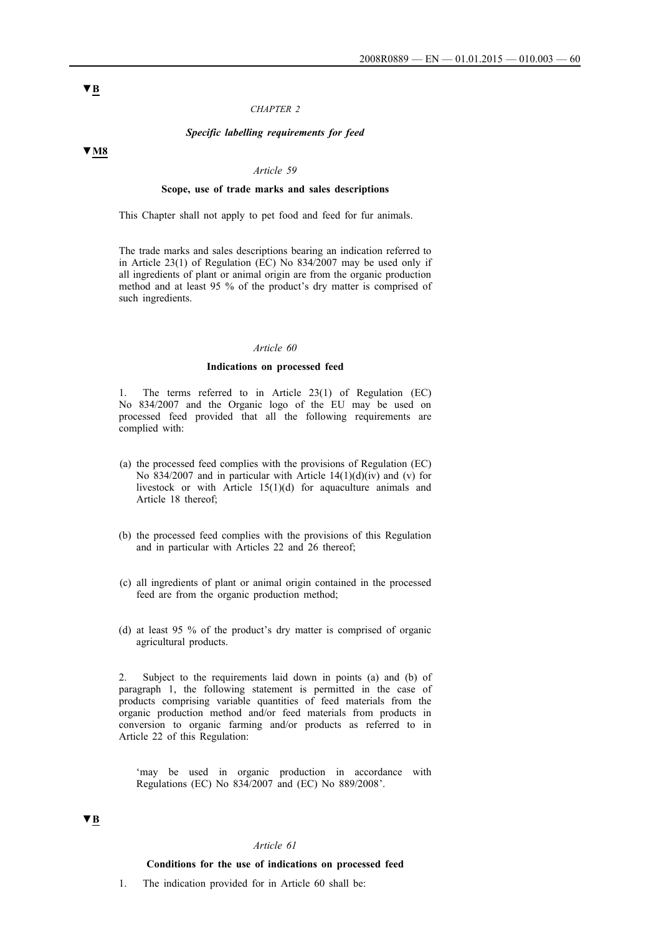#### *CHAPTER 2*

### *Specific labelling requirements for feed*

#### *Article 59*

### **Scope, use of trade marks and sales descriptions**

This Chapter shall not apply to pet food and feed for fur animals.

The trade marks and sales descriptions bearing an indication referred to in Article 23(1) of Regulation (EC) No  $834/2007$  may be used only if all ingredients of plant or animal origin are from the organic production method and at least 95 % of the product's dry matter is comprised of such ingredients.

#### *Article 60*

#### **Indications on processed feed**

1. The terms referred to in Article 23(1) of Regulation (EC) No 834/2007 and the Organic logo of the EU may be used on processed feed provided that all the following requirements are complied with:

- (a) the processed feed complies with the provisions of Regulation (EC) No 834/2007 and in particular with Article  $14(1)(d)(iv)$  and (v) for livestock or with Article 15(1)(d) for aquaculture animals and Article 18 thereof;
- (b) the processed feed complies with the provisions of this Regulation and in particular with Articles 22 and 26 thereof;
- (c) all ingredients of plant or animal origin contained in the processed feed are from the organic production method;
- (d) at least 95 % of the product's dry matter is comprised of organic agricultural products.

2. Subject to the requirements laid down in points (a) and (b) of paragraph 1, the following statement is permitted in the case of products comprising variable quantities of feed materials from the organic production method and/or feed materials from products in conversion to organic farming and/or products as referred to in Article 22 of this Regulation:

'may be used in organic production in accordance with Regulations (EC) No 834/2007 and (EC) No 889/2008'.

## **▼B**

#### *Article 61*

#### **Conditions for the use of indications on processed feed**

1. The indication provided for in Article 60 shall be:

**▼B**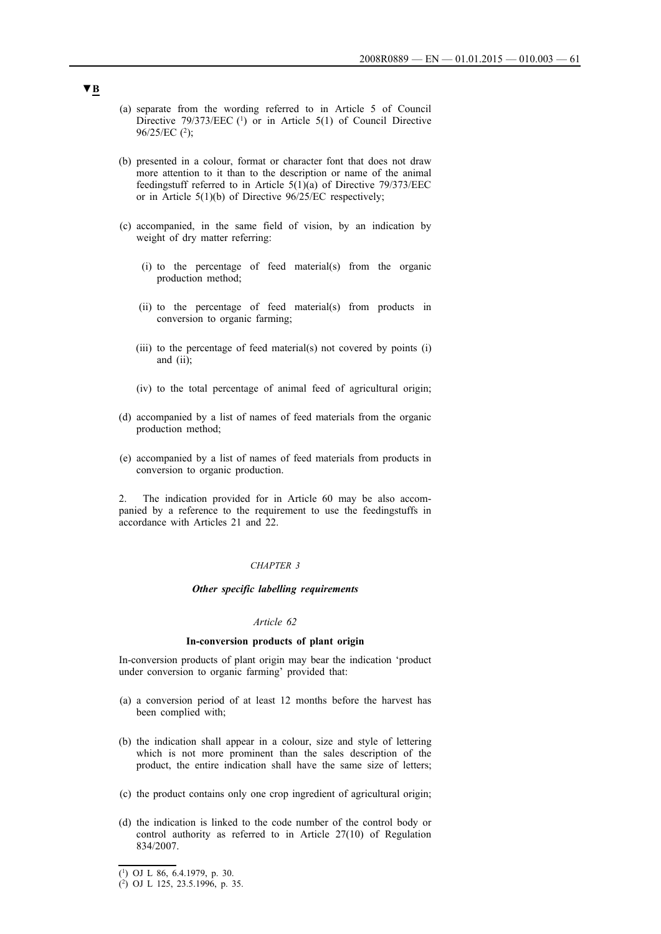- (a) separate from the wording referred to in Article 5 of Council Directive  $79/373/EEC$  (1) or in Article 5(1) of Council Directive 96/25/EC (2);
- (b) presented in a colour, format or character font that does not draw more attention to it than to the description or name of the animal feedingstuff referred to in Article 5(1)(a) of Directive 79/373/EEC or in Article 5(1)(b) of Directive 96/25/EC respectively;
- (c) accompanied, in the same field of vision, by an indication by weight of dry matter referring:
	- (i) to the percentage of feed material(s) from the organic production method;
	- (ii) to the percentage of feed material(s) from products in conversion to organic farming;
	- (iii) to the percentage of feed material(s) not covered by points (i) and (ii);
	- (iv) to the total percentage of animal feed of agricultural origin;
- (d) accompanied by a list of names of feed materials from the organic production method;
- (e) accompanied by a list of names of feed materials from products in conversion to organic production.

2. The indication provided for in Article 60 may be also accompanied by a reference to the requirement to use the feedingstuffs in accordance with Articles 21 and 22.

### *CHAPTER 3*

## *Other specific labelling requirements*

#### *Article 62*

### **In-conversion products of plant origin**

In-conversion products of plant origin may bear the indication 'product under conversion to organic farming' provided that:

- (a) a conversion period of at least 12 months before the harvest has been complied with;
- (b) the indication shall appear in a colour, size and style of lettering which is not more prominent than the sales description of the product, the entire indication shall have the same size of letters;
- (c) the product contains only one crop ingredient of agricultural origin;
- (d) the indication is linked to the code number of the control body or control authority as referred to in Article 27(10) of Regulation 834/2007.

<sup>(1)</sup> OJ L 86, 6.4.1979, p. 30.

<sup>(2)</sup> OJ L 125, 23.5.1996, p. 35.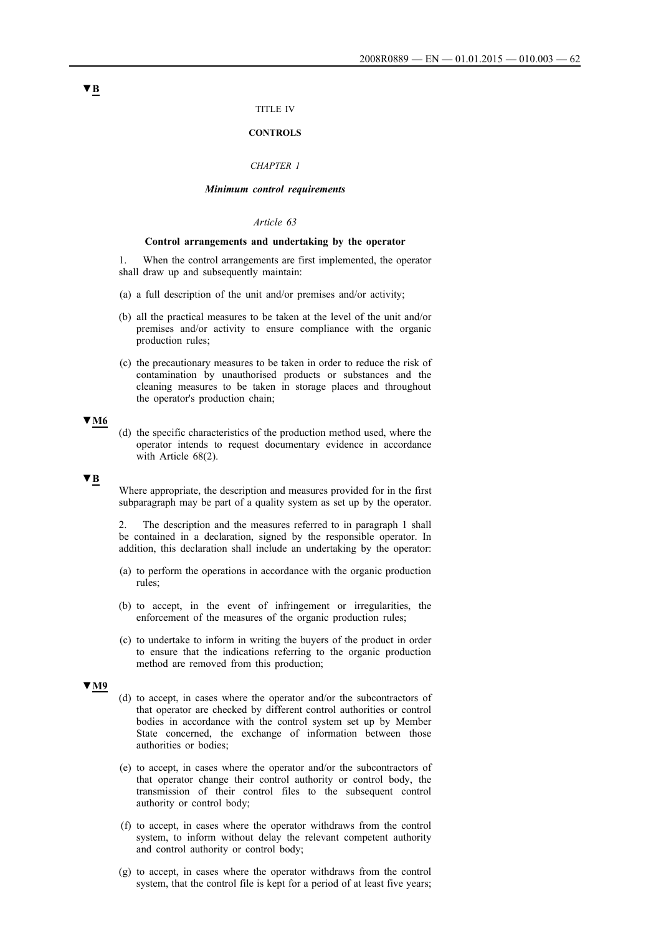### TITLE IV

#### **CONTROLS**

## *CHAPTER 1*

## *Minimum control requirements*

## *Article 63*

### **Control arrangements and undertaking by the operator**

1. When the control arrangements are first implemented, the operator shall draw up and subsequently maintain:

- (a) a full description of the unit and/or premises and/or activity;
- (b) all the practical measures to be taken at the level of the unit and/or premises and/or activity to ensure compliance with the organic production rules;
- (c) the precautionary measures to be taken in order to reduce the risk of contamination by unauthorised products or substances and the cleaning measures to be taken in storage places and throughout the operator's production chain;

## **▼M6**

(d) the specific characteristics of the production method used, where the operator intends to request documentary evidence in accordance with Article 68(2).

## **▼B**

Where appropriate, the description and measures provided for in the first subparagraph may be part of a quality system as set up by the operator.

2. The description and the measures referred to in paragraph 1 shall be contained in a declaration, signed by the responsible operator. In addition, this declaration shall include an undertaking by the operator:

- (a) to perform the operations in accordance with the organic production rules;
- (b) to accept, in the event of infringement or irregularities, the enforcement of the measures of the organic production rules;
- (c) to undertake to inform in writing the buyers of the product in order to ensure that the indications referring to the organic production method are removed from this production;

## **▼M9**

- (d) to accept, in cases where the operator and/or the subcontractors of that operator are checked by different control authorities or control bodies in accordance with the control system set up by Member State concerned, the exchange of information between those authorities or bodies;
- (e) to accept, in cases where the operator and/or the subcontractors of that operator change their control authority or control body, the transmission of their control files to the subsequent control authority or control body;
- (f) to accept, in cases where the operator withdraws from the control system, to inform without delay the relevant competent authority and control authority or control body;
- (g) to accept, in cases where the operator withdraws from the control system, that the control file is kept for a period of at least five years;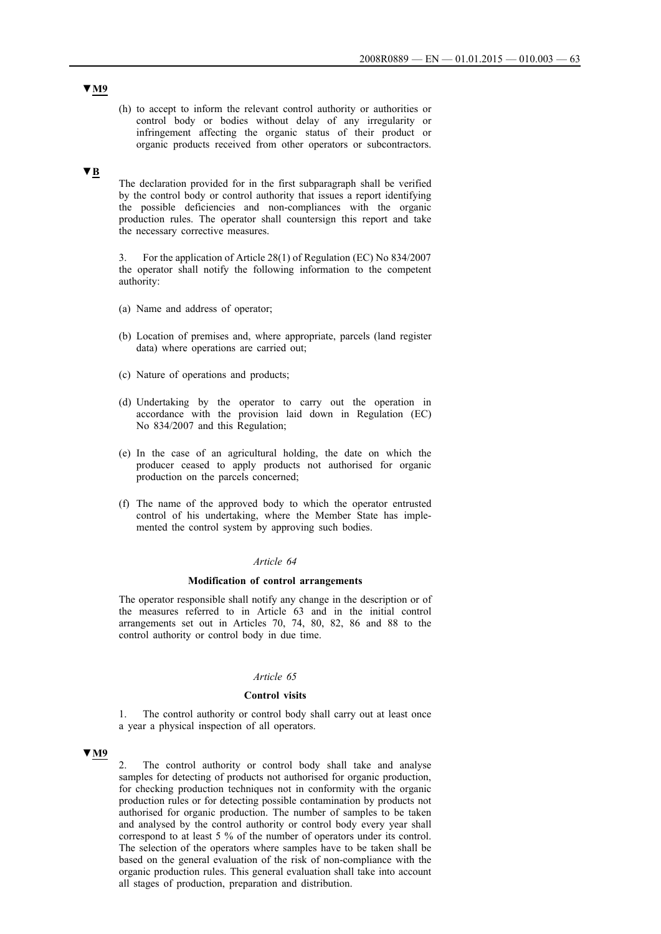(h) to accept to inform the relevant control authority or authorities or control body or bodies without delay of any irregularity or infringement affecting the organic status of their product or organic products received from other operators or subcontractors.

## **▼B**

The declaration provided for in the first subparagraph shall be verified by the control body or control authority that issues a report identifying the possible deficiencies and non-compliances with the organic production rules. The operator shall countersign this report and take the necessary corrective measures.

3. For the application of Article 28(1) of Regulation (EC) No 834/2007 the operator shall notify the following information to the competent authority:

- (a) Name and address of operator;
- (b) Location of premises and, where appropriate, parcels (land register data) where operations are carried out;
- (c) Nature of operations and products;
- (d) Undertaking by the operator to carry out the operation in accordance with the provision laid down in Regulation (EC) No 834/2007 and this Regulation;
- (e) In the case of an agricultural holding, the date on which the producer ceased to apply products not authorised for organic production on the parcels concerned;
- (f) The name of the approved body to which the operator entrusted control of his undertaking, where the Member State has implemented the control system by approving such bodies.

#### *Article 64*

### **Modification of control arrangements**

The operator responsible shall notify any change in the description or of the measures referred to in Article 63 and in the initial control arrangements set out in Articles 70, 74, 80, 82, 86 and 88 to the control authority or control body in due time.

#### *Article 65*

#### **Control visits**

1. The control authority or control body shall carry out at least once a year a physical inspection of all operators.

## **▼M9**

2. The control authority or control body shall take and analyse samples for detecting of products not authorised for organic production, for checking production techniques not in conformity with the organic production rules or for detecting possible contamination by products not authorised for organic production. The number of samples to be taken and analysed by the control authority or control body every year shall correspond to at least 5 % of the number of operators under its control. The selection of the operators where samples have to be taken shall be based on the general evaluation of the risk of non-compliance with the organic production rules. This general evaluation shall take into account all stages of production, preparation and distribution.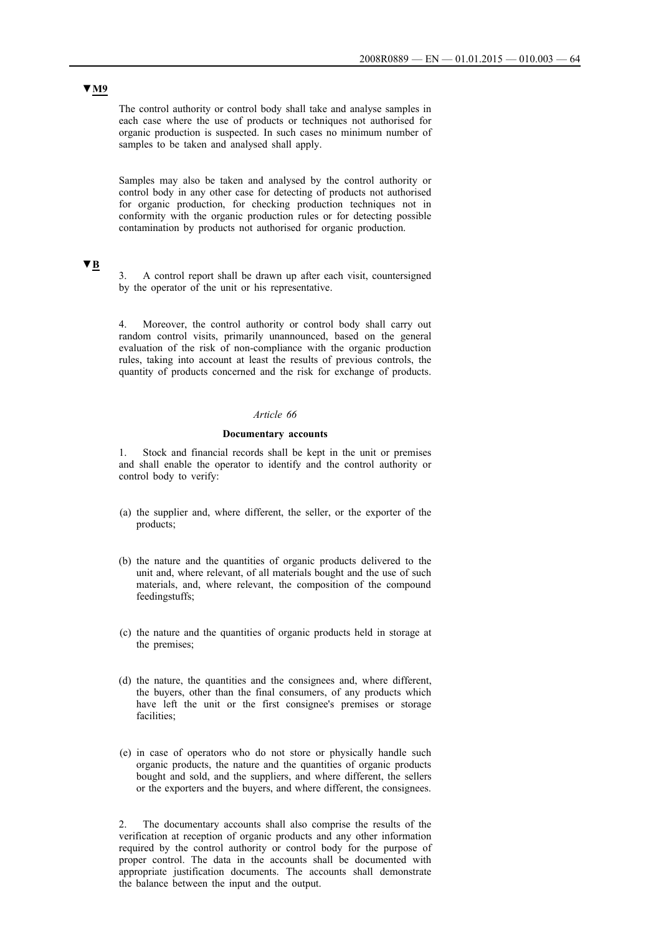The control authority or control body shall take and analyse samples in each case where the use of products or techniques not authorised for organic production is suspected. In such cases no minimum number of samples to be taken and analysed shall apply.

Samples may also be taken and analysed by the control authority or control body in any other case for detecting of products not authorised for organic production, for checking production techniques not in conformity with the organic production rules or for detecting possible contamination by products not authorised for organic production.

## **▼B**

3. A control report shall be drawn up after each visit, countersigned by the operator of the unit or his representative.

4. Moreover, the control authority or control body shall carry out random control visits, primarily unannounced, based on the general evaluation of the risk of non-compliance with the organic production rules, taking into account at least the results of previous controls, the quantity of products concerned and the risk for exchange of products.

### *Article 66*

## **Documentary accounts**

1. Stock and financial records shall be kept in the unit or premises and shall enable the operator to identify and the control authority or control body to verify:

- (a) the supplier and, where different, the seller, or the exporter of the products;
- (b) the nature and the quantities of organic products delivered to the unit and, where relevant, of all materials bought and the use of such materials, and, where relevant, the composition of the compound feedingstuffs;
- (c) the nature and the quantities of organic products held in storage at the premises;
- (d) the nature, the quantities and the consignees and, where different, the buyers, other than the final consumers, of any products which have left the unit or the first consignee's premises or storage facilities;
- (e) in case of operators who do not store or physically handle such organic products, the nature and the quantities of organic products bought and sold, and the suppliers, and where different, the sellers or the exporters and the buyers, and where different, the consignees.

2. The documentary accounts shall also comprise the results of the verification at reception of organic products and any other information required by the control authority or control body for the purpose of proper control. The data in the accounts shall be documented with appropriate justification documents. The accounts shall demonstrate the balance between the input and the output.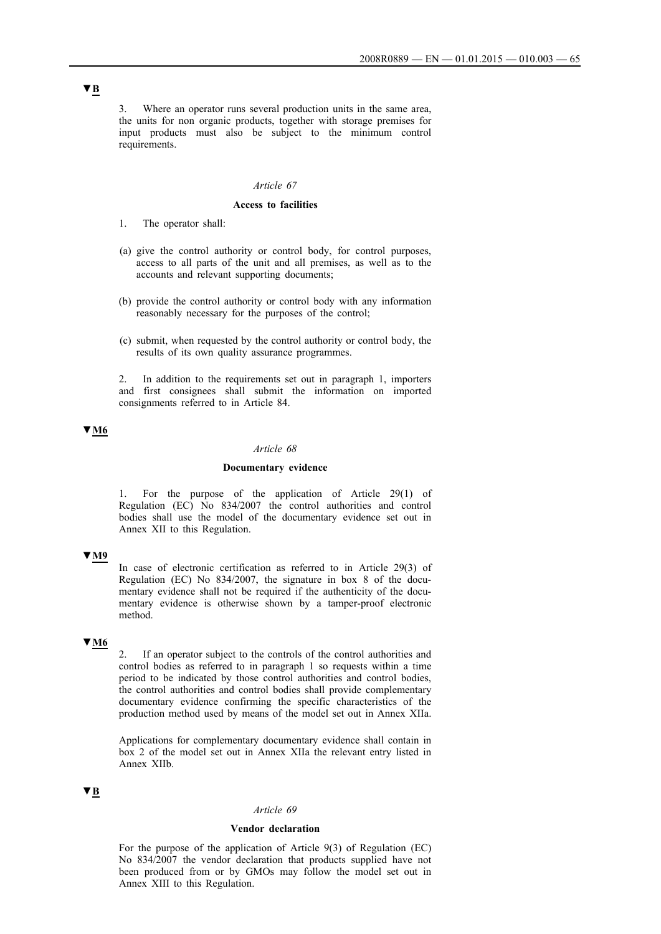3. Where an operator runs several production units in the same area, the units for non organic products, together with storage premises for input products must also be subject to the minimum control requirements.

## *Article 67*

#### **Access to facilities**

- 1. The operator shall:
- (a) give the control authority or control body, for control purposes, access to all parts of the unit and all premises, as well as to the accounts and relevant supporting documents;
- (b) provide the control authority or control body with any information reasonably necessary for the purposes of the control;
- (c) submit, when requested by the control authority or control body, the results of its own quality assurance programmes.

2. In addition to the requirements set out in paragraph 1, importers and first consignees shall submit the information on imported consignments referred to in Article 84.

## **▼M6**

#### *Article 68*

#### **Documentary evidence**

1. For the purpose of the application of Article 29(1) of Regulation (EC) No 834/2007 the control authorities and control bodies shall use the model of the documentary evidence set out in Annex XII to this Regulation.

### **▼M9**

In case of electronic certification as referred to in Article 29(3) of Regulation (EC) No 834/2007, the signature in box 8 of the documentary evidence shall not be required if the authenticity of the documentary evidence is otherwise shown by a tamper-proof electronic method.

## **▼M6**

2. If an operator subject to the controls of the control authorities and control bodies as referred to in paragraph 1 so requests within a time period to be indicated by those control authorities and control bodies, the control authorities and control bodies shall provide complementary documentary evidence confirming the specific characteristics of the production method used by means of the model set out in Annex XIIa.

Applications for complementary documentary evidence shall contain in box 2 of the model set out in Annex XIIa the relevant entry listed in Annex XIIb.

## **▼B**

## *Article 69*

## **Vendor declaration**

For the purpose of the application of Article 9(3) of Regulation (EC) No 834/2007 the vendor declaration that products supplied have not been produced from or by GMOs may follow the model set out in Annex XIII to this Regulation.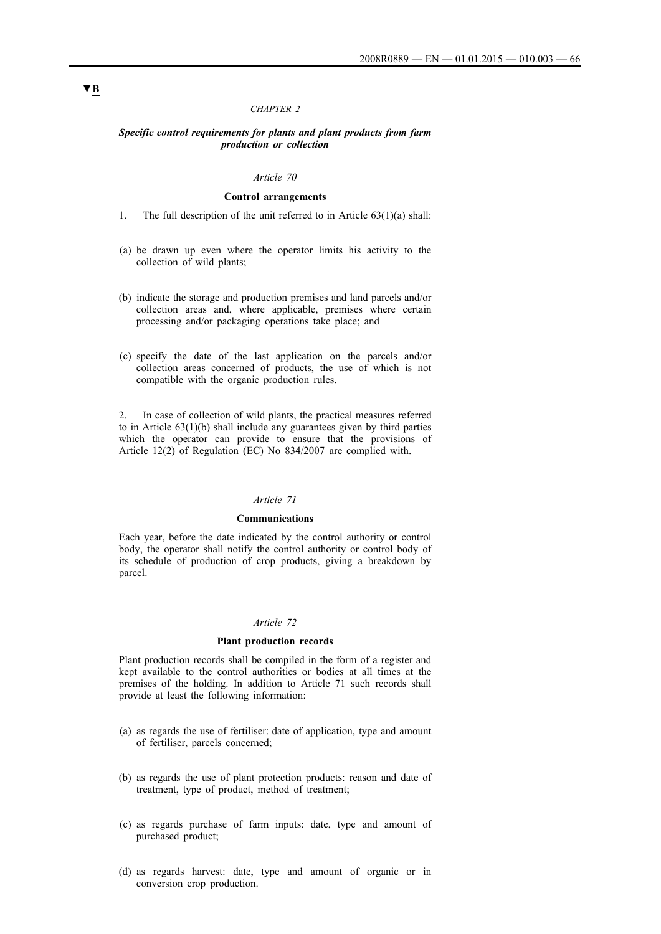## *CHAPTER 2*

### *Specific control requirements for plants and plant products from farm production or collection*

## *Article 70*

## **Control arrangements**

- 1. The full description of the unit referred to in Article 63(1)(a) shall:
- (a) be drawn up even where the operator limits his activity to the collection of wild plants;
- (b) indicate the storage and production premises and land parcels and/or collection areas and, where applicable, premises where certain processing and/or packaging operations take place; and
- (c) specify the date of the last application on the parcels and/or collection areas concerned of products, the use of which is not compatible with the organic production rules.

2. In case of collection of wild plants, the practical measures referred to in Article 63(1)(b) shall include any guarantees given by third parties which the operator can provide to ensure that the provisions of Article 12(2) of Regulation (EC) No 834/2007 are complied with.

## *Article 71*

### **Communications**

Each year, before the date indicated by the control authority or control body, the operator shall notify the control authority or control body of its schedule of production of crop products, giving a breakdown by parcel.

#### *Article 72*

### **Plant production records**

Plant production records shall be compiled in the form of a register and kept available to the control authorities or bodies at all times at the premises of the holding. In addition to Article 71 such records shall provide at least the following information:

- (a) as regards the use of fertiliser: date of application, type and amount of fertiliser, parcels concerned;
- (b) as regards the use of plant protection products: reason and date of treatment, type of product, method of treatment;
- (c) as regards purchase of farm inputs: date, type and amount of purchased product;
- (d) as regards harvest: date, type and amount of organic or in conversion crop production.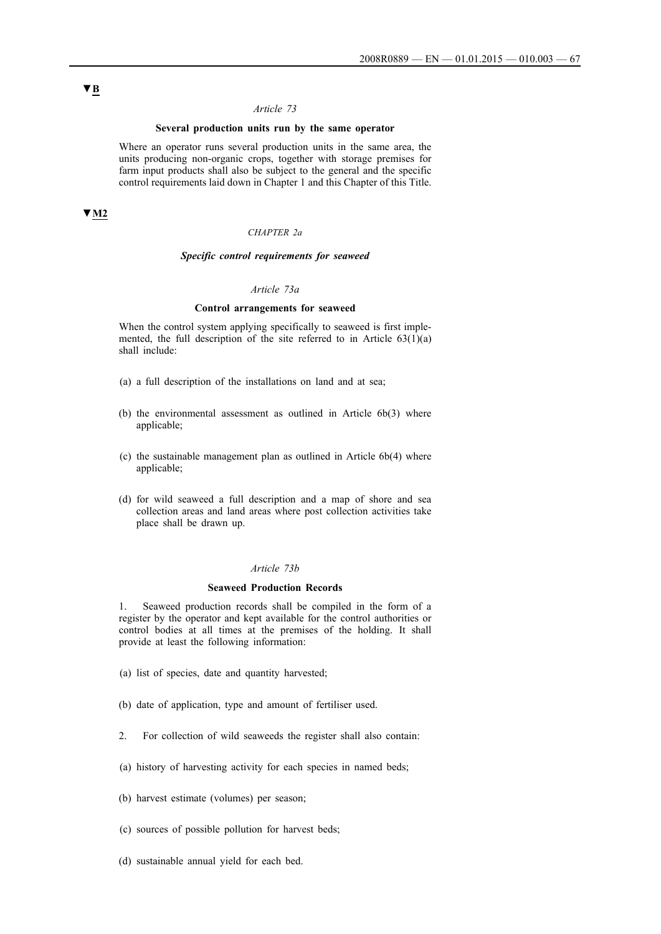## **Several production units run by the same operator**

Where an operator runs several production units in the same area, the units producing non-organic crops, together with storage premises for farm input products shall also be subject to the general and the specific control requirements laid down in Chapter 1 and this Chapter of this Title.

# **▼M2**

#### *CHAPTER 2a*

## *Specific control requirements for seaweed*

### *Article 73a*

## **Control arrangements for seaweed**

When the control system applying specifically to seaweed is first implemented, the full description of the site referred to in Article  $63(1)(a)$ shall include:

- (a) a full description of the installations on land and at sea;
- (b) the environmental assessment as outlined in Article 6b(3) where applicable;
- (c) the sustainable management plan as outlined in Article 6b(4) where applicable;
- (d) for wild seaweed a full description and a map of shore and sea collection areas and land areas where post collection activities take place shall be drawn up.

### *Article 73b*

## **Seaweed Production Records**

1. Seaweed production records shall be compiled in the form of a register by the operator and kept available for the control authorities or control bodies at all times at the premises of the holding. It shall provide at least the following information:

- (a) list of species, date and quantity harvested;
- (b) date of application, type and amount of fertiliser used.
- 2. For collection of wild seaweeds the register shall also contain:
- (a) history of harvesting activity for each species in named beds;
- (b) harvest estimate (volumes) per season;
- (c) sources of possible pollution for harvest beds;
- (d) sustainable annual yield for each bed.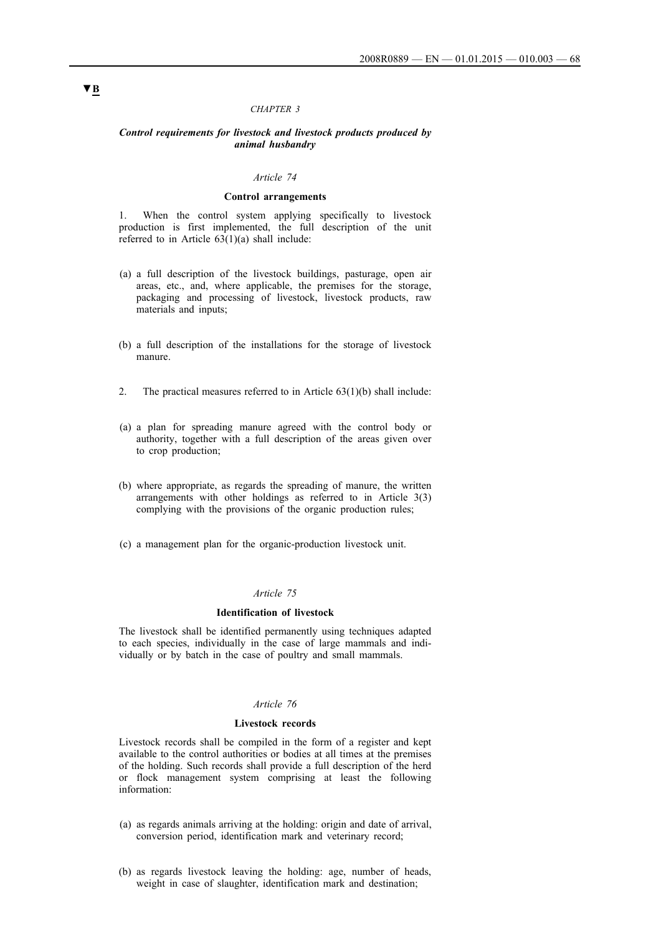### *CHAPTER 3*

#### *Control requirements for livestock and livestock products produced by animal husbandry*

## *Article 74*

### **Control arrangements**

1. When the control system applying specifically to livestock production is first implemented, the full description of the unit referred to in Article 63(1)(a) shall include:

- (a) a full description of the livestock buildings, pasturage, open air areas, etc., and, where applicable, the premises for the storage, packaging and processing of livestock, livestock products, raw materials and inputs;
- (b) a full description of the installations for the storage of livestock manure.
- 2. The practical measures referred to in Article  $63(1)(b)$  shall include:
- (a) a plan for spreading manure agreed with the control body or authority, together with a full description of the areas given over to crop production;
- (b) where appropriate, as regards the spreading of manure, the written arrangements with other holdings as referred to in Article 3(3) complying with the provisions of the organic production rules;
- (c) a management plan for the organic-production livestock unit.

## *Article 75*

#### **Identification of livestock**

The livestock shall be identified permanently using techniques adapted to each species, individually in the case of large mammals and individually or by batch in the case of poultry and small mammals.

## *Article 76*

## **Livestock records**

Livestock records shall be compiled in the form of a register and kept available to the control authorities or bodies at all times at the premises of the holding. Such records shall provide a full description of the herd or flock management system comprising at least the following information:

- (a) as regards animals arriving at the holding: origin and date of arrival, conversion period, identification mark and veterinary record;
- (b) as regards livestock leaving the holding: age, number of heads, weight in case of slaughter, identification mark and destination;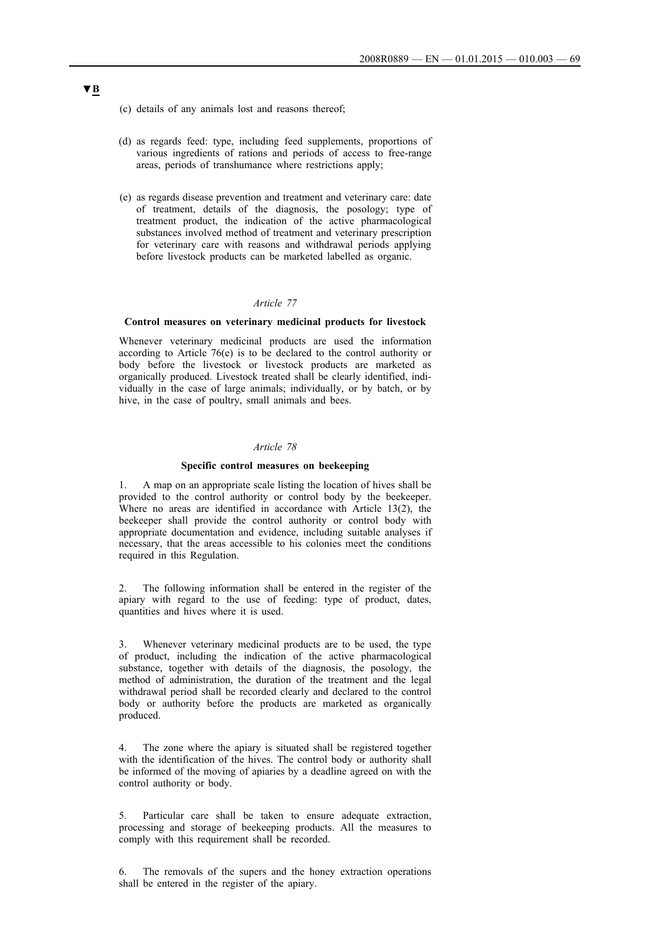- (c) details of any animals lost and reasons thereof;
- (d) as regards feed: type, including feed supplements, proportions of various ingredients of rations and periods of access to free-range areas, periods of transhumance where restrictions apply;
- (e) as regards disease prevention and treatment and veterinary care: date of treatment, details of the diagnosis, the posology; type of treatment product, the indication of the active pharmacological substances involved method of treatment and veterinary prescription for veterinary care with reasons and withdrawal periods applying before livestock products can be marketed labelled as organic.

### **Control measures on veterinary medicinal products for livestock**

Whenever veterinary medicinal products are used the information according to Article 76(e) is to be declared to the control authority or body before the livestock or livestock products are marketed as organically produced. Livestock treated shall be clearly identified, individually in the case of large animals; individually, or by batch, or by hive, in the case of poultry, small animals and bees.

## *Article 78*

### **Specific control measures on beekeeping**

1. A map on an appropriate scale listing the location of hives shall be provided to the control authority or control body by the beekeeper. Where no areas are identified in accordance with Article 13(2), the beekeeper shall provide the control authority or control body with appropriate documentation and evidence, including suitable analyses if necessary, that the areas accessible to his colonies meet the conditions required in this Regulation.

2. The following information shall be entered in the register of the apiary with regard to the use of feeding: type of product, dates, quantities and hives where it is used.

Whenever veterinary medicinal products are to be used, the type of product, including the indication of the active pharmacological substance, together with details of the diagnosis, the posology, the method of administration, the duration of the treatment and the legal withdrawal period shall be recorded clearly and declared to the control body or authority before the products are marketed as organically produced.

4. The zone where the apiary is situated shall be registered together with the identification of the hives. The control body or authority shall be informed of the moving of apiaries by a deadline agreed on with the control authority or body.

5. Particular care shall be taken to ensure adequate extraction, processing and storage of beekeeping products. All the measures to comply with this requirement shall be recorded.

6. The removals of the supers and the honey extraction operations shall be entered in the register of the apiary.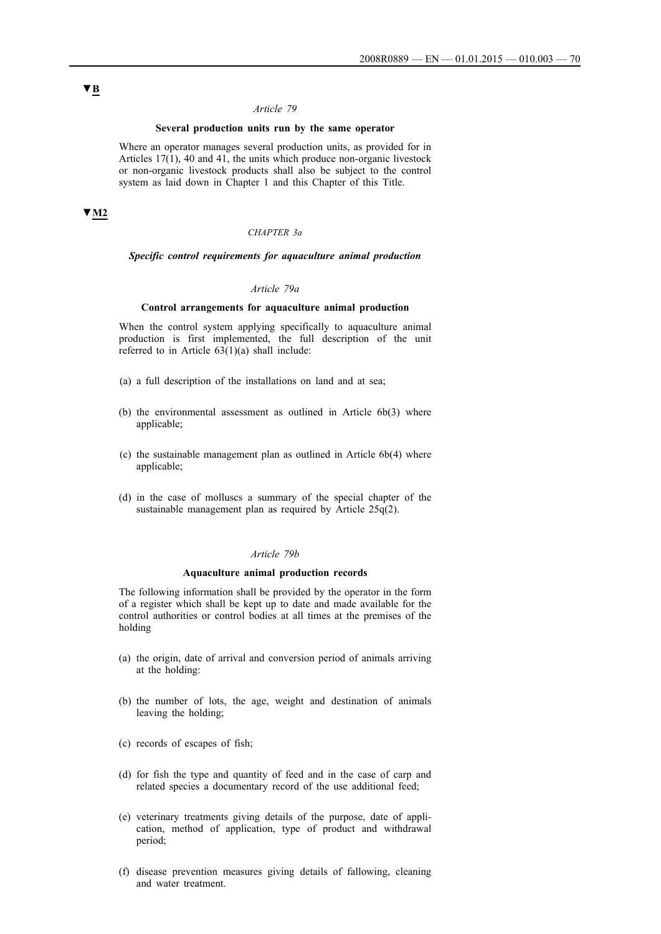## **Several production units run by the same operator**

Where an operator manages several production units, as provided for in Articles 17(1), 40 and 41, the units which produce non-organic livestock or non-organic livestock products shall also be subject to the control system as laid down in Chapter 1 and this Chapter of this Title.

# **▼M2**

#### *CHAPTER 3a*

## *Specific control requirements for aquaculture animal production*

#### *Article 79a*

### **Control arrangements for aquaculture animal production**

When the control system applying specifically to aquaculture animal production is first implemented, the full description of the unit referred to in Article  $63(1)(a)$  shall include:

- (a) a full description of the installations on land and at sea;
- (b) the environmental assessment as outlined in Article 6b(3) where applicable;
- (c) the sustainable management plan as outlined in Article 6b(4) where applicable;
- (d) in the case of molluscs a summary of the special chapter of the sustainable management plan as required by Article 25q(2).

## *Article 79b*

### **Aquaculture animal production records**

The following information shall be provided by the operator in the form of a register which shall be kept up to date and made available for the control authorities or control bodies at all times at the premises of the holding

- (a) the origin, date of arrival and conversion period of animals arriving at the holding:
- (b) the number of lots, the age, weight and destination of animals leaving the holding;
- (c) records of escapes of fish;
- (d) for fish the type and quantity of feed and in the case of carp and related species a documentary record of the use additional feed;
- (e) veterinary treatments giving details of the purpose, date of application, method of application, type of product and withdrawal period;
- (f) disease prevention measures giving details of fallowing, cleaning and water treatment.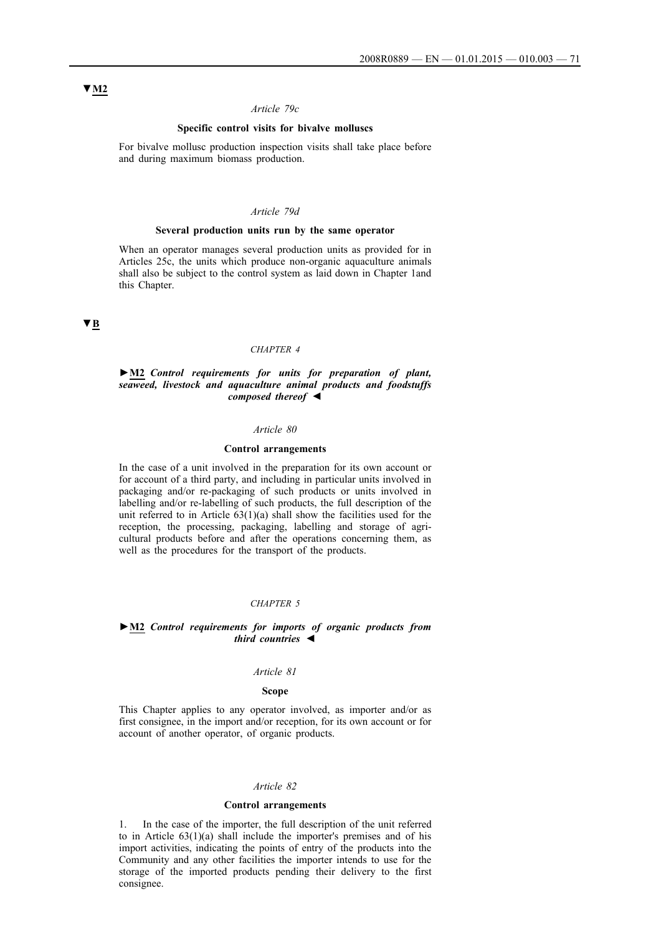## *Article 79c*

## **Specific control visits for bivalve molluscs**

For bivalve mollusc production inspection visits shall take place before and during maximum biomass production.

## *Article 79d*

### **Several production units run by the same operator**

When an operator manages several production units as provided for in Articles 25c, the units which produce non-organic aquaculture animals shall also be subject to the control system as laid down in Chapter 1and this Chapter.

## **▼B**

## *CHAPTER 4*

### **►M2** *Control requirements for units for preparation of plant, seaweed, livestock and aquaculture animal products and foodstuffs composed thereof ◄*

### *Article 80*

### **Control arrangements**

In the case of a unit involved in the preparation for its own account or for account of a third party, and including in particular units involved in packaging and/or re-packaging of such products or units involved in labelling and/or re-labelling of such products, the full description of the unit referred to in Article  $63(1)(a)$  shall show the facilities used for the reception, the processing, packaging, labelling and storage of agricultural products before and after the operations concerning them, as well as the procedures for the transport of the products.

#### *CHAPTER 5*

### **►M2** *Control requirements for imports of organic products from third countries ◄*

#### *Article 81*

### **Scope**

This Chapter applies to any operator involved, as importer and/or as first consignee, in the import and/or reception, for its own account or for account of another operator, of organic products.

#### *Article 82*

### **Control arrangements**

1. In the case of the importer, the full description of the unit referred to in Article 63(1)(a) shall include the importer's premises and of his import activities, indicating the points of entry of the products into the Community and any other facilities the importer intends to use for the storage of the imported products pending their delivery to the first consignee.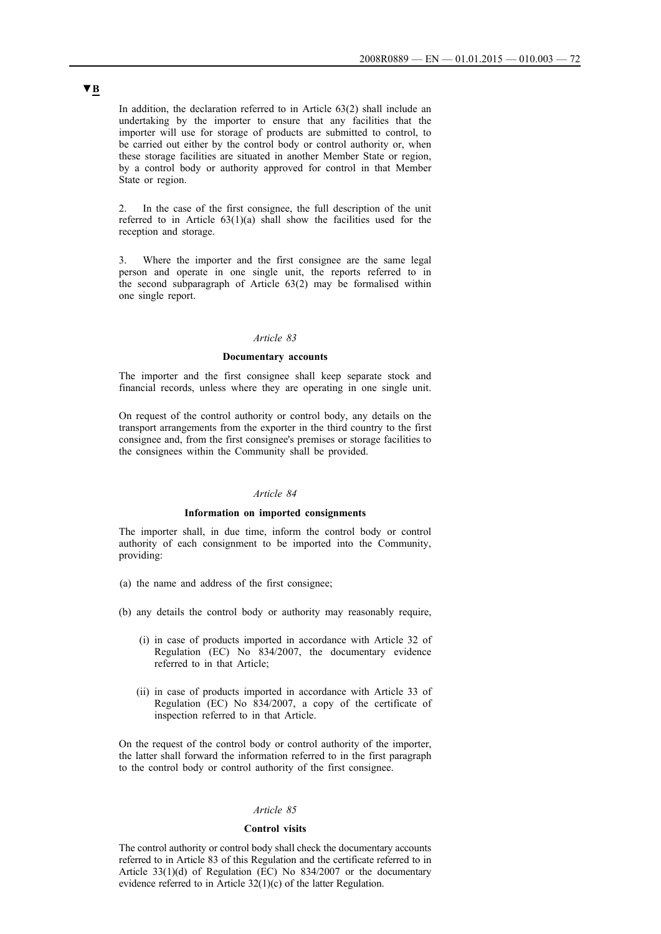In addition, the declaration referred to in Article 63(2) shall include an undertaking by the importer to ensure that any facilities that the importer will use for storage of products are submitted to control, to be carried out either by the control body or control authority or, when these storage facilities are situated in another Member State or region, by a control body or authority approved for control in that Member State or region.

2. In the case of the first consignee, the full description of the unit referred to in Article  $63(1)(a)$  shall show the facilities used for the reception and storage.

3. Where the importer and the first consignee are the same legal person and operate in one single unit, the reports referred to in the second subparagraph of Article 63(2) may be formalised within one single report.

## *Article 83*

### **Documentary accounts**

The importer and the first consignee shall keep separate stock and financial records, unless where they are operating in one single unit.

On request of the control authority or control body, any details on the transport arrangements from the exporter in the third country to the first consignee and, from the first consignee's premises or storage facilities to the consignees within the Community shall be provided.

## *Article 84*

#### **Information on imported consignments**

The importer shall, in due time, inform the control body or control authority of each consignment to be imported into the Community, providing:

- (a) the name and address of the first consignee;
- (b) any details the control body or authority may reasonably require,
	- (i) in case of products imported in accordance with Article 32 of Regulation (EC) No 834/2007, the documentary evidence referred to in that Article;
	- (ii) in case of products imported in accordance with Article 33 of Regulation (EC) No 834/2007, a copy of the certificate of inspection referred to in that Article.

On the request of the control body or control authority of the importer, the latter shall forward the information referred to in the first paragraph to the control body or control authority of the first consignee.

## *Article 85*

#### **Control visits**

The control authority or control body shall check the documentary accounts referred to in Article 83 of this Regulation and the certificate referred to in Article 33(1)(d) of Regulation (EC) No 834/2007 or the documentary evidence referred to in Article 32(1)(c) of the latter Regulation.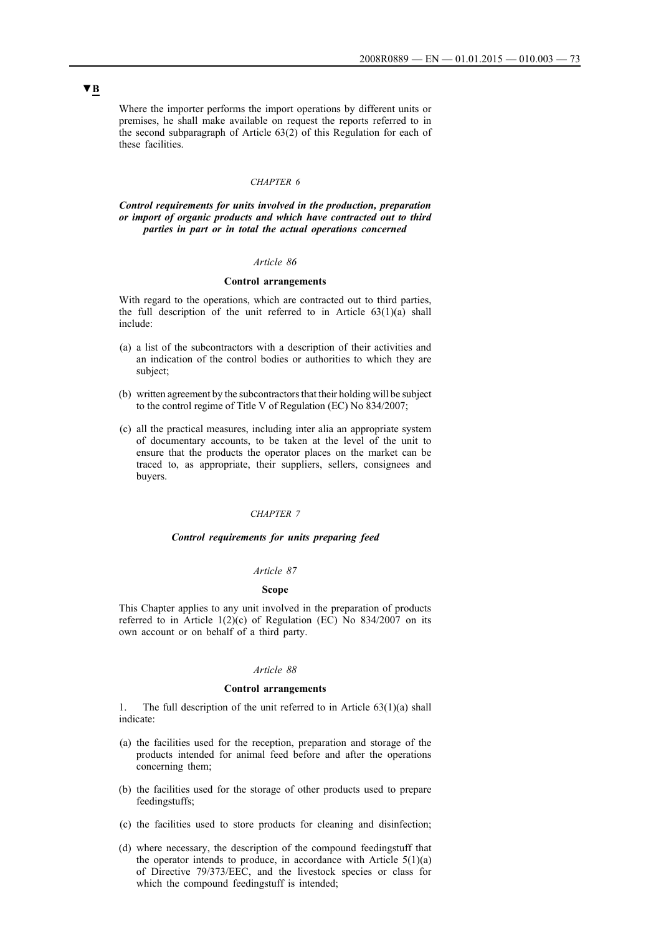Where the importer performs the import operations by different units or premises, he shall make available on request the reports referred to in the second subparagraph of Article 63(2) of this Regulation for each of these facilities.

## *CHAPTER 6*

*Control requirements for units involved in the production, preparation or import of organic products and which have contracted out to third parties in part or in total the actual operations concerned*

## *Article 86*

#### **Control arrangements**

With regard to the operations, which are contracted out to third parties, the full description of the unit referred to in Article  $63(1)(a)$  shall include:

- (a) a list of the subcontractors with a description of their activities and an indication of the control bodies or authorities to which they are subject;
- (b) written agreement by the subcontractors that their holding will be subject to the control regime of Title V of Regulation (EC) No 834/2007;
- (c) all the practical measures, including inter alia an appropriate system of documentary accounts, to be taken at the level of the unit to ensure that the products the operator places on the market can be traced to, as appropriate, their suppliers, sellers, consignees and buyers.

#### *CHAPTER 7*

#### *Control requirements for units preparing feed*

## *Article 87*

## **Scope**

This Chapter applies to any unit involved in the preparation of products referred to in Article  $1(2)(c)$  of Regulation (EC) No 834/2007 on its own account or on behalf of a third party.

#### *Article 88*

#### **Control arrangements**

1. The full description of the unit referred to in Article 63(1)(a) shall indicate:

- (a) the facilities used for the reception, preparation and storage of the products intended for animal feed before and after the operations concerning them;
- (b) the facilities used for the storage of other products used to prepare feedingstuffs;
- (c) the facilities used to store products for cleaning and disinfection;
- (d) where necessary, the description of the compound feedingstuff that the operator intends to produce, in accordance with Article  $5(1)(a)$ of Directive 79/373/EEC, and the livestock species or class for which the compound feedingstuff is intended;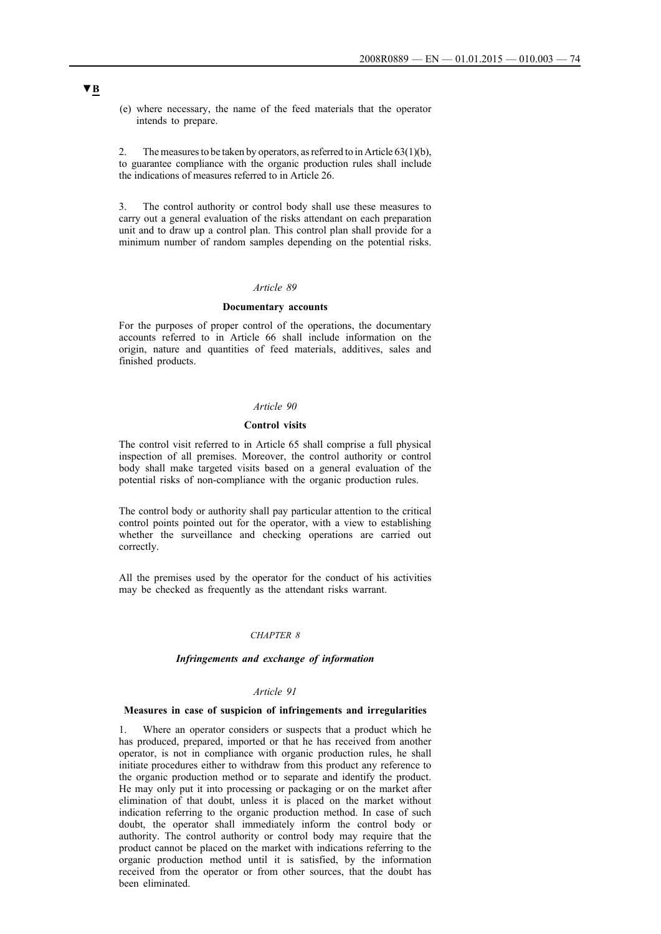(e) where necessary, the name of the feed materials that the operator intends to prepare.

2. The measures to be taken by operators, as referred to in Article  $63(1)(b)$ , to guarantee compliance with the organic production rules shall include the indications of measures referred to in Article 26.

3. The control authority or control body shall use these measures to carry out a general evaluation of the risks attendant on each preparation unit and to draw up a control plan. This control plan shall provide for a minimum number of random samples depending on the potential risks.

#### *Article 89*

#### **Documentary accounts**

For the purposes of proper control of the operations, the documentary accounts referred to in Article 66 shall include information on the origin, nature and quantities of feed materials, additives, sales and finished products.

## *Article 90*

#### **Control visits**

The control visit referred to in Article 65 shall comprise a full physical inspection of all premises. Moreover, the control authority or control body shall make targeted visits based on a general evaluation of the potential risks of non-compliance with the organic production rules.

The control body or authority shall pay particular attention to the critical control points pointed out for the operator, with a view to establishing whether the surveillance and checking operations are carried out correctly.

All the premises used by the operator for the conduct of his activities may be checked as frequently as the attendant risks warrant.

#### *CHAPTER 8*

#### *Infringements and exchange of information*

#### *Article 91*

## **Measures in case of suspicion of infringements and irregularities**

1. Where an operator considers or suspects that a product which he has produced, prepared, imported or that he has received from another operator, is not in compliance with organic production rules, he shall initiate procedures either to withdraw from this product any reference to the organic production method or to separate and identify the product. He may only put it into processing or packaging or on the market after elimination of that doubt, unless it is placed on the market without indication referring to the organic production method. In case of such doubt, the operator shall immediately inform the control body or authority. The control authority or control body may require that the product cannot be placed on the market with indications referring to the organic production method until it is satisfied, by the information received from the operator or from other sources, that the doubt has been eliminated.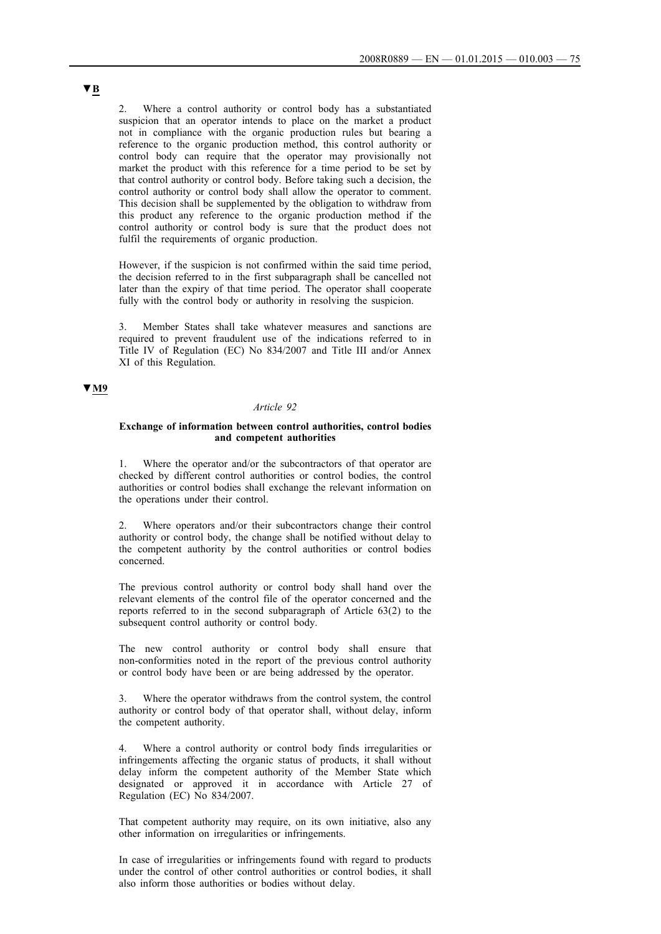2. Where a control authority or control body has a substantiated suspicion that an operator intends to place on the market a product not in compliance with the organic production rules but bearing a reference to the organic production method, this control authority or control body can require that the operator may provisionally not market the product with this reference for a time period to be set by that control authority or control body. Before taking such a decision, the control authority or control body shall allow the operator to comment. This decision shall be supplemented by the obligation to withdraw from this product any reference to the organic production method if the control authority or control body is sure that the product does not fulfil the requirements of organic production.

However, if the suspicion is not confirmed within the said time period, the decision referred to in the first subparagraph shall be cancelled not later than the expiry of that time period. The operator shall cooperate fully with the control body or authority in resolving the suspicion.

Member States shall take whatever measures and sanctions are required to prevent fraudulent use of the indications referred to in Title IV of Regulation (EC) No 834/2007 and Title III and/or Annex XI of this Regulation.

## **▼M9**

#### *Article 92*

## **Exchange of information between control authorities, control bodies and competent authorities**

Where the operator and/or the subcontractors of that operator are checked by different control authorities or control bodies, the control authorities or control bodies shall exchange the relevant information on the operations under their control.

2. Where operators and/or their subcontractors change their control authority or control body, the change shall be notified without delay to the competent authority by the control authorities or control bodies concerned.

The previous control authority or control body shall hand over the relevant elements of the control file of the operator concerned and the reports referred to in the second subparagraph of Article 63(2) to the subsequent control authority or control body.

The new control authority or control body shall ensure that non-conformities noted in the report of the previous control authority or control body have been or are being addressed by the operator.

3. Where the operator withdraws from the control system, the control authority or control body of that operator shall, without delay, inform the competent authority.

4. Where a control authority or control body finds irregularities or infringements affecting the organic status of products, it shall without delay inform the competent authority of the Member State which designated or approved it in accordance with Article 27 of Regulation (EC) No 834/2007.

That competent authority may require, on its own initiative, also any other information on irregularities or infringements.

In case of irregularities or infringements found with regard to products under the control of other control authorities or control bodies, it shall also inform those authorities or bodies without delay.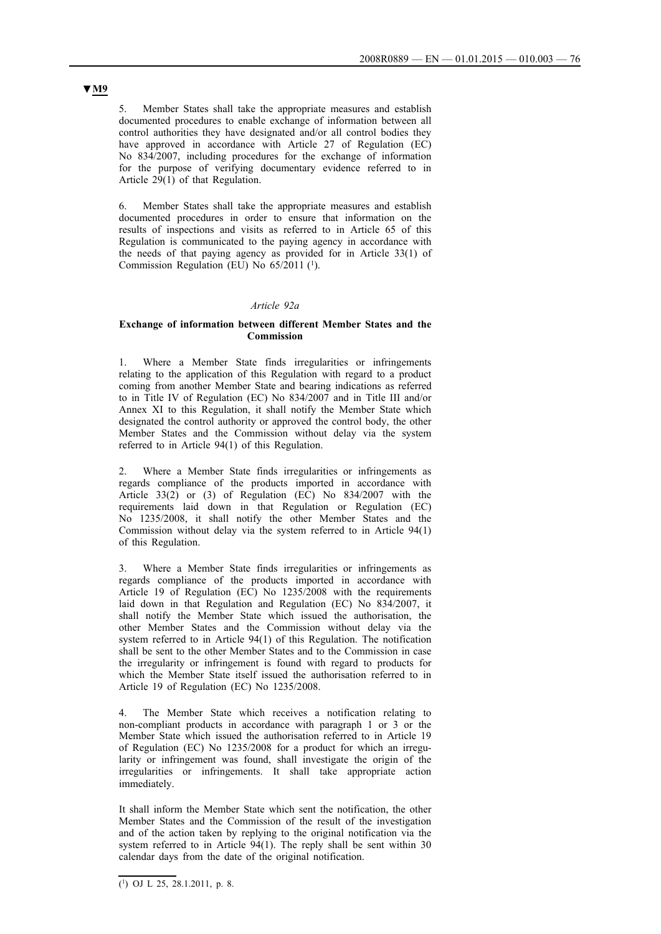5. Member States shall take the appropriate measures and establish documented procedures to enable exchange of information between all control authorities they have designated and/or all control bodies they have approved in accordance with Article 27 of Regulation (EC) No 834/2007, including procedures for the exchange of information for the purpose of verifying documentary evidence referred to in Article 29(1) of that Regulation.

6. Member States shall take the appropriate measures and establish documented procedures in order to ensure that information on the results of inspections and visits as referred to in Article 65 of this Regulation is communicated to the paying agency in accordance with the needs of that paying agency as provided for in Article 33(1) of Commission Regulation (EU) No 65/2011 (1).

## *Article 92a*

## **Exchange of information between different Member States and the Commission**

1. Where a Member State finds irregularities or infringements relating to the application of this Regulation with regard to a product coming from another Member State and bearing indications as referred to in Title IV of Regulation (EC) No 834/2007 and in Title III and/or Annex XI to this Regulation, it shall notify the Member State which designated the control authority or approved the control body, the other Member States and the Commission without delay via the system referred to in Article 94(1) of this Regulation.

2. Where a Member State finds irregularities or infringements as regards compliance of the products imported in accordance with Article  $33(2)$  or  $(3)$  of Regulation (EC) No  $834/2007$  with the requirements laid down in that Regulation or Regulation (EC) No 1235/2008, it shall notify the other Member States and the Commission without delay via the system referred to in Article 94(1) of this Regulation.

3. Where a Member State finds irregularities or infringements as regards compliance of the products imported in accordance with Article 19 of Regulation (EC) No 1235/2008 with the requirements laid down in that Regulation and Regulation (EC) No 834/2007, it shall notify the Member State which issued the authorisation, the other Member States and the Commission without delay via the system referred to in Article 94(1) of this Regulation. The notification shall be sent to the other Member States and to the Commission in case the irregularity or infringement is found with regard to products for which the Member State itself issued the authorisation referred to in Article 19 of Regulation (EC) No 1235/2008.

4. The Member State which receives a notification relating to non-compliant products in accordance with paragraph 1 or 3 or the Member State which issued the authorisation referred to in Article 19 of Regulation (EC) No 1235/2008 for a product for which an irregularity or infringement was found, shall investigate the origin of the irregularities or infringements. It shall take appropriate action immediately.

It shall inform the Member State which sent the notification, the other Member States and the Commission of the result of the investigation and of the action taken by replying to the original notification via the system referred to in Article  $94(1)$ . The reply shall be sent within 30 calendar days from the date of the original notification.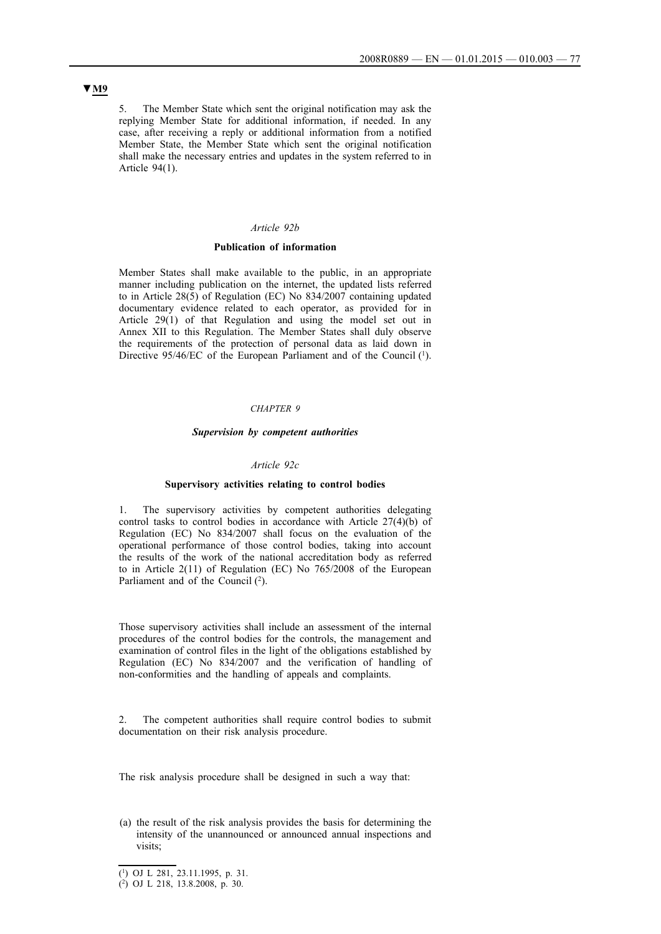5. The Member State which sent the original notification may ask the replying Member State for additional information, if needed. In any case, after receiving a reply or additional information from a notified Member State, the Member State which sent the original notification shall make the necessary entries and updates in the system referred to in Article 94(1).

## *Article 92b*

## **Publication of information**

Member States shall make available to the public, in an appropriate manner including publication on the internet, the updated lists referred to in Article 28(5) of Regulation (EC) No 834/2007 containing updated documentary evidence related to each operator, as provided for in Article 29(1) of that Regulation and using the model set out in Annex XII to this Regulation. The Member States shall duly observe the requirements of the protection of personal data as laid down in Directive 95/46/EC of the European Parliament and of the Council (1).

#### *CHAPTER 9*

#### *Supervision by competent authorities*

#### *Article 92c*

#### **Supervisory activities relating to control bodies**

1. The supervisory activities by competent authorities delegating control tasks to control bodies in accordance with Article 27(4)(b) of Regulation (EC) No 834/2007 shall focus on the evaluation of the operational performance of those control bodies, taking into account the results of the work of the national accreditation body as referred to in Article 2(11) of Regulation (EC) No 765/2008 of the European Parliament and of the Council  $(2)$ .

Those supervisory activities shall include an assessment of the internal procedures of the control bodies for the controls, the management and examination of control files in the light of the obligations established by Regulation (EC) No 834/2007 and the verification of handling of non-conformities and the handling of appeals and complaints.

2. The competent authorities shall require control bodies to submit documentation on their risk analysis procedure.

The risk analysis procedure shall be designed in such a way that:

(a) the result of the risk analysis provides the basis for determining the intensity of the unannounced or announced annual inspections and visits;

<sup>(1)</sup> OJ L 281, 23.11.1995, p. 31.

<sup>(2)</sup> OJ L 218, 13.8.2008, p. 30.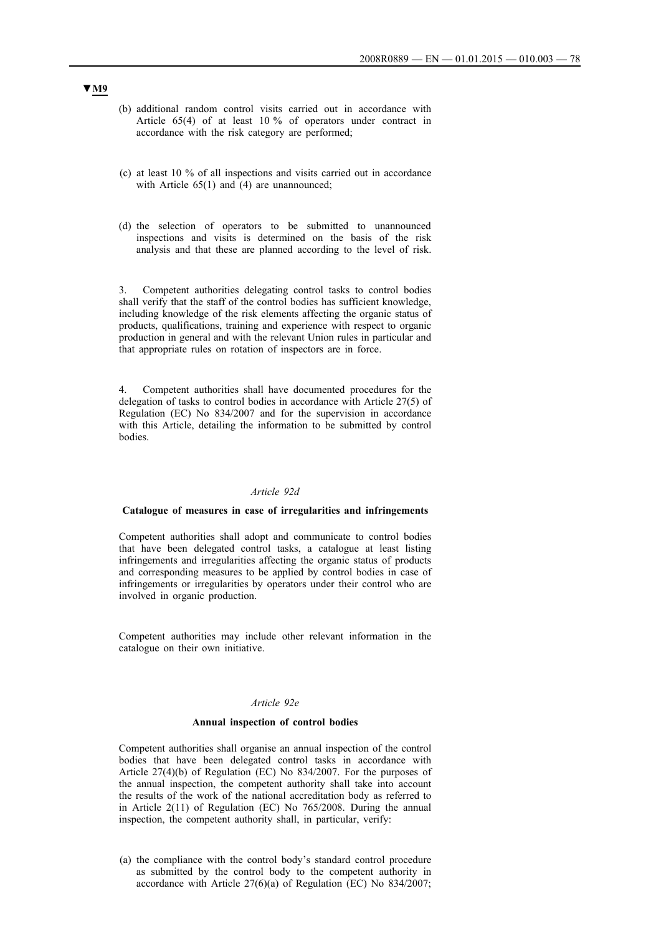- (b) additional random control visits carried out in accordance with Article 65(4) of at least 10 % of operators under contract in accordance with the risk category are performed;
- (c) at least 10 % of all inspections and visits carried out in accordance with Article 65(1) and (4) are unannounced;
- (d) the selection of operators to be submitted to unannounced inspections and visits is determined on the basis of the risk analysis and that these are planned according to the level of risk.

3. Competent authorities delegating control tasks to control bodies shall verify that the staff of the control bodies has sufficient knowledge, including knowledge of the risk elements affecting the organic status of products, qualifications, training and experience with respect to organic production in general and with the relevant Union rules in particular and that appropriate rules on rotation of inspectors are in force.

4. Competent authorities shall have documented procedures for the delegation of tasks to control bodies in accordance with Article 27(5) of Regulation (EC) No 834/2007 and for the supervision in accordance with this Article, detailing the information to be submitted by control bodies.

## *Article 92d*

#### **Catalogue of measures in case of irregularities and infringements**

Competent authorities shall adopt and communicate to control bodies that have been delegated control tasks, a catalogue at least listing infringements and irregularities affecting the organic status of products and corresponding measures to be applied by control bodies in case of infringements or irregularities by operators under their control who are involved in organic production.

Competent authorities may include other relevant information in the catalogue on their own initiative.

## *Article 92e*

#### **Annual inspection of control bodies**

Competent authorities shall organise an annual inspection of the control bodies that have been delegated control tasks in accordance with Article 27(4)(b) of Regulation (EC) No 834/2007. For the purposes of the annual inspection, the competent authority shall take into account the results of the work of the national accreditation body as referred to in Article 2(11) of Regulation (EC) No 765/2008. During the annual inspection, the competent authority shall, in particular, verify:

(a) the compliance with the control body's standard control procedure as submitted by the control body to the competent authority in accordance with Article 27(6)(a) of Regulation (EC) No 834/2007;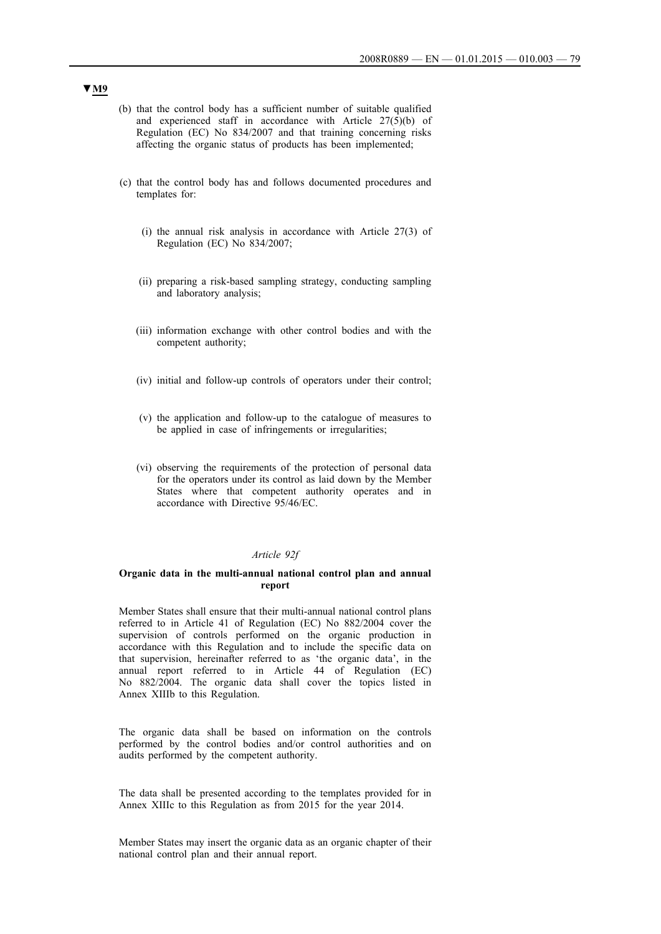- (b) that the control body has a sufficient number of suitable qualified and experienced staff in accordance with Article 27(5)(b) of Regulation (EC) No 834/2007 and that training concerning risks affecting the organic status of products has been implemented;
- (c) that the control body has and follows documented procedures and templates for:
	- (i) the annual risk analysis in accordance with Article 27(3) of Regulation (EC) No 834/2007;
	- (ii) preparing a risk-based sampling strategy, conducting sampling and laboratory analysis;
	- (iii) information exchange with other control bodies and with the competent authority;
	- (iv) initial and follow-up controls of operators under their control;
	- (v) the application and follow-up to the catalogue of measures to be applied in case of infringements or irregularities;
	- (vi) observing the requirements of the protection of personal data for the operators under its control as laid down by the Member States where that competent authority operates and in accordance with Directive 95/46/EC.

## *Article 92f*

#### **Organic data in the multi-annual national control plan and annual report**

Member States shall ensure that their multi-annual national control plans referred to in Article 41 of Regulation (EC) No 882/2004 cover the supervision of controls performed on the organic production in accordance with this Regulation and to include the specific data on that supervision, hereinafter referred to as 'the organic data', in the annual report referred to in Article 44 of Regulation (EC) No 882/2004. The organic data shall cover the topics listed in Annex XIIIb to this Regulation.

The organic data shall be based on information on the controls performed by the control bodies and/or control authorities and on audits performed by the competent authority.

The data shall be presented according to the templates provided for in Annex XIIIc to this Regulation as from 2015 for the year 2014.

Member States may insert the organic data as an organic chapter of their national control plan and their annual report.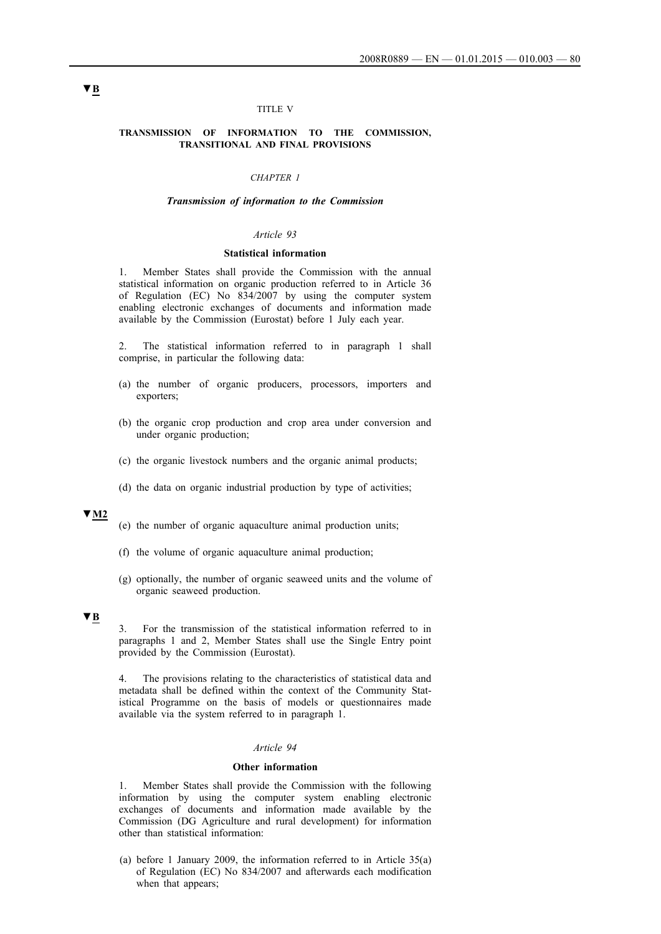#### TITLE V

#### **TRANSMISSION OF INFORMATION TO THE COMMISSION, TRANSITIONAL AND FINAL PROVISIONS**

## *CHAPTER 1*

#### *Transmission of information to the Commission*

#### *Article 93*

#### **Statistical information**

1. Member States shall provide the Commission with the annual statistical information on organic production referred to in Article 36 of Regulation (EC) No 834/2007 by using the computer system enabling electronic exchanges of documents and information made available by the Commission (Eurostat) before 1 July each year.

2. The statistical information referred to in paragraph 1 shall comprise, in particular the following data:

- (a) the number of organic producers, processors, importers and exporters;
- (b) the organic crop production and crop area under conversion and under organic production;
- (c) the organic livestock numbers and the organic animal products;
- (d) the data on organic industrial production by type of activities;

## **▼M2**

- (e) the number of organic aquaculture animal production units;
- (f) the volume of organic aquaculture animal production;
- (g) optionally, the number of organic seaweed units and the volume of organic seaweed production.

## **▼B**

3. For the transmission of the statistical information referred to in paragraphs 1 and 2, Member States shall use the Single Entry point provided by the Commission (Eurostat).

4. The provisions relating to the characteristics of statistical data and metadata shall be defined within the context of the Community Statistical Programme on the basis of models or questionnaires made available via the system referred to in paragraph 1.

#### *Article 94*

#### **Other information**

1. Member States shall provide the Commission with the following information by using the computer system enabling electronic exchanges of documents and information made available by the Commission (DG Agriculture and rural development) for information other than statistical information:

(a) before 1 January 2009, the information referred to in Article 35(a) of Regulation (EC) No 834/2007 and afterwards each modification when that appears: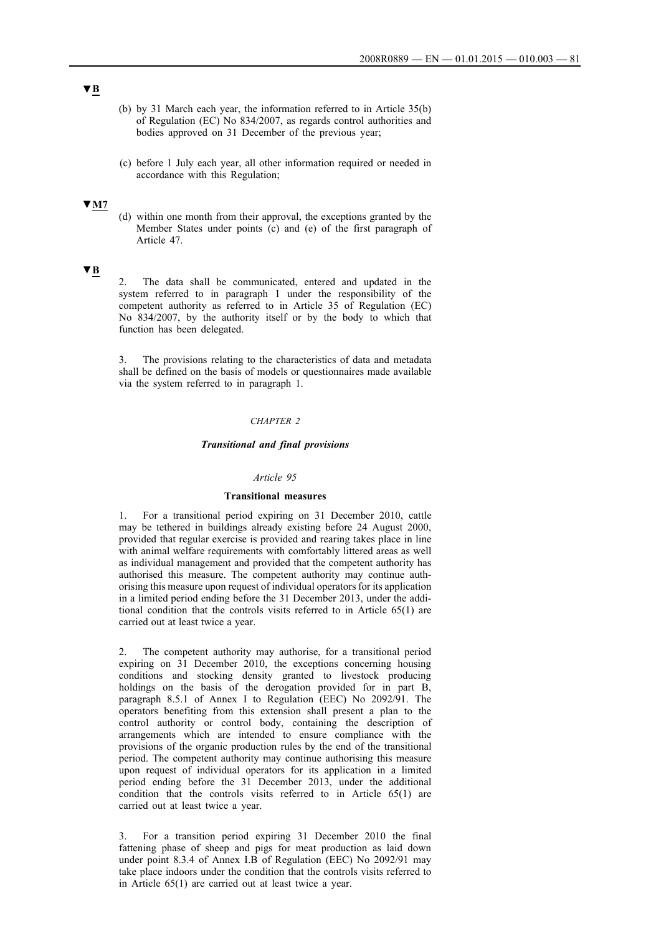- (b) by 31 March each year, the information referred to in Article 35(b) of Regulation (EC) No 834/2007, as regards control authorities and bodies approved on 31 December of the previous year;
- (c) before 1 July each year, all other information required or needed in accordance with this Regulation;

## **▼M7**

(d) within one month from their approval, the exceptions granted by the Member States under points (c) and (e) of the first paragraph of Article 47.

## **▼B**

2. The data shall be communicated, entered and updated in the system referred to in paragraph 1 under the responsibility of the competent authority as referred to in Article 35 of Regulation (EC) No 834/2007, by the authority itself or by the body to which that function has been delegated.

3. The provisions relating to the characteristics of data and metadata shall be defined on the basis of models or questionnaires made available via the system referred to in paragraph 1.

#### *CHAPTER 2*

## *Transitional and final provisions*

#### *Article 95*

#### **Transitional measures**

1. For a transitional period expiring on 31 December 2010, cattle may be tethered in buildings already existing before 24 August 2000, provided that regular exercise is provided and rearing takes place in line with animal welfare requirements with comfortably littered areas as well as individual management and provided that the competent authority has authorised this measure. The competent authority may continue authorising this measure upon request of individual operators for its application in a limited period ending before the 31 December 2013, under the additional condition that the controls visits referred to in Article 65(1) are carried out at least twice a year.

2. The competent authority may authorise, for a transitional period expiring on  $3\overline{1}$  December 2010, the exceptions concerning housing conditions and stocking density granted to livestock producing holdings on the basis of the derogation provided for in part B, paragraph 8.5.1 of Annex I to Regulation (EEC) No 2092/91. The operators benefiting from this extension shall present a plan to the control authority or control body, containing the description of arrangements which are intended to ensure compliance with the provisions of the organic production rules by the end of the transitional period. The competent authority may continue authorising this measure upon request of individual operators for its application in a limited period ending before the 31 December 2013, under the additional condition that the controls visits referred to in Article 65(1) are carried out at least twice a year.

3. For a transition period expiring 31 December 2010 the final fattening phase of sheep and pigs for meat production as laid down under point 8.3.4 of Annex I.B of Regulation (EEC) No 2092/91 may take place indoors under the condition that the controls visits referred to in Article 65(1) are carried out at least twice a year.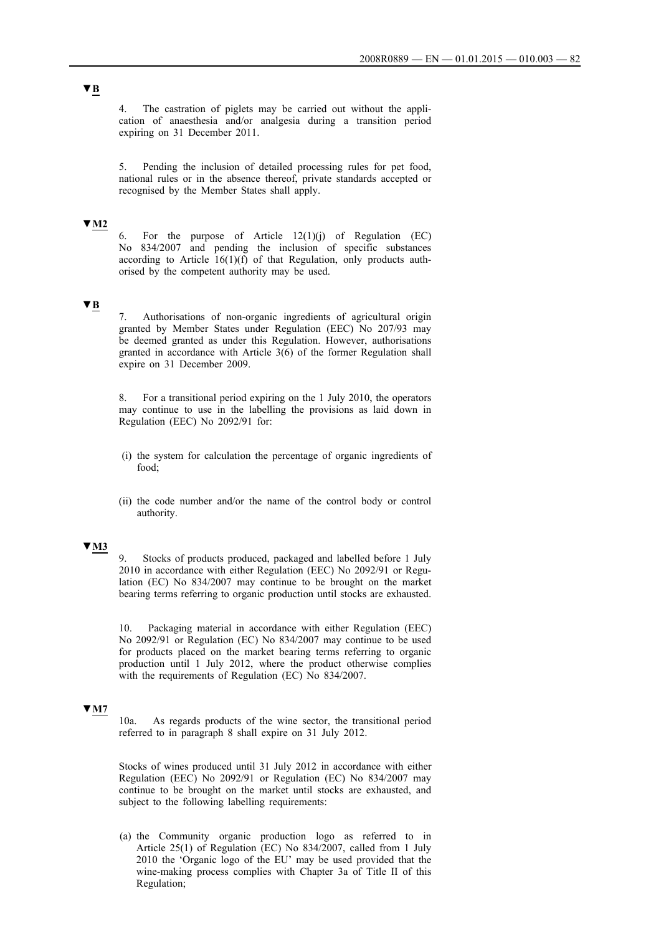4. The castration of piglets may be carried out without the application of anaesthesia and/or analgesia during a transition period expiring on 31 December 2011.

5. Pending the inclusion of detailed processing rules for pet food, national rules or in the absence thereof, private standards accepted or recognised by the Member States shall apply.

## **▼M2**

6. For the purpose of Article 12(1)(j) of Regulation (EC) No 834/2007 and pending the inclusion of specific substances according to Article  $16(1)(f)$  of that Regulation, only products authorised by the competent authority may be used.

## **▼B**

Authorisations of non-organic ingredients of agricultural origin granted by Member States under Regulation (EEC) No 207/93 may be deemed granted as under this Regulation. However, authorisations granted in accordance with Article 3(6) of the former Regulation shall expire on 31 December 2009.

8. For a transitional period expiring on the 1 July 2010, the operators may continue to use in the labelling the provisions as laid down in Regulation (EEC) No 2092/91 for:

- (i) the system for calculation the percentage of organic ingredients of food;
- (ii) the code number and/or the name of the control body or control authority.

## **▼M3**

9. Stocks of products produced, packaged and labelled before 1 July 2010 in accordance with either Regulation (EEC) No 2092/91 or Regulation (EC) No 834/2007 may continue to be brought on the market bearing terms referring to organic production until stocks are exhausted.

10. Packaging material in accordance with either Regulation (EEC) No 2092/91 or Regulation (EC) No 834/2007 may continue to be used for products placed on the market bearing terms referring to organic production until 1 July 2012, where the product otherwise complies with the requirements of Regulation (EC) No 834/2007.

## **▼M7**

10a. As regards products of the wine sector, the transitional period referred to in paragraph 8 shall expire on 31 July 2012.

Stocks of wines produced until 31 July 2012 in accordance with either Regulation (EEC) No 2092/91 or Regulation (EC) No 834/2007 may continue to be brought on the market until stocks are exhausted, and subject to the following labelling requirements:

(a) the Community organic production logo as referred to in Article 25(1) of Regulation (EC) No 834/2007, called from 1 July 2010 the 'Organic logo of the EU' may be used provided that the wine-making process complies with Chapter 3a of Title II of this Regulation;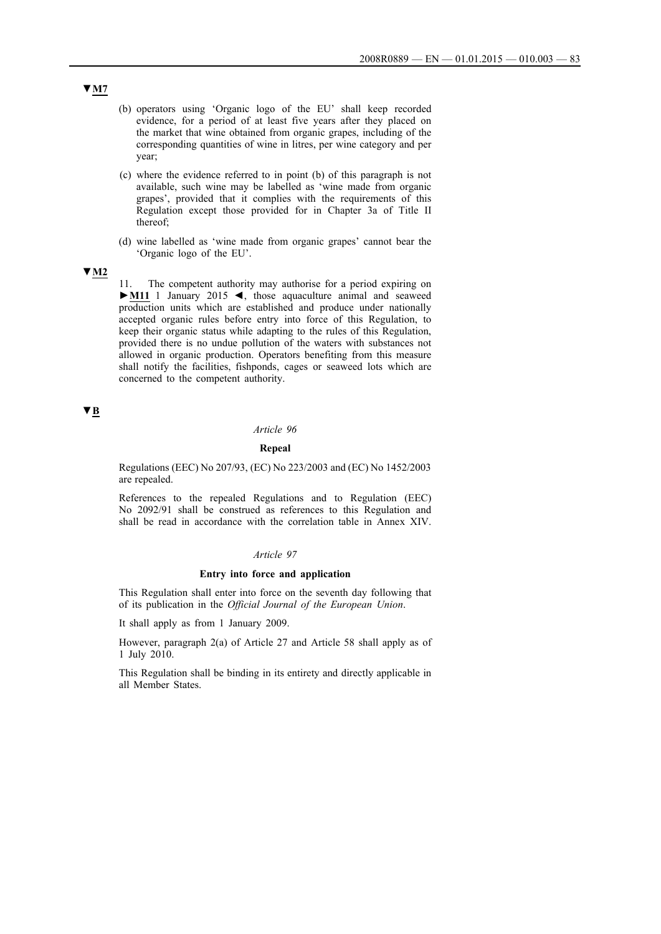- (b) operators using 'Organic logo of the EU' shall keep recorded evidence, for a period of at least five years after they placed on the market that wine obtained from organic grapes, including of the corresponding quantities of wine in litres, per wine category and per year;
- (c) where the evidence referred to in point (b) of this paragraph is not available, such wine may be labelled as 'wine made from organic grapes', provided that it complies with the requirements of this Regulation except those provided for in Chapter 3a of Title II thereof;
- (d) wine labelled as 'wine made from organic grapes' cannot bear the 'Organic logo of the EU'.

## **▼M2**

11. The competent authority may authorise for a period expiring on **►M11** 1 January 2015 ◄, those aquaculture animal and seaweed production units which are established and produce under nationally accepted organic rules before entry into force of this Regulation, to keep their organic status while adapting to the rules of this Regulation, provided there is no undue pollution of the waters with substances not allowed in organic production. Operators benefiting from this measure shall notify the facilities, fishponds, cages or seaweed lots which are concerned to the competent authority.

## **▼B**

#### *Article 96*

#### **Repeal**

Regulations (EEC) No 207/93, (EC) No 223/2003 and (EC) No 1452/2003 are repealed.

References to the repealed Regulations and to Regulation (EEC) No 2092/91 shall be construed as references to this Regulation and shall be read in accordance with the correlation table in Annex XIV.

## *Article 97*

#### **Entry into force and application**

This Regulation shall enter into force on the seventh day following that of its publication in the *Official Journal of the European Union*.

It shall apply as from 1 January 2009.

However, paragraph 2(a) of Article 27 and Article 58 shall apply as of 1 July 2010.

This Regulation shall be binding in its entirety and directly applicable in all Member States.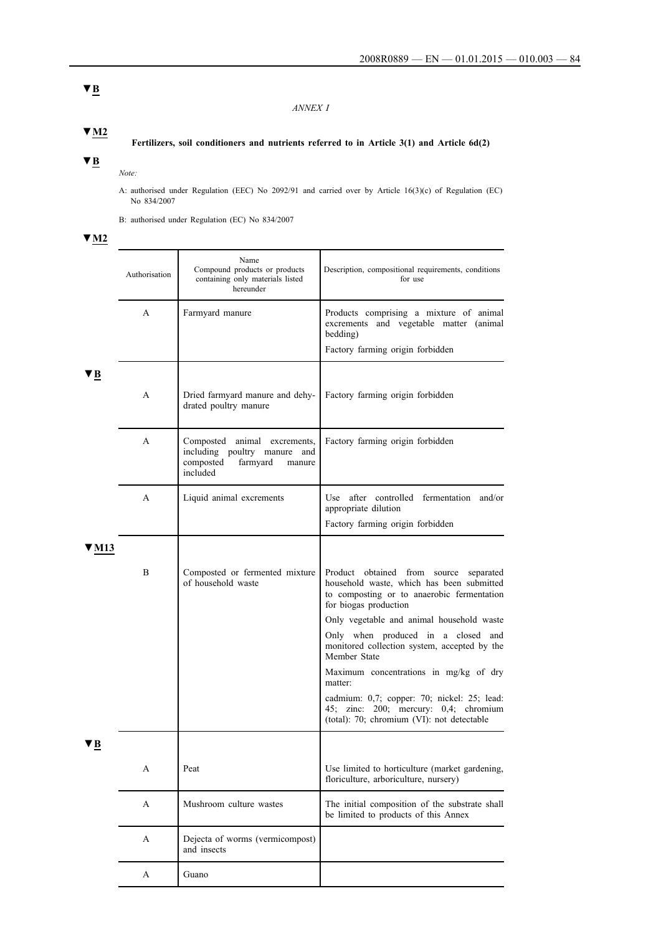## *ANNEX I*

**▼M2**

## **Fertilizers, soil conditioners and nutrients referred to in Article 3(1) and Article 6d(2)**

# **▼B**

*Note:*

A: authorised under Regulation (EEC) No 2092/91 and carried over by Article 16(3)(c) of Regulation (EC) No 834/2007

B: authorised under Regulation (EC) No 834/2007

# **▼M2**

|        | Authorisation | Name<br>Compound products or products<br>containing only materials listed<br>hereunder                         | Description, compositional requirements, conditions<br>for use                                                                                             |
|--------|---------------|----------------------------------------------------------------------------------------------------------------|------------------------------------------------------------------------------------------------------------------------------------------------------------|
|        | A             | Farmyard manure                                                                                                | Products comprising a mixture of animal<br>excrements and vegetable matter (animal<br>bedding)                                                             |
|        |               |                                                                                                                | Factory farming origin forbidden                                                                                                                           |
| 1В     |               |                                                                                                                |                                                                                                                                                            |
|        | A             | Dried farmyard manure and dehy-<br>drated poultry manure                                                       | Factory farming origin forbidden                                                                                                                           |
|        | A             | Composted animal excrements,<br>including poultry manure<br>and<br>composted<br>farmyard<br>manure<br>included | Factory farming origin forbidden                                                                                                                           |
|        | A             | Liquid animal excrements                                                                                       | Use after controlled fermentation and/or<br>appropriate dilution                                                                                           |
|        |               |                                                                                                                | Factory farming origin forbidden                                                                                                                           |
| 7 M 13 |               |                                                                                                                |                                                                                                                                                            |
|        | B             | Composted or fermented mixture<br>of household waste                                                           | Product obtained from source separated<br>household waste, which has been submitted<br>to composting or to anaerobic fermentation<br>for biogas production |
|        |               |                                                                                                                | Only vegetable and animal household waste                                                                                                                  |
|        |               |                                                                                                                | Only when produced in a closed and<br>monitored collection system, accepted by the<br>Member State                                                         |
|        |               |                                                                                                                | Maximum concentrations in mg/kg of dry<br>matter:                                                                                                          |
|        |               |                                                                                                                | cadmium: 0,7; copper: 70; nickel: 25; lead:<br>45; zinc: 200; mercury: 0,4; chromium<br>(total): 70; chromium (VI): not detectable                         |
| ▼В     |               |                                                                                                                |                                                                                                                                                            |
|        | A             | Peat                                                                                                           | Use limited to horticulture (market gardening,<br>floriculture, arboriculture, nursery)                                                                    |
|        | A             | Mushroom culture wastes                                                                                        | The initial composition of the substrate shall<br>be limited to products of this Annex                                                                     |
|        | A             | Dejecta of worms (vermicompost)<br>and insects                                                                 |                                                                                                                                                            |
|        | A             | Guano                                                                                                          |                                                                                                                                                            |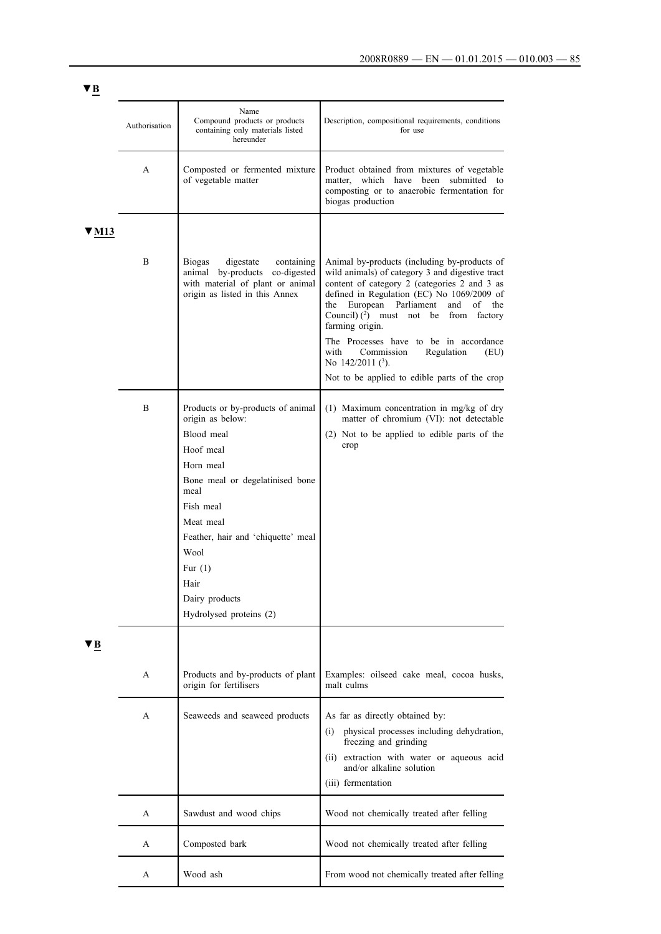|       | Authorisation | Name<br>Compound products or products<br>containing only materials listed<br>hereunder                                                                                                                                                                                             | Description, compositional requirements, conditions<br>for use                                                                                                                                                                                                                                                                                                                                                                                                                |
|-------|---------------|------------------------------------------------------------------------------------------------------------------------------------------------------------------------------------------------------------------------------------------------------------------------------------|-------------------------------------------------------------------------------------------------------------------------------------------------------------------------------------------------------------------------------------------------------------------------------------------------------------------------------------------------------------------------------------------------------------------------------------------------------------------------------|
|       | A             | Composted or fermented mixture<br>of vegetable matter                                                                                                                                                                                                                              | Product obtained from mixtures of vegetable<br>matter, which have been submitted to<br>composting or to anaerobic fermentation for<br>biogas production                                                                                                                                                                                                                                                                                                                       |
| V M13 | B             | <b>Biogas</b><br>digestate<br>containing<br>animal by-products<br>co-digested<br>with material of plant or animal<br>origin as listed in this Annex                                                                                                                                | Animal by-products (including by-products of<br>wild animals) of category 3 and digestive tract<br>content of category 2 (categories 2 and 3 as<br>defined in Regulation (EC) No 1069/2009 of<br>the European Parliament<br>and<br>of<br>the<br>Council) $(2)$ must not be<br>from<br>factory<br>farming origin.<br>The Processes have to be in accordance<br>with<br>Commission<br>Regulation<br>(EU)<br>No $142/2011$ (3).<br>Not to be applied to edible parts of the crop |
|       | B             | Products or by-products of animal<br>origin as below:<br>Blood meal<br>Hoof meal<br>Horn meal<br>Bone meal or degelatinised bone<br>meal<br>Fish meal<br>Meat meal<br>Feather, hair and 'chiquette' meal<br>Wool<br>Fur $(1)$<br>Hair<br>Dairy products<br>Hydrolysed proteins (2) | $(1)$ Maximum concentration in mg/kg of dry<br>matter of chromium (VI): not detectable<br>(2) Not to be applied to edible parts of the<br>crop                                                                                                                                                                                                                                                                                                                                |
| ′ В   | A             | Products and by-products of plant<br>origin for fertilisers                                                                                                                                                                                                                        | Examples: oilseed cake meal, cocoa husks,<br>malt culms                                                                                                                                                                                                                                                                                                                                                                                                                       |
|       | A             | Seaweeds and seaweed products                                                                                                                                                                                                                                                      | As far as directly obtained by:<br>physical processes including dehydration,<br>(1)<br>freezing and grinding<br>extraction with water or aqueous acid<br>(ii)<br>and/or alkaline solution<br>(iii) fermentation                                                                                                                                                                                                                                                               |
|       | A             | Sawdust and wood chips                                                                                                                                                                                                                                                             | Wood not chemically treated after felling                                                                                                                                                                                                                                                                                                                                                                                                                                     |
|       | A             | Composted bark                                                                                                                                                                                                                                                                     | Wood not chemically treated after felling                                                                                                                                                                                                                                                                                                                                                                                                                                     |
|       | A             | Wood ash                                                                                                                                                                                                                                                                           | From wood not chemically treated after felling                                                                                                                                                                                                                                                                                                                                                                                                                                |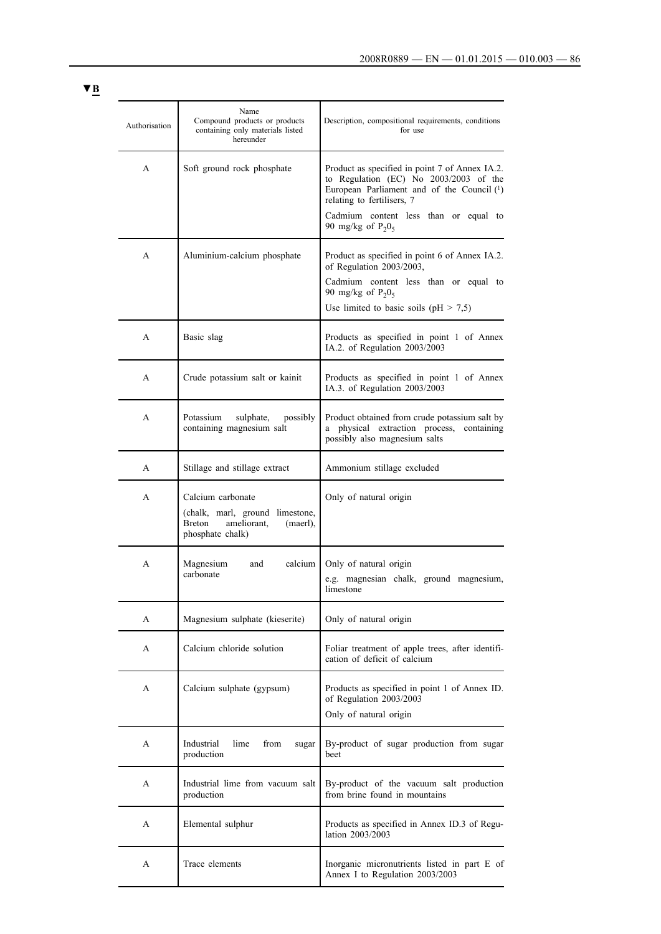| Authorisation | Name<br>Compound products or products<br>containing only materials listed<br>hereunder                               | Description, compositional requirements, conditions<br>for use                                                                                                                                                |
|---------------|----------------------------------------------------------------------------------------------------------------------|---------------------------------------------------------------------------------------------------------------------------------------------------------------------------------------------------------------|
| A             | Soft ground rock phosphate                                                                                           | Product as specified in point 7 of Annex IA.2.<br>to Regulation (EC) No 2003/2003 of the<br>European Parliament and of the Council (1)<br>relating to fertilisers, 7<br>Cadmium content less than or equal to |
|               |                                                                                                                      | 90 mg/kg of $P_2O_5$                                                                                                                                                                                          |
| A             | Aluminium-calcium phosphate                                                                                          | Product as specified in point 6 of Annex IA.2.<br>of Regulation 2003/2003,<br>Cadmium content less than or equal to<br>90 mg/kg of $P_2O_5$                                                                   |
|               |                                                                                                                      | Use limited to basic soils ( $pH > 7.5$ )                                                                                                                                                                     |
| A             | Basic slag                                                                                                           | Products as specified in point 1 of Annex<br>IA.2. of Regulation 2003/2003                                                                                                                                    |
| A             | Crude potassium salt or kainit                                                                                       | Products as specified in point 1 of Annex<br>IA.3. of Regulation 2003/2003                                                                                                                                    |
| A             | Potassium<br>sulphate,<br>possibly<br>containing magnesium salt                                                      | Product obtained from crude potassium salt by<br>a physical extraction process,<br>containing<br>possibly also magnesium salts                                                                                |
| A             | Stillage and stillage extract                                                                                        | Ammonium stillage excluded                                                                                                                                                                                    |
| A             | Calcium carbonate<br>(chalk, marl, ground limestone,<br><b>Breton</b><br>ameliorant.<br>(maerl),<br>phosphate chalk) | Only of natural origin                                                                                                                                                                                        |
| A             | calcium<br>Magnesium<br>and<br>carbonate                                                                             | Only of natural origin<br>e.g. magnesian chalk, ground magnesium,<br>limestone                                                                                                                                |
| A             | Magnesium sulphate (kieserite)                                                                                       | Only of natural origin                                                                                                                                                                                        |
| A             | Calcium chloride solution                                                                                            | Foliar treatment of apple trees, after identifi-<br>cation of deficit of calcium                                                                                                                              |
| A             | Calcium sulphate (gypsum)                                                                                            | Products as specified in point 1 of Annex ID.<br>of Regulation 2003/2003<br>Only of natural origin                                                                                                            |
| A             | Industrial<br>lime<br>from<br>sugar<br>production                                                                    | By-product of sugar production from sugar<br>beet                                                                                                                                                             |
| A             | Industrial lime from vacuum salt<br>production                                                                       | By-product of the vacuum salt production<br>from brine found in mountains                                                                                                                                     |
| A             | Elemental sulphur                                                                                                    | Products as specified in Annex ID.3 of Regu-<br>lation 2003/2003                                                                                                                                              |
| A             | Trace elements                                                                                                       | Inorganic micronutrients listed in part E of<br>Annex I to Regulation 2003/2003                                                                                                                               |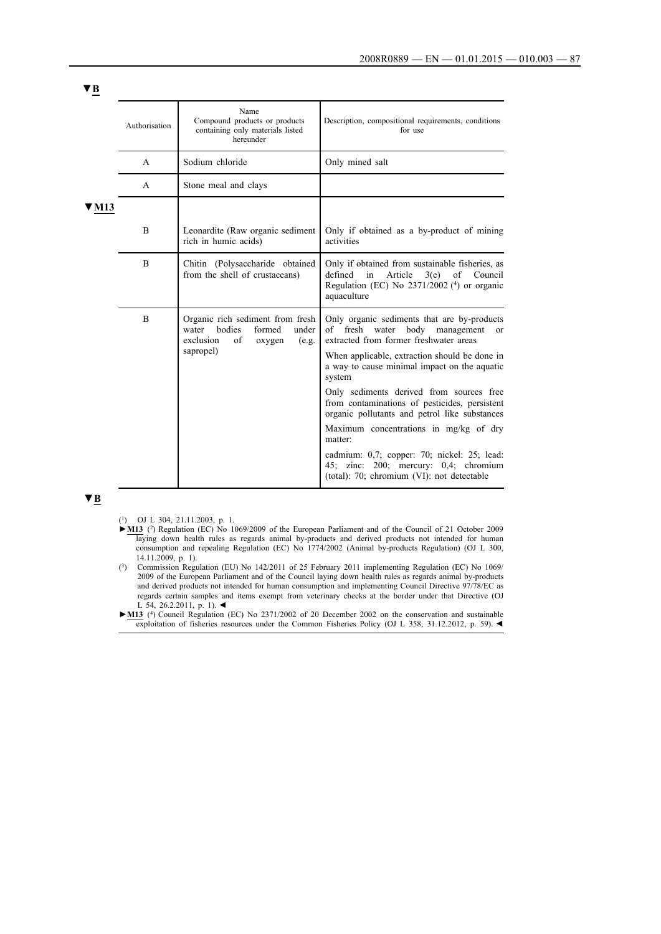| Authorisation | Name<br>Compound products or products<br>containing only materials listed<br>hereunder                                    | Description, compositional requirements, conditions<br>for use                                                                                                                                                                                                                                                                                                                                                                                                                                                                                                                                  |
|---------------|---------------------------------------------------------------------------------------------------------------------------|-------------------------------------------------------------------------------------------------------------------------------------------------------------------------------------------------------------------------------------------------------------------------------------------------------------------------------------------------------------------------------------------------------------------------------------------------------------------------------------------------------------------------------------------------------------------------------------------------|
| A             | Sodium chloride                                                                                                           | Only mined salt                                                                                                                                                                                                                                                                                                                                                                                                                                                                                                                                                                                 |
| $\mathsf{A}$  | Stone meal and clays                                                                                                      |                                                                                                                                                                                                                                                                                                                                                                                                                                                                                                                                                                                                 |
|               |                                                                                                                           |                                                                                                                                                                                                                                                                                                                                                                                                                                                                                                                                                                                                 |
| B             | Leonardite (Raw organic sediment<br>rich in humic acids)                                                                  | Only if obtained as a by-product of mining<br>activities                                                                                                                                                                                                                                                                                                                                                                                                                                                                                                                                        |
| B             | Chitin (Polysaccharide obtained<br>from the shell of crustaceans)                                                         | Only if obtained from sustainable fisheries, as<br>defined<br>in<br>Article<br>3(e)<br>of<br>Council<br>Regulation (EC) No $2371/2002$ (4) or organic<br>aquaculture                                                                                                                                                                                                                                                                                                                                                                                                                            |
| B             | Organic rich sediment from fresh<br>bodies<br>under<br>water<br>formed<br>exclusion<br>of<br>oxygen<br>(e.g.<br>sapropel) | Only organic sediments that are by-products<br>of fresh water<br>body management<br><sub>or</sub><br>extracted from former freshwater areas<br>When applicable, extraction should be done in<br>a way to cause minimal impact on the aquatic<br>system<br>Only sediments derived from sources free<br>from contaminations of pesticides, persistent<br>organic pollutants and petrol like substances<br>Maximum concentrations in mg/kg of dry<br>matter:<br>cadmium: 0,7; copper: 70; nickel: 25; lead:<br>45; zinc: 200; mercury: 0,4; chromium<br>(total): 70; chromium (VI): not detectable |
|               |                                                                                                                           |                                                                                                                                                                                                                                                                                                                                                                                                                                                                                                                                                                                                 |

(1) OJ L 304, 21.11.2003, p. 1.

- **►M13** (2) Regulation (EC) No 1069/2009 of the European Parliament and of the Council of 21 October 2009 laying down health rules as regards animal by-products and derived products not intended for human consumption and repealing Regulation (EC) No 1774/2002 (Animal by-products Regulation) (OJ L 300, 14.11.2009, p. 1).
- (3) Commission Regulation (EU) No 142/2011 of 25 February 2011 implementing Regulation (EC) No 1069/ 2009 of the European Parliament and of the Council laying down health rules as regards animal by-products and derived products not intended for human consumption and implementing Council Directive 97/78/EC as regards certain samples and items exempt from veterinary checks at the border under that Directive (OJ L 54, 26.2.2011, p. 1). ◄

**►M13** (4) Council Regulation (EC) No 2371/2002 of 20 December 2002 on the conservation and sustainable exploitation of fisheries resources under the Common Fisheries Policy (OJ L 358, 31.12.2012, p. 59). ◄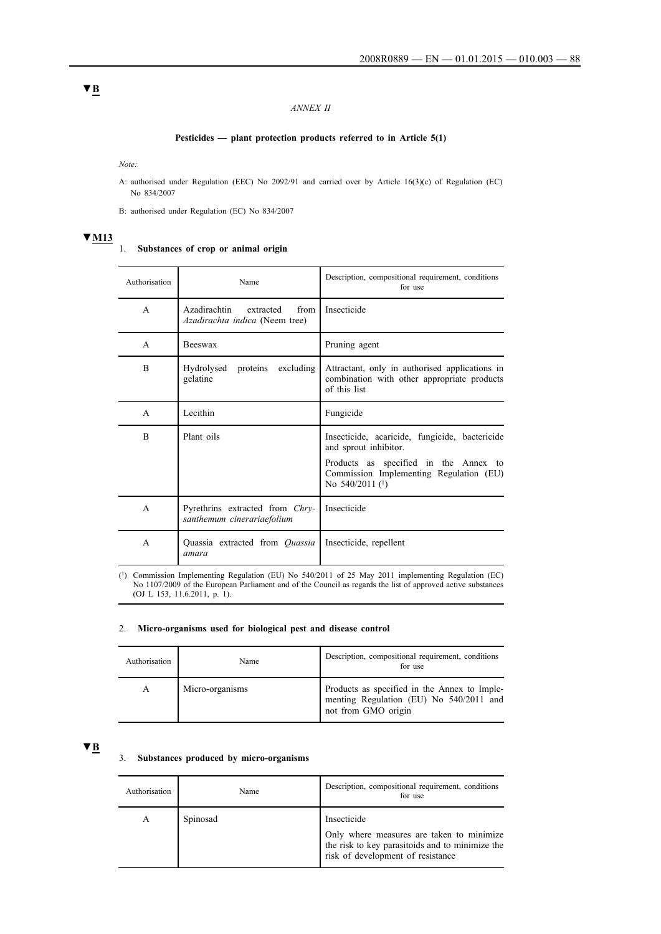## *ANNEX II*

## **Pesticides — plant protection products referred to in Article 5(1)**

*Note:*

A: authorised under Regulation (EEC) No 2092/91 and carried over by Article 16(3)(c) of Regulation (EC) No 834/2007

B: authorised under Regulation (EC) No 834/2007

## **▼M13**

#### 1. **Substances of crop or animal origin**

| Authorisation  | Name                                                                       | Description, compositional requirement, conditions<br>for use                                                                                                                                 |
|----------------|----------------------------------------------------------------------------|-----------------------------------------------------------------------------------------------------------------------------------------------------------------------------------------------|
| A              | Azadirachtin<br>extracted<br>from<br><i>Azadirachta indica</i> (Neem tree) | Insecticide                                                                                                                                                                                   |
| $\mathsf{A}$   | <b>Beeswax</b>                                                             | Pruning agent                                                                                                                                                                                 |
| $\overline{B}$ | Hydrolysed<br>excluding<br>proteins<br>gelatine                            | Attractant, only in authorised applications in<br>combination with other appropriate products<br>of this list                                                                                 |
| $\mathsf{A}$   | Lecithin                                                                   | Fungicide                                                                                                                                                                                     |
| <sub>R</sub>   | Plant oils                                                                 | Insecticide, acaricide, fungicide, bactericide<br>and sprout inhibitor.<br>Products as specified in the Annex to<br>Commission Implementing Regulation (EU)<br>No $540/2011$ ( <sup>1</sup> ) |
| $\mathsf{A}$   | Pyrethrins extracted from Chry-<br>santhemum cinerariaefolium              | Insecticide                                                                                                                                                                                   |
| $\mathsf{A}$   | Quassia extracted from <i>Quassia</i><br>amara                             | Insecticide, repellent                                                                                                                                                                        |

(1) Commission Implementing Regulation (EU) No 540/2011 of 25 May 2011 implementing Regulation (EC) No 1107/2009 of the European Parliament and of the Council as regards the list of approved active substances (OJ L 153, 11.6.2011, p. 1).

#### 2. **Micro-organisms used for biological pest and disease control**

| Authorisation | Name            | Description, compositional requirement, conditions<br>for use                                                  |
|---------------|-----------------|----------------------------------------------------------------------------------------------------------------|
| A             | Micro-organisms | Products as specified in the Annex to Imple-<br>menting Regulation (EU) No 540/2011 and<br>not from GMO origin |

# **▼B**

## 3. **Substances produced by micro-organisms**

| Authorisation | Name     | Description, compositional requirement, conditions<br>for use                                                                                    |
|---------------|----------|--------------------------------------------------------------------------------------------------------------------------------------------------|
| A             | Spinosad | Insecticide<br>Only where measures are taken to minimize<br>the risk to key parasitoids and to minimize the<br>risk of development of resistance |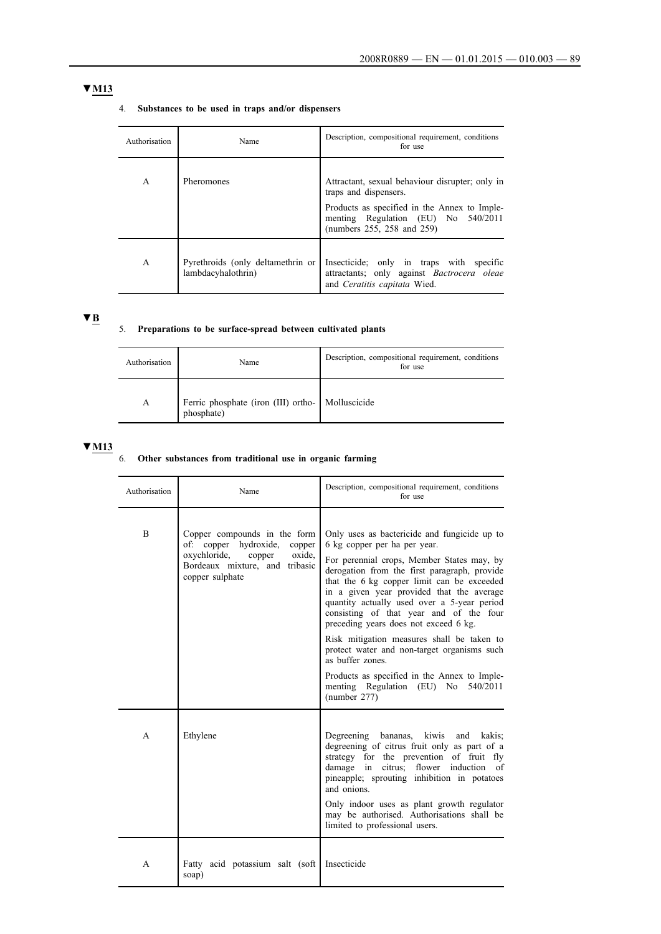# **▼M13**

## 4. **Substances to be used in traps and/or dispensers**

| Authorisation | Name                                                    | Description, compositional requirement, conditions<br>for use                                                                 |
|---------------|---------------------------------------------------------|-------------------------------------------------------------------------------------------------------------------------------|
| A             | Pheromones                                              | Attractant, sexual behaviour disrupter; only in<br>traps and dispensers.                                                      |
|               |                                                         | Products as specified in the Annex to Imple-<br>menting Regulation (EU) No 540/2011<br>(numbers 255, 258 and 259)             |
| $\mathsf{A}$  | Pyrethroids (only deltamethrin or<br>lambdacyhalothrin) | Insecticide; only in traps with specific<br>attractants; only against <i>Bactrocera oleae</i><br>and Ceratitis capitata Wied. |

# **▼B**

# 5. **Preparations to be surface-spread between cultivated plants**

| Authorisation | Name                                                           | Description, compositional requirement, conditions<br>for use |
|---------------|----------------------------------------------------------------|---------------------------------------------------------------|
| A             | Ferric phosphate (iron (III) ortho- Molluscicide<br>phosphate) |                                                               |

## **▼M13**

#### 6. **Other substances from traditional use in organic farming**

| Authorisation | Name                                                                                                                                                  | Description, compositional requirement, conditions<br>for use                                                                                                                                                                                                                                                                                                                                                                                          |
|---------------|-------------------------------------------------------------------------------------------------------------------------------------------------------|--------------------------------------------------------------------------------------------------------------------------------------------------------------------------------------------------------------------------------------------------------------------------------------------------------------------------------------------------------------------------------------------------------------------------------------------------------|
| B             | Copper compounds in the form<br>of: copper hydroxide, copper<br>oxychloride,<br>oxide.<br>copper<br>Bordeaux mixture, and tribasic<br>copper sulphate | Only uses as bactericide and fungicide up to<br>6 kg copper per ha per year.<br>For perennial crops, Member States may, by<br>derogation from the first paragraph, provide<br>that the 6 kg copper limit can be exceeded<br>in a given year provided that the average<br>quantity actually used over a 5-year period<br>consisting of that year and of the four<br>preceding years does not exceed 6 kg.<br>Risk mitigation measures shall be taken to |
|               |                                                                                                                                                       | protect water and non-target organisms such<br>as buffer zones.<br>Products as specified in the Annex to Imple-                                                                                                                                                                                                                                                                                                                                        |
|               |                                                                                                                                                       | menting Regulation (EU) No 540/2011<br>(number 277)                                                                                                                                                                                                                                                                                                                                                                                                    |
| A             | Ethylene                                                                                                                                              | Degreening bananas, kiwis and<br>kakis:<br>degreening of citrus fruit only as part of a<br>strategy for the prevention of fruit fly<br>damage in citrus; flower induction<br>- of<br>pineapple; sprouting inhibition in potatoes<br>and onions.                                                                                                                                                                                                        |
|               |                                                                                                                                                       | Only indoor uses as plant growth regulator<br>may be authorised. Authorisations shall be<br>limited to professional users.                                                                                                                                                                                                                                                                                                                             |
| A             | Fatty acid potassium salt (soft)<br>soap)                                                                                                             | Insecticide                                                                                                                                                                                                                                                                                                                                                                                                                                            |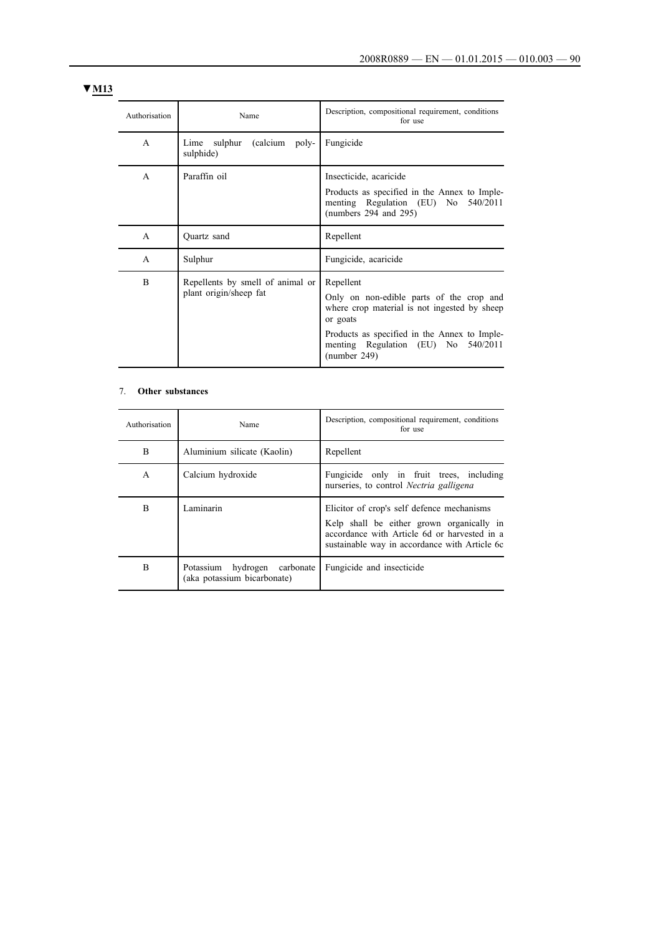# **▼M13**

| Authorisation | Name                                                       | Description, compositional requirement, conditions<br>for use                                                                                                                                                            |
|---------------|------------------------------------------------------------|--------------------------------------------------------------------------------------------------------------------------------------------------------------------------------------------------------------------------|
| A             | sulphur<br>(calcium)<br>Lime<br>poly-<br>sulphide)         | Fungicide                                                                                                                                                                                                                |
| $\mathsf{A}$  | Paraffin oil                                               | Insecticide, acaricide<br>Products as specified in the Annex to Imple-<br>menting Regulation (EU) No 540/2011<br>(numbers $294$ and $295$ )                                                                              |
| A             | Quartz sand                                                | Repellent                                                                                                                                                                                                                |
| A             | Sulphur                                                    | Fungicide, acaricide                                                                                                                                                                                                     |
| B             | Repellents by smell of animal or<br>plant origin/sheep fat | Repellent<br>Only on non-edible parts of the crop and<br>where crop material is not ingested by sheep<br>or goats<br>Products as specified in the Annex to Imple-<br>menting Regulation (EU) No 540/2011<br>(number 249) |

## 7. **Other substances**

| Authorisation | Name                                                        | Description, compositional requirement, conditions<br>for use                                                                                                                            |
|---------------|-------------------------------------------------------------|------------------------------------------------------------------------------------------------------------------------------------------------------------------------------------------|
| B             | Aluminium silicate (Kaolin)                                 | Repellent                                                                                                                                                                                |
| A             | Calcium hydroxide                                           | Fungicide only in fruit trees, including<br>nurseries, to control Nectria galligena                                                                                                      |
| B             | Laminarin                                                   | Elicitor of crop's self defence mechanisms<br>Kelp shall be either grown organically in<br>accordance with Article 6d or harvested in a<br>sustainable way in accordance with Article 6c |
| B             | Potassium hydrogen carbonate<br>(aka potassium bicarbonate) | Fungicide and insecticide                                                                                                                                                                |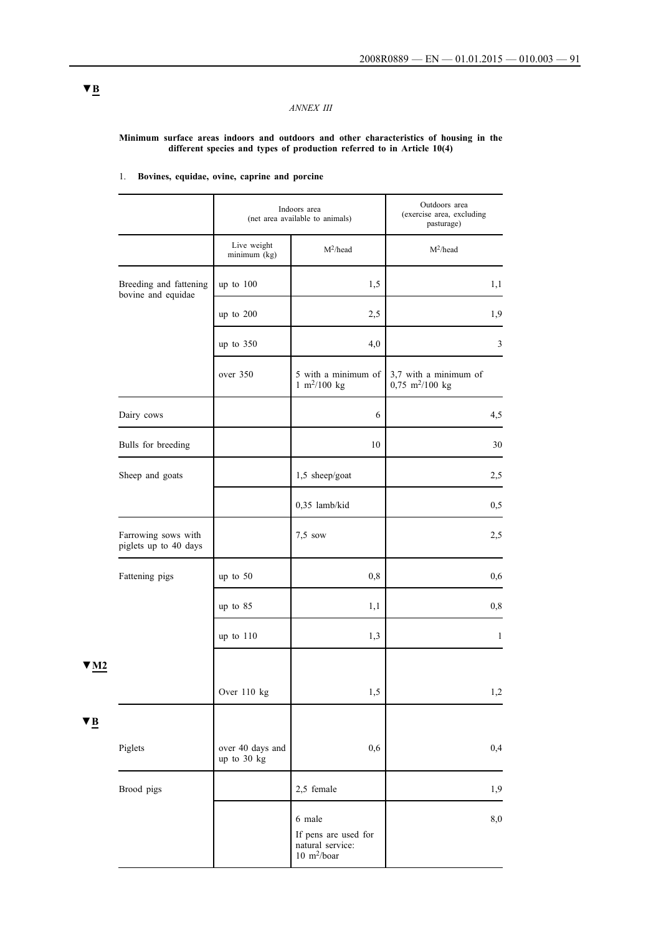## *ANNEX III*

#### **Minimum surface areas indoors and outdoors and other characteristics of housing in the different species and types of production referred to in Article 10(4)**

|                                              |                                 | Indoors area<br>(net area available to animals)                                    | Outdoors area<br>(exercise area, excluding<br>pasturage) |
|----------------------------------------------|---------------------------------|------------------------------------------------------------------------------------|----------------------------------------------------------|
|                                              | Live weight<br>minimum (kg)     | $M^2$ /head                                                                        | $M^2$ /head                                              |
| Breeding and fattening<br>bovine and equidae | up to 100                       | 1,5                                                                                | 1,1                                                      |
|                                              | up to 200                       | 2,5                                                                                | 1,9                                                      |
|                                              | up to 350                       | 4,0                                                                                | 3                                                        |
|                                              | over 350                        | 5 with a minimum of<br>$1 \text{ m}^2/100 \text{ kg}$                              | 3,7 with a minimum of<br>$0,75$ m <sup>2</sup> /100 kg   |
| Dairy cows                                   |                                 | 6                                                                                  | 4,5                                                      |
| Bulls for breeding                           |                                 | 10                                                                                 | 30                                                       |
| Sheep and goats                              |                                 | 1,5 sheep/goat                                                                     | 2,5                                                      |
|                                              |                                 | 0,35 lamb/kid                                                                      | 0, 5                                                     |
| Farrowing sows with<br>piglets up to 40 days |                                 | $7,5$ sow                                                                          | 2,5                                                      |
| Fattening pigs                               | up to 50                        | 0,8                                                                                | 0,6                                                      |
|                                              | up to 85                        | 1,1                                                                                | 0,8                                                      |
|                                              | up to 110                       | 1,3                                                                                | $\mathbf{1}$                                             |
|                                              | Over $110$ kg                   | 1,5                                                                                | 1,2                                                      |
| Piglets                                      | over 40 days and<br>up to 30 kg | 0,6                                                                                | 0,4                                                      |
| Brood pigs                                   |                                 | 2,5 female                                                                         | 1,9                                                      |
|                                              |                                 | 6 male<br>If pens are used for<br>natural service:<br>$10 \text{ m}^2\text{/boar}$ | 8,0                                                      |

## 1. **Bovines, equidae, ovine, caprine and porcine**

**▼B**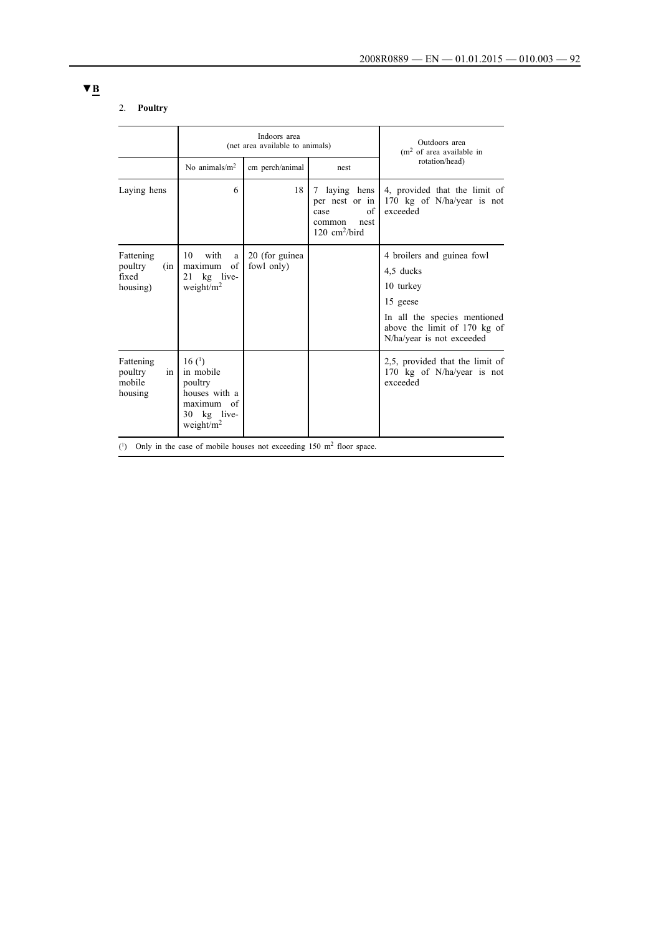## 2. **Poultry**

|                                                  |                                                                                             | Indoors area<br>(net area available to animals) | Outdoors area<br>$(m2$ of area available in                                                     |                                                                                                                                                               |  |
|--------------------------------------------------|---------------------------------------------------------------------------------------------|-------------------------------------------------|-------------------------------------------------------------------------------------------------|---------------------------------------------------------------------------------------------------------------------------------------------------------------|--|
|                                                  | No animals/ $m2$                                                                            | cm perch/animal                                 | nest                                                                                            | rotation/head)                                                                                                                                                |  |
| Laying hens                                      | 6                                                                                           | 18                                              | laying hens<br>7<br>per nest or in<br>of<br>case<br>common<br>nest<br>120 cm <sup>2</sup> /bird | 4, provided that the limit of<br>170 kg of N/ha/year is not<br>exceeded                                                                                       |  |
| Fattening<br>poultry<br>(in<br>fixed<br>housing) | 10<br>with<br>a<br>of<br>maximum<br>21 kg live-<br>weight/ $m2$                             | 20 (for guinea<br>fowl only)                    |                                                                                                 | 4 broilers and guinea fowl<br>4.5 ducks<br>10 turkey<br>15 geese<br>In all the species mentioned<br>above the limit of 170 kg of<br>N/ha/year is not exceeded |  |
| Fattening<br>poultry<br>in<br>mobile<br>housing  | 16(1)<br>in mobile<br>poultry<br>houses with a<br>maximum of<br>30 kg live-<br>weight/ $m2$ |                                                 |                                                                                                 | 2,5, provided that the limit of<br>170 kg of N/ha/year is not<br>exceeded                                                                                     |  |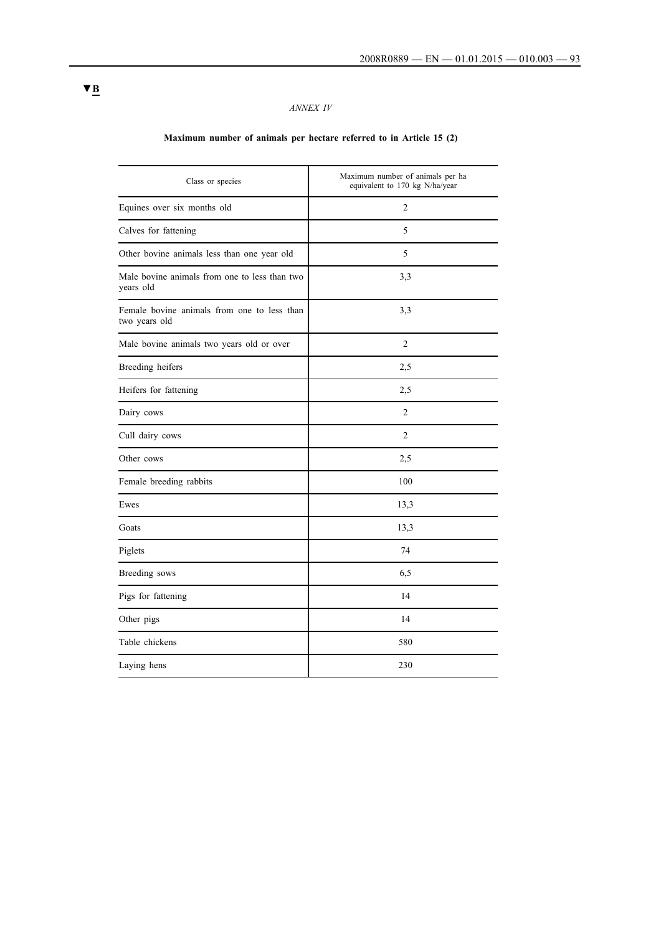# *ANNEX IV*

# **Maximum number of animals per hectare referred to in Article 15 (2)**

| Class or species                                             | Maximum number of animals per ha<br>equivalent to 170 kg N/ha/year |
|--------------------------------------------------------------|--------------------------------------------------------------------|
| Equines over six months old                                  | $\overline{2}$                                                     |
| Calves for fattening                                         | 5                                                                  |
| Other bovine animals less than one year old                  | 5                                                                  |
| Male bovine animals from one to less than two<br>years old   | 3,3                                                                |
| Female bovine animals from one to less than<br>two years old | 3,3                                                                |
| Male bovine animals two years old or over                    | $\overline{2}$                                                     |
| Breeding heifers                                             | 2,5                                                                |
| Heifers for fattening                                        | 2,5                                                                |
| Dairy cows                                                   | $\overline{2}$                                                     |
| Cull dairy cows                                              | 2                                                                  |
| Other cows                                                   | 2,5                                                                |
| Female breeding rabbits                                      | 100                                                                |
| Ewes                                                         | 13,3                                                               |
| Goats                                                        | 13,3                                                               |
| Piglets                                                      | 74                                                                 |
| Breeding sows                                                | 6,5                                                                |
| Pigs for fattening                                           | 14                                                                 |
| Other pigs                                                   | 14                                                                 |
| Table chickens                                               | 580                                                                |
| Laying hens                                                  | 230                                                                |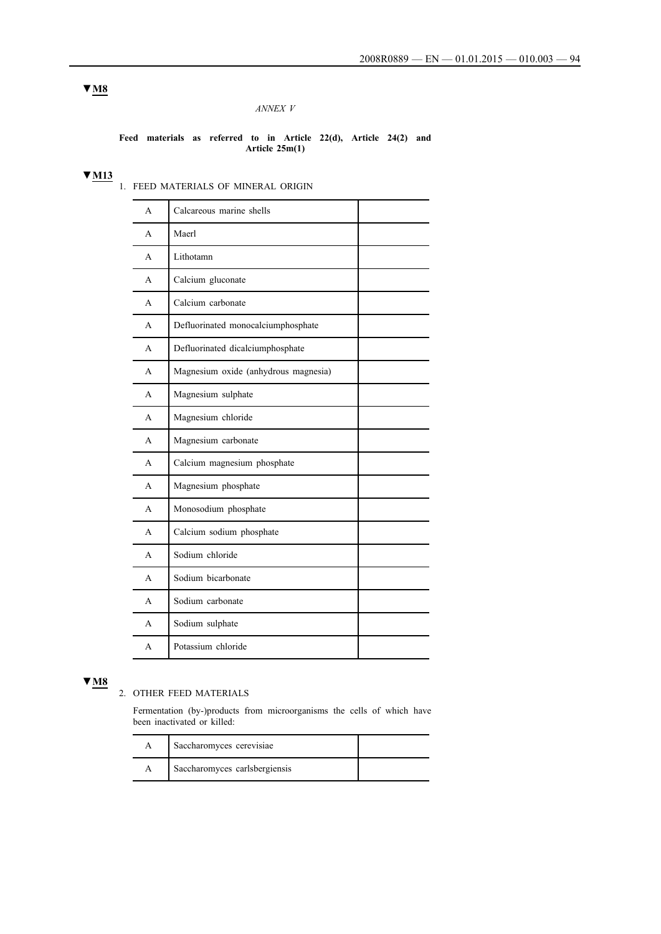## *ANNEX V*

#### **Feed materials as referred to in Article 22(d), Article 24(2) and Article 25m(1)**

## **▼M13**

1. FEED MATERIALS OF MINERAL ORIGIN

| A            | Calcareous marine shells             |
|--------------|--------------------------------------|
| A            | Maerl                                |
| A            | Lithotamn                            |
| A            | Calcium gluconate                    |
| $\mathsf{A}$ | Calcium carbonate                    |
| A            | Defluorinated monocalciumphosphate   |
| A            | Defluorinated dicalciumphosphate     |
| A            | Magnesium oxide (anhydrous magnesia) |
| A            | Magnesium sulphate                   |
| A            | Magnesium chloride                   |
| A            | Magnesium carbonate                  |
| A            | Calcium magnesium phosphate          |
| A            | Magnesium phosphate                  |
| A            | Monosodium phosphate                 |
| A            | Calcium sodium phosphate             |
| A            | Sodium chloride                      |
| A            | Sodium bicarbonate                   |
| A            | Sodium carbonate                     |
| A            | Sodium sulphate                      |
| A            | Potassium chloride                   |

# **▼M8**

# 2. OTHER FEED MATERIALS

Fermentation (by-)products from microorganisms the cells of which have been inactivated or killed:

| Saccharomyces cerevisiae      |  |
|-------------------------------|--|
| Saccharomyces carlsbergiensis |  |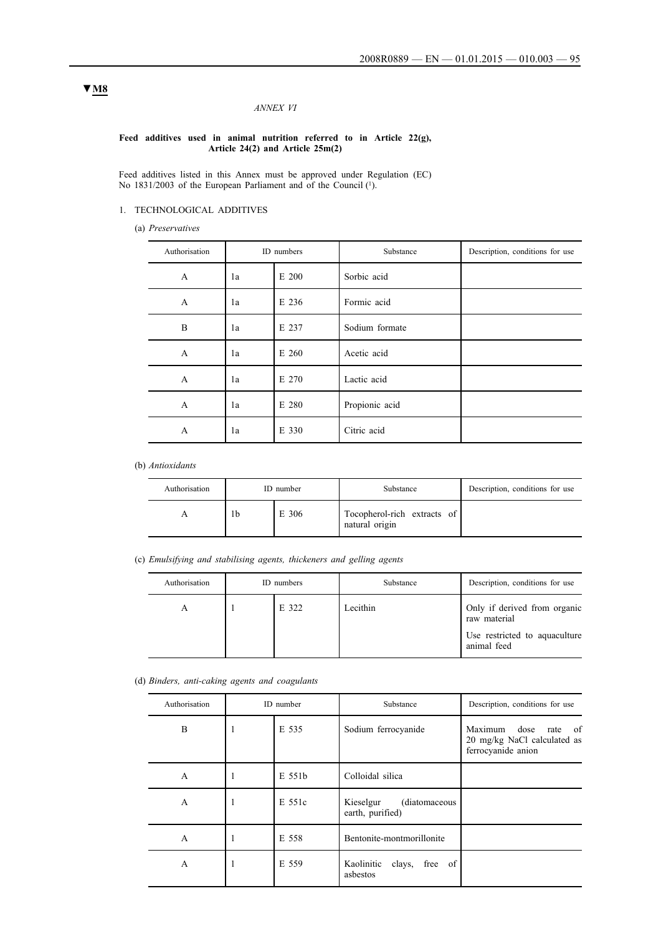## *ANNEX VI*

#### **Feed additives used in animal nutrition referred to in Article 22(g), Article 24(2) and Article 25m(2)**

Feed additives listed in this Annex must be approved under Regulation (EC) No 1831/2003 of the European Parliament and of the Council (1).

## 1. TECHNOLOGICAL ADDITIVES

(a) *Preservatives*

| Authorisation | ID numbers  |       | Substance      | Description, conditions for use |
|---------------|-------------|-------|----------------|---------------------------------|
| A             | E 200<br>1a |       | Sorbic acid    |                                 |
| A             | E 236<br>1a |       | Formic acid    |                                 |
| B             | E 237<br>1a |       | Sodium formate |                                 |
| $\mathbf{A}$  | E 260<br>1a |       | Acetic acid    |                                 |
| A             | 1a          | E 270 | Lactic acid    |                                 |
| A             | E 280<br>1a |       | Propionic acid |                                 |
| A             | E 330<br>1a |       | Citric acid    |                                 |

(b) *Antioxidants*

| Authorisation | ID number |       | Substance                                  | Description, conditions for use |
|---------------|-----------|-------|--------------------------------------------|---------------------------------|
|               | 1b        | E 306 | Tocopherol-rich extracts of attural origin |                                 |

(c) *Emulsifying and stabilising agents, thickeners and gelling agents*

| Authorisation | ID numbers |       | Substance | Description, conditions for use                                                              |
|---------------|------------|-------|-----------|----------------------------------------------------------------------------------------------|
| А             |            | E 322 | Lecithin  | Only if derived from organic<br>raw material<br>Use restricted to aquaculture<br>animal feed |

#### (d) *Binders, anti-caking agents and coagulants*

| Authorisation | ID number |        | Substance                                       | Description, conditions for use                                                      |  |  |
|---------------|-----------|--------|-------------------------------------------------|--------------------------------------------------------------------------------------|--|--|
| B             |           | E 535  | Sodium ferrocyanide                             | dose<br>Maximum<br>- of<br>rate<br>20 mg/kg NaCl calculated as<br>ferrocyanide anion |  |  |
| A             |           | E 551b | Colloidal silica                                |                                                                                      |  |  |
| A             |           | E 551c | Kieselgur<br>(diatomaceous)<br>earth, purified) |                                                                                      |  |  |
| $\mathsf{A}$  | 1         | E 558  | Bentonite-montmorillonite                       |                                                                                      |  |  |
| A             |           | E 559  | free of<br>clays,<br>Kaolinitic<br>asbestos     |                                                                                      |  |  |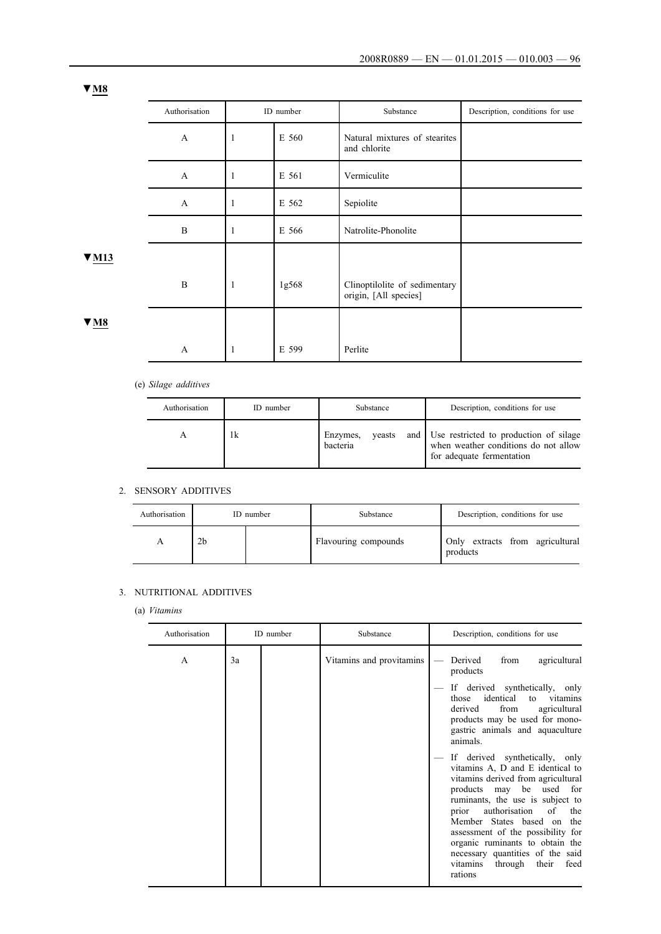|        | Authorisation |              | ID number | Substance                                              | Description, conditions for use |
|--------|---------------|--------------|-----------|--------------------------------------------------------|---------------------------------|
|        | $\mathbf{A}$  | $\mathbf{1}$ | E 560     | Natural mixtures of stearites<br>and chlorite          |                                 |
|        | $\mathbf{A}$  | 1            | E 561     | Vermiculite                                            |                                 |
|        | $\mathbf{A}$  | $\mathbf{1}$ | E 562     | Sepiolite                                              |                                 |
|        | $\mathbf{B}$  | 1            | E 566     | Natrolite-Phonolite                                    |                                 |
| 7 MH 3 |               |              |           |                                                        |                                 |
|        | B             | $\mathbf{1}$ | 1g568     | Clinoptilolite of sedimentary<br>origin, [All species] |                                 |
| 'N8    |               |              |           |                                                        |                                 |
|        | $\mathbf{A}$  | -1           | E 599     | Perlite                                                |                                 |

# (e) *Silage additives*

| Authorisation | ID number | Substance                      | Description, conditions for use                                                                                   |
|---------------|-----------|--------------------------------|-------------------------------------------------------------------------------------------------------------------|
|               | 1k        | Enzymes,<br>yeasts<br>bacteria | and   Use restricted to production of silage<br>when weather conditions do not allow<br>for adequate fermentation |

## 2. SENSORY ADDITIVES

| Authorisation |    | ID number | Substance            | Description, conditions for use             |  |  |
|---------------|----|-----------|----------------------|---------------------------------------------|--|--|
|               | 2b |           | Flavouring compounds | Only extracts from agricultural<br>products |  |  |

## 3. NUTRITIONAL ADDITIVES

(a) *Vitamins*

| Authorisation |    | ID number | Substance                | Description, conditions for use                                                                                                                                                                                                                                                                                                                                                                                                                                                                                                                                                                                                            |
|---------------|----|-----------|--------------------------|--------------------------------------------------------------------------------------------------------------------------------------------------------------------------------------------------------------------------------------------------------------------------------------------------------------------------------------------------------------------------------------------------------------------------------------------------------------------------------------------------------------------------------------------------------------------------------------------------------------------------------------------|
| A             | 3a |           | Vitamins and provitamins | Derived<br>agricultural<br>from<br>products<br>If derived synthetically, only<br>identical to vitamins<br>those<br>from<br>agricultural<br>derived<br>products may be used for mono-<br>gastric animals and aquaculture<br>animals.<br>If derived synthetically, only<br>vitamins A, D and E identical to<br>vitamins derived from agricultural<br>products may be used for<br>ruminants, the use is subject to<br>prior authorisation<br>of the<br>Member States based on the<br>assessment of the possibility for<br>organic ruminants to obtain the<br>necessary quantities of the said<br>through their<br>vitamins<br>feed<br>rations |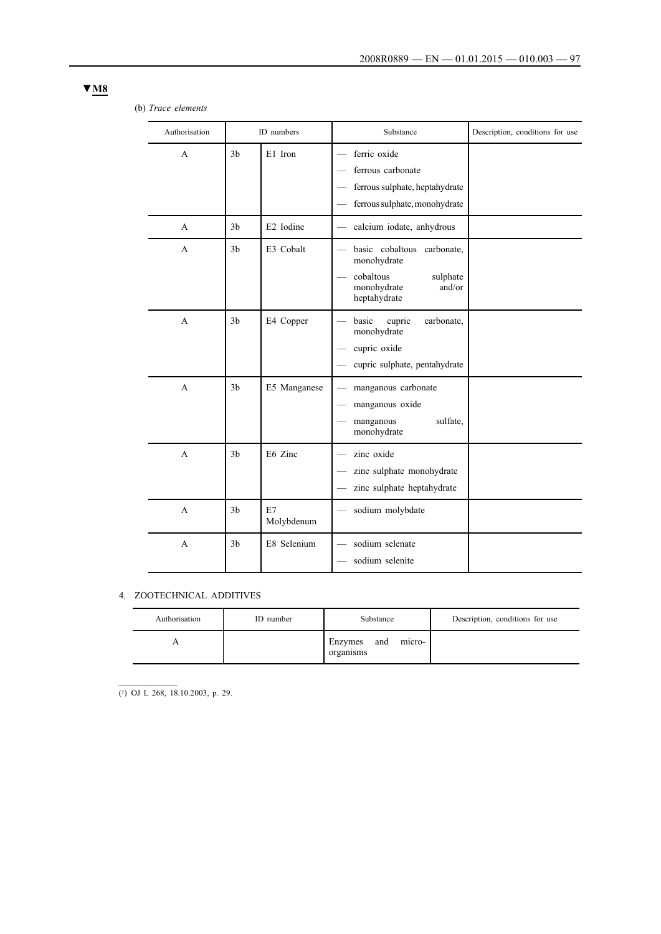# (b) *Trace elements*

| Authorisation |                | ID numbers       | Substance                                                                                                      | Description, conditions for use |
|---------------|----------------|------------------|----------------------------------------------------------------------------------------------------------------|---------------------------------|
| $\mathsf{A}$  | 3 <sub>b</sub> | E1 Iron          | ferric oxide<br>ferrous carbonate<br>ferrous sulphate, heptahydrate<br>ferrous sulphate, monohydrate           |                                 |
| A             | 3 <sub>b</sub> | E2 Iodine        | calcium iodate, anhydrous                                                                                      |                                 |
| A             | 3 <sub>b</sub> | E3 Cobalt        | basic cobaltous<br>carbonate,<br>monohydrate<br>cobaltous<br>sulphate<br>monohydrate<br>and/or<br>heptahydrate |                                 |
| A             | 3 <sub>b</sub> | E4 Copper        | cupric<br>carbonate,<br>basic<br>monohydrate<br>cupric oxide<br>cupric sulphate, pentahydrate                  |                                 |
| $\mathbf{A}$  | 3 <sub>b</sub> | E5 Manganese     | manganous carbonate<br>manganous oxide<br>sulfate,<br>manganous<br>monohydrate                                 |                                 |
| A             | 3 <sub>b</sub> | E6 Zinc          | zinc oxide<br>zinc sulphate monohydrate<br>zinc sulphate heptahydrate                                          |                                 |
| $\mathsf{A}$  | 3 <sub>b</sub> | E7<br>Molybdenum | sodium molybdate                                                                                               |                                 |
| A             | 3 <sub>b</sub> | E8 Selenium      | sodium selenate<br>sodium selenite                                                                             |                                 |

## 4. ZOOTECHNICAL ADDITIVES

| Authorisation | ID number | Substance                             | Description, conditions for use |
|---------------|-----------|---------------------------------------|---------------------------------|
|               |           | micro-<br>and<br>Enzymes<br>organisms |                                 |

 $\overline{(^1)$  OJ L 268, 18.10.2003, p. 29.

 $\mathcal{L}_\text{max}$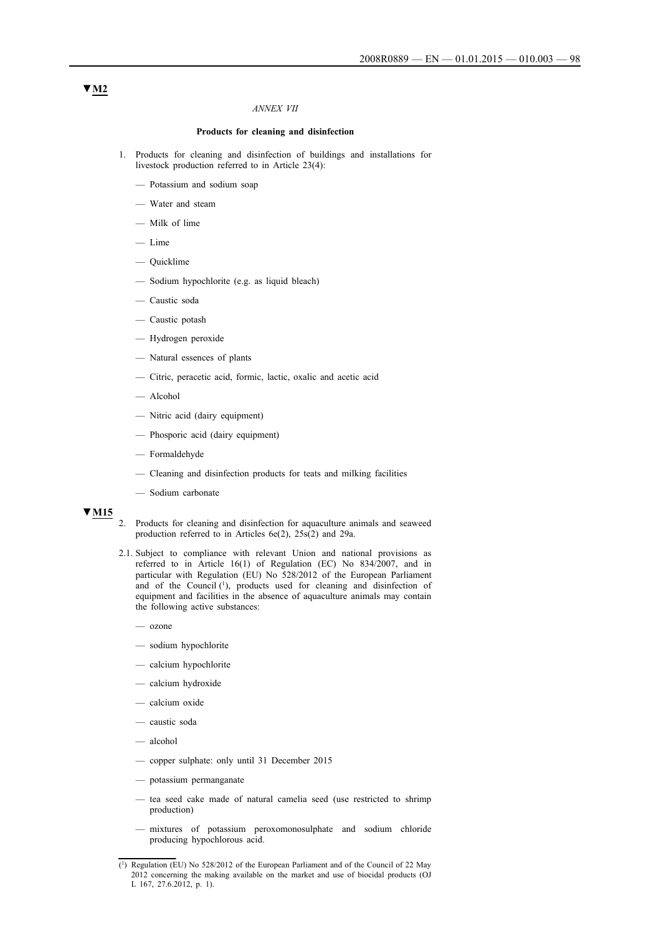#### *ANNEX VII*

## **Products for cleaning and disinfection**

- 1. Products for cleaning and disinfection of buildings and installations for livestock production referred to in Article 23(4):
	- Potassium and sodium soap
	- Water and steam
	- Milk of lime
	- Lime
	- Quicklime
	- Sodium hypochlorite (e.g. as liquid bleach)
	- Caustic soda
	- Caustic potash
	- Hydrogen peroxide
	- Natural essences of plants
	- Citric, peracetic acid, formic, lactic, oxalic and acetic acid
	- Alcohol
	- Nitric acid (dairy equipment)
	- Phosporic acid (dairy equipment)
	- Formaldehyde
	- Cleaning and disinfection products for teats and milking facilities
	- Sodium carbonate

## **▼M15**

- 2. Products for cleaning and disinfection for aquaculture animals and seaweed production referred to in Articles 6e(2), 25s(2) and 29a.
- 2.1. Subject to compliance with relevant Union and national provisions as referred to in Article 16(1) of Regulation (EC) No 834/2007, and in particular with Regulation (EU) No 528/2012 of the European Parliament and of the Council (1), products used for cleaning and disinfection of equipment and facilities in the absence of aquaculture animals may contain the following active substances:
	- ozone
	- sodium hypochlorite
	- calcium hypochlorite
	- calcium hydroxide
	- calcium oxide
	- caustic soda
	- alcohol
	- copper sulphate: only until 31 December 2015
	- potassium permanganate
	- tea seed cake made of natural camelia seed (use restricted to shrimp production)
	- mixtures of potassium peroxomonosulphate and sodium chloride producing hypochlorous acid.

<sup>(1)</sup> Regulation (EU) No 528/2012 of the European Parliament and of the Council of 22 May 2012 concerning the making available on the market and use of biocidal products (OJ L 167, 27.6.2012, p. 1).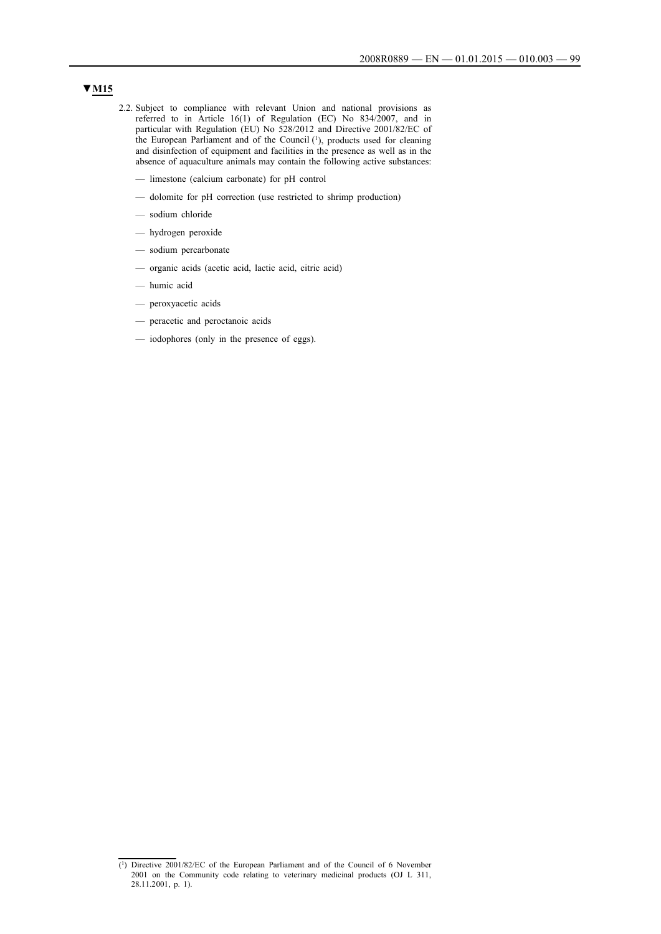- 2.2. Subject to compliance with relevant Union and national provisions as referred to in Article 16(1) of Regulation (EC) No 834/2007, and in particular with Regulation (EU) No 528/2012 and Directive 2001/82/EC of the European Parliament and of the Council (1), products used for cleaning and disinfection of equipment and facilities in the presence as well as in the absence of aquaculture animals may contain the following active substances:
	- limestone (calcium carbonate) for pH control
	- dolomite for pH correction (use restricted to shrimp production)
	- sodium chloride
	- hydrogen peroxide
	- sodium percarbonate
	- organic acids (acetic acid, lactic acid, citric acid)
	- humic acid
	- peroxyacetic acids
	- peracetic and peroctanoic acids
	- iodophores (only in the presence of eggs).

<sup>(1)</sup> Directive 2001/82/EC of the European Parliament and of the Council of 6 November 2001 on the Community code relating to veterinary medicinal products (OJ L 311, 28.11.2001, p. 1).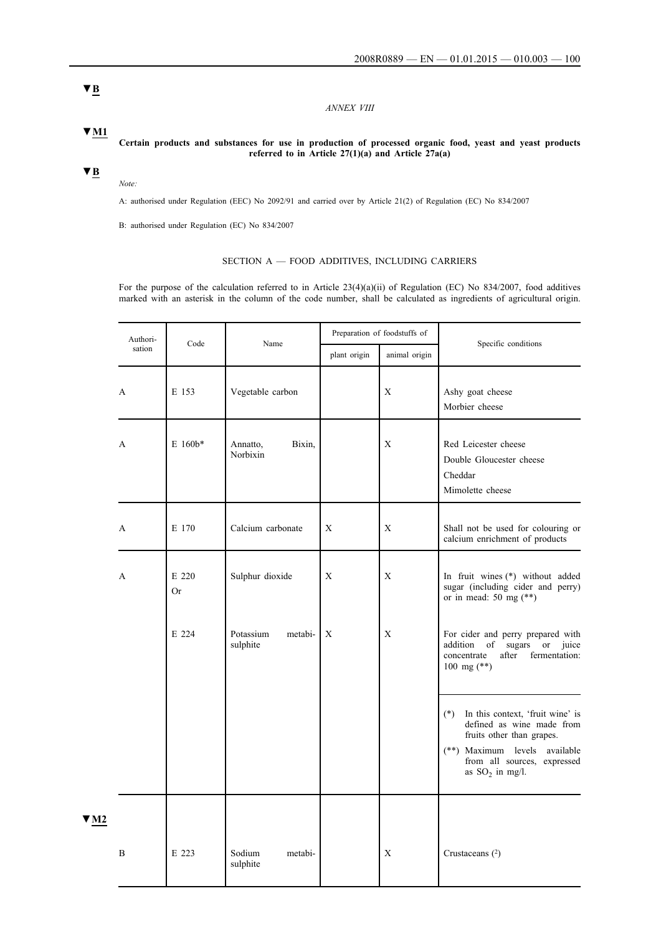*ANNEX VIII*

**Certain products and substances for use in production of processed organic food, yeast and yeast products referred to in Article 27(1)(a) and Article 27a(a)**

# **▼M1**

**▼B**

## *Note:*

A: authorised under Regulation (EEC) No 2092/91 and carried over by Article 21(2) of Regulation (EC) No 834/2007

B: authorised under Regulation (EC) No 834/2007

## SECTION A — FOOD ADDITIVES, INCLUDING CARRIERS

For the purpose of the calculation referred to in Article  $23(4)(a)(ii)$  of Regulation (EC) No 834/2007, food additives marked with an asterisk in the column of the code number, shall be calculated as ingredients of agricultural origin.

|                         | Authori-     | Code               | Name                             | Preparation of foodstuffs of |               | Specific conditions                                                                                                                                                                       |
|-------------------------|--------------|--------------------|----------------------------------|------------------------------|---------------|-------------------------------------------------------------------------------------------------------------------------------------------------------------------------------------------|
|                         | sation       |                    |                                  | plant origin                 | animal origin |                                                                                                                                                                                           |
|                         | $\mathbf{A}$ | E 153              | Vegetable carbon                 |                              | X             | Ashy goat cheese<br>Morbier cheese                                                                                                                                                        |
|                         | $\mathbf{A}$ | $E$ 160 $b*$       | Bixin,<br>Annatto,<br>Norbixin   |                              | X             | Red Leicester cheese<br>Double Gloucester cheese<br>Cheddar<br>Mimolette cheese                                                                                                           |
|                         | A            | E 170              | Calcium carbonate                | X                            | X             | Shall not be used for colouring or<br>calcium enrichment of products                                                                                                                      |
|                         | A            | E 220<br><b>Or</b> | Sulphur dioxide                  | X                            | $\mathbf X$   | In fruit wines (*) without added<br>sugar (including cider and perry)<br>or in mead: 50 mg $(**)$                                                                                         |
|                         |              | E 224              | Potassium<br>metabi-<br>sulphite | X                            | X             | For cider and perry prepared with<br>addition of sugars<br>or juice<br>concentrate<br>after<br>fermentation:<br>100 mg $(**)$                                                             |
|                         |              |                    |                                  |                              |               | $(*)$<br>In this context, 'fruit wine' is<br>defined as wine made from<br>fruits other than grapes.<br>(**) Maximum levels available<br>from all sources, expressed<br>as $SO_2$ in mg/l. |
| $\blacktriangledown$ M2 | $\bf{B}$     | E 223              | Sodium<br>metabi-<br>sulphite    |                              | X             | Crustaceans $(2)$                                                                                                                                                                         |
|                         |              |                    |                                  |                              |               |                                                                                                                                                                                           |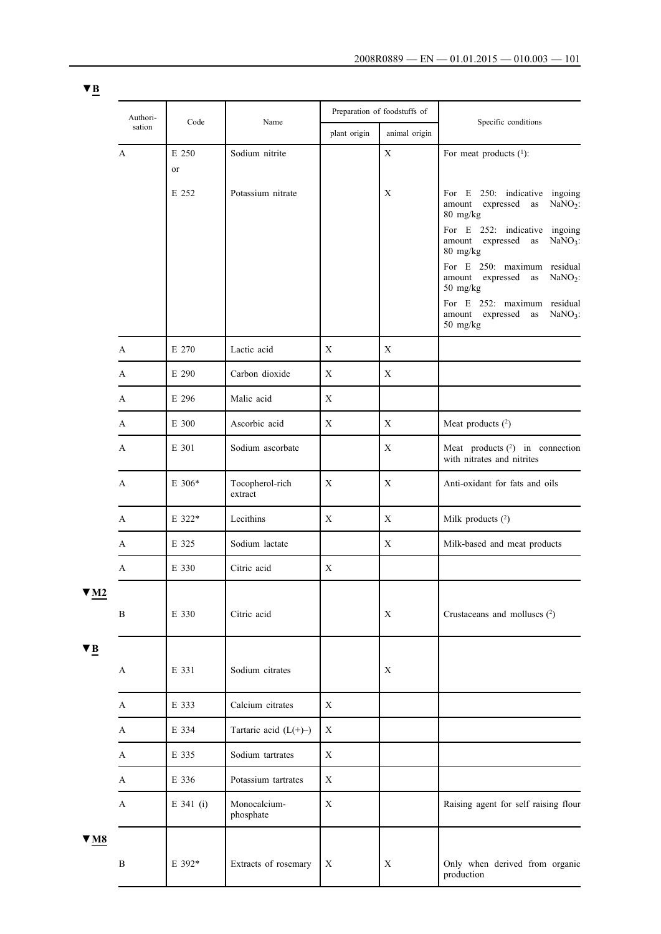| <u>. .</u>                         |              |             |                            |              |                              |                                                                                                                    |
|------------------------------------|--------------|-------------|----------------------------|--------------|------------------------------|--------------------------------------------------------------------------------------------------------------------|
|                                    | Authori-     | Code        | Name                       |              | Preparation of foodstuffs of | Specific conditions                                                                                                |
|                                    | sation       |             |                            | plant origin | animal origin                |                                                                                                                    |
|                                    | A            | E 250<br>or | Sodium nitrite             |              | X                            | For meat products $(1)$ :                                                                                          |
|                                    |              | E 252       | Potassium nitrate          |              | X                            | 250: indicative ingoing<br>For E<br>expressed<br>$NaNO2$ :<br>amount<br>as<br>80 mg/kg                             |
|                                    |              |             |                            |              |                              | For E 252: indicative ingoing<br>expressed<br>amount<br>$NaNO3$ :<br>as<br>80 mg/kg<br>For E 250: maximum residual |
|                                    |              |             |                            |              |                              | amount expressed as<br>$NaNO2$ :<br>50 mg/kg<br>For E 252: maximum residual<br>amount expressed<br>$NaNO3$ :<br>as |
|                                    | A            | E 270       | Lactic acid                | X            | X                            | 50 mg/kg                                                                                                           |
|                                    | A            | E 290       | Carbon dioxide             | $\mathbf X$  | X                            |                                                                                                                    |
|                                    | A            | E 296       | Malic acid                 | $\mathbf X$  |                              |                                                                                                                    |
|                                    | A            | E 300       | Ascorbic acid              | $\mathbf X$  | $\mathbf X$                  | Meat products $(2)$                                                                                                |
|                                    | A            | E 301       | Sodium ascorbate           |              | X                            | Meat products (2) in connection<br>with nitrates and nitrites                                                      |
|                                    | A            | $E\,306*$   | Tocopherol-rich<br>extract | $\mathbf X$  | X                            | Anti-oxidant for fats and oils                                                                                     |
|                                    | A            | E 322*      | Lecithins                  | $\mathbf X$  | X                            | Milk products $(2)$                                                                                                |
|                                    | A            | E 325       | Sodium lactate             |              | $\mathbf X$                  | Milk-based and meat products                                                                                       |
|                                    | A            | E 330       | Citric acid                | $\mathbf X$  |                              |                                                                                                                    |
| $\blacktriangledown$ M2            | $\, {\bf B}$ | E 330       | Citric acid                |              | X                            | Crustaceans and molluscs $(2)$                                                                                     |
| $\blacktriangledown$ <u>B</u>      |              |             |                            |              |                              |                                                                                                                    |
|                                    | A            | E 331       | Sodium citrates            |              | $\mathbf X$                  |                                                                                                                    |
|                                    | A            | E 333       | Calcium citrates           | X            |                              |                                                                                                                    |
|                                    | A            | E 334       | Tartaric acid $(L(+)-)$    | $\mathbf X$  |                              |                                                                                                                    |
|                                    | A            | E 335       | Sodium tartrates           | $\mathbf X$  |                              |                                                                                                                    |
|                                    | $\mathbf{A}$ | E 336       | Potassium tartrates        | X            |                              |                                                                                                                    |
|                                    | A            | E 341 (i)   | Monocalcium-<br>phosphate  | $\mathbf X$  |                              | Raising agent for self raising flour                                                                               |
| $\underline{\mathbf{v}}$ <u>M8</u> |              |             |                            |              |                              |                                                                                                                    |
|                                    | $\, {\bf B}$ | E 392*      | Extracts of rosemary       | X            | X                            | Only when derived from organic<br>production                                                                       |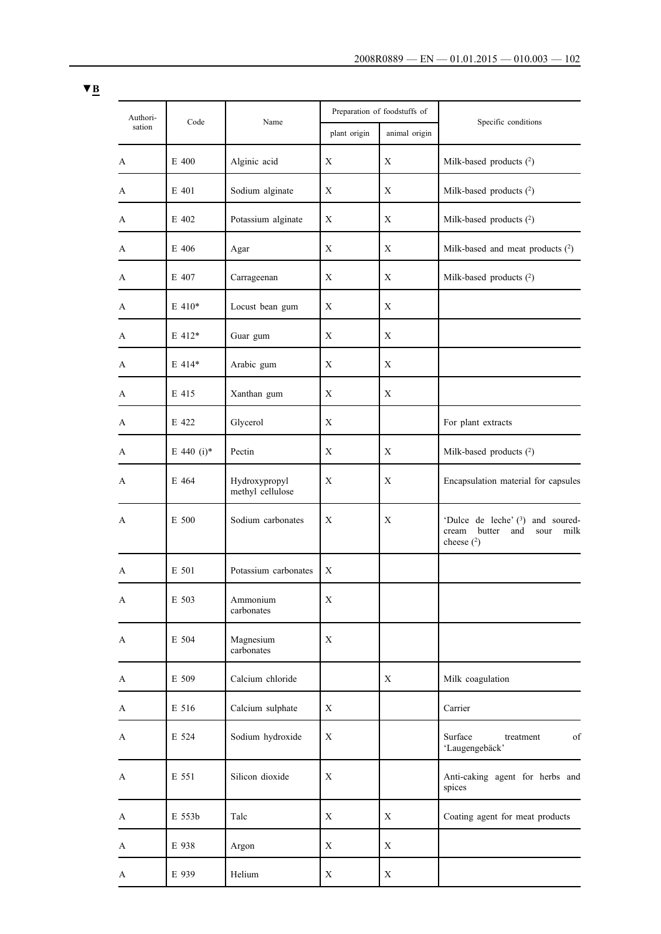| Authori- |            |                                   |              | Preparation of foodstuffs of |                                                                                              |
|----------|------------|-----------------------------------|--------------|------------------------------|----------------------------------------------------------------------------------------------|
| sation   | Code       | Name                              | plant origin | animal origin                | Specific conditions                                                                          |
| A        | E 400      | Alginic acid                      | Χ            | Χ                            | Milk-based products $(^{2})$                                                                 |
| A        | E 401      | Sodium alginate                   | $\mathbf X$  | X                            | Milk-based products $(^{2})$                                                                 |
| A        | E 402      | Potassium alginate                | X            | $\mathbf X$                  | Milk-based products (2)                                                                      |
| A        | E 406      | Agar                              | X            | Χ                            | Milk-based and meat products (2)                                                             |
| A        | E 407      | Carrageenan                       | Χ            | Χ                            | Milk-based products $(^{2})$                                                                 |
| A        | $E$ 410*   | Locust bean gum                   | X            | X                            |                                                                                              |
| A        | E 412*     | Guar gum                          | X            | X                            |                                                                                              |
| A        | $E$ 414*   | Arabic gum                        | Χ            | X                            |                                                                                              |
| A        | E 415      | Xanthan gum                       | X            | X                            |                                                                                              |
| A        | E 422      | Glycerol                          | Χ            |                              | For plant extracts                                                                           |
| A        | E 440 (i)* | Pectin                            | Χ            | X                            | Milk-based products $(^{2})$                                                                 |
| A        | E 464      | Hydroxypropyl<br>methyl cellulose | Χ            | Χ                            | Encapsulation material for capsules                                                          |
| A        | E 500      | Sodium carbonates                 | $\mathbf X$  | X                            | 'Dulce de leche' $(3)$ and soured-<br>cream<br>butter<br>and<br>milk<br>sour<br>cheese $(2)$ |
| A        | E 501      | Potassium carbonates              | Χ            |                              |                                                                                              |
| A        | E 503      | Ammonium<br>carbonates            | X            |                              |                                                                                              |
| A        | E 504      | Magnesium<br>carbonates           | X            |                              |                                                                                              |
| A        | E 509      | Calcium chloride                  |              | X                            | Milk coagulation                                                                             |
| A        | E 516      | Calcium sulphate                  | X            |                              | Carrier                                                                                      |
| A        | E 524      | Sodium hydroxide                  | $\mathbf X$  |                              | Surface<br>of<br>treatment<br>'Laugengebäck'                                                 |
| A        | E 551      | Silicon dioxide                   | $\mathbf X$  |                              | Anti-caking agent for herbs and<br>spices                                                    |
| A        | E 553b     | Talc                              | X            | X                            | Coating agent for meat products                                                              |
| A        | E 938      | Argon                             | X            | X                            |                                                                                              |
| A        | E 939      | Helium                            | X            | X                            |                                                                                              |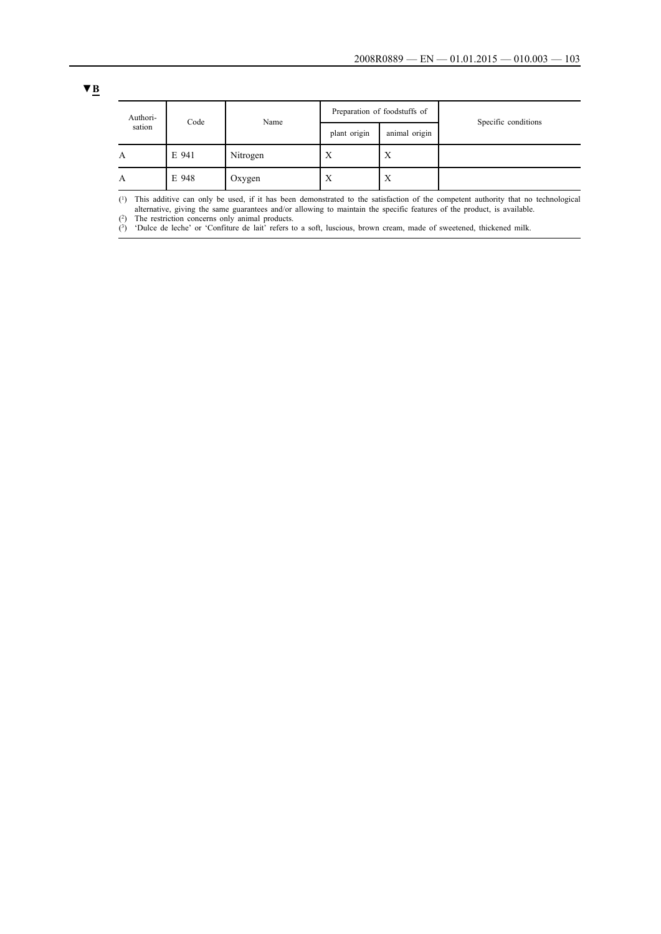| Authori- | Code  | Name     |              | Preparation of foodstuffs of |                     |
|----------|-------|----------|--------------|------------------------------|---------------------|
| sation   |       |          | plant origin | animal origin                | Specific conditions |
| A        | E 941 | Nitrogen | X            | Х                            |                     |
| А        | E 948 | Oxygen   | X            | X                            |                     |

(1) This additive can only be used, if it has been demonstrated to the satisfaction of the competent authority that no technological alternative, giving the same guarantees and/or allowing to maintain the specific features of the product, is available.

(2) The restriction concerns only animal products.

 $(3)$  'Dulce de leche' or 'Confiture de lait' refers to a soft, luscious, brown cream, made of sweetened, thickened milk.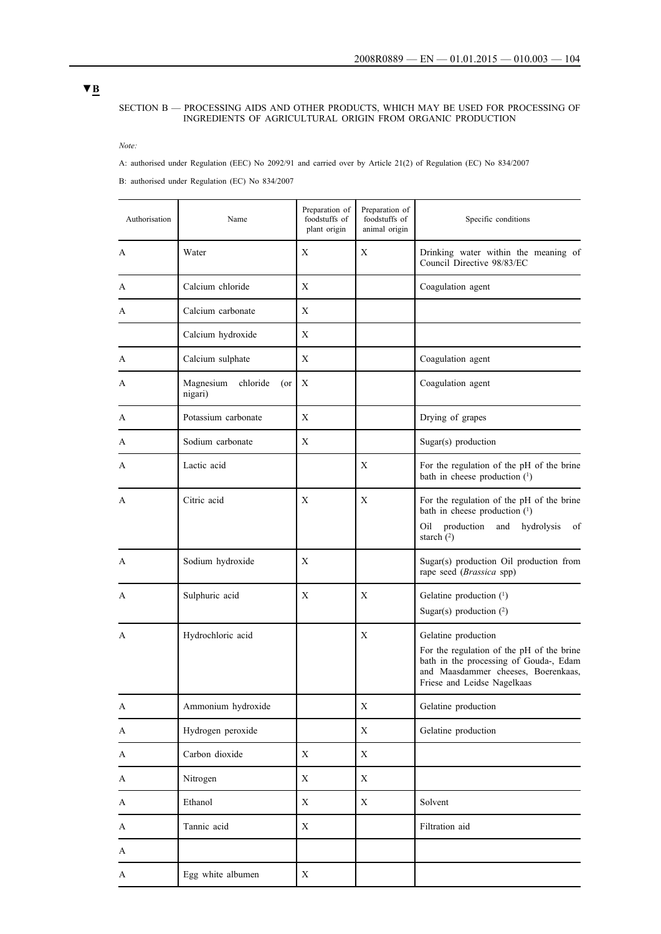#### SECTION B — PROCESSING AIDS AND OTHER PRODUCTS, WHICH MAY BE USED FOR PROCESSING OF INGREDIENTS OF AGRICULTURAL ORIGIN FROM ORGANIC PRODUCTION

*Note:*

A: authorised under Regulation (EEC) No 2092/91 and carried over by Article 21(2) of Regulation (EC) No 834/2007

B: authorised under Regulation (EC) No 834/2007

| Authorisation | Name                                       | Preparation of<br>foodstuffs of<br>plant origin | Preparation of<br>foodstuffs of<br>animal origin | Specific conditions                                                                                                                                                              |
|---------------|--------------------------------------------|-------------------------------------------------|--------------------------------------------------|----------------------------------------------------------------------------------------------------------------------------------------------------------------------------------|
| A             | Water                                      | X                                               | X                                                | Drinking water within the meaning of<br>Council Directive 98/83/EC                                                                                                               |
| A             | Calcium chloride                           | X                                               |                                                  | Coagulation agent                                                                                                                                                                |
| A             | Calcium carbonate                          | X                                               |                                                  |                                                                                                                                                                                  |
|               | Calcium hydroxide                          | X                                               |                                                  |                                                                                                                                                                                  |
| A             | Calcium sulphate                           | Χ                                               |                                                  | Coagulation agent                                                                                                                                                                |
| A             | Magnesium<br>chloride<br>$($ or<br>nigari) | Χ                                               |                                                  | Coagulation agent                                                                                                                                                                |
| A             | Potassium carbonate                        | X                                               |                                                  | Drying of grapes                                                                                                                                                                 |
| A             | Sodium carbonate                           | Χ                                               |                                                  | Sugar(s) production                                                                                                                                                              |
| A             | Lactic acid                                |                                                 | X                                                | For the regulation of the pH of the brine<br>bath in cheese production $(1)$                                                                                                     |
| A             | Citric acid                                | Χ                                               | Χ                                                | For the regulation of the pH of the brine<br>bath in cheese production $(1)$<br>production<br>and<br>hydrolysis<br>Oil<br>of<br>starch $(2)$                                     |
| A             | Sodium hydroxide                           | Χ                                               |                                                  | Sugar(s) production Oil production from<br>rape seed (Brassica spp)                                                                                                              |
| A             | Sulphuric acid                             | Χ                                               | X                                                | Gelatine production (1)<br>Sugar(s) production $(2)$                                                                                                                             |
| A             | Hydrochloric acid                          |                                                 | Χ                                                | Gelatine production<br>For the regulation of the pH of the brine<br>bath in the processing of Gouda-, Edam<br>and Maasdammer cheeses, Boerenkaas,<br>Friese and Leidse Nagelkaas |
| A             | Ammonium hydroxide                         |                                                 | $\mathbf X$                                      | Gelatine production                                                                                                                                                              |
| A             | Hydrogen peroxide                          |                                                 | $\mathbf X$                                      | Gelatine production                                                                                                                                                              |
| A             | Carbon dioxide                             | $\mathbf X$                                     | $\mathbf X$                                      |                                                                                                                                                                                  |
| A             | Nitrogen                                   | X                                               | X                                                |                                                                                                                                                                                  |
| A             | Ethanol                                    | $\mathbf X$                                     | $\mathbf X$                                      | Solvent                                                                                                                                                                          |
| A             | Tannic acid                                | X                                               |                                                  | Filtration aid                                                                                                                                                                   |
| A             |                                            |                                                 |                                                  |                                                                                                                                                                                  |
| A             | Egg white albumen                          | $\mathbf X$                                     |                                                  |                                                                                                                                                                                  |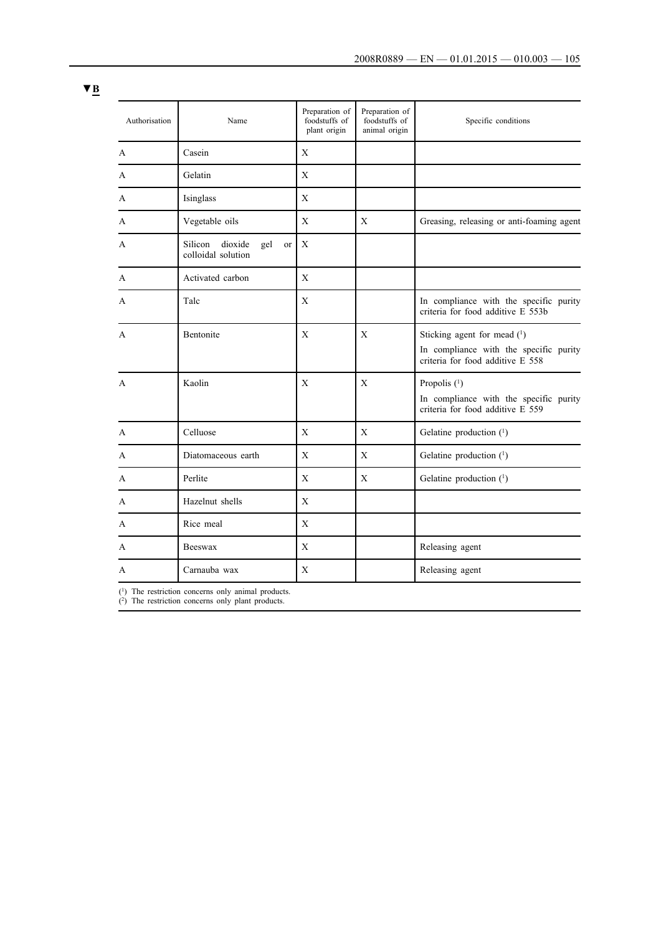| Authorisation | Name                                                  | Preparation of<br>foodstuffs of<br>plant origin | Preparation of<br>foodstuffs of<br>animal origin | Specific conditions                                                                                         |
|---------------|-------------------------------------------------------|-------------------------------------------------|--------------------------------------------------|-------------------------------------------------------------------------------------------------------------|
| A             | Casein                                                | X                                               |                                                  |                                                                                                             |
| A             | Gelatin                                               | X                                               |                                                  |                                                                                                             |
| A             | Isinglass                                             | X                                               |                                                  |                                                                                                             |
| A             | Vegetable oils                                        | X                                               | $\mathbf X$                                      | Greasing, releasing or anti-foaming agent                                                                   |
| A             | Silicon<br>dioxide<br>gel<br>or<br>colloidal solution | X                                               |                                                  |                                                                                                             |
| A             | Activated carbon                                      | X                                               |                                                  |                                                                                                             |
| A             | Talc                                                  | X                                               |                                                  | In compliance with the specific purity<br>criteria for food additive E 553b                                 |
| A             | Bentonite                                             | X                                               | X                                                | Sticking agent for mead $(1)$<br>In compliance with the specific purity<br>criteria for food additive E 558 |
| A             | Kaolin                                                | Χ                                               | X                                                | Propolis $(1)$<br>In compliance with the specific purity<br>criteria for food additive E 559                |
| A             | Celluose                                              | X                                               | X                                                | Gelatine production (1)                                                                                     |
| A             | Diatomaceous earth                                    | X                                               | $\mathbf X$                                      | Gelatine production $(1)$                                                                                   |
| A             | Perlite                                               | X                                               | X                                                | Gelatine production $(1)$                                                                                   |
| A             | Hazelnut shells                                       | X                                               |                                                  |                                                                                                             |
| A             | Rice meal                                             | X                                               |                                                  |                                                                                                             |
| A             | Beeswax                                               | X                                               |                                                  | Releasing agent                                                                                             |
| A             | Carnauba wax                                          | X                                               |                                                  | Releasing agent                                                                                             |

(1) The restriction concerns only animal products.

(2) The restriction concerns only plant products.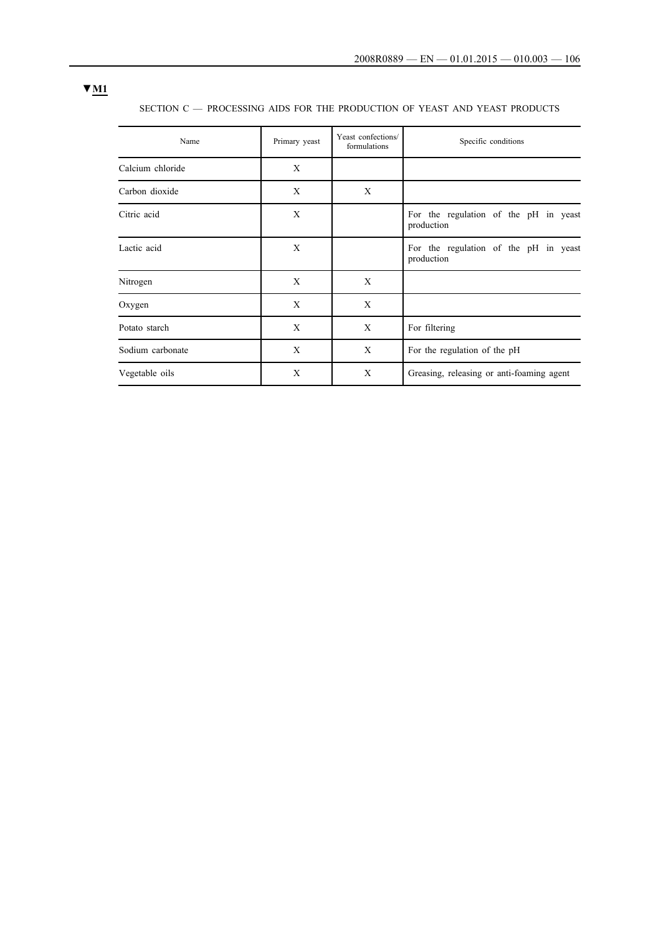# **▼M1**

SECTION C — PROCESSING AIDS FOR THE PRODUCTION OF YEAST AND YEAST PRODUCTS

| Name             | Primary yeast | Yeast confections/<br>formulations | Specific conditions                                 |
|------------------|---------------|------------------------------------|-----------------------------------------------------|
| Calcium chloride | X             |                                    |                                                     |
| Carbon dioxide   | X             | X                                  |                                                     |
| Citric acid      | X             |                                    | For the regulation of the pH in yeast<br>production |
| Lactic acid      | X             |                                    | For the regulation of the pH in yeast<br>production |
| Nitrogen         | X             | X                                  |                                                     |
| Oxygen           | X             | X                                  |                                                     |
| Potato starch    | X             | X                                  | For filtering                                       |
| Sodium carbonate | X             | X                                  | For the regulation of the pH                        |
| Vegetable oils   | X             | X                                  | Greasing, releasing or anti-foaming agent           |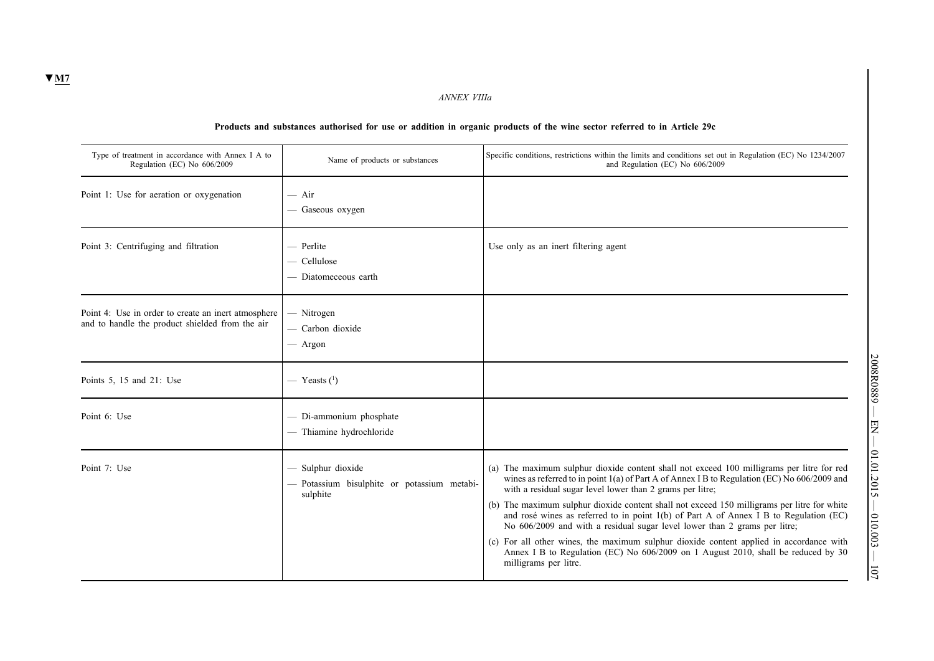*ANNEX VIIIa*

## **Products and substances authorised for use or addition in organic products of the wine sector referred to in Article 29c**

| Type of treatment in accordance with Annex I A to<br>Regulation (EC) No 606/2009                       | Name of products or substances                                             | Specific conditions, restrictions within the limits and conditions set out in Regulation (EC) No 1234/2007<br>and Regulation (EC) No 606/2009                                                                                                                                                                                                                                                                                                                                                                                                                                                                                                                                                                                        |
|--------------------------------------------------------------------------------------------------------|----------------------------------------------------------------------------|--------------------------------------------------------------------------------------------------------------------------------------------------------------------------------------------------------------------------------------------------------------------------------------------------------------------------------------------------------------------------------------------------------------------------------------------------------------------------------------------------------------------------------------------------------------------------------------------------------------------------------------------------------------------------------------------------------------------------------------|
| Point 1: Use for aeration or oxygenation                                                               | $-$ Air<br>— Gaseous oxygen                                                |                                                                                                                                                                                                                                                                                                                                                                                                                                                                                                                                                                                                                                                                                                                                      |
| Point 3: Centrifuging and filtration                                                                   | - Perlite<br>- Cellulose<br>- Diatomeceous earth                           | Use only as an inert filtering agent                                                                                                                                                                                                                                                                                                                                                                                                                                                                                                                                                                                                                                                                                                 |
| Point 4: Use in order to create an inert atmosphere<br>and to handle the product shielded from the air | $-$ Nitrogen<br>- Carbon dioxide<br>— Argon                                |                                                                                                                                                                                                                                                                                                                                                                                                                                                                                                                                                                                                                                                                                                                                      |
| Points 5, 15 and 21: Use                                                                               | — Yeasts $(1)$                                                             |                                                                                                                                                                                                                                                                                                                                                                                                                                                                                                                                                                                                                                                                                                                                      |
| Point 6: Use                                                                                           | - Di-ammonium phosphate<br>- Thiamine hydrochloride                        |                                                                                                                                                                                                                                                                                                                                                                                                                                                                                                                                                                                                                                                                                                                                      |
| Point 7: Use                                                                                           | Sulphur dioxide<br>- Potassium bisulphite or potassium metabi-<br>sulphite | (a) The maximum sulphur dioxide content shall not exceed 100 milligrams per litre for red<br>wines as referred to in point 1(a) of Part A of Annex I B to Regulation (EC) No 606/2009 and<br>with a residual sugar level lower than 2 grams per litre;<br>(b) The maximum sulphur dioxide content shall not exceed 150 milligrams per litre for white<br>and rosé wines as referred to in point 1(b) of Part A of Annex I B to Regulation (EC)<br>No 606/2009 and with a residual sugar level lower than 2 grams per litre;<br>(c) For all other wines, the maximum sulphur dioxide content applied in accordance with<br>Annex I B to Regulation (EC) No 606/2009 on 1 August 2010, shall be reduced by 30<br>milligrams per litre. |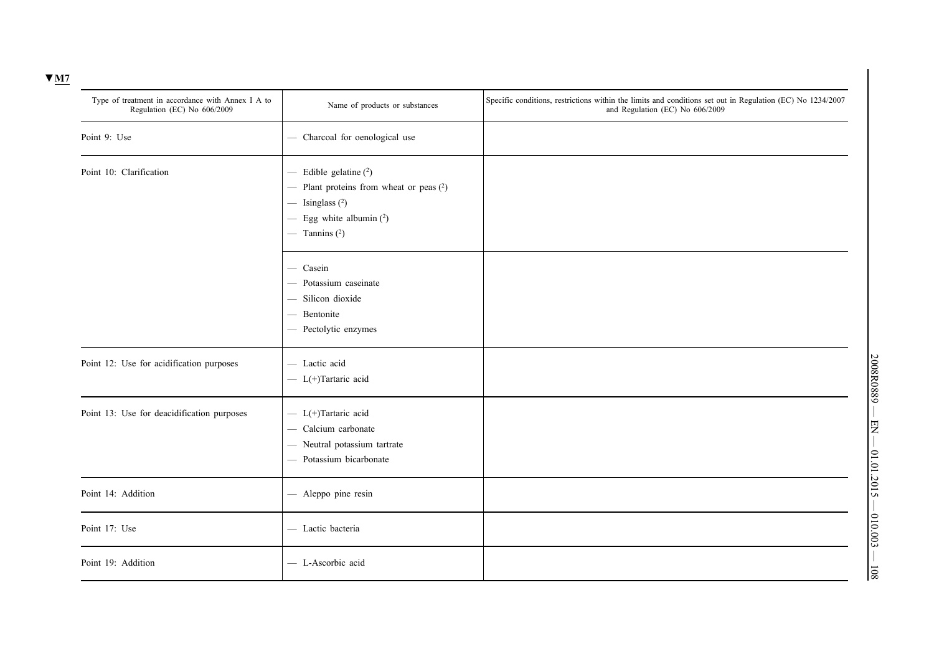| Type of treatment in accordance with Annex I A to<br>Regulation (EC) No 606/2009 | Name of products or substances                                                                                                                | Specific conditions, restrictions within the limits and conditions set out in Regulation (EC) No 1234/2007<br>and Regulation (EC) No 606/2009 |
|----------------------------------------------------------------------------------|-----------------------------------------------------------------------------------------------------------------------------------------------|-----------------------------------------------------------------------------------------------------------------------------------------------|
| Point 9: Use                                                                     | - Charcoal for oenological use                                                                                                                |                                                                                                                                               |
| Point 10: Clarification                                                          | $-$ Edible gelatine $(2)$<br>- Plant proteins from wheat or peas $(2)$<br>$-$ Isinglass $(2)$<br>- Egg white albumin $(2)$<br>— Tannins $(2)$ |                                                                                                                                               |
|                                                                                  | - Casein<br>- Potassium caseinate<br>- Silicon dioxide<br>- Bentonite<br>- Pectolytic enzymes                                                 |                                                                                                                                               |
| Point 12: Use for acidification purposes                                         | - Lactic acid<br>$-$ L(+)Tartaric acid                                                                                                        |                                                                                                                                               |
| Point 13: Use for deacidification purposes                                       | $-$ L(+)Tartaric acid<br>- Calcium carbonate<br>- Neutral potassium tartrate<br>- Potassium bicarbonate                                       |                                                                                                                                               |
| Point 14: Addition                                                               | - Aleppo pine resin                                                                                                                           |                                                                                                                                               |
| Point 17: Use                                                                    | - Lactic bacteria                                                                                                                             |                                                                                                                                               |
| Point 19: Addition                                                               | - L-Ascorbic acid                                                                                                                             |                                                                                                                                               |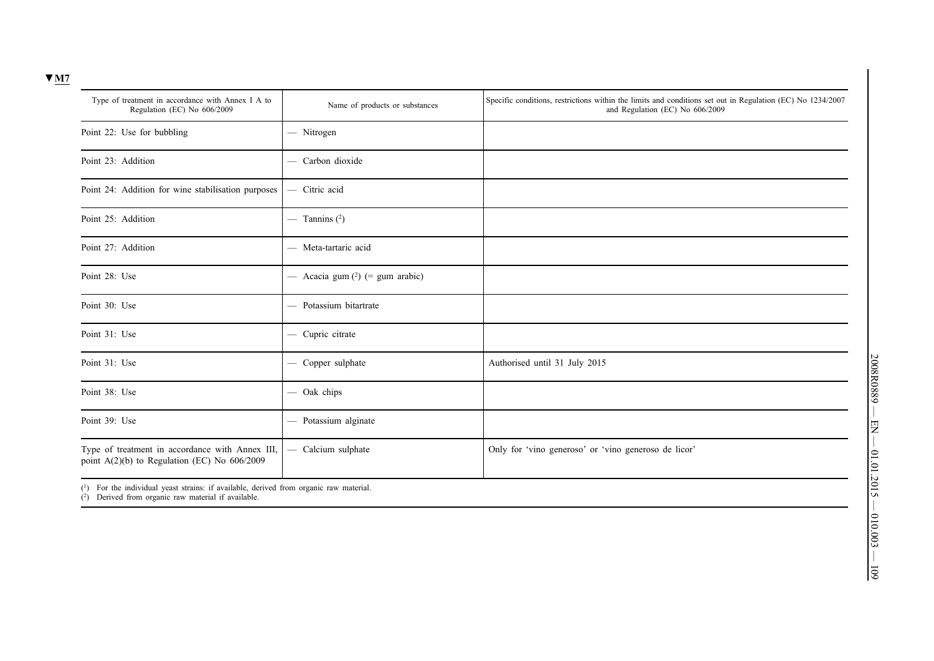| Type of treatment in accordance with Annex I A to<br>Regulation (EC) No 606/2009                  | Name of products or substances     | Specific conditions, restrictions within the limits and conditions set out in Regulation (EC) No 1234/2007<br>and Regulation (EC) No 606/2009 |
|---------------------------------------------------------------------------------------------------|------------------------------------|-----------------------------------------------------------------------------------------------------------------------------------------------|
| Point 22: Use for bubbling                                                                        | — Nitrogen                         |                                                                                                                                               |
| Point 23: Addition                                                                                | - Carbon dioxide                   |                                                                                                                                               |
| Point 24: Addition for wine stabilisation purposes                                                | - Citric acid                      |                                                                                                                                               |
| Point 25: Addition                                                                                | — Tannins $(2)$                    |                                                                                                                                               |
| Point 27: Addition                                                                                | - Meta-tartaric acid               |                                                                                                                                               |
| Point 28: Use                                                                                     | — Acacia gum $(^2)$ (= gum arabic) |                                                                                                                                               |
| Point 30: Use                                                                                     | - Potassium bitartrate             |                                                                                                                                               |
| Point 31: Use                                                                                     | - Cupric citrate                   |                                                                                                                                               |
| Point 31: Use                                                                                     | - Copper sulphate                  | Authorised until 31 July 2015                                                                                                                 |
| Point 38: Use                                                                                     | - Oak chips                        |                                                                                                                                               |
| Point 39: Use                                                                                     | - Potassium alginate               |                                                                                                                                               |
| Type of treatment in accordance with Annex III,<br>point $A(2)(b)$ to Regulation (EC) No 606/2009 | - Calcium sulphate                 | Only for 'vino generoso' or 'vino generoso de licor'                                                                                          |

(1) For the individual yeast strains: if available, derived from organic raw material.

(2) Derived from organic raw material if available.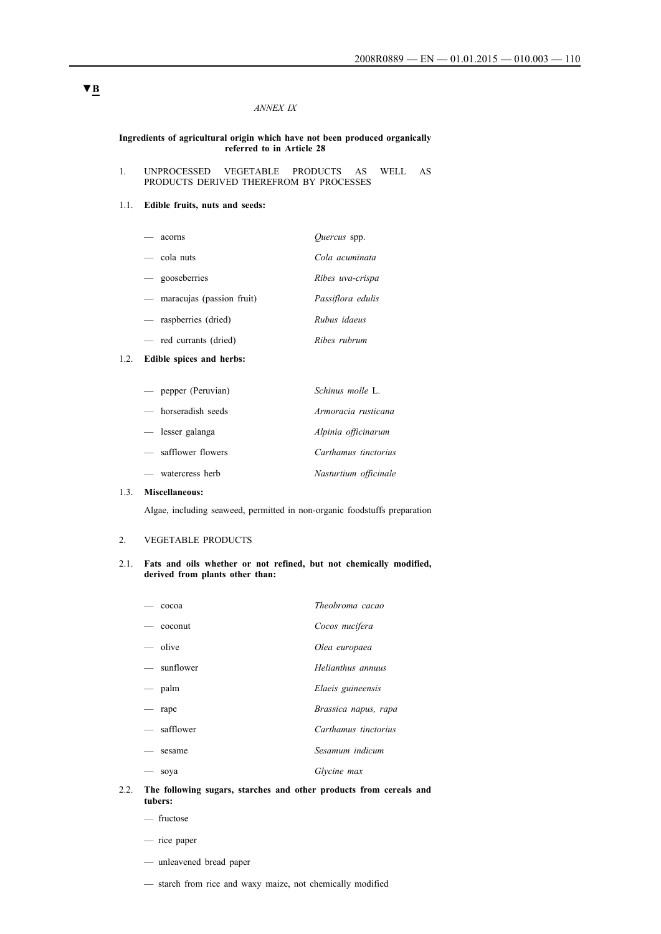### *ANNEX IX*

#### **Ingredients of agricultural origin which have not been produced organically referred to in Article 28**

1. UNPROCESSED VEGETABLE PRODUCTS AS WELL AS PRODUCTS DERIVED THEREFROM BY PROCESSES

#### 1.1. **Edible fruits, nuts and seeds:**

| acorns                      | <i>Ouercus</i> spp. |
|-----------------------------|---------------------|
| — cola nuts                 | Cola acuminata      |
| - gooseberries              | Ribes uva-crispa    |
| — maracujas (passion fruit) | Passiflora edulis   |
| — raspberries (dried)       | Rubus idaeus        |
| - red currants (dried)      | Ribes rubrum        |

## 1.2. **Edible spices and herbs:**

| — pepper (Peruvian) | Schinus molle L.      |
|---------------------|-----------------------|
| — horseradish seeds | Armoracia rusticana   |
| — lesser galanga    | Alpinia officinarum   |
| — safflower flowers | Carthamus tinctorius  |
| — watercress herb   | Nasturtium officinale |

### 1.3. **Miscellaneous:**

Algae, including seaweed, permitted in non-organic foodstuffs preparation

# 2. VEGETABLE PRODUCTS

### 2.1. **Fats and oils whether or not refined, but not chemically modified, derived from plants other than:**

|                                 | cocoa       | Theobroma cacao      |
|---------------------------------|-------------|----------------------|
|                                 | coconut     | Cocos nucifera       |
|                                 | — olive     | Olea europaea        |
|                                 | — sunflower | Helianthus annuus    |
|                                 | — palm      | Elaeis guineensis    |
| $\hspace{0.1mm}-\hspace{0.1mm}$ | rape        | Brassica napus, rapa |
|                                 | - safflower | Carthamus tinctorius |
|                                 | sesame      | Sesamum indicum      |
|                                 | soya        | Glycine max          |

### 2.2. **The following sugars, starches and other products from cereals and tubers:**

- fructose
- rice paper
- unleavened bread paper
- starch from rice and waxy maize, not chemically modified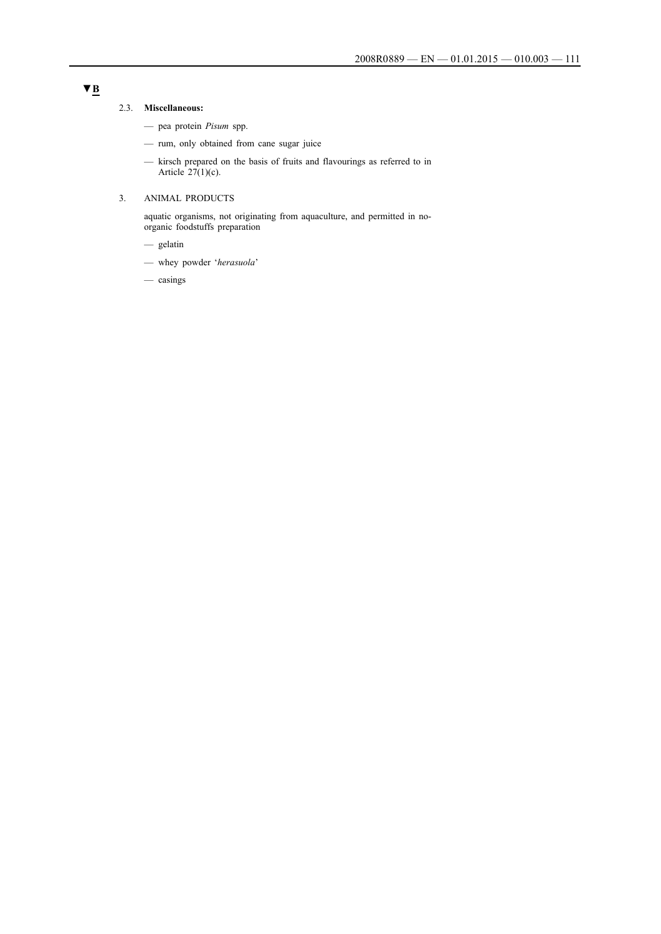#### 2.3. **Miscellaneous:**

- pea protein *Pisum* spp.
- rum, only obtained from cane sugar juice
- kirsch prepared on the basis of fruits and flavourings as referred to in Article  $27(1)(c)$ .

## 3. ANIMAL PRODUCTS

aquatic organisms, not originating from aquaculture, and permitted in noorganic foodstuffs preparation

- gelatin
- whey powder '*herasuola*'
- casings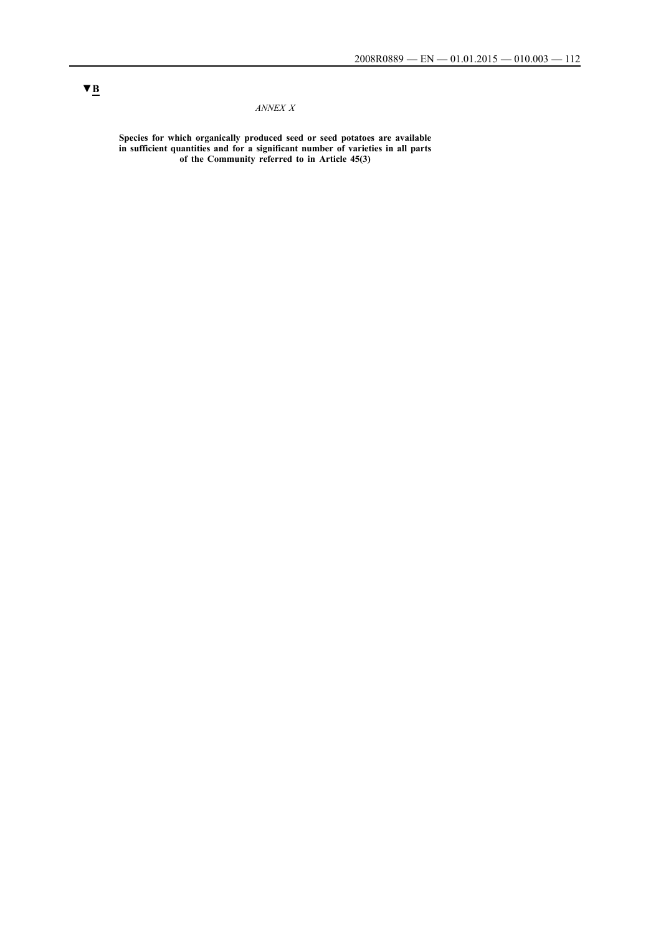# *ANNEX X*

**Species for which organically produced seed or seed potatoes are available in sufficient quantities and for a significant number of varieties in all parts of the Community referred to in Article 45(3)**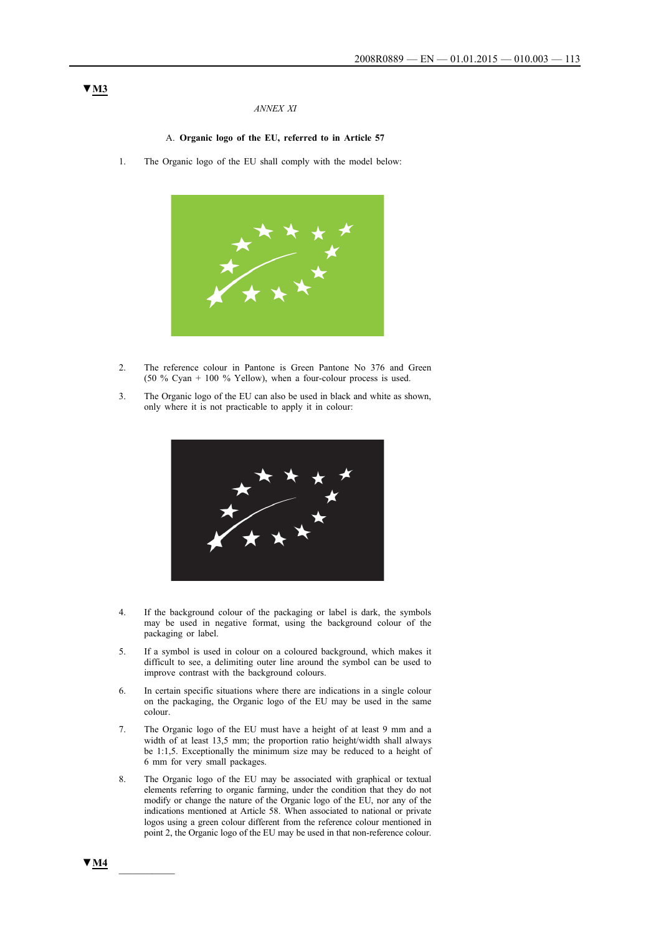#### *ANNEX XI*

#### A. **Organic logo of the EU, referred to in Article 57**

1. The Organic logo of the EU shall comply with the model below:



- 2. The reference colour in Pantone is Green Pantone No 376 and Green (50 % Cyan + 100 % Yellow), when a four-colour process is used.
- 3. The Organic logo of the EU can also be used in black and white as shown, only where it is not practicable to apply it in colour:



- 4. If the background colour of the packaging or label is dark, the symbols may be used in negative format, using the background colour of the packaging or label.
- 5. If a symbol is used in colour on a coloured background, which makes it difficult to see, a delimiting outer line around the symbol can be used to improve contrast with the background colours.
- 6. In certain specific situations where there are indications in a single colour on the packaging, the Organic logo of the EU may be used in the same colour.
- 7. The Organic logo of the EU must have a height of at least 9 mm and a width of at least 13,5 mm; the proportion ratio height/width shall always be 1:1,5. Exceptionally the minimum size may be reduced to a height of 6 mm for very small packages.
- 8. The Organic logo of the EU may be associated with graphical or textual elements referring to organic farming, under the condition that they do not modify or change the nature of the Organic logo of the EU, nor any of the indications mentioned at Article 58. When associated to national or private logos using a green colour different from the reference colour mentioned in point 2, the Organic logo of the EU may be used in that non-reference colour.

## **▼M3**

**▼M4** \_\_\_\_\_\_\_\_\_\_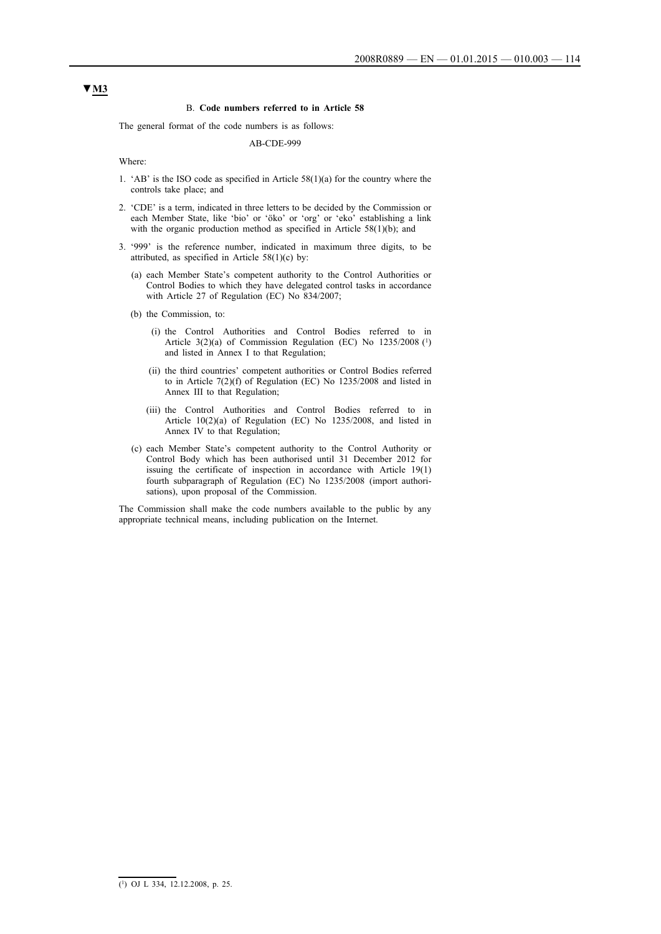#### B. **Code numbers referred to in Article 58**

The general format of the code numbers is as follows:

#### AB-CDE-999

Where:

- 1. 'AB' is the ISO code as specified in Article 58(1)(a) for the country where the controls take place; and
- 2. 'CDE' is a term, indicated in three letters to be decided by the Commission or each Member State, like 'bio' or 'öko' or 'org' or 'eko' establishing a link with the organic production method as specified in Article 58(1)(b); and
- 3. '999' is the reference number, indicated in maximum three digits, to be attributed, as specified in Article  $58(1)(c)$  by:
	- (a) each Member State's competent authority to the Control Authorities or Control Bodies to which they have delegated control tasks in accordance with Article 27 of Regulation (EC) No 834/2007;
	- (b) the Commission, to:
		- (i) the Control Authorities and Control Bodies referred to in Article 3(2)(a) of Commission Regulation (EC) No 1235/2008 (1) and listed in Annex I to that Regulation;
		- (ii) the third countries' competent authorities or Control Bodies referred to in Article 7(2)(f) of Regulation (EC) No 1235/2008 and listed in Annex III to that Regulation;
		- (iii) the Control Authorities and Control Bodies referred to in Article 10(2)(a) of Regulation (EC) No 1235/2008, and listed in Annex IV to that Regulation;
	- (c) each Member State's competent authority to the Control Authority or Control Body which has been authorised until 31 December 2012 for issuing the certificate of inspection in accordance with Article 19(1) fourth subparagraph of Regulation (EC) No 1235/2008 (import authorisations), upon proposal of the Commission.

The Commission shall make the code numbers available to the public by any appropriate technical means, including publication on the Internet.

## **▼M3**

(1) OJ L 334, 12.12.2008, p. 25.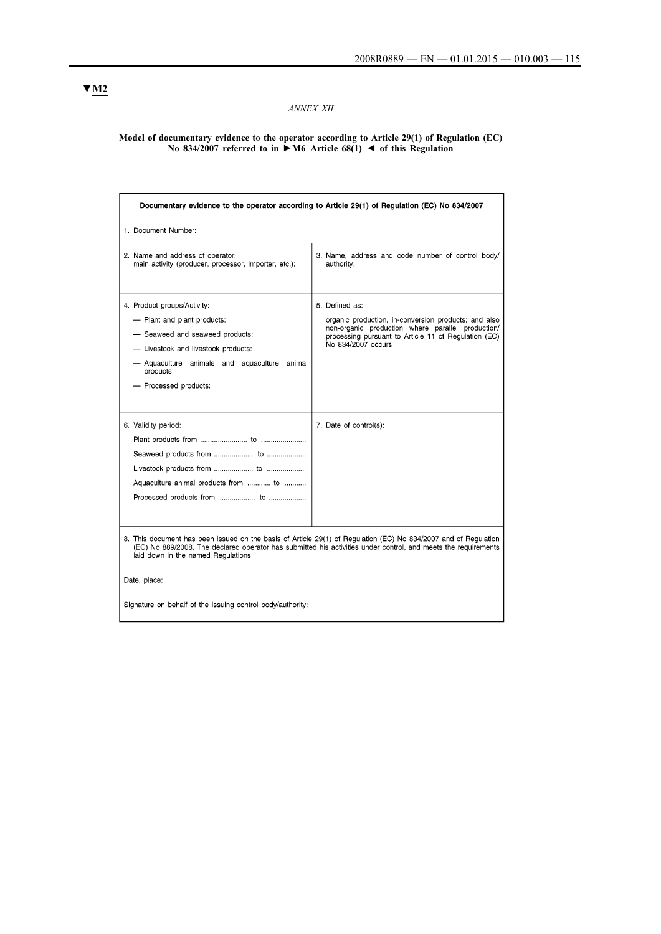# *ANNEX XII*

#### **Model of documentary evidence to the operator according to Article 29(1) of Regulation (EC) No 834/2007 referred to in ►M6 Article 68(1) ◄ of this Regulation**

| Documentary evidence to the operator according to Article 29(1) of Regulation (EC) No 834/2007                                                                                                                                                                                           |                                                                                                                                                                                                           |  |  |  |
|------------------------------------------------------------------------------------------------------------------------------------------------------------------------------------------------------------------------------------------------------------------------------------------|-----------------------------------------------------------------------------------------------------------------------------------------------------------------------------------------------------------|--|--|--|
| 1. Document Number:                                                                                                                                                                                                                                                                      |                                                                                                                                                                                                           |  |  |  |
| 2. Name and address of operator:<br>main activity (producer, processor, importer, etc.):                                                                                                                                                                                                 | 3. Name, address and code number of control body/<br>authority:                                                                                                                                           |  |  |  |
| 4. Product groups/Activity:<br>- Plant and plant products:<br>- Seaweed and seaweed products:<br>- Livestock and livestock products:<br>- Aquaculture animals and aquaculture animal<br>products:<br>- Processed products:                                                               | 5. Defined as:<br>organic production, in-conversion products; and also<br>non-organic production where parallel production/<br>processing pursuant to Article 11 of Regulation (EC)<br>No 834/2007 occurs |  |  |  |
| 6. Validity period:<br>Aquaculture animal products from  to                                                                                                                                                                                                                              | 7. Date of control(s):                                                                                                                                                                                    |  |  |  |
| 8. This document has been issued on the basis of Article 29(1) of Regulation (EC) No 834/2007 and of Regulation<br>(EC) No 889/2008. The declared operator has submitted his activities under control, and meets the requirements<br>laid down in the named Regulations.<br>Date, place: |                                                                                                                                                                                                           |  |  |  |
| Signature on behalf of the issuing control body/authority:                                                                                                                                                                                                                               |                                                                                                                                                                                                           |  |  |  |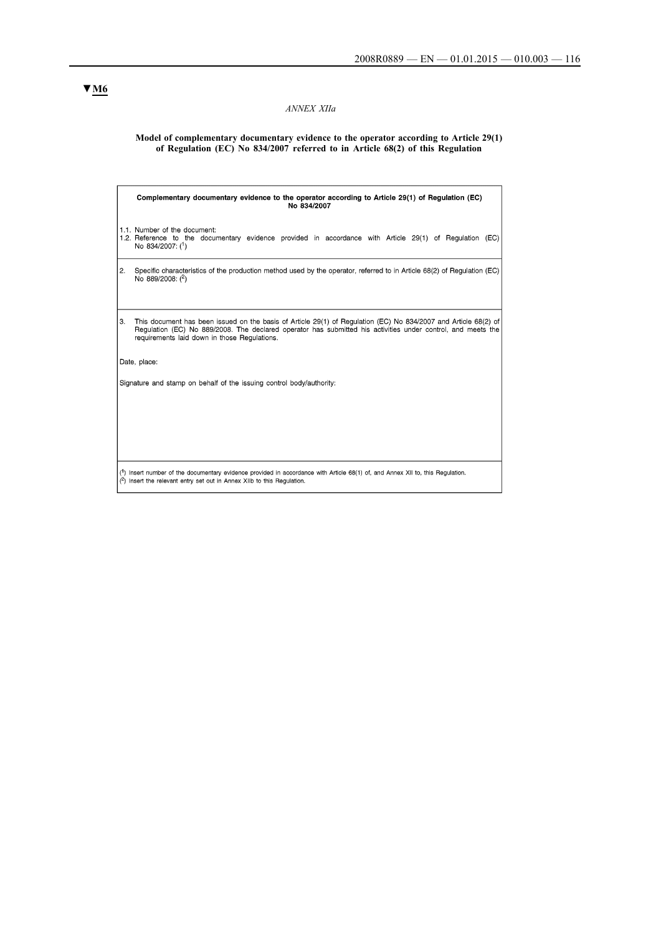# *ANNEX XIIa*

#### **Model of complementary documentary evidence to the operator according to Article 29(1) of Regulation (EC) No 834/2007 referred to in Article 68(2) of this Regulation**

|    | Complementary documentary evidence to the operator according to Article 29(1) of Regulation (EC)<br>No 834/2007                                                                                                                                                                 |  |  |  |
|----|---------------------------------------------------------------------------------------------------------------------------------------------------------------------------------------------------------------------------------------------------------------------------------|--|--|--|
|    | 1.1. Number of the document:<br>1.2. Reference to the documentary evidence provided in accordance with Article 29(1) of Regulation (EC)<br>No 834/2007: (1)                                                                                                                     |  |  |  |
| 2. | Specific characteristics of the production method used by the operator, referred to in Article 68(2) of Regulation (EC)<br>No 889/2008: (2)                                                                                                                                     |  |  |  |
| 3. | This document has been issued on the basis of Article 29(1) of Regulation (EC) No 834/2007 and Article 68(2) of<br>Regulation (EC) No 889/2008. The declared operator has submitted his activities under control, and meets the<br>requirements laid down in those Requlations. |  |  |  |
|    | Date, place:                                                                                                                                                                                                                                                                    |  |  |  |
|    | Signature and stamp on behalf of the issuing control body/authority:                                                                                                                                                                                                            |  |  |  |
|    |                                                                                                                                                                                                                                                                                 |  |  |  |
|    | (1) Insert number of the documentary evidence provided in accordance with Article 68(1) of, and Annex XII to, this Regulation.<br>(2) Insert the relevant entry set out in Annex XIIb to this Regulation.                                                                       |  |  |  |

# **▼M6**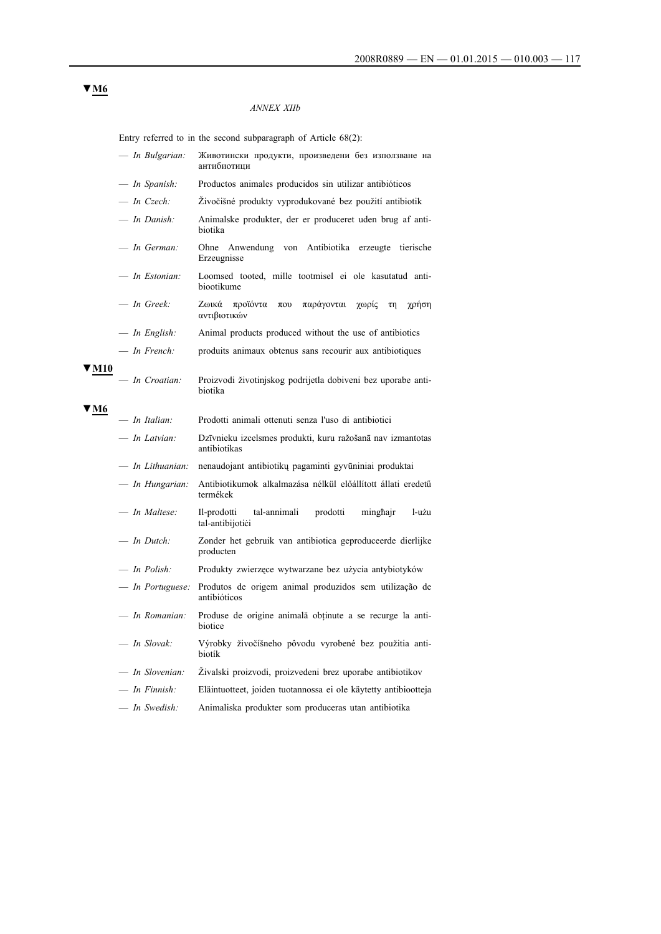## *ANNEX XIIb*

Entry referred to in the second subparagraph of Article 68(2):

|              |                | — In Bulgarian:    | Животински продукти, произведени без използване на<br>антибиотипи                         |
|--------------|----------------|--------------------|-------------------------------------------------------------------------------------------|
|              |                | — In Spanish:      | Productos animales producidos sin utilizar antibióticos                                   |
|              | $-$ In Czech:  |                    | Živočišné produkty vyprodukované bez použití antibiotik                                   |
|              | $-$ In Danish: |                    | Animalske produkter, der er produceret uden brug af anti-<br>biotika                      |
|              |                | $-$ In German:     | Ohne Anwendung von<br>Antibiotika<br>erzeugte<br>tierische<br>Erzeugnisse                 |
|              |                | - In Estonian:     | Loomsed tooted, mille tootmisel ei ole kasutatud anti-<br>biootikume                      |
|              | $-$ In Greek:  |                    | Ζωικά<br>παράγονται<br>προϊόντα<br>γωρίς<br>χρήση<br>$\pi$ ov<br>$\tau$ η<br>αντιβιοτικών |
|              |                | — In English:      | Animal products produced without the use of antibiotics                                   |
|              | $-$ In French: |                    | produits animaux obtenus sans recourir aux antibiotiques                                  |
| <b>7 M10</b> |                | - In Croatian:     | Proizvodi životinjskog podrijetla dobiveni bez uporabe anti-<br>biotika                   |
| 7 M6         | — In Italian:  |                    | Prodotti animali ottenuti senza l'uso di antibiotici                                      |
|              |                | $-$ In Latvian:    | Dzīvnieku izcelsmes produkti, kuru ražošanā nav izmantotas<br>antibiotikas                |
|              |                | $-$ In Lithuanian: | nenaudojant antibiotikų pagaminti gyvūniniai produktai                                    |
|              |                | — In Hungarian:    | Antibiotikumok alkalmazása nélkül előállított állati eredetű<br>termékek                  |
|              |                | $-$ In Maltese:    | Il-prodotti<br>tal-annimali<br>prodotti<br>minghajr<br>l-użu<br>tal-antibijotici          |
|              | $-$ In Dutch:  |                    | Zonder het gebruik van antibiotica geproduceerde dierlijke<br>producten                   |
|              |                | - In Polish:       | Produkty zwierzęce wytwarzane bez użycia antybiotyków                                     |
|              |                | — In Portuguese:   | Produtos de origem animal produzidos sem utilização de<br>antibióticos                    |
|              |                | — In Romanian:     | Produse de origine animală obținute a se recurge la anti-<br>biotice                      |
|              | $-$ In Slovak: |                    | Výrobky živočíšneho pôvodu vyrobené bez použitia anti-<br>biotík                          |
|              |                | — In Slovenian:    | Živalski proizvodi, proizvedeni brez uporabe antibiotikov                                 |
|              |                | $-$ In Finnish:    | Eläintuotteet, joiden tuotannossa ei ole käytetty antibiootteja                           |
|              |                | - In Swedish:      | Animaliska produkter som produceras utan antibiotika                                      |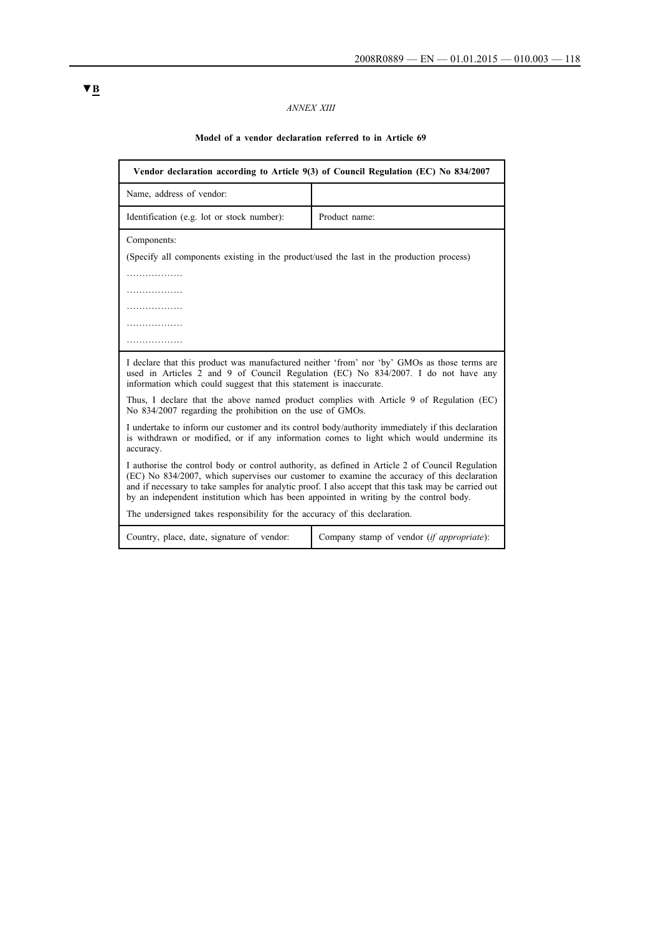# *ANNEX XIII*

## **Model of a vendor declaration referred to in Article 69**

| Vendor declaration according to Article 9(3) of Council Regulation (EC) No 834/2007                                                                                                                                                                                                                                                                                                               |               |  |  |
|---------------------------------------------------------------------------------------------------------------------------------------------------------------------------------------------------------------------------------------------------------------------------------------------------------------------------------------------------------------------------------------------------|---------------|--|--|
| Name, address of vendor:                                                                                                                                                                                                                                                                                                                                                                          |               |  |  |
| Identification (e.g. lot or stock number):                                                                                                                                                                                                                                                                                                                                                        | Product name: |  |  |
| Components:                                                                                                                                                                                                                                                                                                                                                                                       |               |  |  |
| (Specify all components existing in the product/used the last in the production process)                                                                                                                                                                                                                                                                                                          |               |  |  |
| .                                                                                                                                                                                                                                                                                                                                                                                                 |               |  |  |
| .                                                                                                                                                                                                                                                                                                                                                                                                 |               |  |  |
| .                                                                                                                                                                                                                                                                                                                                                                                                 |               |  |  |
| .                                                                                                                                                                                                                                                                                                                                                                                                 |               |  |  |
| .                                                                                                                                                                                                                                                                                                                                                                                                 |               |  |  |
| I declare that this product was manufactured neither 'from' nor 'by' GMOs as those terms are<br>used in Articles 2 and 9 of Council Regulation (EC) No 834/2007. I do not have any<br>information which could suggest that this statement is inaccurate.                                                                                                                                          |               |  |  |
| Thus, I declare that the above named product complies with Article 9 of Regulation (EC)<br>No 834/2007 regarding the prohibition on the use of GMOs.                                                                                                                                                                                                                                              |               |  |  |
| I undertake to inform our customer and its control body/authority immediately if this declaration<br>is withdrawn or modified, or if any information comes to light which would undermine its<br>accuracy.                                                                                                                                                                                        |               |  |  |
| I authorise the control body or control authority, as defined in Article 2 of Council Regulation<br>(EC) No 834/2007, which supervises our customer to examine the accuracy of this declaration<br>and if necessary to take samples for analytic proof. I also accept that this task may be carried out<br>by an independent institution which has been appointed in writing by the control body. |               |  |  |
| The undersigned takes responsibility for the accuracy of this declaration.                                                                                                                                                                                                                                                                                                                        |               |  |  |
| Country, place, date, signature of vendor:<br>Company stamp of vendor (if appropriate):                                                                                                                                                                                                                                                                                                           |               |  |  |

# **▼B**

-1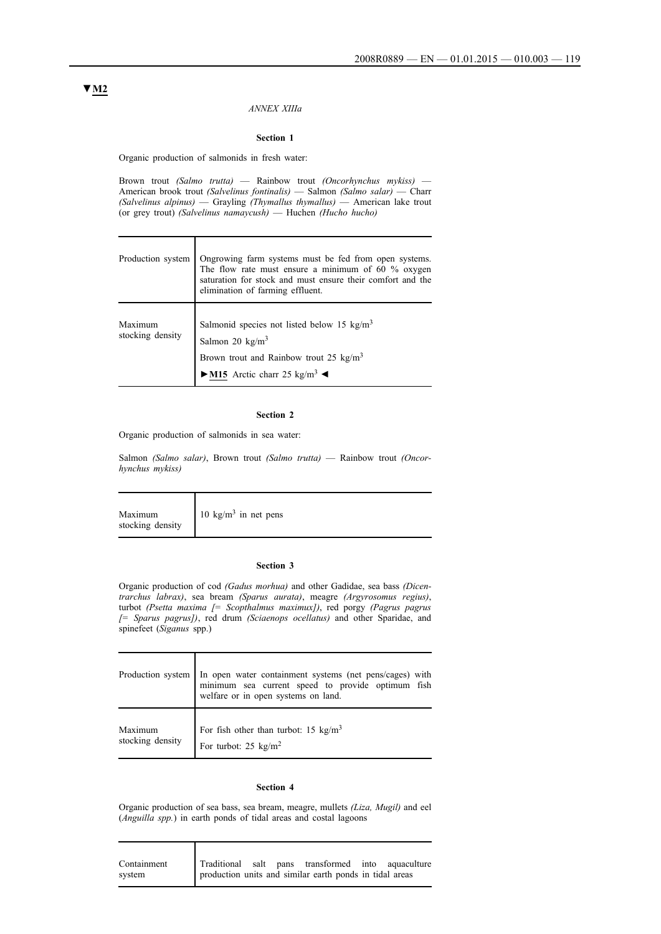#### *ANNEX XIIIa*

#### **Section 1**

Organic production of salmonids in fresh water:

Brown trout *(Salmo trutta)* — Rainbow trout *(Oncorhynchus mykiss)* — American brook trout *(Salvelinus fontinalis)* — Salmon *(Salmo salar)* — Charr *(Salvelinus alpinus)* — Grayling *(Thymallus thymallus)* — American lake trout (or grey trout) *(Salvelinus namaycush)* — Huchen *(Hucho hucho)*

|                             | Production system Ongrowing farm systems must be fed from open systems.<br>The flow rate must ensure a minimum of 60 % oxygen saturation for stock and must ensure their comfort and the elimination of farming effluent. |  |  |
|-----------------------------|---------------------------------------------------------------------------------------------------------------------------------------------------------------------------------------------------------------------------|--|--|
| Maximum<br>stocking density | Salmonid species not listed below 15 kg/m <sup>3</sup><br>Salmon 20 kg/m <sup>3</sup><br>Brown trout and Rainbow trout 25 kg/m <sup>3</sup><br>$\longrightarrow$ M15 Arctic charr 25 kg/m <sup>3</sup>                    |  |  |

#### **Section 2**

Organic production of salmonids in sea water:

Т

Τ

Salmon *(Salmo salar)*, Brown trout *(Salmo trutta)* — Rainbow trout *(Oncorhynchus mykiss)*

| Maximum          | 10 kg/m <sup>3</sup> in net pens |
|------------------|----------------------------------|
| stocking density |                                  |

#### **Section 3**

Organic production of cod *(Gadus morhua)* and other Gadidae, sea bass *(Dicentrarchus labrax)*, sea bream *(Sparus aurata)*, meagre *(Argyrosomus regius)*, turbot *(Psetta maxima [= Scopthalmus maximux])*, red porgy *(Pagrus pagrus [= Sparus pagrus])*, red drum *(Sciaenops ocellatus)* and other Sparidae, and spinefeet (*Siganus* spp.)

|         | Production system In open water containment systems (net pens/cages) with minimum sea current speed to provide optimum fish welfare or in open systems on land. |
|---------|-----------------------------------------------------------------------------------------------------------------------------------------------------------------|
| Maximum | For fish other than turbot: 15 $\text{kg/m}^3$<br>stocking density $\int$ For turbot: 25 kg/m <sup>2</sup>                                                      |

#### **Section 4**

Organic production of sea bass, sea bream, meagre, mullets *(Liza, Mugil)* and eel (*Anguilla spp.*) in earth ponds of tidal areas and costal lagoons

| Containment |  | Traditional salt pans transformed into aquaculture      |  |
|-------------|--|---------------------------------------------------------|--|
| system      |  | production units and similar earth ponds in tidal areas |  |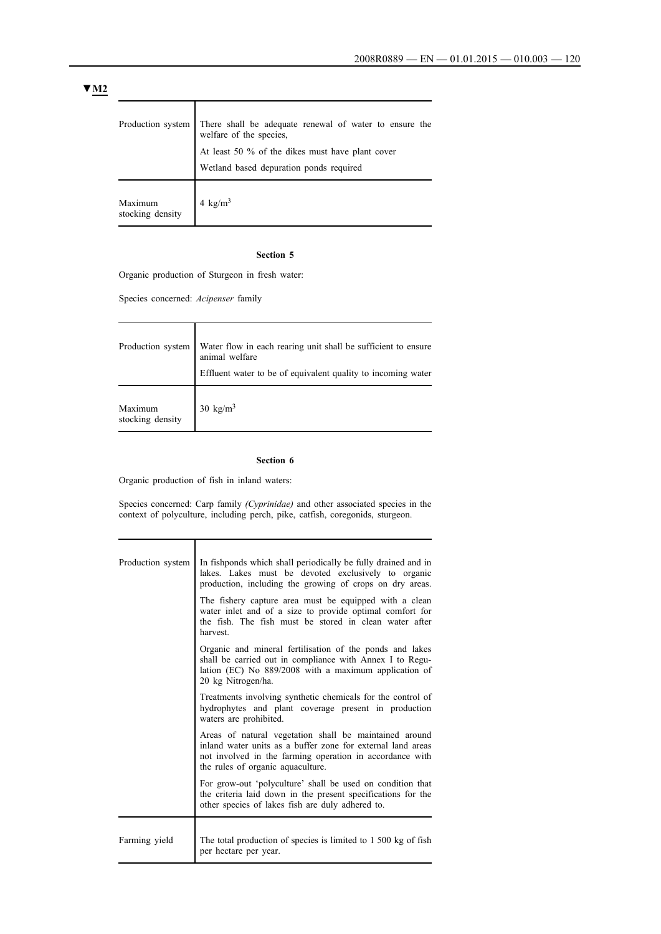|                             | Production system There shall be adequate renewal of water to ensure the welfare of the species, |
|-----------------------------|--------------------------------------------------------------------------------------------------|
|                             | At least 50 % of the dikes must have plant cover<br>Wetland based depuration ponds required      |
| Maximum<br>stocking density | 4 kg/m <sup>3</sup>                                                                              |

#### **Section 5**

Organic production of Sturgeon in fresh water:

Species concerned: *Acipenser* family

|                                                                                     | Production system Water flow in each rearing unit shall be sufficient to ensure<br>animal welfare<br>Effluent water to be of equivalent quality to incoming water |
|-------------------------------------------------------------------------------------|-------------------------------------------------------------------------------------------------------------------------------------------------------------------|
| Maximum $\begin{array}{c} 30 \text{ kg/m}^3 \\ \text{stocking density} \end{array}$ |                                                                                                                                                                   |

### **Section 6**

Organic production of fish in inland waters:

Т

Species concerned: Carp family *(Cyprinidae)* and other associated species in the context of polyculture, including perch, pike, catfish, coregonids, sturgeon.

| Production system | In fishponds which shall periodically be fully drained and in<br>lakes. Lakes must be devoted exclusively to organic<br>production, including the growing of crops on dry areas.<br>The fishery capture area must be equipped with a clean<br>water inlet and of a size to provide optimal comfort for<br>the fish. The fish must be stored in clean water after<br>harvest. |
|-------------------|------------------------------------------------------------------------------------------------------------------------------------------------------------------------------------------------------------------------------------------------------------------------------------------------------------------------------------------------------------------------------|
|                   | Organic and mineral fertilisation of the ponds and lakes<br>shall be carried out in compliance with Annex I to Regu-<br>lation (EC) No 889/2008 with a maximum application of<br>20 kg Nitrogen/ha.                                                                                                                                                                          |
|                   | Treatments involving synthetic chemicals for the control of<br>hydrophytes and plant coverage present in production<br>waters are prohibited.                                                                                                                                                                                                                                |
|                   | Areas of natural vegetation shall be maintained around<br>inland water units as a buffer zone for external land areas<br>not involved in the farming operation in accordance with<br>the rules of organic aquaculture.                                                                                                                                                       |
|                   | For grow-out 'polyculture' shall be used on condition that<br>the criteria laid down in the present specifications for the<br>other species of lakes fish are duly adhered to.                                                                                                                                                                                               |
| Farming yield     | The total production of species is limited to 1 500 kg of fish<br>per hectare per year.                                                                                                                                                                                                                                                                                      |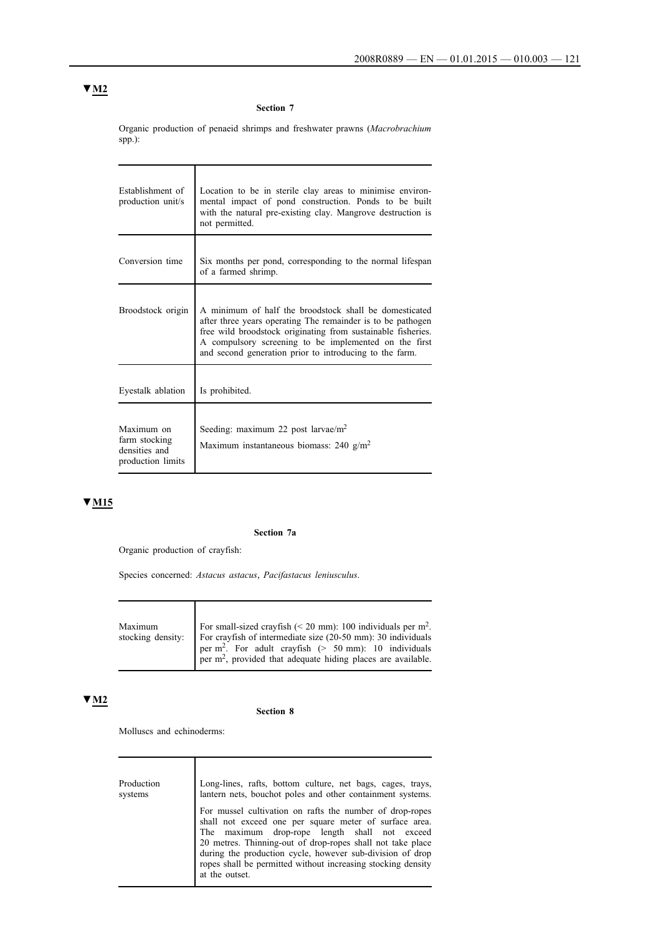#### **Section 7**

Organic production of penaeid shrimps and freshwater prawns (*Macrobrachium* spp.):

ı

| Establishment of<br>production unit/s                             | Location to be in sterile clay areas to minimise environ-<br>mental impact of pond construction. Ponds to be built<br>with the natural pre-existing clay. Mangrove destruction is<br>not permitted.                                                                                                       |  |  |  |  |  |  |  |  |
|-------------------------------------------------------------------|-----------------------------------------------------------------------------------------------------------------------------------------------------------------------------------------------------------------------------------------------------------------------------------------------------------|--|--|--|--|--|--|--|--|
| Conversion time                                                   | Six months per pond, corresponding to the normal lifespan<br>of a farmed shrimp.                                                                                                                                                                                                                          |  |  |  |  |  |  |  |  |
| Broodstock origin                                                 | A minimum of half the broodstock shall be domesticated<br>after three years operating The remainder is to be pathogen<br>free wild broodstock originating from sustainable fisheries.<br>A compulsory screening to be implemented on the first<br>and second generation prior to introducing to the farm. |  |  |  |  |  |  |  |  |
| Eyestalk ablation                                                 | Is prohibited.                                                                                                                                                                                                                                                                                            |  |  |  |  |  |  |  |  |
| Maximum on<br>farm stocking<br>densities and<br>production limits | Seeding: maximum 22 post larvae/ $m2$<br>Maximum instantaneous biomass: 240 $g/m2$                                                                                                                                                                                                                        |  |  |  |  |  |  |  |  |

# **▼M15**

### **Section 7a**

Organic production of crayfish:

Species concerned: *Astacus astacus*, *Pacifastacus leniusculus*.

| Maximum | For small-sized crayfish (< 20 mm): 100 individuals per $m^2$ .<br>stocking density: $\vert$ For crayfish of intermediate size (20-50 mm): 30 individuals |
|---------|-----------------------------------------------------------------------------------------------------------------------------------------------------------|
|         | per $m^2$ . For adult crayfish (> 50 mm): 10 individuals<br>$\int$ per m <sup>2</sup> , provided that adequate hiding places are available.               |

# **▼M2**

#### **Section 8**

Molluscs and echinoderms:

Production systems Long-lines, rafts, bottom culture, net bags, cages, trays, lantern nets, bouchot poles and other containment systems. For mussel cultivation on rafts the number of drop-ropes shall not exceed one per square meter of surface area. The maximum drop-rope length shall not exceed 20 metres. Thinning-out of drop-ropes shall not take place during the production cycle, however sub-division of drop ropes shall be permitted without increasing stocking density at the outset.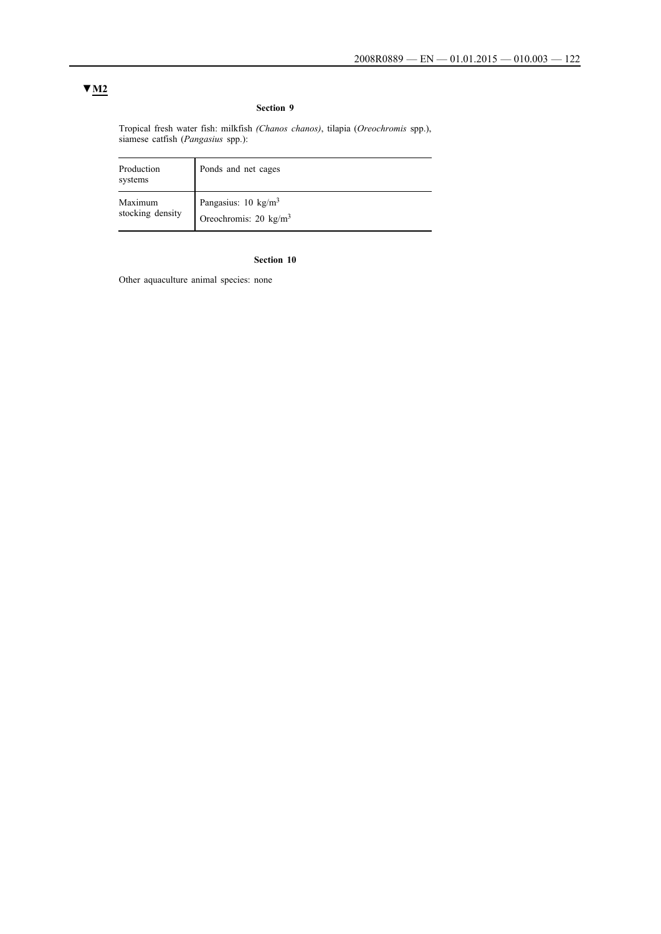### **Section 9**

Tropical fresh water fish: milkfish *(Chanos chanos)*, tilapia (*Oreochromis* spp.), siamese catfish (*Pangasius* spp.):

| Production<br>systems | Ponds and net cages              |
|-----------------------|----------------------------------|
| Maximum               | Pangasius: 10 kg/m <sup>3</sup>  |
| stocking density      | Oreochromis: $20 \text{ kg/m}^3$ |

## **Section 10**

Other aquaculture animal species: none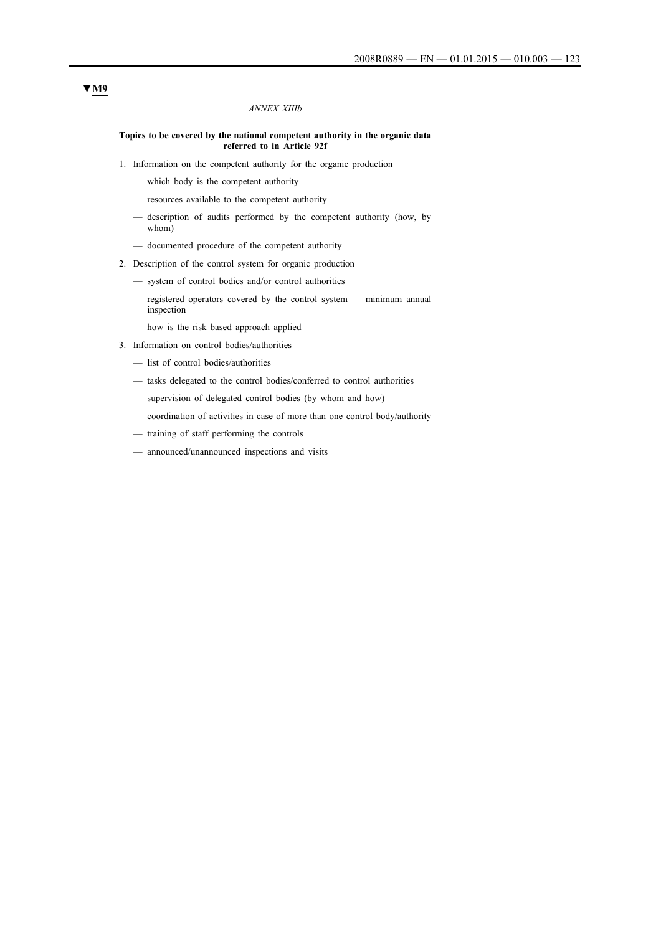#### *ANNEX XIIIb*

#### **Topics to be covered by the national competent authority in the organic data referred to in Article 92f**

- 1. Information on the competent authority for the organic production
	- which body is the competent authority
	- resources available to the competent authority
	- description of audits performed by the competent authority (how, by whom)
	- documented procedure of the competent authority
- 2. Description of the control system for organic production
	- system of control bodies and/or control authorities
	- registered operators covered by the control system minimum annual inspection
	- how is the risk based approach applied
- 3. Information on control bodies/authorities
	- list of control bodies/authorities
	- tasks delegated to the control bodies/conferred to control authorities
	- supervision of delegated control bodies (by whom and how)
	- coordination of activities in case of more than one control body/authority
	- training of staff performing the controls
	- announced/unannounced inspections and visits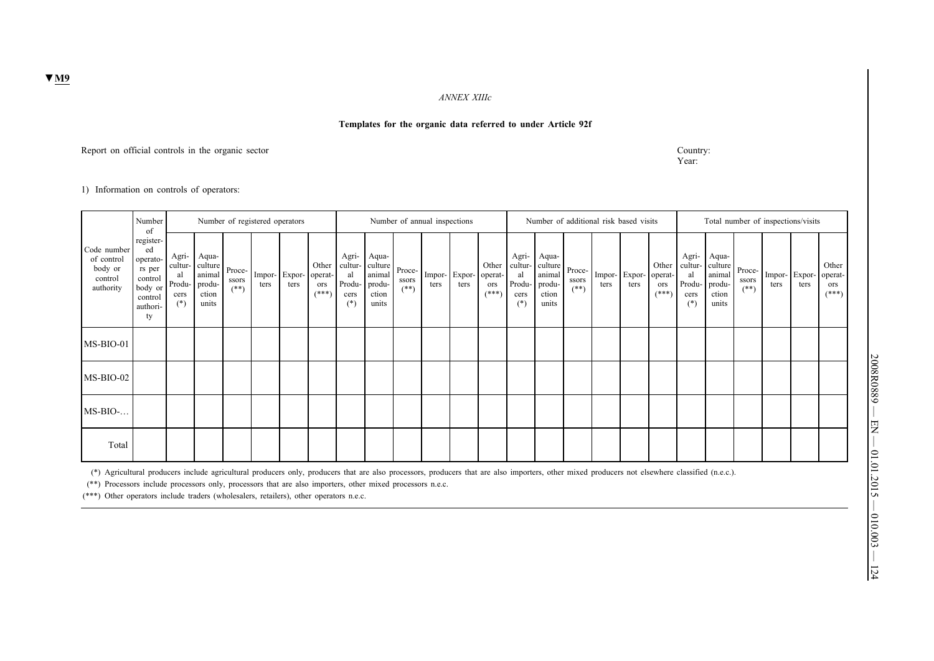*ANNEX XIIIc*

### **Templates for the organic data referred to under Article 92f**

Report on official controls in the organic sector Country:

Year:

1) Information on controls of operators:

|                                                              | Number<br>of                                                                             | Number of registered operators         |                                                                        |                 |      |                                 |                         |                                        | Number of annual inspections                                  |                           |      |                             |                         |                                                   |                                                        |                           |                | Number of additional risk based visits |                                     | Total number of inspections/visits                |                                                        |                           |                |                |                                    |  |
|--------------------------------------------------------------|------------------------------------------------------------------------------------------|----------------------------------------|------------------------------------------------------------------------|-----------------|------|---------------------------------|-------------------------|----------------------------------------|---------------------------------------------------------------|---------------------------|------|-----------------------------|-------------------------|---------------------------------------------------|--------------------------------------------------------|---------------------------|----------------|----------------------------------------|-------------------------------------|---------------------------------------------------|--------------------------------------------------------|---------------------------|----------------|----------------|------------------------------------|--|
| Code number<br>of control<br>body or<br>control<br>authority | register-<br>ed<br>operato-<br>rs per<br>control<br>body or<br>control<br>authori-<br>ty | Agri-<br>al<br>Produ-<br>cers<br>$(*)$ | Aqua-<br>cultur-culture   Proce-<br>animal<br>produ-<br>ction<br>units | ssors<br>$(**)$ | ters | Impor- Expor-   operat-<br>ters | Other<br>ors<br>$(***`$ | Agri-<br>al<br>Produ-<br>cers<br>$(*)$ | Aqua-<br>cultur-culture<br>animal<br>produ-<br>ction<br>units | Proce-<br>ssors<br>$(**)$ | ters | Impor-Expor-operat-<br>ters | Other<br>ors<br>$(***"$ | Agri-<br>cultur-<br>al<br>Produ-<br>cers<br>$(*)$ | Aqua-<br>culture<br>animal<br>produ-<br>ction<br>units | Proce-<br>ssors<br>$(**)$ | Impor-<br>ters | $Expor-1$<br>ters                      | Other<br>operat-<br>ors<br>$(***")$ | Agri-<br>cultur-<br>al<br>Produ-<br>cers<br>$(*)$ | Aqua-<br>culture<br>animal<br>produ-<br>ction<br>units | Proce-<br>ssors<br>$(**)$ | Impor-<br>ters | Lxpor-<br>ters | Other<br>operat-<br>ors<br>$(***)$ |  |
| MS-BIO-01                                                    |                                                                                          |                                        |                                                                        |                 |      |                                 |                         |                                        |                                                               |                           |      |                             |                         |                                                   |                                                        |                           |                |                                        |                                     |                                                   |                                                        |                           |                |                |                                    |  |
| $MS-BIO-02$                                                  |                                                                                          |                                        |                                                                        |                 |      |                                 |                         |                                        |                                                               |                           |      |                             |                         |                                                   |                                                        |                           |                |                                        |                                     |                                                   |                                                        |                           |                |                |                                    |  |
| $MS-BIO-.$                                                   |                                                                                          |                                        |                                                                        |                 |      |                                 |                         |                                        |                                                               |                           |      |                             |                         |                                                   |                                                        |                           |                |                                        |                                     |                                                   |                                                        |                           |                |                |                                    |  |
| Total                                                        |                                                                                          |                                        |                                                                        |                 |      |                                 |                         |                                        |                                                               |                           |      |                             |                         |                                                   |                                                        |                           |                |                                        |                                     |                                                   |                                                        |                           |                |                |                                    |  |

(\*) Agricultural producers include agricultural producers only, producers that are also processors, producers that are also importers, other mixed producers not elsewhere classified (n.e.c.).

(\*\*) Processors include processors only, processors that are also importers, other mixed processors n.e.c.

(\*\*\*) Other operators include traders (wholesalers, retailers), other operators n.e.c.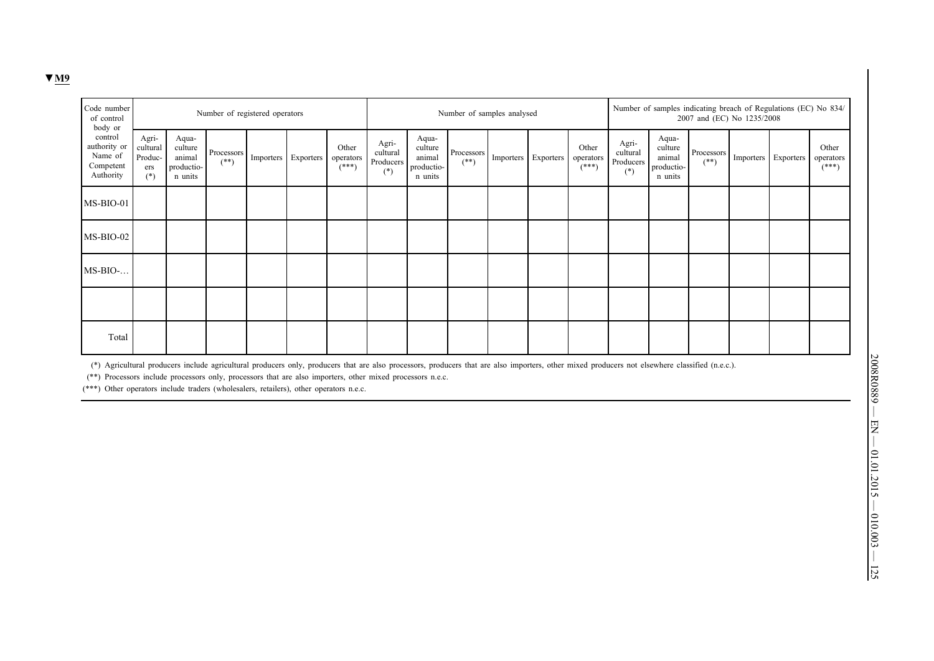| Code number<br>of control<br>body or                         |                                              |                                                     | Number of registered operators    |           |           |                               |                                         |                                                     | Number of samples analysed                                                                                   |  | Number of samples indicating breach of Regulations (EC) No 834/<br>2007 and (EC) No 1235/2008 |                                         |                                                     |                                   |  |                     |                               |  |  |
|--------------------------------------------------------------|----------------------------------------------|-----------------------------------------------------|-----------------------------------|-----------|-----------|-------------------------------|-----------------------------------------|-----------------------------------------------------|--------------------------------------------------------------------------------------------------------------|--|-----------------------------------------------------------------------------------------------|-----------------------------------------|-----------------------------------------------------|-----------------------------------|--|---------------------|-------------------------------|--|--|
| control<br>authority or<br>Name of<br>Competent<br>Authority | Agri-<br>cultural<br>Produc-<br>ers<br>$(*)$ | Aqua-<br>culture<br>animal<br>productio-<br>n units | Processors <sup>1</sup><br>$(**)$ | Importers | Exporters | Other<br>operators<br>$(***)$ | Agri-<br>cultural<br>Producers<br>$(*)$ | Aqua-<br>culture<br>animal<br>productio-<br>n units | $\begin{array}{ l } \hbox{Processors} & \hbox{Importers} & \hbox{Exporters} \\ \hline \end{array}$<br>$(**)$ |  | Other<br>operators<br>$(***)$                                                                 | Agri-<br>cultural<br>Producers<br>$(*)$ | Aqua-<br>culture<br>animal<br>productio-<br>n units | Processors <sup>1</sup><br>$(**)$ |  | Importers Exporters | Other<br>operators<br>$(***)$ |  |  |
| MS-BIO-01                                                    |                                              |                                                     |                                   |           |           |                               |                                         |                                                     |                                                                                                              |  |                                                                                               |                                         |                                                     |                                   |  |                     |                               |  |  |
| MS-BIO-02                                                    |                                              |                                                     |                                   |           |           |                               |                                         |                                                     |                                                                                                              |  |                                                                                               |                                         |                                                     |                                   |  |                     |                               |  |  |
| $MS-BIO-.$                                                   |                                              |                                                     |                                   |           |           |                               |                                         |                                                     |                                                                                                              |  |                                                                                               |                                         |                                                     |                                   |  |                     |                               |  |  |
|                                                              |                                              |                                                     |                                   |           |           |                               |                                         |                                                     |                                                                                                              |  |                                                                                               |                                         |                                                     |                                   |  |                     |                               |  |  |
| Total                                                        |                                              |                                                     |                                   |           |           |                               |                                         |                                                     |                                                                                                              |  |                                                                                               |                                         |                                                     |                                   |  |                     |                               |  |  |

(\*) Agricultural producers include agricultural producers only, producers that are also processors, producers that are also importers, other mixed producers not elsewhere classified (n.e.c.).

(\*\*) Processors include processors only, processors that are also importers, other mixed processors n.e.c.

(\*\*\*) Other operators include traders (wholesalers, retailers), other operators n.e.c.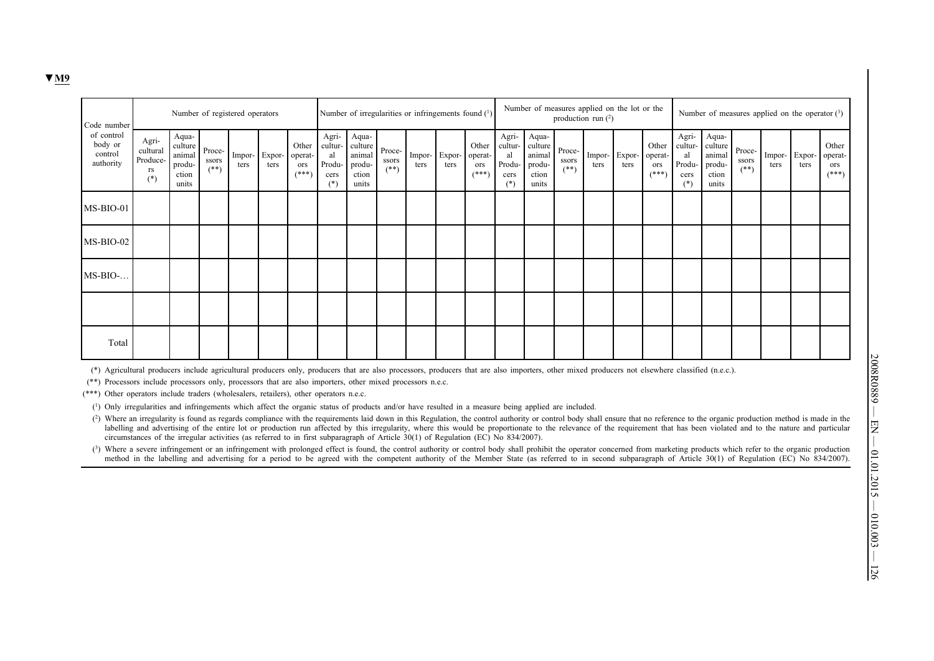| Code number                                   |                                              | Number of registered operators                         |                           |                |                |                                    |                                                   | Number of irregularities or infringements found (1)    |                           |                |                |                                     |                                                   |                                                        | Number of measures applied on the lot or the<br>production run $(2)$ |                        |                | Number of measures applied on the operator $(3)$ |                                                   |                                                        |                           |                |                             |                                    |  |
|-----------------------------------------------|----------------------------------------------|--------------------------------------------------------|---------------------------|----------------|----------------|------------------------------------|---------------------------------------------------|--------------------------------------------------------|---------------------------|----------------|----------------|-------------------------------------|---------------------------------------------------|--------------------------------------------------------|----------------------------------------------------------------------|------------------------|----------------|--------------------------------------------------|---------------------------------------------------|--------------------------------------------------------|---------------------------|----------------|-----------------------------|------------------------------------|--|
| of control<br>body or<br>control<br>authority | Agri-<br>cultural<br>Produce-<br>rs<br>$(*)$ | Aqua-<br>culture<br>animal<br>produ-<br>ction<br>units | Proce-<br>ssors<br>$(**)$ | Impor-<br>ters | Expor-<br>ters | Other<br>operat-<br>ors<br>$(***)$ | Agri-<br>cultur-<br>al<br>Produ-<br>cers<br>$(*)$ | Aqua-<br>culture<br>animal<br>produ-<br>ction<br>units | Proce-<br>ssors<br>$(**)$ | Impor-<br>ters | Expor-<br>ters | Other<br>operat-<br>ors<br>$(***")$ | Agri-<br>cultur-<br>al<br>Produ-<br>cers<br>$(*)$ | Aqua-<br>culture<br>animal<br>produ-<br>ction<br>units | Proce-<br>ssors<br>$(**)$                                            | $ $ Impor- $ $<br>ters | Expor-<br>ters | Other<br>operat-<br>ors<br>$(***)$               | Agri-<br>cultur-<br>al<br>Produ-<br>cers<br>$(*)$ | Aqua-<br>culture<br>animal<br>produ-<br>ction<br>units | Proce-<br>ssors<br>$(**)$ | Impor-<br>ters | $\sf Expor\text{-}$<br>ters | Other<br>operat-<br>ors<br>$(***)$ |  |
| $MS-BIO-01$                                   |                                              |                                                        |                           |                |                |                                    |                                                   |                                                        |                           |                |                |                                     |                                                   |                                                        |                                                                      |                        |                |                                                  |                                                   |                                                        |                           |                |                             |                                    |  |
| MS-BIO-02                                     |                                              |                                                        |                           |                |                |                                    |                                                   |                                                        |                           |                |                |                                     |                                                   |                                                        |                                                                      |                        |                |                                                  |                                                   |                                                        |                           |                |                             |                                    |  |
| $MS-BIO-.$                                    |                                              |                                                        |                           |                |                |                                    |                                                   |                                                        |                           |                |                |                                     |                                                   |                                                        |                                                                      |                        |                |                                                  |                                                   |                                                        |                           |                |                             |                                    |  |
|                                               |                                              |                                                        |                           |                |                |                                    |                                                   |                                                        |                           |                |                |                                     |                                                   |                                                        |                                                                      |                        |                |                                                  |                                                   |                                                        |                           |                |                             |                                    |  |
| Total                                         |                                              |                                                        |                           |                |                |                                    |                                                   |                                                        |                           |                |                |                                     |                                                   |                                                        |                                                                      |                        |                |                                                  |                                                   |                                                        |                           |                |                             |                                    |  |

(\*) Agricultural producers include agricultural producers only, producers that are also processors, producers that are also importers, other mixed producers not elsewhere classified (n.e.c.).

(\*\*) Processors include processors only, processors that are also importers, other mixed processors n.e.c.

(\*\*\*) Other operators include traders (wholesalers, retailers), other operators n.e.c.

(1) Only irregularities and infringements which affect the organic status of products and/or have resulted in a measure being applied are included.

(2) Where an irregularity is found as regards compliance with the requirements laid down in this Regulation, the control authority or control body shall ensure that no reference to the organic production method is made in labelling and advertising of the entire lot or production run affected by this irregularity, where this would be proportionate to the relevance of the requirement that has been violated and to the nature and particular circumstances of the irregular activities (as referred to in first subparagraph of Article 30(1) of Regulation (EC) No 834/2007).

(3) Where a severe infringement or an infringement with prolonged effect is found, the control authority or control body shall prohibit the operator concerned from marketing products which refer to the organic production method in the labelling and advertising for a period to be agreed with the competent authority of the Member State (as referred to in second subparagraph of Article 30(1) of Regulation (EC) No 834/2007).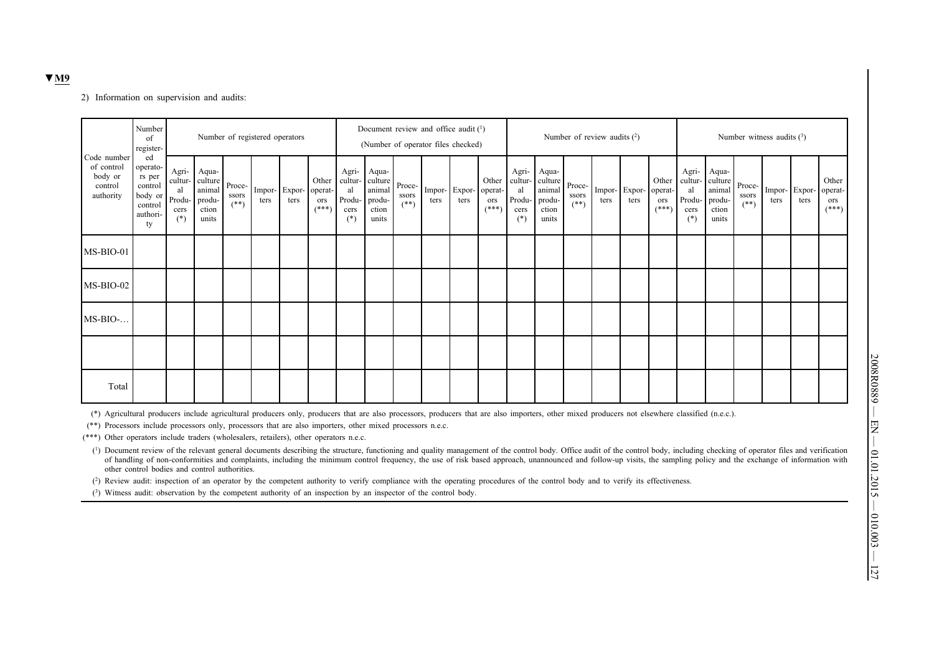#### 2) Information on supervision and audits:

| Number<br>Number of registered operators<br>of<br>register-  |                                                                             |                                                   |                                                        |                           |      |                       |                                    | Document review and office audit (1)<br>(Number of operator files checked) |                                                        |                           |                |                |                                     |                                                   | Number of review audits $(2)$                          |                           |                |                |                                     |                                                   | Number witness audits $(3)$                            |                           |                |                |                                    |  |  |
|--------------------------------------------------------------|-----------------------------------------------------------------------------|---------------------------------------------------|--------------------------------------------------------|---------------------------|------|-----------------------|------------------------------------|----------------------------------------------------------------------------|--------------------------------------------------------|---------------------------|----------------|----------------|-------------------------------------|---------------------------------------------------|--------------------------------------------------------|---------------------------|----------------|----------------|-------------------------------------|---------------------------------------------------|--------------------------------------------------------|---------------------------|----------------|----------------|------------------------------------|--|--|
| Code number<br>of control<br>body or<br>control<br>authority | ed<br>operato-<br>rs per<br>control<br>body or<br>control<br>authori-<br>ty | Agri-<br>cultur-<br>al<br>Produ-<br>cers<br>$(*)$ | Aqua-<br>culture<br>animal<br>produ-<br>ction<br>units | Proce-<br>ssors<br>$(**)$ | ters | Impor- Expor-<br>ters | Other<br>operat-<br>ors<br>$(***)$ | Agri-<br>cultur-<br>al<br>Produ-<br>cers<br>$(*)$                          | Aqua-<br>culture<br>animal<br>produ-<br>ction<br>units | Proce-<br>ssors<br>$(**)$ | Impor-<br>ters | Expor-<br>ters | Other<br>operat-<br>ors<br>$(***")$ | Agri-<br>cultur-<br>al<br>Produ-<br>cers<br>$(*)$ | Aqua-<br>culture<br>animal<br>produ-<br>ction<br>units | Proce-<br>ssors<br>$(**)$ | Impor-<br>ters | Expor-<br>ters | Other<br>operat-<br>ors<br>$(***")$ | Agri-<br>cultur-<br>al<br>Produ-<br>cers<br>$(*)$ | Aqua-<br>culture<br>animal<br>produ-<br>ction<br>units | Proce-<br>ssors<br>$(**)$ | Impor-<br>ters | Expor-<br>ters | Other<br>operat-<br>ors<br>$(***)$ |  |  |
| MS-BIO-01                                                    |                                                                             |                                                   |                                                        |                           |      |                       |                                    |                                                                            |                                                        |                           |                |                |                                     |                                                   |                                                        |                           |                |                |                                     |                                                   |                                                        |                           |                |                |                                    |  |  |
| MS-BIO-02                                                    |                                                                             |                                                   |                                                        |                           |      |                       |                                    |                                                                            |                                                        |                           |                |                |                                     |                                                   |                                                        |                           |                |                |                                     |                                                   |                                                        |                           |                |                |                                    |  |  |
| $MS-BIO$                                                     |                                                                             |                                                   |                                                        |                           |      |                       |                                    |                                                                            |                                                        |                           |                |                |                                     |                                                   |                                                        |                           |                |                |                                     |                                                   |                                                        |                           |                |                |                                    |  |  |
|                                                              |                                                                             |                                                   |                                                        |                           |      |                       |                                    |                                                                            |                                                        |                           |                |                |                                     |                                                   |                                                        |                           |                |                |                                     |                                                   |                                                        |                           |                |                |                                    |  |  |
| Total                                                        |                                                                             |                                                   |                                                        |                           |      |                       |                                    |                                                                            |                                                        |                           |                |                |                                     |                                                   |                                                        |                           |                |                |                                     |                                                   |                                                        |                           |                |                |                                    |  |  |

(\*) Agricultural producers include agricultural producers only, producers that are also processors, producers that are also importers, other mixed producers not elsewhere classified (n.e.c.).

(\*\*) Processors include processors only, processors that are also importers, other mixed processors n.e.c.

(\*\*\*) Other operators include traders (wholesalers, retailers), other operators n.e.c.

(1) Document review of the relevant general documents describing the structure, functioning and quality management of the control body. Office audit of the control body, including checking of operator files and verification of handling of non-conformities and complaints, including the minimum control frequency, the use of risk based approach, unannounced and follow-up visits, the sampling policy and the exchange of information with other control bodies and control authorities.

(2) Review audit: inspection of an operator by the competent authority to verify compliance with the operating procedures of the control body and to verify its effectiveness.

(3) Witness audit: observation by the competent authority of an inspection by an inspector of the control body.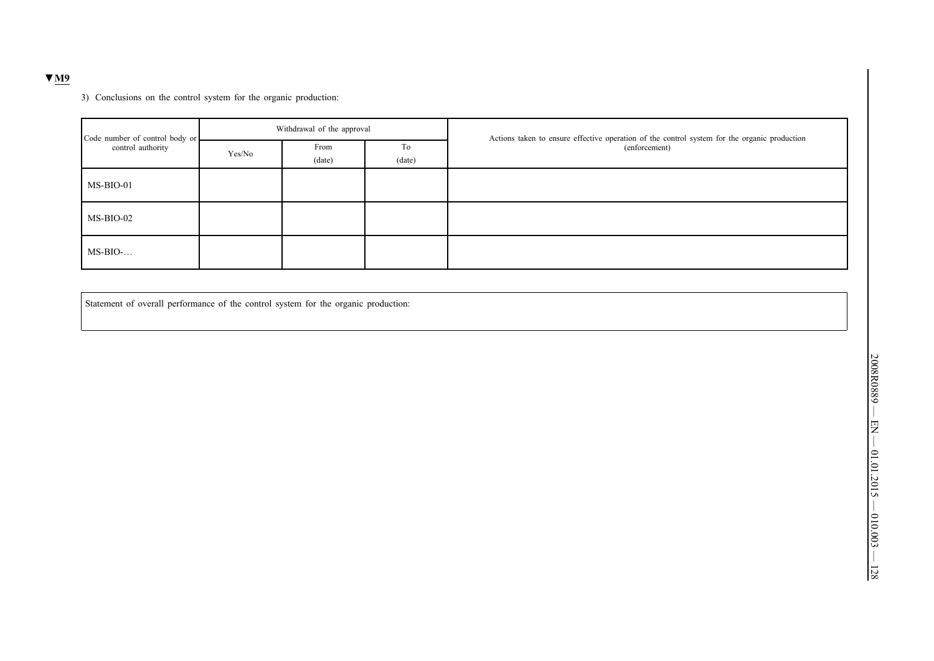### **▼M9**

3) Conclusions on the control system for the organic production:

| Code number of control body or |        | Withdrawal of the approval |              | Actions taken to ensure effective operation of the control system for the organic production |
|--------------------------------|--------|----------------------------|--------------|----------------------------------------------------------------------------------------------|
| control authority              | Yes/No | From<br>(data)             | To<br>(date) | (enforcement)                                                                                |
| MS-BIO-01                      |        |                            |              |                                                                                              |
| MS-BIO-02                      |        |                            |              |                                                                                              |
| $MS-BIO$                       |        |                            |              |                                                                                              |

Statement of overall performance of the control system for the organic production: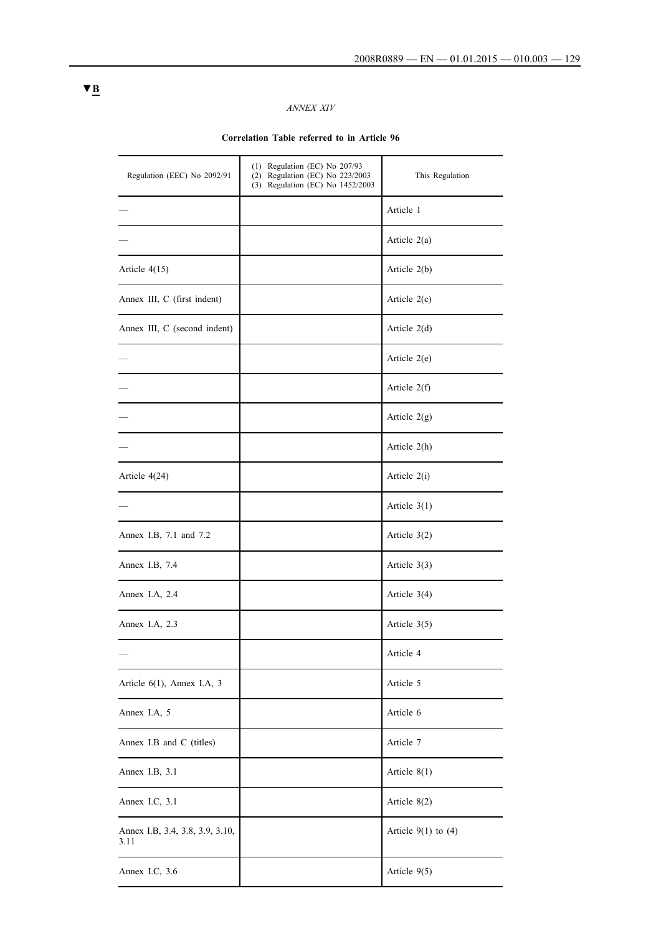# *ANNEX XIV*

## **Correlation Table referred to in Article 96**

| Regulation (EEC) No 2092/91             | $(1)$ Regulation (EC) No 207/93<br>(2) Regulation (EC) No 223/2003<br>(3) Regulation (EC) No 1452/2003 | This Regulation         |
|-----------------------------------------|--------------------------------------------------------------------------------------------------------|-------------------------|
|                                         |                                                                                                        | Article 1               |
|                                         |                                                                                                        | Article $2(a)$          |
| Article $4(15)$                         |                                                                                                        | Article 2(b)            |
| Annex III, C (first indent)             |                                                                                                        | Article $2(c)$          |
| Annex III, C (second indent)            |                                                                                                        | Article $2(d)$          |
|                                         |                                                                                                        | Article 2(e)            |
|                                         |                                                                                                        | Article $2(f)$          |
|                                         |                                                                                                        | Article $2(g)$          |
|                                         |                                                                                                        | Article 2(h)            |
| Article 4(24)                           |                                                                                                        | Article 2(i)            |
|                                         |                                                                                                        | Article $3(1)$          |
| Annex I.B, 7.1 and 7.2                  |                                                                                                        | Article $3(2)$          |
| Annex I.B, 7.4                          |                                                                                                        | Article $3(3)$          |
| Annex I.A, 2.4                          |                                                                                                        | Article $3(4)$          |
| Annex I.A, 2.3                          |                                                                                                        | Article $3(5)$          |
|                                         |                                                                                                        | Article 4               |
| Article 6(1), Annex I.A, 3              |                                                                                                        | Article 5               |
| Annex I.A, 5                            |                                                                                                        | Article 6               |
| Annex I.B and C (titles)                |                                                                                                        | Article 7               |
| Annex I.B, 3.1                          |                                                                                                        | Article $8(1)$          |
| Annex I.C, 3.1                          |                                                                                                        | Article 8(2)            |
| Annex I.B, 3.4, 3.8, 3.9, 3.10,<br>3.11 |                                                                                                        | Article $9(1)$ to $(4)$ |
| Annex I.C, 3.6                          |                                                                                                        | Article 9(5)            |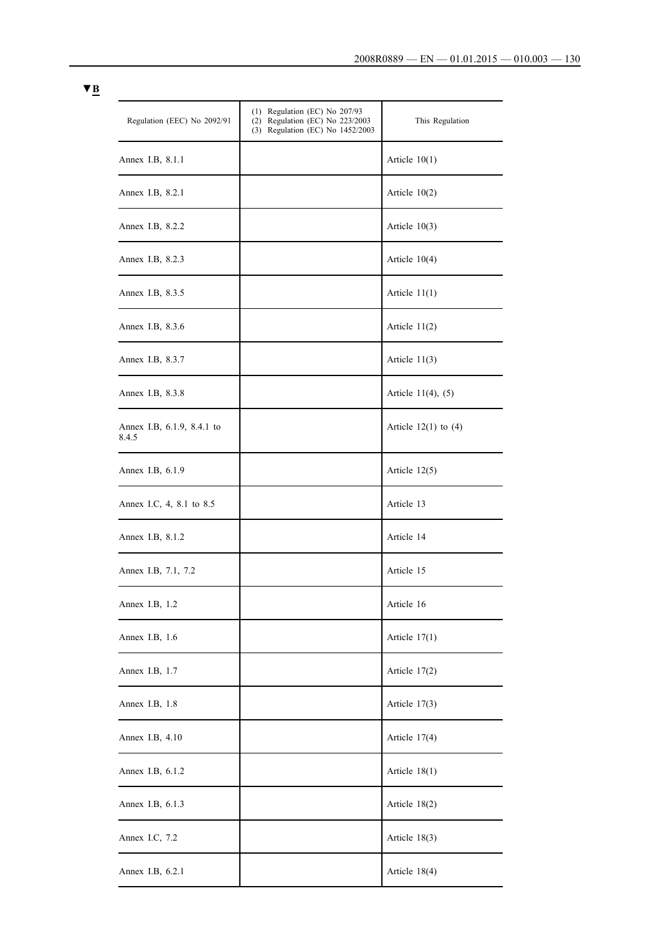| Regulation (EEC) No 2092/91         | $(1)$ Regulation (EC) No 207/93<br>$(2)$ Regulation (EC) No $223/2003$<br>(3) Regulation (EC) No 1452/2003 | This Regulation          |
|-------------------------------------|------------------------------------------------------------------------------------------------------------|--------------------------|
| Annex I.B, 8.1.1                    |                                                                                                            | Article $10(1)$          |
| Annex I.B, 8.2.1                    |                                                                                                            | Article $10(2)$          |
| Annex I.B, 8.2.2                    |                                                                                                            | Article $10(3)$          |
| Annex I.B, 8.2.3                    |                                                                                                            | Article $10(4)$          |
| Annex I.B, 8.3.5                    |                                                                                                            | Article $11(1)$          |
| Annex I.B, 8.3.6                    |                                                                                                            | Article $11(2)$          |
| Annex I.B, 8.3.7                    |                                                                                                            | Article $11(3)$          |
| Annex I.B, 8.3.8                    |                                                                                                            | Article $11(4)$ , $(5)$  |
| Annex I.B, 6.1.9, 8.4.1 to<br>8.4.5 |                                                                                                            | Article $12(1)$ to $(4)$ |
| Annex I.B, 6.1.9                    |                                                                                                            | Article $12(5)$          |
| Annex I.C, 4, 8.1 to 8.5            |                                                                                                            | Article 13               |
| Annex I.B, 8.1.2                    |                                                                                                            | Article 14               |
| Annex I.B, 7.1, 7.2                 |                                                                                                            | Article 15               |
| Annex I.B, 1.2                      |                                                                                                            | Article 16               |
| Annex I.B, 1.6                      |                                                                                                            | Article $17(1)$          |
| Annex I.B, 1.7                      |                                                                                                            | Article $17(2)$          |
| Annex I.B, 1.8                      |                                                                                                            | Article $17(3)$          |
| Annex I.B, 4.10                     |                                                                                                            | Article $17(4)$          |
| Annex I.B, 6.1.2                    |                                                                                                            | Article $18(1)$          |
| Annex I.B, 6.1.3                    |                                                                                                            | Article $18(2)$          |
| Annex I.C, 7.2                      |                                                                                                            | Article 18(3)            |
| Annex I.B, 6.2.1                    |                                                                                                            | Article $18(4)$          |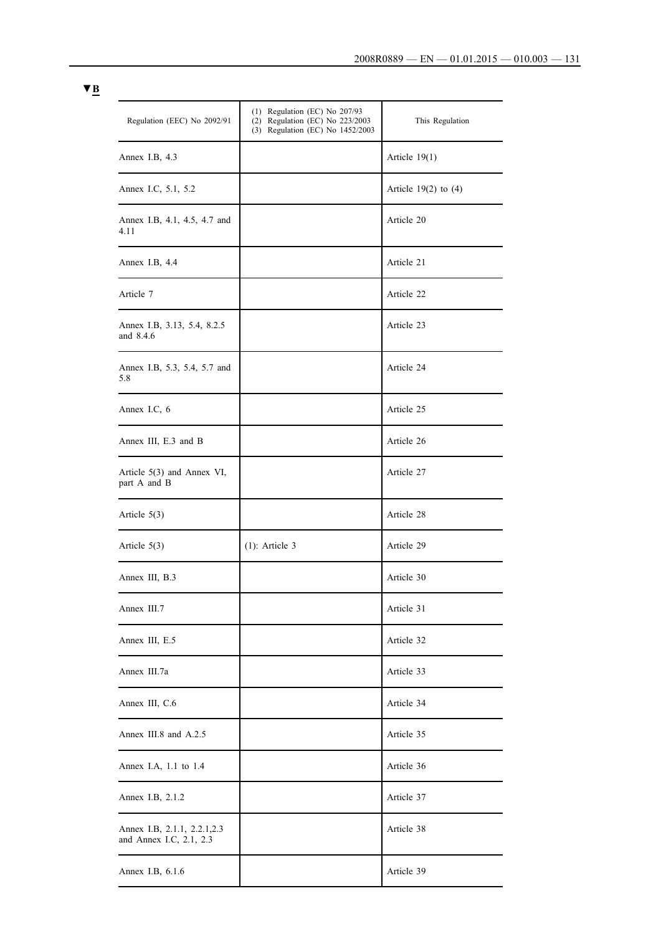| Regulation (EEC) No 2092/91                             | $(1)$ Regulation (EC) No 207/93<br>(2) Regulation (EC) No 223/2003<br>(3) Regulation (EC) No 1452/2003 | This Regulation          |
|---------------------------------------------------------|--------------------------------------------------------------------------------------------------------|--------------------------|
| Annex I.B, 4.3                                          |                                                                                                        | Article $19(1)$          |
| Annex I.C, 5.1, 5.2                                     |                                                                                                        | Article $19(2)$ to $(4)$ |
| Annex I.B, 4.1, 4.5, 4.7 and<br>4.11                    |                                                                                                        | Article 20               |
| Annex I.B, 4.4                                          |                                                                                                        | Article 21               |
| Article 7                                               |                                                                                                        | Article 22               |
| Annex I.B, 3.13, 5.4, 8.2.5<br>and 8.4.6                |                                                                                                        | Article 23               |
| Annex I.B, 5.3, 5.4, 5.7 and<br>5.8                     |                                                                                                        | Article 24               |
| Annex I.C, 6                                            |                                                                                                        | Article 25               |
| Annex III, E.3 and B                                    |                                                                                                        | Article 26               |
| Article 5(3) and Annex VI,<br>part A and B              |                                                                                                        | Article 27               |
| Article $5(3)$                                          |                                                                                                        | Article 28               |
| Article $5(3)$                                          | $(1)$ : Article 3                                                                                      | Article 29               |
| Annex III, B.3                                          |                                                                                                        | Article 30               |
| Annex III.7                                             |                                                                                                        | Article 31               |
| Annex III, E.5                                          |                                                                                                        | Article 32               |
| Annex III.7a                                            |                                                                                                        | Article 33               |
| Annex III, C.6                                          |                                                                                                        | Article 34               |
| Annex III.8 and A.2.5                                   |                                                                                                        | Article 35               |
| Annex I.A, 1.1 to 1.4                                   |                                                                                                        | Article 36               |
| Annex I.B, 2.1.2                                        |                                                                                                        | Article 37               |
| Annex I.B, 2.1.1, 2.2.1, 2.3<br>and Annex I.C, 2.1, 2.3 |                                                                                                        | Article 38               |
| Annex I.B, 6.1.6                                        |                                                                                                        | Article 39               |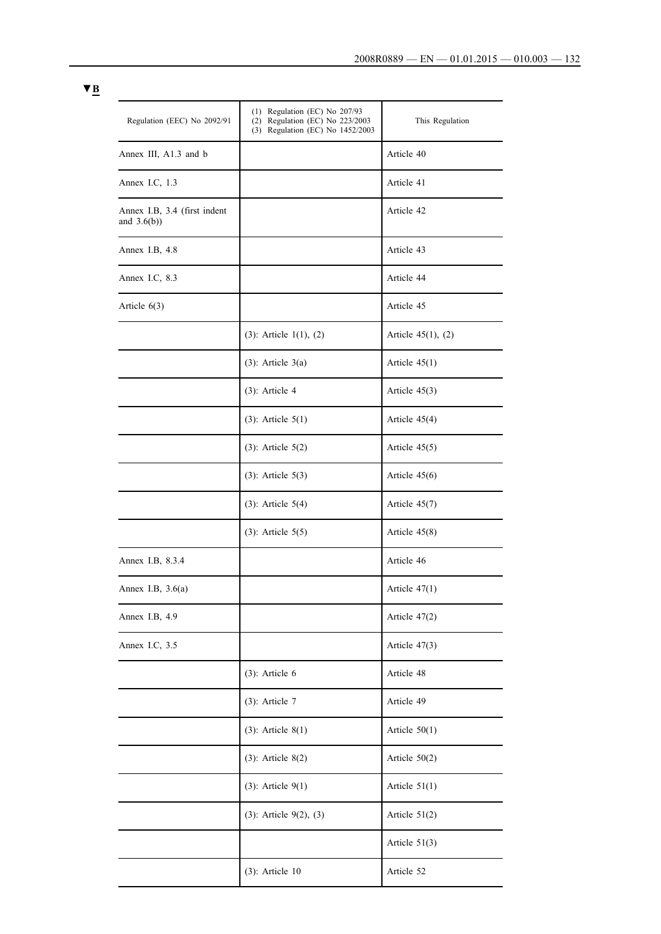| Regulation (EEC) No 2092/91                    | $(1)$ Regulation (EC) No 207/93<br>(2) Regulation (EC) No 223/2003<br>(3) Regulation (EC) No 1452/2003 | This Regulation         |
|------------------------------------------------|--------------------------------------------------------------------------------------------------------|-------------------------|
| Annex III, A1.3 and b                          |                                                                                                        | Article 40              |
| Annex I.C, 1.3                                 |                                                                                                        | Article 41              |
| Annex I.B, 3.4 (first indent<br>and $3.6(b)$ ) |                                                                                                        | Article 42              |
| Annex I.B, 4.8                                 |                                                                                                        | Article 43              |
| Annex I.C, 8.3                                 |                                                                                                        | Article 44              |
| Article $6(3)$                                 |                                                                                                        | Article 45              |
|                                                | $(3)$ : Article 1(1), (2)                                                                              | Article $45(1)$ , $(2)$ |
|                                                | $(3)$ : Article 3(a)                                                                                   | Article $45(1)$         |
|                                                | $(3)$ : Article 4                                                                                      | Article $45(3)$         |
|                                                | $(3)$ : Article $5(1)$                                                                                 | Article $45(4)$         |
|                                                | $(3)$ : Article $5(2)$                                                                                 | Article $45(5)$         |
|                                                | $(3)$ : Article $5(3)$                                                                                 | Article $45(6)$         |
|                                                | $(3)$ : Article $5(4)$                                                                                 | Article $45(7)$         |
|                                                | $(3)$ : Article $5(5)$                                                                                 | Article $45(8)$         |
| Annex I.B, 8.3.4                               |                                                                                                        | Article 46              |
| Annex I.B, $3.6(a)$                            |                                                                                                        | Article $47(1)$         |
| Annex I.B, 4.9                                 |                                                                                                        | Article 47(2)           |
| Annex I.C, 3.5                                 |                                                                                                        | Article $47(3)$         |
|                                                | $(3)$ : Article 6                                                                                      | Article 48              |
|                                                | $(3)$ : Article 7                                                                                      | Article 49              |
|                                                | $(3)$ : Article 8 $(1)$                                                                                | Article $50(1)$         |
|                                                | $(3)$ : Article 8 $(2)$                                                                                | Article $50(2)$         |
|                                                | $(3)$ : Article $9(1)$                                                                                 | Article $51(1)$         |
|                                                | $(3)$ : Article 9 $(2)$ , $(3)$                                                                        | Article 51(2)           |
|                                                |                                                                                                        | Article 51(3)           |
|                                                | $(3)$ : Article 10                                                                                     | Article 52              |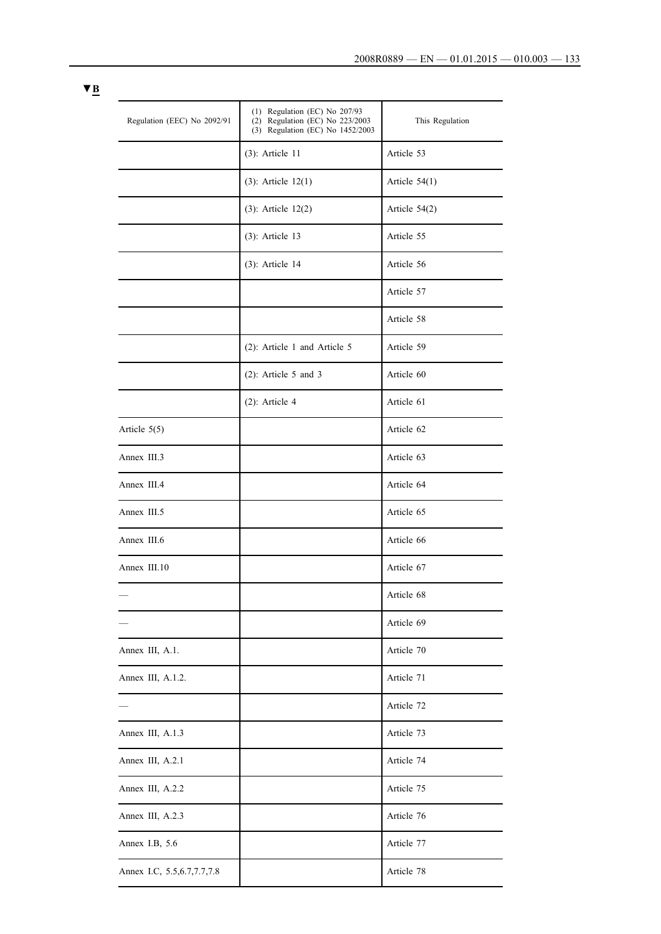| Regulation (EEC) No 2092/91   | $(1)$ Regulation (EC) No 207/93<br>(2) Regulation (EC) No 223/2003<br>(3) Regulation (EC) No 1452/2003 | This Regulation |
|-------------------------------|--------------------------------------------------------------------------------------------------------|-----------------|
|                               | $(3)$ : Article 11                                                                                     | Article 53      |
|                               | $(3)$ : Article $12(1)$                                                                                | Article $54(1)$ |
|                               | $(3)$ : Article $12(2)$                                                                                | Article 54(2)   |
|                               | $(3)$ : Article 13                                                                                     | Article 55      |
|                               | $(3)$ : Article 14                                                                                     | Article 56      |
|                               |                                                                                                        | Article 57      |
|                               |                                                                                                        | Article 58      |
|                               | (2): Article 1 and Article 5                                                                           | Article 59      |
|                               | $(2)$ : Article 5 and 3                                                                                | Article 60      |
|                               | $(2)$ : Article 4                                                                                      | Article 61      |
| Article $5(5)$                |                                                                                                        | Article 62      |
| Annex III.3                   |                                                                                                        | Article 63      |
| Annex III.4                   |                                                                                                        | Article 64      |
| Annex III.5                   |                                                                                                        | Article 65      |
| Annex III.6                   |                                                                                                        | Article 66      |
| Annex III.10                  |                                                                                                        | Article 67      |
|                               |                                                                                                        | Article 68      |
|                               |                                                                                                        | Article 69      |
| Annex III, A.1.               |                                                                                                        | Article 70      |
| Annex III, A.1.2.             |                                                                                                        | Article 71      |
|                               |                                                                                                        | Article 72      |
| Annex III, A.1.3              |                                                                                                        | Article 73      |
| Annex III, A.2.1              |                                                                                                        | Article 74      |
| Annex III, A.2.2              |                                                                                                        | Article 75      |
| Annex III, A.2.3              |                                                                                                        | Article 76      |
| Annex I.B, 5.6                |                                                                                                        | Article 77      |
| Annex I.C, 5.5, 6.7, 7.7, 7.8 |                                                                                                        | Article 78      |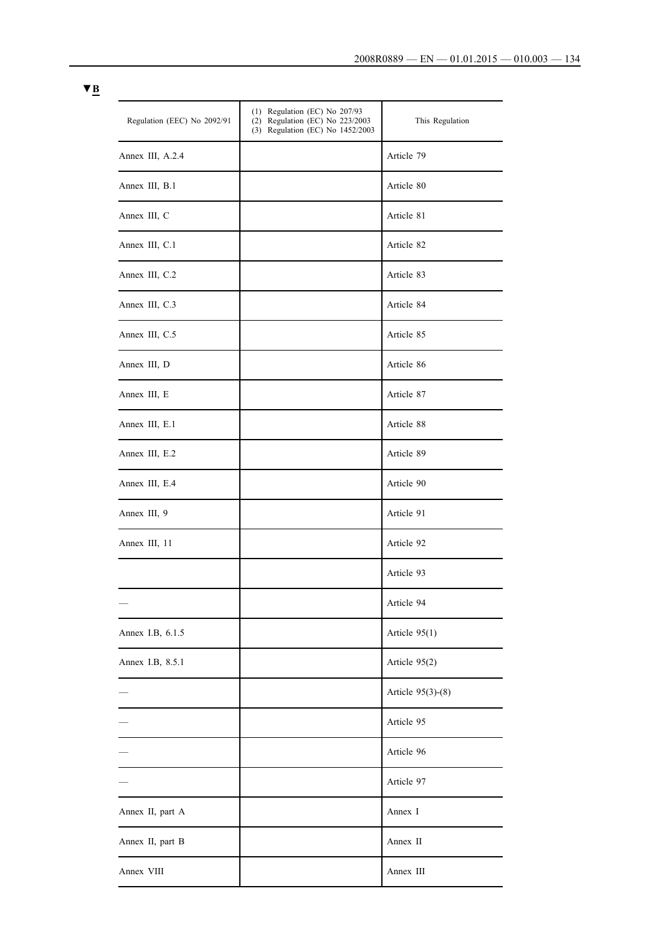| Regulation (EEC) No 2092/91 | $(1)$ Regulation (EC) No 207/93<br>(2) Regulation (EC) No 223/2003<br>(3) Regulation (EC) No 1452/2003 | This Regulation   |
|-----------------------------|--------------------------------------------------------------------------------------------------------|-------------------|
| Annex III, A.2.4            |                                                                                                        | Article 79        |
| Annex III, B.1              |                                                                                                        | Article 80        |
| Annex III, C                |                                                                                                        | Article 81        |
| Annex III, C.1              |                                                                                                        | Article 82        |
| Annex III, C.2              |                                                                                                        | Article 83        |
| Annex III, C.3              |                                                                                                        | Article 84        |
| Annex III, C.5              |                                                                                                        | Article 85        |
| Annex III, D                |                                                                                                        | Article 86        |
| Annex III, E                |                                                                                                        | Article 87        |
| Annex III, E.1              |                                                                                                        | Article 88        |
| Annex III, E.2              |                                                                                                        | Article 89        |
| Annex III, E.4              |                                                                                                        | Article 90        |
| Annex III, 9                |                                                                                                        | Article 91        |
| Annex III, 11               |                                                                                                        | Article 92        |
|                             |                                                                                                        | Article 93        |
|                             |                                                                                                        | Article 94        |
| Annex I.B, 6.1.5            |                                                                                                        | Article 95(1)     |
| Annex I.B, 8.5.1            |                                                                                                        | Article 95(2)     |
|                             |                                                                                                        | Article 95(3)-(8) |
|                             |                                                                                                        | Article 95        |
|                             |                                                                                                        | Article 96        |
|                             |                                                                                                        | Article 97        |
| Annex II, part A            |                                                                                                        | Annex I           |
| Annex II, part B            |                                                                                                        | Annex II          |
| Annex VIII                  |                                                                                                        | Annex III         |